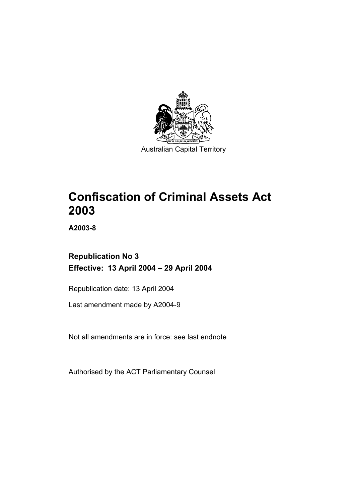

**Confiscation of Criminal Assets Act 2003** 

**A2003-8** 

# **Republication No 3 Effective: 13 April 2004 – 29 April 2004**

Republication date: 13 April 2004

Last amendment made by A2004-9

Not all amendments are in force: see last endnote

Authorised by the ACT Parliamentary Counsel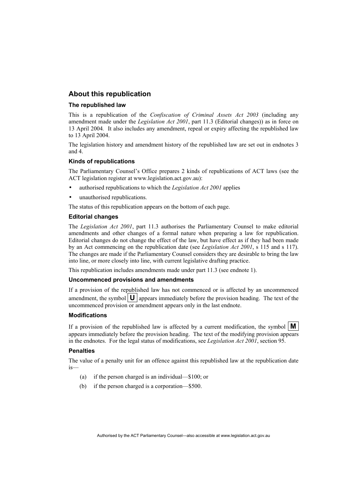## **About this republication**

### **The republished law**

This is a republication of the *Confiscation of Criminal Assets Act 2003* (including any amendment made under the *Legislation Act 2001*, part 11.3 (Editorial changes)) as in force on 13 April 2004*.* It also includes any amendment, repeal or expiry affecting the republished law to 13 April 2004.

The legislation history and amendment history of the republished law are set out in endnotes 3 and 4.

### **Kinds of republications**

The Parliamentary Counsel's Office prepares 2 kinds of republications of ACT laws (see the ACT legislation register at www.legislation.act.gov.au):

- authorised republications to which the *Legislation Act 2001* applies
- unauthorised republications.

The status of this republication appears on the bottom of each page.

#### **Editorial changes**

The *Legislation Act 2001*, part 11.3 authorises the Parliamentary Counsel to make editorial amendments and other changes of a formal nature when preparing a law for republication. Editorial changes do not change the effect of the law, but have effect as if they had been made by an Act commencing on the republication date (see *Legislation Act 2001*, s 115 and s 117). The changes are made if the Parliamentary Counsel considers they are desirable to bring the law into line, or more closely into line, with current legislative drafting practice.

This republication includes amendments made under part 11.3 (see endnote 1).

#### **Uncommenced provisions and amendments**

If a provision of the republished law has not commenced or is affected by an uncommenced amendment, the symbol  $\mathbf{U}$  appears immediately before the provision heading. The text of the uncommenced provision or amendment appears only in the last endnote.

#### **Modifications**

If a provision of the republished law is affected by a current modification, the symbol  $\mathbf{M}$ appears immediately before the provision heading. The text of the modifying provision appears in the endnotes. For the legal status of modifications, see *Legislation Act 2001*, section 95.

#### **Penalties**

The value of a penalty unit for an offence against this republished law at the republication date is—

- (a) if the person charged is an individual—\$100; or
- (b) if the person charged is a corporation—\$500.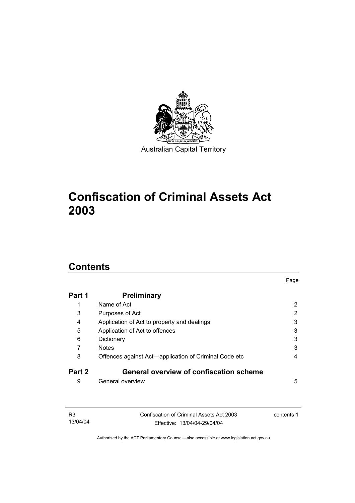

# **Confiscation of Criminal Assets Act 2003**

# **Contents**

| Part 1 | <b>Preliminary</b>                                    |   |
|--------|-------------------------------------------------------|---|
|        | Name of Act                                           | 2 |
| 3      | Purposes of Act                                       | 2 |
| 4      | Application of Act to property and dealings           | 3 |
| 5      | Application of Act to offences                        | 3 |
| 6      | Dictionary                                            | 3 |
|        | <b>Notes</b>                                          | 3 |
| 8      | Offences against Act—application of Criminal Code etc | 4 |
| Part 2 | <b>General overview of confiscation scheme</b>        |   |
| 9      | General overview                                      | 5 |

Page

| R3       | Confiscation of Criminal Assets Act 2003 | contents 1 |
|----------|------------------------------------------|------------|
| 13/04/04 | Effective: 13/04/04-29/04/04             |            |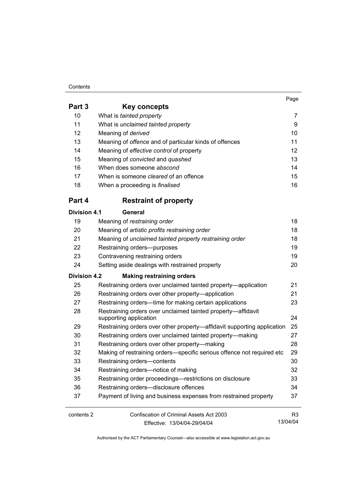#### **Contents**

|                     |                                                                                        | Page            |
|---------------------|----------------------------------------------------------------------------------------|-----------------|
| Part 3              | Key concepts                                                                           |                 |
| 10                  | What is tainted property                                                               | 7               |
| 11                  | What is unclaimed tainted property                                                     | 9               |
| 12                  | Meaning of derived                                                                     | 10 <sup>1</sup> |
| 13                  | Meaning of offence and of particular kinds of offences                                 | 11              |
| 14                  | Meaning of effective control of property                                               | 12              |
| 15                  | Meaning of convicted and quashed                                                       | 13              |
| 16                  | When does someone abscond                                                              | 14              |
| 17                  | When is someone <i>cleared</i> of an offence                                           | 15              |
| 18                  | When a proceeding is finalised                                                         | 16              |
| Part 4              | <b>Restraint of property</b>                                                           |                 |
| <b>Division 4.1</b> | <b>General</b>                                                                         |                 |
| 19                  | Meaning of restraining order                                                           | 18              |
| 20                  | Meaning of artistic profits restraining order                                          | 18              |
| 21                  | Meaning of unclaimed tainted property restraining order                                | 18              |
| 22                  | Restraining orders--purposes                                                           | 19              |
| 23                  | Contravening restraining orders                                                        | 19              |
| 24                  | Setting aside dealings with restrained property                                        | 20              |
| <b>Division 4.2</b> | <b>Making restraining orders</b>                                                       |                 |
| 25                  | Restraining orders over unclaimed tainted property—application                         | 21              |
| 26                  | Restraining orders over other property—application                                     | 21              |
| 27                  | Restraining orders—time for making certain applications                                | 23              |
| 28                  | Restraining orders over unclaimed tainted property-affidavit<br>supporting application | 24              |
| 29                  | Restraining orders over other property-affidavit supporting application                | 25              |
| 30                  | Restraining orders over unclaimed tainted property-making                              | 27              |
| 31                  | Restraining orders over other property—making                                          | 28              |
| 32                  | Making of restraining orders—specific serious offence not required etc                 | 29              |
| 33                  | Restraining orders-contents                                                            | 30              |
| 34                  | Restraining orders-notice of making                                                    | 32              |

 Restraining order proceedings—restrictions on disclosure 33 Restraining orders—disclosure offences 34 Payment of living and business expenses from restrained property 37

| contents 2 | Confiscation of Criminal Assets Act 2003 | R <sub>3</sub> |
|------------|------------------------------------------|----------------|
|            | Effective: 13/04/04-29/04/04             | 13/04/04       |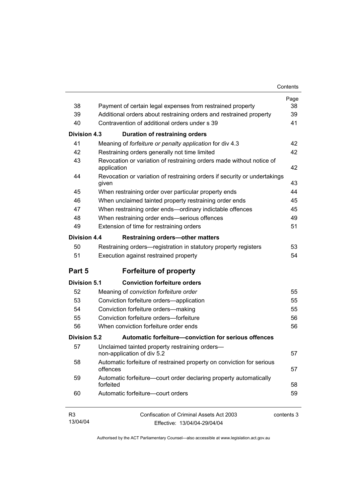| 38                         | Payment of certain legal expenses from restrained property                          | Page<br>38 |
|----------------------------|-------------------------------------------------------------------------------------|------------|
| 39                         | Additional orders about restraining orders and restrained property                  | 39         |
| 40                         | Contravention of additional orders under s 39                                       | 41         |
|                            |                                                                                     |            |
| Division 4.3               | Duration of restraining orders                                                      |            |
| 41                         | Meaning of forfeiture or penalty application for div 4.3                            | 42         |
| 42                         | Restraining orders generally not time limited                                       | 42         |
| 43                         | Revocation or variation of restraining orders made without notice of<br>application | 42         |
| 44                         | Revocation or variation of restraining orders if security or undertakings<br>given  | 43         |
| 45                         | When restraining order over particular property ends                                | 44         |
| 46                         | When unclaimed tainted property restraining order ends                              | 45         |
| 47                         | When restraining order ends-ordinary indictable offences                            | 45         |
| 48                         | When restraining order ends-serious offences                                        | 49         |
| 49                         | Extension of time for restraining orders                                            | 51         |
| Division 4.4               | <b>Restraining orders-other matters</b>                                             |            |
| 50                         | Restraining orders—registration in statutory property registers                     | 53         |
| 51                         | Execution against restrained property                                               | 54         |
| Part 5                     | <b>Forfeiture of property</b>                                                       |            |
| <b>Division 5.1</b>        | <b>Conviction forfeiture orders</b>                                                 |            |
| 52                         | Meaning of conviction forfeiture order                                              | 55         |
| 53                         | Conviction forfeiture orders-application                                            | 55         |
| 54                         | Conviction forfeiture orders-making                                                 | 55         |
| 55                         | Conviction forfeiture orders-forfeiture                                             | 56         |
| 56                         | When conviction forfeiture order ends                                               | 56         |
| Division 5.2               | Automatic forfeiture-conviction for serious offences                                |            |
| 57                         | Unclaimed tainted property restraining orders-<br>non-application of div 5.2        | 57         |
| 58                         | Automatic forfeiture of restrained property on conviction for serious<br>offences   | 57         |
| 59                         | Automatic forfeiture-court order declaring property automatically<br>forfeited      | 58         |
| 60                         | Automatic forfeiture-court orders                                                   | 59         |
| R <sub>3</sub><br>13/04/04 | Confiscation of Criminal Assets Act 2003<br>Fffective: 13/04/04-29/04/04            | contents 3 |

Effective: 13/04/04-29/04/04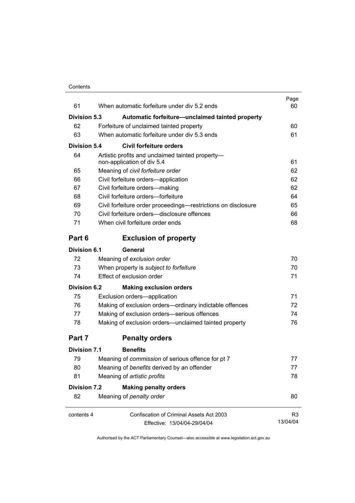| 61                  | When automatic forfeiture under div 5.2 ends                                   | Page<br>60 |
|---------------------|--------------------------------------------------------------------------------|------------|
| <b>Division 5.3</b> | Automatic forfeiture-unclaimed tainted property                                |            |
| 62                  | Forfeiture of unclaimed tainted property                                       | 60         |
| 63                  | When automatic forfeiture under div 5.3 ends                                   | 61         |
| Division 5.4        | <b>Civil forfeiture orders</b>                                                 |            |
| 64                  | Artistic profits and unclaimed tainted property-<br>non-application of div 5.4 | 61         |
| 65                  | Meaning of civil forfeiture order                                              | 62         |
| 66                  | Civil forfeiture orders-application                                            | 62         |
| 67                  | Civil forfeiture orders-making                                                 | 62         |
| 68                  | Civil forfeiture orders-forfeiture                                             | 64         |
| 69                  | Civil forfeiture order proceedings—restrictions on disclosure                  | 65         |
| 70                  | Civil forfeiture orders—disclosure offences                                    | 66         |
| 71                  | When civil forfeiture order ends                                               | 68         |
| Part 6              | <b>Exclusion of property</b>                                                   |            |
| Division 6.1        | General                                                                        |            |
| 72                  | Meaning of exclusion order                                                     | 70         |
| 73                  | When property is subject to forfeiture                                         | 70         |
| 74                  | Effect of exclusion order                                                      | 71         |
| <b>Division 6.2</b> | <b>Making exclusion orders</b>                                                 |            |
| 75                  | Exclusion orders-application                                                   | 71         |
| 76                  | Making of exclusion orders-ordinary indictable offences                        | 72         |
| 77                  | Making of exclusion orders-serious offences                                    | 74         |
| 78                  | Making of exclusion orders-unclaimed tainted property                          | 76         |
| Part 7              | <b>Penalty orders</b>                                                          |            |
| Division 7.1        | <b>Benefits</b>                                                                |            |
| 79                  | Meaning of commission of serious offence for pt 7                              | 77         |
| 80                  | Meaning of benefits derived by an offender                                     | 77         |
| 81                  | Meaning of artistic profits                                                    | 78         |
| Division 7.2        | <b>Making penalty orders</b>                                                   |            |
| 82                  | Meaning of penalty order                                                       | 80         |
| contents 4          | Confiscation of Criminal Assets Act 2003                                       | R3         |
|                     | Effective: 13/04/04-29/04/04                                                   | 13/04/04   |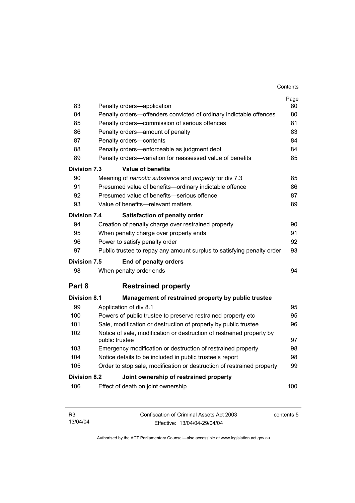| 83                                                            | Penalty orders-application                                                              | Page<br>80 |  |  |
|---------------------------------------------------------------|-----------------------------------------------------------------------------------------|------------|--|--|
| 84                                                            | Penalty orders-offenders convicted of ordinary indictable offences                      | 80         |  |  |
| 85                                                            | Penalty orders-commission of serious offences                                           | 81         |  |  |
| 86                                                            | Penalty orders—amount of penalty                                                        | 83         |  |  |
| 87                                                            | Penalty orders-contents                                                                 | 84         |  |  |
| 88                                                            | Penalty orders—enforceable as judgment debt                                             | 84         |  |  |
| 89                                                            | Penalty orders-variation for reassessed value of benefits                               | 85         |  |  |
| <b>Division 7.3</b>                                           | <b>Value of benefits</b>                                                                |            |  |  |
| 90                                                            | Meaning of narcotic substance and property for div 7.3                                  | 85         |  |  |
| 91                                                            | Presumed value of benefits-ordinary indictable offence                                  | 86         |  |  |
| 92                                                            | Presumed value of benefits-serious offence                                              | 87         |  |  |
| 93                                                            | Value of benefits-relevant matters                                                      | 89         |  |  |
| <b>Division 7.4</b>                                           | Satisfaction of penalty order                                                           |            |  |  |
| 94                                                            | Creation of penalty charge over restrained property                                     | 90         |  |  |
| 95                                                            | When penalty charge over property ends                                                  | 91         |  |  |
| 96                                                            | Power to satisfy penalty order                                                          | 92         |  |  |
| 97                                                            | Public trustee to repay any amount surplus to satisfying penalty order                  | 93         |  |  |
| Division 7.5                                                  | <b>End of penalty orders</b>                                                            |            |  |  |
| 98                                                            | When penalty order ends                                                                 | 94         |  |  |
| Part 8                                                        | <b>Restrained property</b>                                                              |            |  |  |
| <b>Division 8.1</b>                                           | Management of restrained property by public trustee                                     |            |  |  |
| 99                                                            | Application of div 8.1                                                                  | 95         |  |  |
| 100                                                           | Powers of public trustee to preserve restrained property etc                            | 95         |  |  |
| 101                                                           | Sale, modification or destruction of property by public trustee                         | 96         |  |  |
| 102                                                           | Notice of sale, modification or destruction of restrained property by<br>public trustee | 97         |  |  |
| 103                                                           | Emergency modification or destruction of restrained property                            | 98         |  |  |
| 104                                                           | Notice details to be included in public trustee's report                                | 98         |  |  |
| 105                                                           | Order to stop sale, modification or destruction of restrained property                  | 99         |  |  |
| <b>Division 8.2</b><br>Joint ownership of restrained property |                                                                                         |            |  |  |
|                                                               |                                                                                         |            |  |  |
| 106                                                           | Effect of death on joint ownership                                                      | 100        |  |  |

| R3       | Confiscation of Criminal Assets Act 2003 | contents 5 |
|----------|------------------------------------------|------------|
| 13/04/04 | Effective: 13/04/04-29/04/04             |            |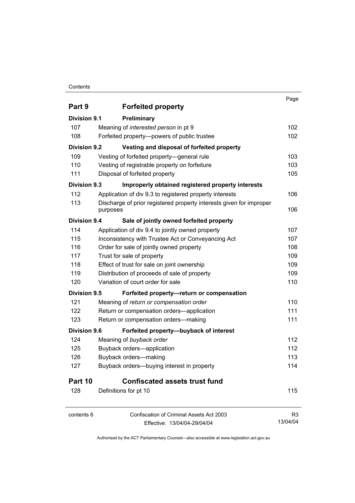## **Contents**

|                     |                                                                     | Page     |
|---------------------|---------------------------------------------------------------------|----------|
| Part 9              | <b>Forfeited property</b>                                           |          |
| Division 9.1        | Preliminary                                                         |          |
| 107                 | Meaning of interested person in pt 9                                | 102      |
| 108                 | Forfeited property--powers of public trustee                        | 102      |
| <b>Division 9.2</b> | Vesting and disposal of forfeited property                          |          |
| 109                 | Vesting of forfeited property-general rule                          | 103      |
| 110                 | Vesting of registrable property on forfeiture                       | 103      |
| 111                 | Disposal of forfeited property                                      | 105      |
| Division 9.3        | Improperly obtained registered property interests                   |          |
| 112                 | Application of div 9.3 to registered property interests             | 106      |
| 113                 | Discharge of prior registered property interests given for improper |          |
|                     | purposes                                                            | 106      |
| Division 9.4        | Sale of jointly owned forfeited property                            |          |
| 114                 | Application of div 9.4 to jointly owned property                    | 107      |
| 115                 | Inconsistency with Trustee Act or Conveyancing Act                  | 107      |
| 116                 | Order for sale of jointly owned property                            | 108      |
| 117                 | Trust for sale of property                                          | 109      |
| 118                 | Effect of trust for sale on joint ownership                         | 109      |
| 119                 | Distribution of proceeds of sale of property                        | 109      |
| 120                 | Variation of court order for sale                                   | 110      |
| Division 9.5        | Forfeited property-return or compensation                           |          |
| 121                 | Meaning of return or compensation order                             | 110      |
| 122                 | Return or compensation orders-application                           | 111      |
| 123                 | Return or compensation orders-making                                | 111      |
| Division 9.6        | Forfeited property-buyback of interest                              |          |
| 124                 | Meaning of buyback order                                            | 112      |
| 125                 | Buyback orders-application                                          | 112      |
| 126                 | Buyback orders-making                                               | 113      |
| 127                 | Buyback orders-buying interest in property                          | 114      |
| Part 10             | <b>Confiscated assets trust fund</b>                                |          |
| 128                 | Definitions for pt 10                                               | 115      |
| contents 6          | <b>Confiscation of Criminal Assets Act 2003</b>                     | R3       |
|                     | Effective: 13/04/04-29/04/04                                        | 13/04/04 |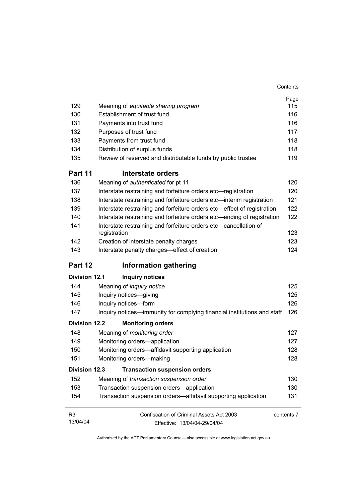|                      |                                                                                  | Page       |
|----------------------|----------------------------------------------------------------------------------|------------|
| 129                  | Meaning of equitable sharing program                                             | 115        |
| 130                  | Establishment of trust fund                                                      | 116        |
| 131                  | Payments into trust fund                                                         | 116        |
| 132                  | Purposes of trust fund                                                           | 117        |
| 133                  | Payments from trust fund                                                         | 118        |
| 134                  | Distribution of surplus funds                                                    | 118        |
| 135                  | Review of reserved and distributable funds by public trustee                     | 119        |
| Part 11              | Interstate orders                                                                |            |
| 136                  | Meaning of authenticated for pt 11                                               | 120        |
| 137                  | Interstate restraining and forfeiture orders etc-registration                    | 120        |
| 138                  | Interstate restraining and forfeiture orders etc-interim registration            | 121        |
| 139                  | Interstate restraining and forfeiture orders etc-effect of registration          | 122        |
| 140                  | Interstate restraining and forfeiture orders etc—ending of registration          | 122        |
| 141                  | Interstate restraining and forfeiture orders etc-cancellation of<br>registration | 123        |
| 142                  | Creation of interstate penalty charges                                           | 123        |
| 143                  | Interstate penalty charges-effect of creation                                    | 124        |
| Part 12              | <b>Information gathering</b>                                                     |            |
| <b>Division 12.1</b> | <b>Inquiry notices</b>                                                           |            |
| 144                  | Meaning of <i>inquiry notice</i>                                                 | 125        |
| 145                  | Inquiry notices-giving                                                           | 125        |
| 146                  | Inquiry notices-form                                                             | 126        |
| 147                  | Inquiry notices—immunity for complying financial institutions and staff          | 126        |
| <b>Division 12.2</b> | <b>Monitoring orders</b>                                                         |            |
| 148                  | Meaning of monitoring order                                                      | 127        |
| 149                  | Monitoring orders-application                                                    | 127        |
| 150                  | Monitoring orders-affidavit supporting application                               | 128        |
| 151                  | Monitoring orders-making                                                         | 128        |
| <b>Division 12.3</b> | <b>Transaction suspension orders</b>                                             |            |
| 152                  | Meaning of transaction suspension order                                          | 130        |
| 153                  | Transaction suspension orders-application                                        | 130        |
| 154                  | Transaction suspension orders—affidavit supporting application                   | 131        |
| R <sub>3</sub>       | Confiscation of Criminal Assets Act 2003                                         | contents 7 |
| 13/04/04             | Effective: 13/04/04-29/04/04                                                     |            |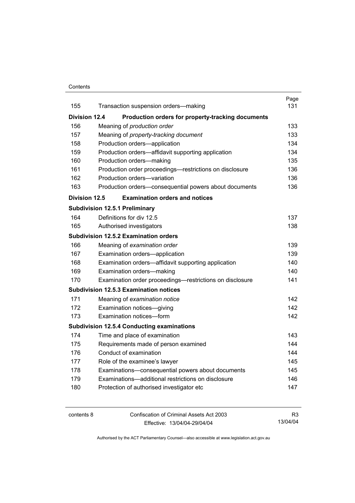### **Contents**

|                      |                                       |                                                          | Page |
|----------------------|---------------------------------------|----------------------------------------------------------|------|
| 155                  |                                       | Transaction suspension orders-making                     | 131  |
| <b>Division 12.4</b> |                                       | Production orders for property-tracking documents        |      |
| 156                  |                                       | Meaning of production order                              | 133  |
| 157                  |                                       | Meaning of property-tracking document                    | 133  |
| 158                  |                                       | Production orders-application                            | 134  |
| 159                  |                                       | Production orders-affidavit supporting application       | 134  |
| 160                  |                                       | Production orders-making                                 | 135  |
| 161                  |                                       | Production order proceedings-restrictions on disclosure  | 136  |
| 162                  |                                       | Production orders-variation                              | 136  |
| 163                  |                                       | Production orders-consequential powers about documents   | 136  |
| <b>Division 12.5</b> |                                       | <b>Examination orders and notices</b>                    |      |
|                      | <b>Subdivision 12.5.1 Preliminary</b> |                                                          |      |
| 164                  | Definitions for div 12.5              |                                                          | 137  |
| 165                  | Authorised investigators              |                                                          | 138  |
|                      |                                       | <b>Subdivision 12.5.2 Examination orders</b>             |      |
| 166                  |                                       | Meaning of examination order                             | 139  |
| 167                  |                                       | Examination orders-application                           | 139  |
| 168                  |                                       | Examination orders—affidavit supporting application      | 140  |
| 169                  |                                       | Examination orders-making                                | 140. |
| 170                  |                                       | Examination order proceedings—restrictions on disclosure | 141  |
|                      |                                       | <b>Subdivision 12.5.3 Examination notices</b>            |      |
| 171                  |                                       | Meaning of examination notice                            | 142  |
| 172                  |                                       | Examination notices-giving                               | 142  |
| 173                  |                                       | Examination notices-form                                 | 142  |
|                      |                                       | <b>Subdivision 12.5.4 Conducting examinations</b>        |      |
| 174                  |                                       | Time and place of examination                            | 143  |
| 175                  |                                       | Requirements made of person examined                     | 144  |
| 176                  | Conduct of examination                |                                                          | 144  |
| 177                  |                                       | Role of the examinee's lawyer                            | 145  |
| 178                  |                                       | Examinations-consequential powers about documents        | 145  |
| 179                  |                                       | Examinations-additional restrictions on disclosure       | 146  |
| 180                  |                                       | Protection of authorised investigator etc                | 147  |
|                      |                                       |                                                          |      |

contents 8 Confiscation of Criminal Assets Act 2003 Effective: 13/04/04-29/04/04 R3 13/04/04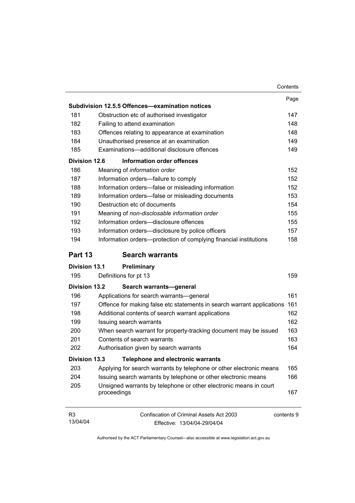|                            |                                                                                               | Contents |
|----------------------------|-----------------------------------------------------------------------------------------------|----------|
|                            |                                                                                               | Page     |
|                            | Subdivision 12.5.5 Offences-examination notices                                               |          |
| 181                        | Obstruction etc of authorised investigator                                                    | 147      |
| 182                        | Failing to attend examination                                                                 | 148      |
| 183                        | Offences relating to appearance at examination                                                | 148      |
| 184                        | Unauthorised presence at an examination                                                       | 149      |
| 185                        | Examinations-additional disclosure offences                                                   | 149      |
| Division 12.6              | <b>Information order offences</b>                                                             |          |
| 186                        | Meaning of information order                                                                  | 152      |
| 187                        | Information orders-failure to comply                                                          | 152      |
| 188                        | Information orders-false or misleading information                                            | 152      |
| 189                        | Information orders-false or misleading documents                                              | 153      |
| 190                        | Destruction etc of documents                                                                  | 154      |
| 191                        | Meaning of non-disclosable information order                                                  | 155      |
| 192                        | Information orders-disclosure offences                                                        | 155      |
| 193                        | Information orders-disclosure by police officers                                              | 157      |
| 194                        | Information orders-protection of complying financial institutions                             | 158      |
| Part 13                    | <b>Search warrants</b>                                                                        |          |
| <b>Division 13.1</b>       | Preliminary                                                                                   |          |
| 195                        | Definitions for pt 13                                                                         | 159      |
| <b>Division 13.2</b>       | Search warrants-general                                                                       |          |
| 196                        | Applications for search warrants—general                                                      | 161      |
| 197                        | Offence for making false etc statements in search warrant applications                        | 161      |
| 198                        | Additional contents of search warrant applications                                            | 162      |
| 199                        | Issuing search warrants                                                                       | 162      |
| 200                        | When search warrant for property-tracking document may be issued                              | 163      |
| 201                        | Contents of search warrants                                                                   | 163      |
| 202                        | Authorisation given by search warrants                                                        | 164      |
| <b>Division 13.3</b>       | <b>Telephone and electronic warrants</b>                                                      |          |
| 203                        | Applying for search warrants by telephone or other electronic means                           | 165      |
| 204                        | Issuing search warrants by telephone or other electronic means                                | 166      |
| 205                        | Unsigned warrants by telephone or other electronic means in court<br>proceedings              | 167      |
| R <sub>3</sub><br>13/04/04 | <b>Confiscation of Criminal Assets Act 2003</b><br>contents 9<br>Effective: 13/04/04-29/04/04 |          |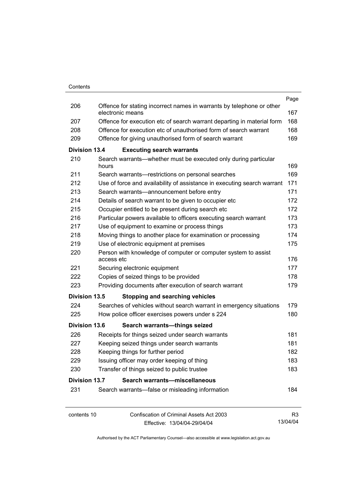|                      |            |                                                                                           | Page           |
|----------------------|------------|-------------------------------------------------------------------------------------------|----------------|
| 206                  |            | Offence for stating incorrect names in warrants by telephone or other<br>electronic means | 167            |
| 207                  |            | Offence for execution etc of search warrant departing in material form                    | 168            |
| 208                  |            | Offence for execution etc of unauthorised form of search warrant                          | 168            |
| 209                  |            | Offence for giving unauthorised form of search warrant                                    | 169            |
| <b>Division 13.4</b> |            | <b>Executing search warrants</b>                                                          |                |
| 210                  | hours      | Search warrants—whether must be executed only during particular                           | 169            |
| 211                  |            | Search warrants-restrictions on personal searches                                         | 169            |
| 212                  |            | Use of force and availability of assistance in executing search warrant                   | 171            |
| 213                  |            | Search warrants-announcement before entry                                                 | 171            |
| 214                  |            | Details of search warrant to be given to occupier etc                                     | 172            |
| 215                  |            | Occupier entitled to be present during search etc                                         | 172            |
| 216                  |            | Particular powers available to officers executing search warrant                          | 173            |
| 217                  |            | Use of equipment to examine or process things                                             | 173            |
| 218                  |            | Moving things to another place for examination or processing                              | 174            |
| 219                  |            | Use of electronic equipment at premises                                                   | 175            |
| 220                  |            | Person with knowledge of computer or computer system to assist                            |                |
|                      | access etc |                                                                                           | 176            |
| 221                  |            | Securing electronic equipment                                                             | 177            |
| 222                  |            | Copies of seized things to be provided                                                    | 178            |
| 223                  |            | Providing documents after execution of search warrant                                     | 179            |
| <b>Division 13.5</b> |            | <b>Stopping and searching vehicles</b>                                                    |                |
| 224                  |            | Searches of vehicles without search warrant in emergency situations                       | 179            |
| 225                  |            | How police officer exercises powers under s 224                                           | 180            |
| <b>Division 13.6</b> |            | Search warrants-things seized                                                             |                |
| 226                  |            | Receipts for things seized under search warrants                                          | 181            |
| 227                  |            | Keeping seized things under search warrants                                               | 181            |
| 228                  |            | Keeping things for further period                                                         | 182            |
| 229                  |            | Issuing officer may order keeping of thing                                                | 183            |
| 230                  |            | Transfer of things seized to public trustee                                               | 183            |
| Division 13.7        |            | Search warrants-miscellaneous                                                             |                |
| 231                  |            | Search warrants-false or misleading information                                           | 184            |
| contents 10          |            | Confiscation of Criminal Assets Act 2003                                                  | R <sub>3</sub> |
|                      |            | Effective: 13/04/04-29/04/04                                                              | 13/04/04       |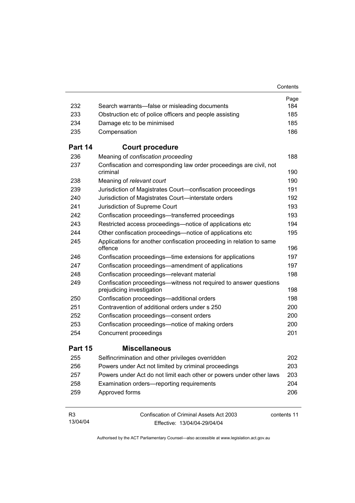|                            |                                                                                                 | Contents    |
|----------------------------|-------------------------------------------------------------------------------------------------|-------------|
|                            |                                                                                                 | Page        |
| 232                        | Search warrants—false or misleading documents                                                   | 184         |
| 233                        | Obstruction etc of police officers and people assisting                                         | 185         |
| 234                        | Damage etc to be minimised                                                                      | 185         |
| 235                        | Compensation                                                                                    | 186         |
| Part 14                    | <b>Court procedure</b>                                                                          |             |
| 236                        | Meaning of confiscation proceeding                                                              | 188         |
| 237                        | Confiscation and corresponding law order proceedings are civil, not<br>criminal                 | 190         |
| 238                        | Meaning of relevant court                                                                       | 190         |
| 239                        | Jurisdiction of Magistrates Court-confiscation proceedings                                      | 191         |
| 240                        | Jurisdiction of Magistrates Court-interstate orders                                             | 192         |
| 241                        | Jurisdiction of Supreme Court                                                                   | 193         |
| 242                        | Confiscation proceedings—transferred proceedings                                                | 193         |
| 243                        | Restricted access proceedings—notice of applications etc                                        | 194         |
| 244                        | Other confiscation proceedings—notice of applications etc                                       | 195         |
| 245                        | Applications for another confiscation proceeding in relation to same<br>offence                 | 196         |
| 246                        | Confiscation proceedings—time extensions for applications                                       | 197         |
| 247                        | Confiscation proceedings—amendment of applications                                              | 197         |
| 248                        | Confiscation proceedings-relevant material                                                      | 198         |
| 249                        | Confiscation proceedings--witness not required to answer questions<br>prejudicing investigation | 198         |
| 250                        | Confiscation proceedings-additional orders                                                      | 198         |
| 251                        | Contravention of additional orders under s 250                                                  | 200         |
| 252                        | Confiscation proceedings-consent orders                                                         | 200         |
| 253                        | Confiscation proceedings—notice of making orders                                                | 200         |
| 254                        | Concurrent proceedings                                                                          | 201         |
| Part 15                    | <b>Miscellaneous</b>                                                                            |             |
| 255                        | Selfincrimination and other privileges overridden                                               | 202         |
| 256                        | Powers under Act not limited by criminal proceedings                                            | 203         |
| 257                        | Powers under Act do not limit each other or powers under other laws                             | 203         |
| 258                        | Examination orders-reporting requirements                                                       | 204         |
| 259                        | Approved forms                                                                                  | 206         |
| R <sub>3</sub><br>13/04/04 | Confiscation of Criminal Assets Act 2003<br>Fffective: 13/04/04-29/04/04                        | contents 11 |

Effective: 13/04/04-29/04/04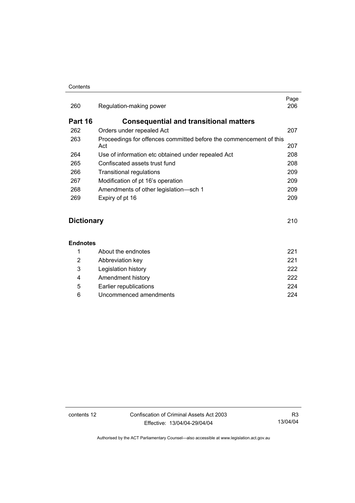#### **Contents**

| 260               | Regulation-making power                                                   | Page<br>206 |
|-------------------|---------------------------------------------------------------------------|-------------|
| Part 16           | <b>Consequential and transitional matters</b>                             |             |
| 262               | Orders under repealed Act                                                 | 207         |
| 263               | Proceedings for offences committed before the commencement of this<br>Act | 207         |
| 264               | Use of information etc obtained under repealed Act                        | 208         |
| 265               | Confiscated assets trust fund                                             | 208         |
| 266               | Transitional regulations                                                  | 209         |
| 267               | Modification of pt 16's operation                                         | 209         |
| 268               | Amendments of other legislation-sch 1                                     | 209         |
| 269               | Expiry of pt 16                                                           | 209         |
| <b>Dictionary</b> |                                                                           | 210         |
|                   |                                                                           |             |

## **Endnotes**

|   | About the endnotes     | 221  |
|---|------------------------|------|
| 2 | Abbreviation key       | 221  |
| 3 | Legislation history    | 222. |
| 4 | Amendment history      | 222  |
| 5 | Earlier republications | 224  |
| 6 | Uncommenced amendments | 224  |

contents 12 Confiscation of Criminal Assets Act 2003 Effective: 13/04/04-29/04/04

R3 13/04/04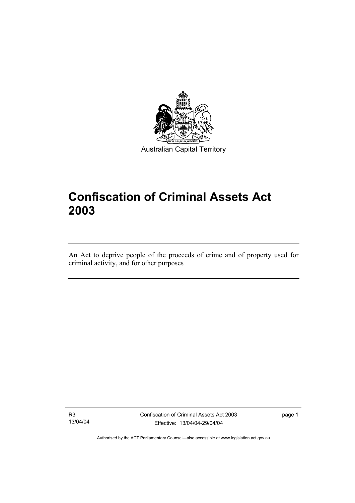

Australian Capital Territory

# **Confiscation of Criminal Assets Act 2003**

An Act to deprive people of the proceeds of crime and of property used for criminal activity, and for other purposes

R3 13/04/04

I

Confiscation of Criminal Assets Act 2003 Effective: 13/04/04-29/04/04

page 1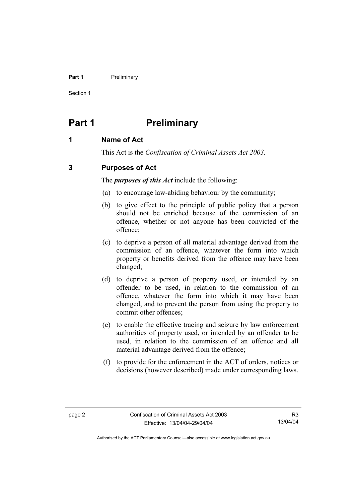#### **Part 1** Preliminary

Section 1

# **Part 1** Preliminary

# **1 Name of Act**

This Act is the *Confiscation of Criminal Assets Act 2003.*

# **3 Purposes of Act**

The *purposes of this Act* include the following:

- (a) to encourage law-abiding behaviour by the community;
- (b) to give effect to the principle of public policy that a person should not be enriched because of the commission of an offence, whether or not anyone has been convicted of the offence;
- (c) to deprive a person of all material advantage derived from the commission of an offence, whatever the form into which property or benefits derived from the offence may have been changed;
- (d) to deprive a person of property used, or intended by an offender to be used, in relation to the commission of an offence, whatever the form into which it may have been changed, and to prevent the person from using the property to commit other offences;
- (e) to enable the effective tracing and seizure by law enforcement authorities of property used, or intended by an offender to be used, in relation to the commission of an offence and all material advantage derived from the offence;
- (f) to provide for the enforcement in the ACT of orders, notices or decisions (however described) made under corresponding laws.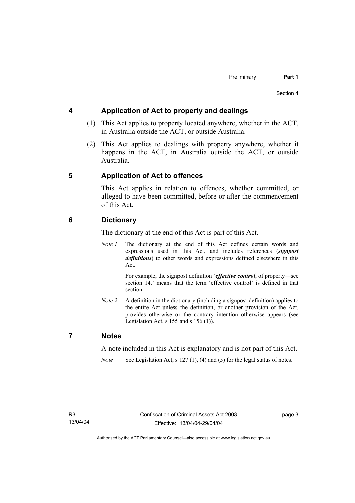## **4 Application of Act to property and dealings**

- (1) This Act applies to property located anywhere, whether in the ACT, in Australia outside the ACT, or outside Australia.
- (2) This Act applies to dealings with property anywhere, whether it happens in the ACT, in Australia outside the ACT, or outside Australia.

# **5 Application of Act to offences**

This Act applies in relation to offences, whether committed, or alleged to have been committed, before or after the commencement of this Act.

## **6 Dictionary**

The dictionary at the end of this Act is part of this Act.

*Note 1* The dictionary at the end of this Act defines certain words and expressions used in this Act, and includes references (*signpost definitions*) to other words and expressions defined elsewhere in this Act.

> For example, the signpost definition '*effective control*, of property—see section 14.' means that the term 'effective control' is defined in that section.

*Note 2* A definition in the dictionary (including a signpost definition) applies to the entire Act unless the definition, or another provision of the Act, provides otherwise or the contrary intention otherwise appears (see Legislation Act,  $s$  155 and  $s$  156 (1)).

## **7 Notes**

A note included in this Act is explanatory and is not part of this Act.

*Note* See Legislation Act, s 127 (1), (4) and (5) for the legal status of notes.

page 3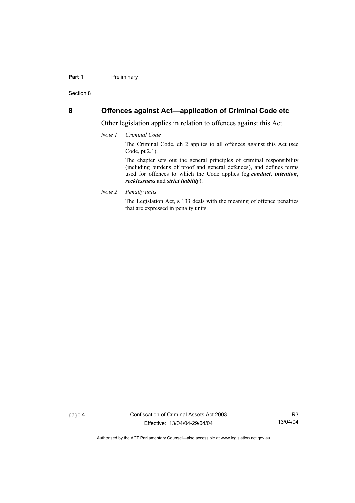#### **Part 1** Preliminary

Section 8

## **8 Offences against Act—application of Criminal Code etc**

Other legislation applies in relation to offences against this Act.

*Note 1 Criminal Code*

The Criminal Code, ch 2 applies to all offences against this Act (see Code, pt 2.1).

The chapter sets out the general principles of criminal responsibility (including burdens of proof and general defences), and defines terms used for offences to which the Code applies (eg *conduct*, *intention*, *recklessness* and *strict liability*).

*Note 2 Penalty units* 

The Legislation Act, s 133 deals with the meaning of offence penalties that are expressed in penalty units.

page 4 Confiscation of Criminal Assets Act 2003 Effective: 13/04/04-29/04/04

R3 13/04/04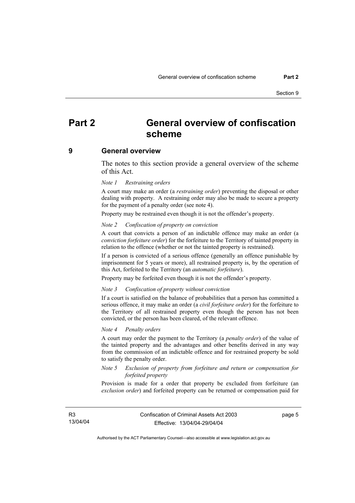# **Part 2 General overview of confiscation scheme**

#### **9 General overview**

The notes to this section provide a general overview of the scheme of this Act.

#### *Note 1 Restraining orders*

A court may make an order (a *restraining order*) preventing the disposal or other dealing with property. A restraining order may also be made to secure a property for the payment of a penalty order (see note 4).

Property may be restrained even though it is not the offender's property.

#### *Note 2 Confiscation of property on conviction*

A court that convicts a person of an indictable offence may make an order (a *conviction forfeiture order*) for the forfeiture to the Territory of tainted property in relation to the offence (whether or not the tainted property is restrained).

If a person is convicted of a serious offence (generally an offence punishable by imprisonment for 5 years or more), all restrained property is, by the operation of this Act, forfeited to the Territory (an *automatic forfeiture*).

Property may be forfeited even though it is not the offender's property.

#### *Note 3 Confiscation of property without conviction*

If a court is satisfied on the balance of probabilities that a person has committed a serious offence, it may make an order (a *civil forfeiture order*) for the forfeiture to the Territory of all restrained property even though the person has not been convicted, or the person has been cleared, of the relevant offence.

#### *Note 4 Penalty orders*

A court may order the payment to the Territory (a *penalty order*) of the value of the tainted property and the advantages and other benefits derived in any way from the commission of an indictable offence and for restrained property be sold to satisfy the penalty order.

#### *Note 5 Exclusion of property from forfeiture and return or compensation for forfeited property*

Provision is made for a order that property be excluded from forfeiture (an *exclusion order*) and forfeited property can be returned or compensation paid for

R3 13/04/04 page 5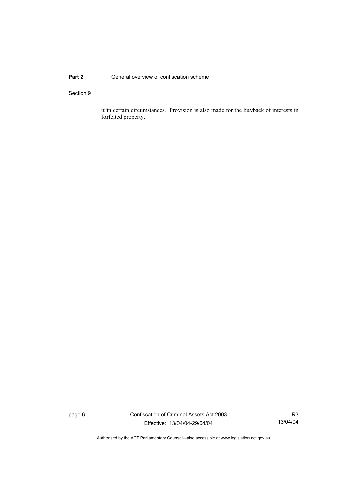### **Part 2 General overview of confiscation scheme**

#### Section 9

it in certain circumstances. Provision is also made for the buyback of interests in forfeited property.

page 6 Confiscation of Criminal Assets Act 2003 Effective: 13/04/04-29/04/04

R3 13/04/04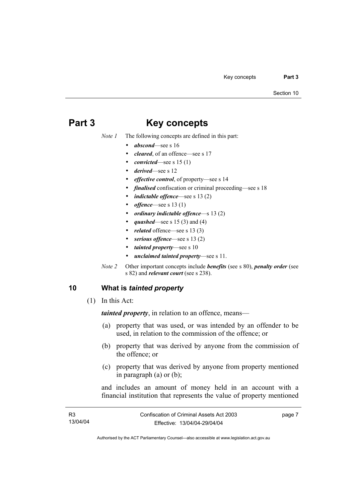# **Part 3 Key concepts**

*Note 1* The following concepts are defined in this part:

- *abscond*—see s 16
- *cleared*, of an offence—see s 17
- *convicted*—see s 15 (1)
- *derived*—see s 12
- *effective control*, of property—see s 14
- *finalised* confiscation or criminal proceeding—see s 18
- *indictable offence*—see s 13 (2)
- *offence*—see s 13 (1)
- *ordinary indictable offence*—s 13 (2)
- *quashed*—see s 15 (3) and (4)
- related offence—see s 13 (3)
- serious offence—see s 13 (2)
- *tainted property*—see s 10
- *unclaimed tainted property*—see s 11.
- *Note 2* Other important concepts include *benefits* (see s 80), *penalty order* (see s 82) and *relevant court* (see s 238).

# **10 What is** *tainted property*

(1) In this Act:

*tainted property*, in relation to an offence, means—

- (a) property that was used, or was intended by an offender to be used, in relation to the commission of the offence; or
- (b) property that was derived by anyone from the commission of the offence; or
- (c) property that was derived by anyone from property mentioned in paragraph (a) or (b);

and includes an amount of money held in an account with a financial institution that represents the value of property mentioned

| R3       | Confiscation of Criminal Assets Act 2003 | page 7 |
|----------|------------------------------------------|--------|
| 13/04/04 | Effective: 13/04/04-29/04/04             |        |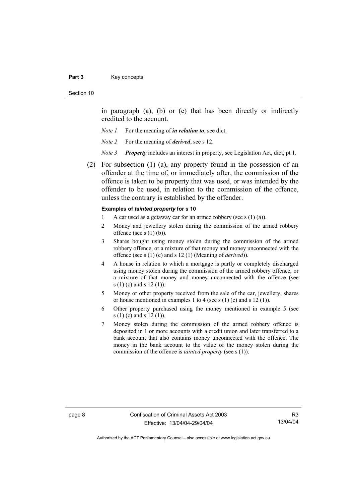#### Part 3 **Key concepts**

#### Section 10

in paragraph (a), (b) or (c) that has been directly or indirectly credited to the account.

- *Note 1* For the meaning of *in relation to*, see dict.
- *Note 2* For the meaning of *derived*, see s 12.
- *Note 3 Property* includes an interest in property, see Legislation Act, dict, pt 1.
- (2) For subsection (1) (a), any property found in the possession of an offender at the time of, or immediately after, the commission of the offence is taken to be property that was used, or was intended by the offender to be used, in relation to the commission of the offence, unless the contrary is established by the offender.

### **Examples of** *tainted property* **for s 10**

- 1 A car used as a getaway car for an armed robbery (see s  $(1)$  (a)).
- 2 Money and jewellery stolen during the commission of the armed robbery offence (see s  $(1)$  (b)).
- 3 Shares bought using money stolen during the commission of the armed robbery offence, or a mixture of that money and money unconnected with the offence (see s (1) (c) and s 12 (1) (Meaning of *derived*)).
- 4 A house in relation to which a mortgage is partly or completely discharged using money stolen during the commission of the armed robbery offence, or a mixture of that money and money unconnected with the offence (see s (1) (c) and s 12 (1)).
- 5 Money or other property received from the sale of the car, jewellery, shares or house mentioned in examples 1 to 4 (see s  $(1)$  (c) and s  $12$   $(1)$ ).
- 6 Other property purchased using the money mentioned in example 5 (see s (1) (c) and s 12 (1)).
- 7 Money stolen during the commission of the armed robbery offence is deposited in 1 or more accounts with a credit union and later transferred to a bank account that also contains money unconnected with the offence. The money in the bank account to the value of the money stolen during the commission of the offence is *tainted property* (see s (1)).

R3 13/04/04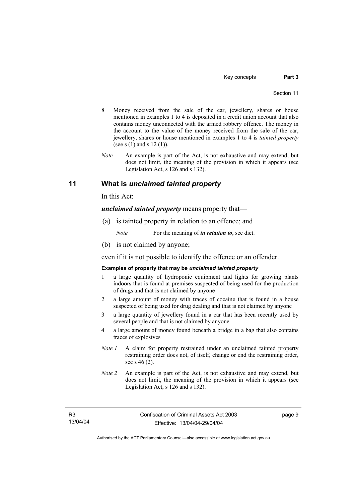- 8 Money received from the sale of the car, jewellery, shares or house mentioned in examples 1 to 4 is deposited in a credit union account that also contains money unconnected with the armed robbery offence. The money in the account to the value of the money received from the sale of the car, jewellery, shares or house mentioned in examples 1 to 4 is *tainted property* (see s  $(1)$  and s  $12 (1)$ ).
- *Note* An example is part of the Act, is not exhaustive and may extend, but does not limit, the meaning of the provision in which it appears (see Legislation Act, s 126 and s 132).

# **11 What is** *unclaimed tainted property*

In this Act:

*unclaimed tainted property* means property that—

(a) is tainted property in relation to an offence; and

*Note* For the meaning of *in relation to*, see dict.

(b) is not claimed by anyone;

even if it is not possible to identify the offence or an offender.

#### **Examples of property that may be** *unclaimed tainted property*

- 1 a large quantity of hydroponic equipment and lights for growing plants indoors that is found at premises suspected of being used for the production of drugs and that is not claimed by anyone
- 2 a large amount of money with traces of cocaine that is found in a house suspected of being used for drug dealing and that is not claimed by anyone
- 3 a large quantity of jewellery found in a car that has been recently used by several people and that is not claimed by anyone
- 4 a large amount of money found beneath a bridge in a bag that also contains traces of explosives
- *Note 1* A claim for property restrained under an unclaimed tainted property restraining order does not, of itself, change or end the restraining order, see s 46 (2).
- *Note 2* An example is part of the Act, is not exhaustive and may extend, but does not limit, the meaning of the provision in which it appears (see Legislation Act, s 126 and s 132).

R3 13/04/04 page 9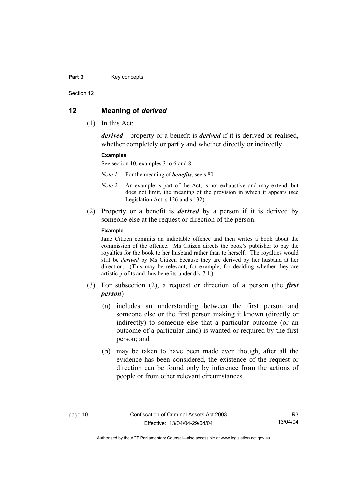#### Part 3 **Key concepts**

Section 12

### **12 Meaning of** *derived*

(1) In this Act:

*derived*—property or a benefit is *derived* if it is derived or realised, whether completely or partly and whether directly or indirectly.

#### **Examples**

See section 10, examples 3 to 6 and 8.

*Note 1* For the meaning of *benefits*, see s 80.

- *Note 2* An example is part of the Act, is not exhaustive and may extend, but does not limit, the meaning of the provision in which it appears (see Legislation Act, s 126 and s 132).
- (2) Property or a benefit is *derived* by a person if it is derived by someone else at the request or direction of the person.

#### **Example**

Jane Citizen commits an indictable offence and then writes a book about the commission of the offence. Ms Citizen directs the book's publisher to pay the royalties for the book to her husband rather than to herself. The royalties would still be *derived* by Ms Citizen because they are derived by her husband at her direction. (This may be relevant, for example, for deciding whether they are artistic profits and thus benefits under div 7.1.)

- (3) For subsection (2), a request or direction of a person (the *first person*)—
	- (a) includes an understanding between the first person and someone else or the first person making it known (directly or indirectly) to someone else that a particular outcome (or an outcome of a particular kind) is wanted or required by the first person; and
	- (b) may be taken to have been made even though, after all the evidence has been considered, the existence of the request or direction can be found only by inference from the actions of people or from other relevant circumstances.

R3 13/04/04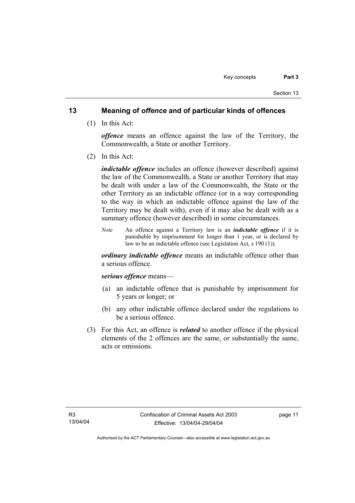## **13 Meaning of** *offence* **and of particular kinds of offences**

(1) In this Act:

*offence* means an offence against the law of the Territory, the Commonwealth, a State or another Territory.

(2) In this Act:

*indictable offence* includes an offence (however described) against the law of the Commonwealth, a State or another Territory that may be dealt with under a law of the Commonwealth, the State or the other Territory as an indictable offence (or in a way corresponding to the way in which an indictable offence against the law of the Territory may be dealt with), even if it may also be dealt with as a summary offence (however described) in some circumstances.

*Note* An offence against a Territory law is an *indictable offence* if it is punishable by imprisonment for longer than 1 year, or is declared by law to be an indictable offence (see Legislation Act, s 190 (1)).

*ordinary indictable offence* means an indictable offence other than a serious offence.

### *serious offence* means—

- (a) an indictable offence that is punishable by imprisonment for 5 years or longer; or
- (b) any other indictable offence declared under the regulations to be a serious offence.
- (3) For this Act, an offence is *related* to another offence if the physical elements of the 2 offences are the same, or substantially the same, acts or omissions.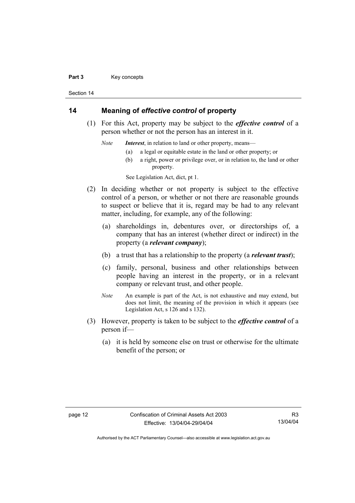#### Part 3 **Key concepts**

Section 14

# **14 Meaning of** *effective control* **of property**

 (1) For this Act, property may be subject to the *effective control* of a person whether or not the person has an interest in it.

*Note Interest*, in relation to land or other property, means—

- (a) a legal or equitable estate in the land or other property; or
- (b) a right, power or privilege over, or in relation to, the land or other property.

See Legislation Act, dict, pt 1.

- (2) In deciding whether or not property is subject to the effective control of a person, or whether or not there are reasonable grounds to suspect or believe that it is, regard may be had to any relevant matter, including, for example, any of the following:
	- (a) shareholdings in, debentures over, or directorships of, a company that has an interest (whether direct or indirect) in the property (a *relevant company*);
	- (b) a trust that has a relationship to the property (a *relevant trust*);
	- (c) family, personal, business and other relationships between people having an interest in the property, or in a relevant company or relevant trust, and other people.
	- *Note* An example is part of the Act, is not exhaustive and may extend, but does not limit, the meaning of the provision in which it appears (see Legislation Act, s 126 and s 132).
- (3) However, property is taken to be subject to the *effective control* of a person if—
	- (a) it is held by someone else on trust or otherwise for the ultimate benefit of the person; or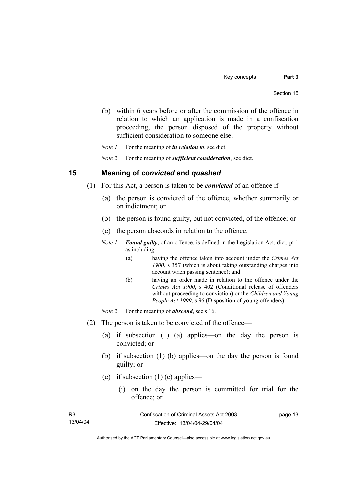(b) within 6 years before or after the commission of the offence in relation to which an application is made in a confiscation proceeding, the person disposed of the property without sufficient consideration to someone else.

*Note 1* For the meaning of *in relation to*, see dict.

*Note 2* For the meaning of *sufficient consideration*, see dict.

### **15 Meaning of** *convicted* **and** *quashed*

- (1) For this Act, a person is taken to be *convicted* of an offence if—
	- (a) the person is convicted of the offence, whether summarily or on indictment; or
	- (b) the person is found guilty, but not convicted, of the offence; or
	- (c) the person absconds in relation to the offence.
	- *Note 1 Found guilty*, of an offence, is defined in the Legislation Act, dict, pt 1 as including—
		- (a) having the offence taken into account under the *Crimes Act 1900*, s 357 (which is about taking outstanding charges into account when passing sentence); and
		- (b) having an order made in relation to the offence under the *Crimes Act 1900*, s 402 (Conditional release of offenders without proceeding to conviction) or the *Children and Young People Act 1999*, s 96 (Disposition of young offenders).
	- *Note 2* For the meaning of *abscond*, see s 16.
- (2) The person is taken to be convicted of the offence—
	- (a) if subsection (1) (a) applies—on the day the person is convicted; or
	- (b) if subsection (1) (b) applies—on the day the person is found guilty; or
	- (c) if subsection  $(1)$  (c) applies—
		- (i) on the day the person is committed for trial for the offence; or

| R3       | Confiscation of Criminal Assets Act 2003 | page 13 |
|----------|------------------------------------------|---------|
| 13/04/04 | Effective: 13/04/04-29/04/04             |         |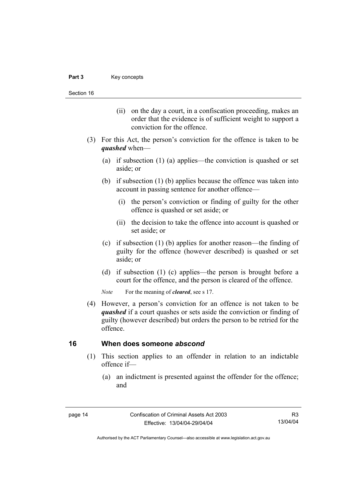Section 16

- (ii) on the day a court, in a confiscation proceeding, makes an order that the evidence is of sufficient weight to support a conviction for the offence.
- (3) For this Act, the person's conviction for the offence is taken to be *quashed* when—
	- (a) if subsection (1) (a) applies—the conviction is quashed or set aside; or
	- (b) if subsection (1) (b) applies because the offence was taken into account in passing sentence for another offence—
		- (i) the person's conviction or finding of guilty for the other offence is quashed or set aside; or
		- (ii) the decision to take the offence into account is quashed or set aside; or
	- (c) if subsection (1) (b) applies for another reason—the finding of guilty for the offence (however described) is quashed or set aside; or
	- (d) if subsection (1) (c) applies—the person is brought before a court for the offence, and the person is cleared of the offence.

*Note* For the meaning of *cleared*, see s 17.

 (4) However, a person's conviction for an offence is not taken to be *quashed* if a court quashes or sets aside the conviction or finding of guilty (however described) but orders the person to be retried for the offence.

## **16 When does someone** *abscond*

- (1) This section applies to an offender in relation to an indictable offence if—
	- (a) an indictment is presented against the offender for the offence; and

R3 13/04/04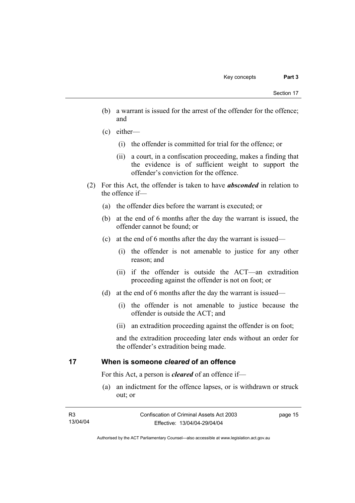- (b) a warrant is issued for the arrest of the offender for the offence; and
- (c) either—
	- (i) the offender is committed for trial for the offence; or
	- (ii) a court, in a confiscation proceeding, makes a finding that the evidence is of sufficient weight to support the offender's conviction for the offence.
- (2) For this Act, the offender is taken to have *absconded* in relation to the offence if—
	- (a) the offender dies before the warrant is executed; or
	- (b) at the end of 6 months after the day the warrant is issued, the offender cannot be found; or
	- (c) at the end of 6 months after the day the warrant is issued—
		- (i) the offender is not amenable to justice for any other reason; and
		- (ii) if the offender is outside the ACT—an extradition proceeding against the offender is not on foot; or
	- (d) at the end of 6 months after the day the warrant is issued—
		- (i) the offender is not amenable to justice because the offender is outside the ACT; and
		- (ii) an extradition proceeding against the offender is on foot;

and the extradition proceeding later ends without an order for the offender's extradition being made.

## **17 When is someone** *cleared* **of an offence**

For this Act, a person is *cleared* of an offence if—

 (a) an indictment for the offence lapses, or is withdrawn or struck out; or

| R3       | Confiscation of Criminal Assets Act 2003 | page 15 |
|----------|------------------------------------------|---------|
| 13/04/04 | Effective: 13/04/04-29/04/04             |         |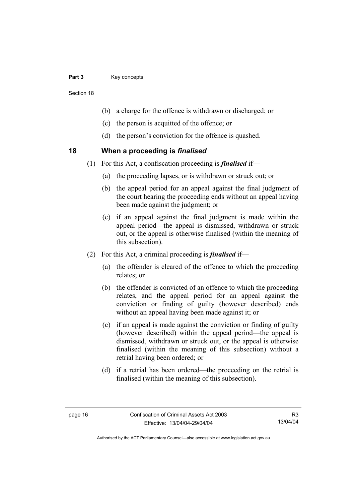#### Part 3 **Key concepts**

Section 18

- (b) a charge for the offence is withdrawn or discharged; or
- (c) the person is acquitted of the offence; or
- (d) the person's conviction for the offence is quashed.

### **18 When a proceeding is** *finalised*

- (1) For this Act, a confiscation proceeding is *finalised* if—
	- (a) the proceeding lapses, or is withdrawn or struck out; or
	- (b) the appeal period for an appeal against the final judgment of the court hearing the proceeding ends without an appeal having been made against the judgment; or
	- (c) if an appeal against the final judgment is made within the appeal period—the appeal is dismissed, withdrawn or struck out, or the appeal is otherwise finalised (within the meaning of this subsection).
- (2) For this Act, a criminal proceeding is *finalised* if—
	- (a) the offender is cleared of the offence to which the proceeding relates; or
	- (b) the offender is convicted of an offence to which the proceeding relates, and the appeal period for an appeal against the conviction or finding of guilty (however described) ends without an appeal having been made against it; or
	- (c) if an appeal is made against the conviction or finding of guilty (however described) within the appeal period—the appeal is dismissed, withdrawn or struck out, or the appeal is otherwise finalised (within the meaning of this subsection) without a retrial having been ordered; or
	- (d) if a retrial has been ordered—the proceeding on the retrial is finalised (within the meaning of this subsection).

R3 13/04/04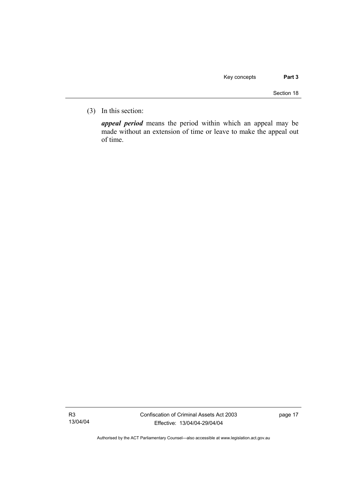(3) In this section:

*appeal period* means the period within which an appeal may be made without an extension of time or leave to make the appeal out of time.

R3 13/04/04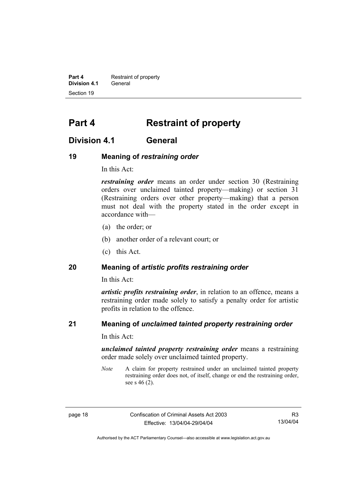**Part 4 Restraint of property Division 4.1** General Section 19

# **Part 4 Restraint of property**

# **Division 4.1 General**

## **19 Meaning of** *restraining order*

In this Act:

*restraining order* means an order under section 30 (Restraining orders over unclaimed tainted property—making) or section 31 (Restraining orders over other property—making) that a person must not deal with the property stated in the order except in accordance with—

- (a) the order; or
- (b) another order of a relevant court; or
- (c) this Act.

## **20 Meaning of** *artistic profits restraining order*

In this Act:

*artistic profits restraining order*, in relation to an offence, means a restraining order made solely to satisfy a penalty order for artistic profits in relation to the offence.

# **21 Meaning of** *unclaimed tainted property restraining order*

In this Act:

*unclaimed tainted property restraining order* means a restraining order made solely over unclaimed tainted property.

*Note* A claim for property restrained under an unclaimed tainted property restraining order does not, of itself, change or end the restraining order, see s 46 (2).

page 18 Confiscation of Criminal Assets Act 2003 Effective: 13/04/04-29/04/04

R3 13/04/04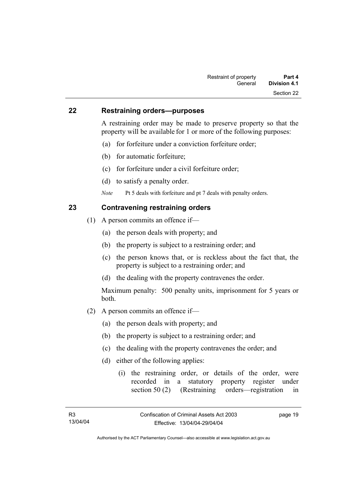### **22 Restraining orders—purposes**

A restraining order may be made to preserve property so that the property will be available for 1 or more of the following purposes:

- (a) for forfeiture under a conviction forfeiture order;
- (b) for automatic forfeiture;
- (c) for forfeiture under a civil forfeiture order;
- (d) to satisfy a penalty order.

*Note* Pt 5 deals with forfeiture and pt 7 deals with penalty orders.

# **23 Contravening restraining orders**

- (1) A person commits an offence if—
	- (a) the person deals with property; and
	- (b) the property is subject to a restraining order; and
	- (c) the person knows that, or is reckless about the fact that, the property is subject to a restraining order; and
	- (d) the dealing with the property contravenes the order.

Maximum penalty: 500 penalty units, imprisonment for 5 years or both.

- (2) A person commits an offence if—
	- (a) the person deals with property; and
	- (b) the property is subject to a restraining order; and
	- (c) the dealing with the property contravenes the order; and
	- (d) either of the following applies:
		- (i) the restraining order, or details of the order, were recorded in a statutory property register under section 50 (2) (Restraining orders—registration in

page 19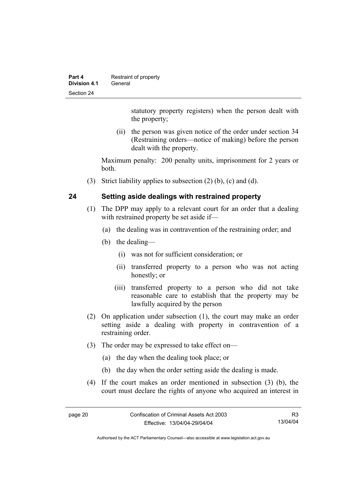| Part 4       | Restraint of property |
|--------------|-----------------------|
| Division 4.1 | General               |
| Section 24   |                       |

statutory property registers) when the person dealt with the property;

 (ii) the person was given notice of the order under section 34 (Restraining orders—notice of making) before the person dealt with the property.

Maximum penalty: 200 penalty units, imprisonment for 2 years or both.

(3) Strict liability applies to subsection (2) (b), (c) and (d).

## **24 Setting aside dealings with restrained property**

- (1) The DPP may apply to a relevant court for an order that a dealing with restrained property be set aside if—
	- (a) the dealing was in contravention of the restraining order; and
	- (b) the dealing—
		- (i) was not for sufficient consideration; or
		- (ii) transferred property to a person who was not acting honestly; or
		- (iii) transferred property to a person who did not take reasonable care to establish that the property may be lawfully acquired by the person
- (2) On application under subsection (1), the court may make an order setting aside a dealing with property in contravention of a restraining order.
- (3) The order may be expressed to take effect on—
	- (a) the day when the dealing took place; or
	- (b) the day when the order setting aside the dealing is made.
- (4) If the court makes an order mentioned in subsection (3) (b), the court must declare the rights of anyone who acquired an interest in

R3 13/04/04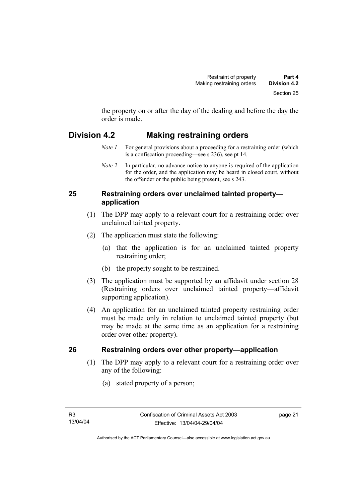the property on or after the day of the dealing and before the day the order is made.

# **Division 4.2 Making restraining orders**

- *Note 1* For general provisions about a proceeding for a restraining order (which is a confiscation proceeding—see s 236), see pt 14.
- *Note 2* In particular, no advance notice to anyone is required of the application for the order, and the application may be heard in closed court, without the offender or the public being present, see s 243.

# **25 Restraining orders over unclaimed tainted property application**

- (1) The DPP may apply to a relevant court for a restraining order over unclaimed tainted property.
- (2) The application must state the following:
	- (a) that the application is for an unclaimed tainted property restraining order;
	- (b) the property sought to be restrained.
- (3) The application must be supported by an affidavit under section 28 (Restraining orders over unclaimed tainted property—affidavit supporting application).
- (4) An application for an unclaimed tainted property restraining order must be made only in relation to unclaimed tainted property (but may be made at the same time as an application for a restraining order over other property).

# **26 Restraining orders over other property—application**

- (1) The DPP may apply to a relevant court for a restraining order over any of the following:
	- (a) stated property of a person;

page 21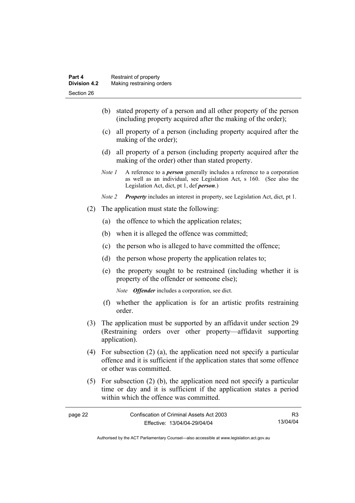- (b) stated property of a person and all other property of the person (including property acquired after the making of the order);
- (c) all property of a person (including property acquired after the making of the order);
- (d) all property of a person (including property acquired after the making of the order) other than stated property.
- *Note 1* A reference to a *person* generally includes a reference to a corporation as well as an individual, see Legislation Act, s 160. (See also the Legislation Act, dict, pt 1, def *person*.)
- *Note 2 Property* includes an interest in property, see Legislation Act, dict, pt 1.
- (2) The application must state the following:
	- (a) the offence to which the application relates;
	- (b) when it is alleged the offence was committed;
	- (c) the person who is alleged to have committed the offence;
	- (d) the person whose property the application relates to;
	- (e) the property sought to be restrained (including whether it is property of the offender or someone else);

*Note Offender* includes a corporation, see dict.

- (f) whether the application is for an artistic profits restraining order.
- (3) The application must be supported by an affidavit under section 29 (Restraining orders over other property—affidavit supporting application).
- (4) For subsection (2) (a), the application need not specify a particular offence and it is sufficient if the application states that some offence or other was committed.
- (5) For subsection (2) (b), the application need not specify a particular time or day and it is sufficient if the application states a period within which the offence was committed.

| page 22 | Confiscation of Criminal Assets Act 2003 |          |
|---------|------------------------------------------|----------|
|         | Effective: 13/04/04-29/04/04             | 13/04/04 |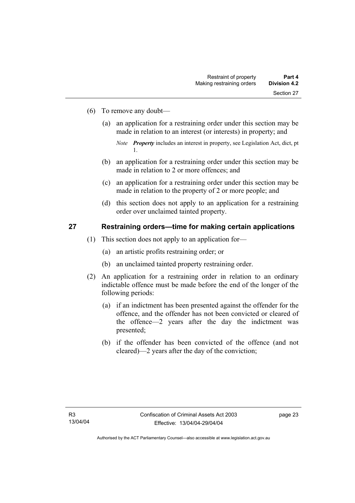- (6) To remove any doubt—
	- (a) an application for a restraining order under this section may be made in relation to an interest (or interests) in property; and

- (b) an application for a restraining order under this section may be made in relation to 2 or more offences; and
- (c) an application for a restraining order under this section may be made in relation to the property of 2 or more people; and
- (d) this section does not apply to an application for a restraining order over unclaimed tainted property.

#### **27 Restraining orders—time for making certain applications**

- (1) This section does not apply to an application for—
	- (a) an artistic profits restraining order; or
	- (b) an unclaimed tainted property restraining order.
- (2) An application for a restraining order in relation to an ordinary indictable offence must be made before the end of the longer of the following periods:
	- (a) if an indictment has been presented against the offender for the offence, and the offender has not been convicted or cleared of the offence—2 years after the day the indictment was presented;
	- (b) if the offender has been convicted of the offence (and not cleared)—2 years after the day of the conviction;

*Note Property* includes an interest in property, see Legislation Act, dict, pt 1.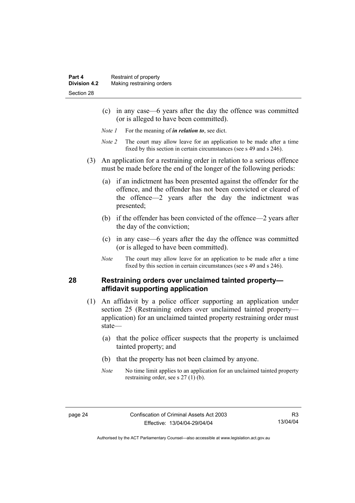- (c) in any case—6 years after the day the offence was committed (or is alleged to have been committed).
- *Note 1* For the meaning of *in relation to*, see dict.
- *Note 2* The court may allow leave for an application to be made after a time fixed by this section in certain circumstances (see s 49 and s 246).
- (3) An application for a restraining order in relation to a serious offence must be made before the end of the longer of the following periods:
	- (a) if an indictment has been presented against the offender for the offence, and the offender has not been convicted or cleared of the offence—2 years after the day the indictment was presented;
	- (b) if the offender has been convicted of the offence—2 years after the day of the conviction;
	- (c) in any case—6 years after the day the offence was committed (or is alleged to have been committed).
	- *Note* The court may allow leave for an application to be made after a time fixed by this section in certain circumstances (see s 49 and s 246).

#### **28 Restraining orders over unclaimed tainted property affidavit supporting application**

- (1) An affidavit by a police officer supporting an application under section 25 (Restraining orders over unclaimed tainted property application) for an unclaimed tainted property restraining order must state—
	- (a) that the police officer suspects that the property is unclaimed tainted property; and
	- (b) that the property has not been claimed by anyone.
	- *Note* No time limit applies to an application for an unclaimed tainted property restraining order, see s 27 (1) (b).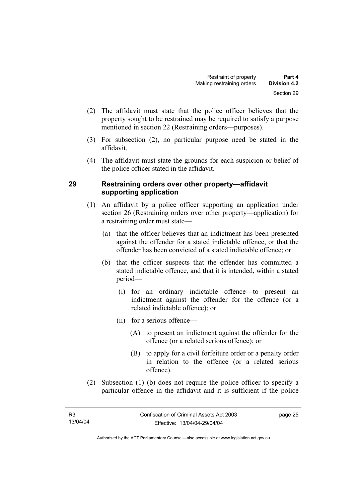- (2) The affidavit must state that the police officer believes that the property sought to be restrained may be required to satisfy a purpose mentioned in section 22 (Restraining orders—purposes).
- (3) For subsection (2), no particular purpose need be stated in the affidavit.
- (4) The affidavit must state the grounds for each suspicion or belief of the police officer stated in the affidavit.

# **29 Restraining orders over other property—affidavit supporting application**

- (1) An affidavit by a police officer supporting an application under section 26 (Restraining orders over other property—application) for a restraining order must state—
	- (a) that the officer believes that an indictment has been presented against the offender for a stated indictable offence, or that the offender has been convicted of a stated indictable offence; or
	- (b) that the officer suspects that the offender has committed a stated indictable offence, and that it is intended, within a stated period—
		- (i) for an ordinary indictable offence—to present an indictment against the offender for the offence (or a related indictable offence); or
		- (ii) for a serious offence—
			- (A) to present an indictment against the offender for the offence (or a related serious offence); or
			- (B) to apply for a civil forfeiture order or a penalty order in relation to the offence (or a related serious offence).
- (2) Subsection (1) (b) does not require the police officer to specify a particular offence in the affidavit and it is sufficient if the police

Authorised by the ACT Parliamentary Counsel—also accessible at www.legislation.act.gov.au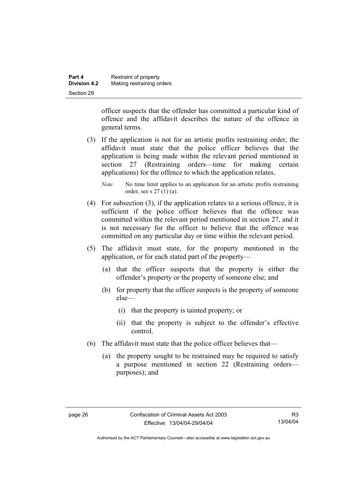| Part 4              | Restraint of property     |
|---------------------|---------------------------|
| <b>Division 4.2</b> | Making restraining orders |
| Section 29          |                           |

officer suspects that the offender has committed a particular kind of offence and the affidavit describes the nature of the offence in general terms.

- (3) If the application is not for an artistic profits restraining order, the affidavit must state that the police officer believes that the application is being made within the relevant period mentioned in section 27 (Restraining orders—time for making certain applications) for the offence to which the application relates.
	- *Note* No time limit applies to an application for an artistic profits restraining order, see s 27 (1) (a).
- (4) For subsection (3), if the application relates to a serious offence, it is sufficient if the police officer believes that the offence was committed within the relevant period mentioned in section 27, and it is not necessary for the officer to believe that the offence was committed on any particular day or time within the relevant period.
- (5) The affidavit must state, for the property mentioned in the application, or for each stated part of the property—
	- (a) that the officer suspects that the property is either the offender's property or the property of someone else; and
	- (b) for property that the officer suspects is the property of someone else—
		- (i) that the property is tainted property; or
		- (ii) that the property is subject to the offender's effective control.
- (6) The affidavit must state that the police officer believes that—
	- (a) the property sought to be restrained may be required to satisfy a purpose mentioned in section 22 (Restraining orders purposes); and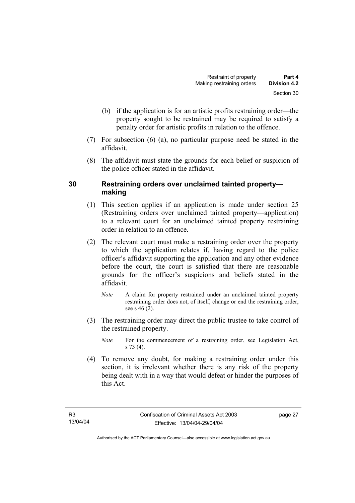- (b) if the application is for an artistic profits restraining order—the property sought to be restrained may be required to satisfy a penalty order for artistic profits in relation to the offence.
- (7) For subsection (6) (a), no particular purpose need be stated in the affidavit.
- (8) The affidavit must state the grounds for each belief or suspicion of the police officer stated in the affidavit.

# **30 Restraining orders over unclaimed tainted property making**

- (1) This section applies if an application is made under section 25 (Restraining orders over unclaimed tainted property—application) to a relevant court for an unclaimed tainted property restraining order in relation to an offence.
- (2) The relevant court must make a restraining order over the property to which the application relates if, having regard to the police officer's affidavit supporting the application and any other evidence before the court, the court is satisfied that there are reasonable grounds for the officer's suspicions and beliefs stated in the affidavit.
	- *Note* A claim for property restrained under an unclaimed tainted property restraining order does not, of itself, change or end the restraining order, see s 46 (2).
- (3) The restraining order may direct the public trustee to take control of the restrained property.
	- *Note* For the commencement of a restraining order, see Legislation Act, s 73 (4).
- (4) To remove any doubt, for making a restraining order under this section, it is irrelevant whether there is any risk of the property being dealt with in a way that would defeat or hinder the purposes of this Act.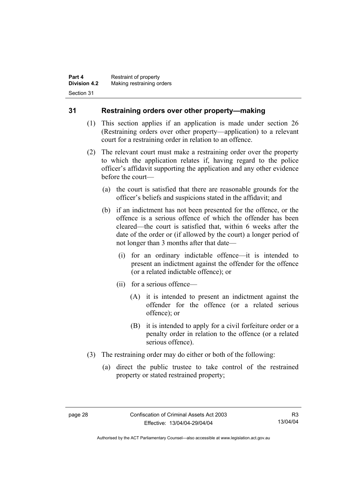## **31 Restraining orders over other property—making**

- (1) This section applies if an application is made under section 26 (Restraining orders over other property—application) to a relevant court for a restraining order in relation to an offence.
- (2) The relevant court must make a restraining order over the property to which the application relates if, having regard to the police officer's affidavit supporting the application and any other evidence before the court—
	- (a) the court is satisfied that there are reasonable grounds for the officer's beliefs and suspicions stated in the affidavit; and
	- (b) if an indictment has not been presented for the offence, or the offence is a serious offence of which the offender has been cleared—the court is satisfied that, within 6 weeks after the date of the order or (if allowed by the court) a longer period of not longer than 3 months after that date—
		- (i) for an ordinary indictable offence—it is intended to present an indictment against the offender for the offence (or a related indictable offence); or
		- (ii) for a serious offence—
			- (A) it is intended to present an indictment against the offender for the offence (or a related serious offence); or
			- (B) it is intended to apply for a civil forfeiture order or a penalty order in relation to the offence (or a related serious offence).
- (3) The restraining order may do either or both of the following:
	- (a) direct the public trustee to take control of the restrained property or stated restrained property;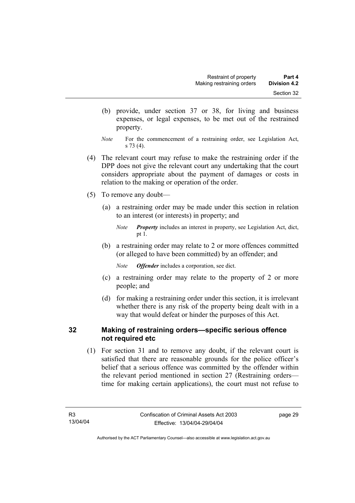- (b) provide, under section 37 or 38, for living and business expenses, or legal expenses, to be met out of the restrained property.
- *Note* For the commencement of a restraining order, see Legislation Act, s 73 (4).
- (4) The relevant court may refuse to make the restraining order if the DPP does not give the relevant court any undertaking that the court considers appropriate about the payment of damages or costs in relation to the making or operation of the order.
- (5) To remove any doubt—
	- (a) a restraining order may be made under this section in relation to an interest (or interests) in property; and

 (b) a restraining order may relate to 2 or more offences committed (or alleged to have been committed) by an offender; and

*Note Offender* includes a corporation, see dict.

- (c) a restraining order may relate to the property of 2 or more people; and
- (d) for making a restraining order under this section, it is irrelevant whether there is any risk of the property being dealt with in a way that would defeat or hinder the purposes of this Act.

## **32 Making of restraining orders—specific serious offence not required etc**

 (1) For section 31 and to remove any doubt, if the relevant court is satisfied that there are reasonable grounds for the police officer's belief that a serious offence was committed by the offender within the relevant period mentioned in section 27 (Restraining orders time for making certain applications), the court must not refuse to

*Note Property* includes an interest in property, see Legislation Act, dict, pt 1.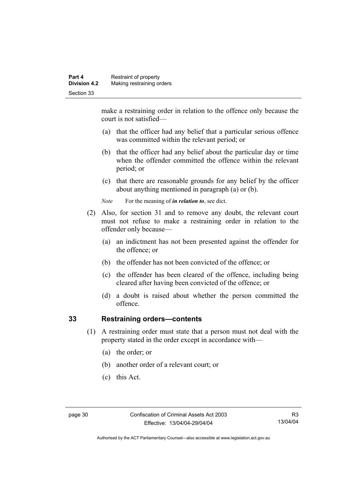make a restraining order in relation to the offence only because the court is not satisfied—

- (a) that the officer had any belief that a particular serious offence was committed within the relevant period; or
- (b) that the officer had any belief about the particular day or time when the offender committed the offence within the relevant period; or
- (c) that there are reasonable grounds for any belief by the officer about anything mentioned in paragraph (a) or (b).

*Note* For the meaning of *in relation to*, see dict.

- (2) Also, for section 31 and to remove any doubt, the relevant court must not refuse to make a restraining order in relation to the offender only because—
	- (a) an indictment has not been presented against the offender for the offence; or
	- (b) the offender has not been convicted of the offence; or
	- (c) the offender has been cleared of the offence, including being cleared after having been convicted of the offence; or
	- (d) a doubt is raised about whether the person committed the offence.

# **33 Restraining orders—contents**

- (1) A restraining order must state that a person must not deal with the property stated in the order except in accordance with—
	- (a) the order; or
	- (b) another order of a relevant court; or
	- (c) this Act.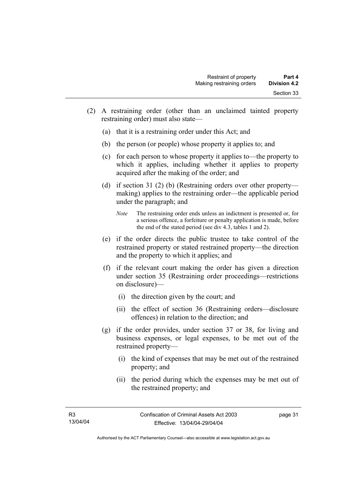- (2) A restraining order (other than an unclaimed tainted property restraining order) must also state—
	- (a) that it is a restraining order under this Act; and
	- (b) the person (or people) whose property it applies to; and
	- (c) for each person to whose property it applies to—the property to which it applies, including whether it applies to property acquired after the making of the order; and
	- (d) if section 31 (2) (b) (Restraining orders over other property making) applies to the restraining order—the applicable period under the paragraph; and
		- *Note* The restraining order ends unless an indictment is presented or, for a serious offence, a forfeiture or penalty application is made, before the end of the stated period (see div 4.3, tables 1 and 2).
	- (e) if the order directs the public trustee to take control of the restrained property or stated restrained property—the direction and the property to which it applies; and
	- (f) if the relevant court making the order has given a direction under section 35 (Restraining order proceedings—restrictions on disclosure)—
		- (i) the direction given by the court; and
		- (ii) the effect of section 36 (Restraining orders—disclosure offences) in relation to the direction; and
	- (g) if the order provides, under section 37 or 38, for living and business expenses, or legal expenses, to be met out of the restrained property—
		- (i) the kind of expenses that may be met out of the restrained property; and
		- (ii) the period during which the expenses may be met out of the restrained property; and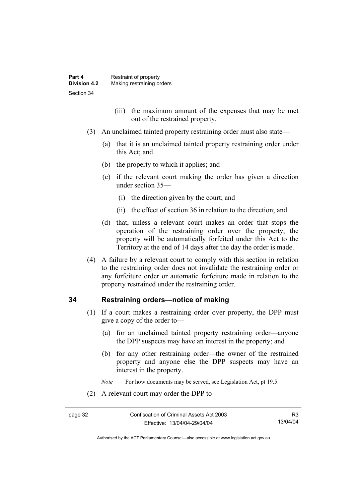- (iii) the maximum amount of the expenses that may be met out of the restrained property.
- (3) An unclaimed tainted property restraining order must also state—
	- (a) that it is an unclaimed tainted property restraining order under this Act; and
	- (b) the property to which it applies; and
	- (c) if the relevant court making the order has given a direction under section 35—
		- (i) the direction given by the court; and
		- (ii) the effect of section 36 in relation to the direction; and
	- (d) that, unless a relevant court makes an order that stops the operation of the restraining order over the property, the property will be automatically forfeited under this Act to the Territory at the end of 14 days after the day the order is made.
- (4) A failure by a relevant court to comply with this section in relation to the restraining order does not invalidate the restraining order or any forfeiture order or automatic forfeiture made in relation to the property restrained under the restraining order.

#### **34 Restraining orders—notice of making**

- (1) If a court makes a restraining order over property, the DPP must give a copy of the order to—
	- (a) for an unclaimed tainted property restraining order—anyone the DPP suspects may have an interest in the property; and
	- (b) for any other restraining order—the owner of the restrained property and anyone else the DPP suspects may have an interest in the property.
	- *Note* For how documents may be served, see Legislation Act, pt 19.5.
- (2) A relevant court may order the DPP to—

R3 13/04/04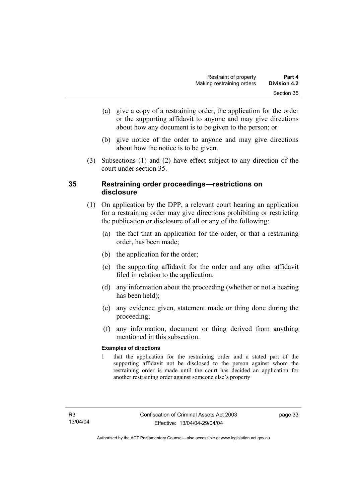- (a) give a copy of a restraining order, the application for the order or the supporting affidavit to anyone and may give directions about how any document is to be given to the person; or
- (b) give notice of the order to anyone and may give directions about how the notice is to be given.
- (3) Subsections (1) and (2) have effect subject to any direction of the court under section 35.

# **35 Restraining order proceedings—restrictions on disclosure**

- (1) On application by the DPP, a relevant court hearing an application for a restraining order may give directions prohibiting or restricting the publication or disclosure of all or any of the following:
	- (a) the fact that an application for the order, or that a restraining order, has been made;
	- (b) the application for the order;
	- (c) the supporting affidavit for the order and any other affidavit filed in relation to the application;
	- (d) any information about the proceeding (whether or not a hearing has been held);
	- (e) any evidence given, statement made or thing done during the proceeding;
	- (f) any information, document or thing derived from anything mentioned in this subsection.

#### **Examples of directions**

1 that the application for the restraining order and a stated part of the supporting affidavit not be disclosed to the person against whom the restraining order is made until the court has decided an application for another restraining order against someone else's property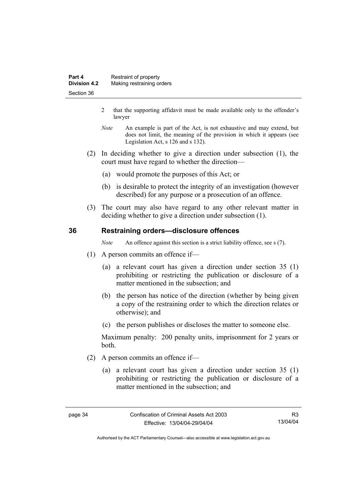- 2 that the supporting affidavit must be made available only to the offender's lawyer
- *Note* An example is part of the Act, is not exhaustive and may extend, but does not limit, the meaning of the provision in which it appears (see Legislation Act, s 126 and s 132).
- (2) In deciding whether to give a direction under subsection (1), the court must have regard to whether the direction—
	- (a) would promote the purposes of this Act; or
	- (b) is desirable to protect the integrity of an investigation (however described) for any purpose or a prosecution of an offence.
- (3) The court may also have regard to any other relevant matter in deciding whether to give a direction under subsection (1).

#### **36 Restraining orders—disclosure offences**

*Note* An offence against this section is a strict liability offence, see s (7).

- (1) A person commits an offence if—
	- (a) a relevant court has given a direction under section 35 (1) prohibiting or restricting the publication or disclosure of a matter mentioned in the subsection; and
	- (b) the person has notice of the direction (whether by being given a copy of the restraining order to which the direction relates or otherwise); and
	- (c) the person publishes or discloses the matter to someone else.

Maximum penalty: 200 penalty units, imprisonment for 2 years or both.

- (2) A person commits an offence if—
	- (a) a relevant court has given a direction under section 35 (1) prohibiting or restricting the publication or disclosure of a matter mentioned in the subsection; and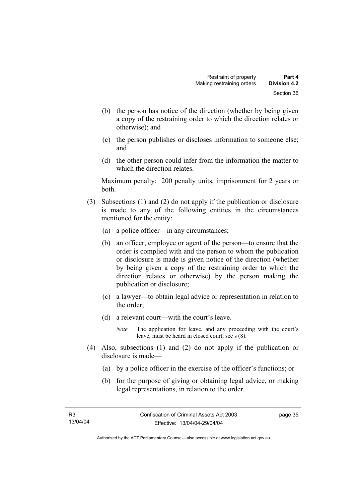- (b) the person has notice of the direction (whether by being given a copy of the restraining order to which the direction relates or otherwise); and
- (c) the person publishes or discloses information to someone else; and
- (d) the other person could infer from the information the matter to which the direction relates.

Maximum penalty: 200 penalty units, imprisonment for 2 years or both.

- (3) Subsections (1) and (2) do not apply if the publication or disclosure is made to any of the following entities in the circumstances mentioned for the entity:
	- (a) a police officer—in any circumstances;
	- (b) an officer, employee or agent of the person—to ensure that the order is complied with and the person to whom the publication or disclosure is made is given notice of the direction (whether by being given a copy of the restraining order to which the direction relates or otherwise) by the person making the publication or disclosure;
	- (c) a lawyer—to obtain legal advice or representation in relation to the order;
	- (d) a relevant court—with the court's leave.
		- *Note* The application for leave, and any proceeding with the court's leave, must be heard in closed court, see s (8).
- (4) Also, subsections (1) and (2) do not apply if the publication or disclosure is made—
	- (a) by a police officer in the exercise of the officer's functions; or
	- (b) for the purpose of giving or obtaining legal advice, or making legal representations, in relation to the order.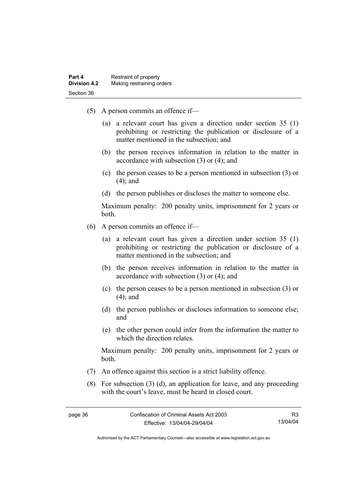- (5) A person commits an offence if—
	- (a) a relevant court has given a direction under section 35 (1) prohibiting or restricting the publication or disclosure of a matter mentioned in the subsection; and
	- (b) the person receives information in relation to the matter in accordance with subsection (3) or (4); and
	- (c) the person ceases to be a person mentioned in subsection (3) or (4); and
	- (d) the person publishes or discloses the matter to someone else.

Maximum penalty: 200 penalty units, imprisonment for 2 years or both.

- (6) A person commits an offence if—
	- (a) a relevant court has given a direction under section 35 (1) prohibiting or restricting the publication or disclosure of a matter mentioned in the subsection; and
	- (b) the person receives information in relation to the matter in accordance with subsection (3) or (4); and
	- (c) the person ceases to be a person mentioned in subsection (3) or (4); and
	- (d) the person publishes or discloses information to someone else; and
	- (e) the other person could infer from the information the matter to which the direction relates.

Maximum penalty: 200 penalty units, imprisonment for 2 years or both.

- (7) An offence against this section is a strict liability offence.
- (8) For subsection (3) (d), an application for leave, and any proceeding with the court's leave, must be heard in closed court.

R3 13/04/04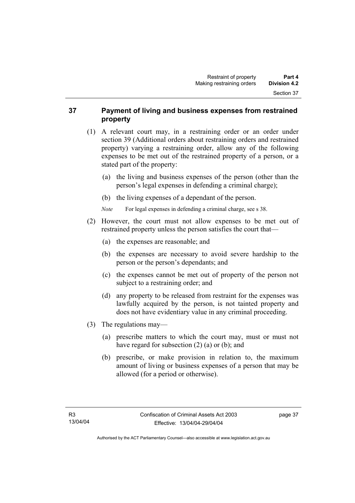## **37 Payment of living and business expenses from restrained property**

- (1) A relevant court may, in a restraining order or an order under section 39 (Additional orders about restraining orders and restrained property) varying a restraining order, allow any of the following expenses to be met out of the restrained property of a person, or a stated part of the property:
	- (a) the living and business expenses of the person (other than the person's legal expenses in defending a criminal charge);
	- (b) the living expenses of a dependant of the person.
	- *Note* For legal expenses in defending a criminal charge, see s 38.
- (2) However, the court must not allow expenses to be met out of restrained property unless the person satisfies the court that—
	- (a) the expenses are reasonable; and
	- (b) the expenses are necessary to avoid severe hardship to the person or the person's dependants; and
	- (c) the expenses cannot be met out of property of the person not subject to a restraining order; and
	- (d) any property to be released from restraint for the expenses was lawfully acquired by the person, is not tainted property and does not have evidentiary value in any criminal proceeding.
- (3) The regulations may—
	- (a) prescribe matters to which the court may, must or must not have regard for subsection (2) (a) or (b); and
	- (b) prescribe, or make provision in relation to, the maximum amount of living or business expenses of a person that may be allowed (for a period or otherwise).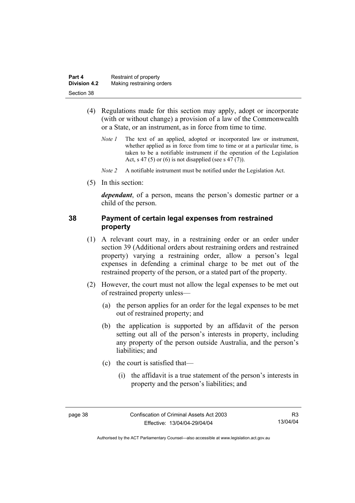| Part 4              | Restraint of property     |
|---------------------|---------------------------|
| <b>Division 4.2</b> | Making restraining orders |
| Section 38          |                           |

- (4) Regulations made for this section may apply, adopt or incorporate (with or without change) a provision of a law of the Commonwealth or a State, or an instrument, as in force from time to time.
	- *Note 1* The text of an applied, adopted or incorporated law or instrument, whether applied as in force from time to time or at a particular time, is taken to be a notifiable instrument if the operation of the Legislation Act, s 47 (5) or (6) is not disapplied (see s 47 (7)).
	- *Note 2* A notifiable instrument must be notified under the Legislation Act.
- (5) In this section:

*dependant*, of a person, means the person's domestic partner or a child of the person.

#### **38 Payment of certain legal expenses from restrained property**

- (1) A relevant court may, in a restraining order or an order under section 39 (Additional orders about restraining orders and restrained property) varying a restraining order, allow a person's legal expenses in defending a criminal charge to be met out of the restrained property of the person, or a stated part of the property.
- (2) However, the court must not allow the legal expenses to be met out of restrained property unless—
	- (a) the person applies for an order for the legal expenses to be met out of restrained property; and
	- (b) the application is supported by an affidavit of the person setting out all of the person's interests in property, including any property of the person outside Australia, and the person's liabilities; and
	- (c) the court is satisfied that—
		- (i) the affidavit is a true statement of the person's interests in property and the person's liabilities; and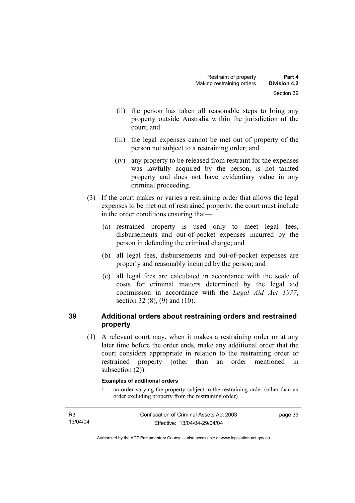- (ii) the person has taken all reasonable steps to bring any property outside Australia within the jurisdiction of the court; and
- (iii) the legal expenses cannot be met out of property of the person not subject to a restraining order; and
- (iv) any property to be released from restraint for the expenses was lawfully acquired by the person, is not tainted property and does not have evidentiary value in any criminal proceeding.
- (3) If the court makes or varies a restraining order that allows the legal expenses to be met out of restrained property, the court must include in the order conditions ensuring that—
	- (a) restrained property is used only to meet legal fees, disbursements and out-of-pocket expenses incurred by the person in defending the criminal charge; and
	- (b) all legal fees, disbursements and out-of-pocket expenses are properly and reasonably incurred by the person; and
	- (c) all legal fees are calculated in accordance with the scale of costs for criminal matters determined by the legal aid commission in accordance with the *Legal Aid Act 1977*, section 32 (8), (9) and (10).

# **39 Additional orders about restraining orders and restrained property**

 (1) A relevant court may, when it makes a restraining order or at any later time before the order ends, make any additional order that the court considers appropriate in relation to the restraining order or restrained property (other than an order mentioned in subsection  $(2)$ ).

#### **Examples of additional orders**

1 an order varying the property subject to the restraining order (other than an order excluding property from the restraining order)

| R <sub>3</sub> | Confiscation of Criminal Assets Act 2003 | page 39 |
|----------------|------------------------------------------|---------|
| 13/04/04       | Effective: 13/04/04-29/04/04             |         |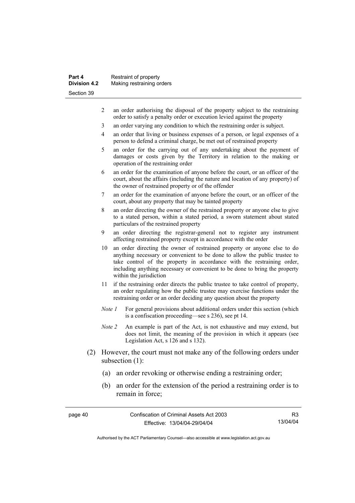| Part 4<br><b>Division 4.2</b> | Restraint of property     |
|-------------------------------|---------------------------|
|                               | Making restraining orders |
| Section 39                    |                           |

- 2 an order authorising the disposal of the property subject to the restraining order to satisfy a penalty order or execution levied against the property
- 3 an order varying any condition to which the restraining order is subject.
- 4 an order that living or business expenses of a person, or legal expenses of a person to defend a criminal charge, be met out of restrained property
- 5 an order for the carrying out of any undertaking about the payment of damages or costs given by the Territory in relation to the making or operation of the restraining order
- 6 an order for the examination of anyone before the court, or an officer of the court, about the affairs (including the nature and location of any property) of the owner of restrained property or of the offender
- 7 an order for the examination of anyone before the court, or an officer of the court, about any property that may be tainted property
- 8 an order directing the owner of the restrained property or anyone else to give to a stated person, within a stated period, a sworn statement about stated particulars of the restrained property
- 9 an order directing the registrar-general not to register any instrument affecting restrained property except in accordance with the order
- 10 an order directing the owner of restrained property or anyone else to do anything necessary or convenient to be done to allow the public trustee to take control of the property in accordance with the restraining order, including anything necessary or convenient to be done to bring the property within the jurisdiction
- 11 if the restraining order directs the public trustee to take control of property, an order regulating how the public trustee may exercise functions under the restraining order or an order deciding any question about the property
- *Note 1* For general provisions about additional orders under this section (which is a confiscation proceeding—see s 236), see pt 14.
- *Note 2* An example is part of the Act, is not exhaustive and may extend, but does not limit, the meaning of the provision in which it appears (see Legislation Act, s 126 and s 132).
- (2) However, the court must not make any of the following orders under subsection (1):
	- (a) an order revoking or otherwise ending a restraining order;
	- (b) an order for the extension of the period a restraining order is to remain in force;

page 40 Confiscation of Criminal Assets Act 2003 Effective: 13/04/04-29/04/04

R3 13/04/04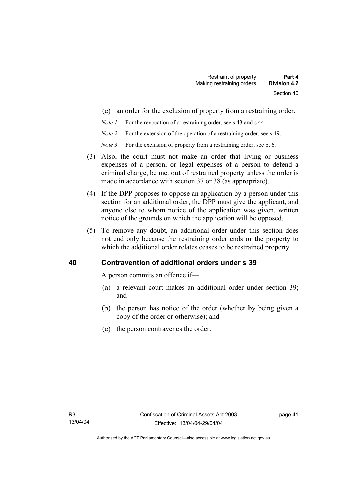- (c) an order for the exclusion of property from a restraining order.
- *Note 1* For the revocation of a restraining order, see s 43 and s 44.
- *Note 2* For the extension of the operation of a restraining order, see s 49.
- *Note 3* For the exclusion of property from a restraining order, see pt 6.
- (3) Also, the court must not make an order that living or business expenses of a person, or legal expenses of a person to defend a criminal charge, be met out of restrained property unless the order is made in accordance with section 37 or 38 (as appropriate).
- (4) If the DPP proposes to oppose an application by a person under this section for an additional order, the DPP must give the applicant, and anyone else to whom notice of the application was given, written notice of the grounds on which the application will be opposed.
- (5) To remove any doubt, an additional order under this section does not end only because the restraining order ends or the property to which the additional order relates ceases to be restrained property.

#### **40 Contravention of additional orders under s 39**

A person commits an offence if—

- (a) a relevant court makes an additional order under section 39; and
- (b) the person has notice of the order (whether by being given a copy of the order or otherwise); and
- (c) the person contravenes the order.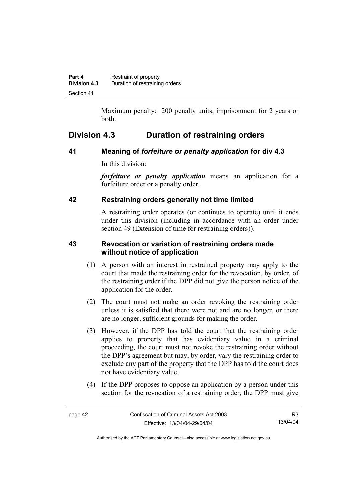Maximum penalty: 200 penalty units, imprisonment for 2 years or both.

# **Division 4.3 Duration of restraining orders**

# **41 Meaning of** *forfeiture or penalty application* **for div 4.3**

In this division:

*forfeiture or penalty application* means an application for a forfeiture order or a penalty order.

# **42 Restraining orders generally not time limited**

A restraining order operates (or continues to operate) until it ends under this division (including in accordance with an order under section 49 (Extension of time for restraining orders)).

# **43 Revocation or variation of restraining orders made without notice of application**

- (1) A person with an interest in restrained property may apply to the court that made the restraining order for the revocation, by order, of the restraining order if the DPP did not give the person notice of the application for the order.
- (2) The court must not make an order revoking the restraining order unless it is satisfied that there were not and are no longer, or there are no longer, sufficient grounds for making the order.
- (3) However, if the DPP has told the court that the restraining order applies to property that has evidentiary value in a criminal proceeding, the court must not revoke the restraining order without the DPP's agreement but may, by order, vary the restraining order to exclude any part of the property that the DPP has told the court does not have evidentiary value.
- (4) If the DPP proposes to oppose an application by a person under this section for the revocation of a restraining order, the DPP must give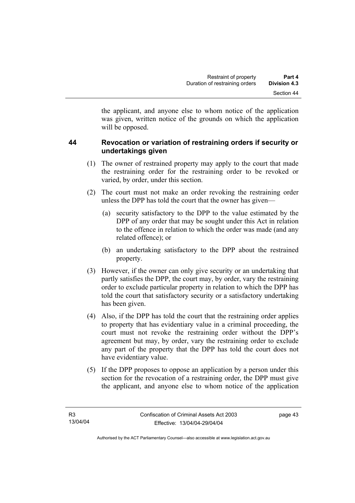the applicant, and anyone else to whom notice of the application was given, written notice of the grounds on which the application will be opposed.

# **44 Revocation or variation of restraining orders if security or undertakings given**

- (1) The owner of restrained property may apply to the court that made the restraining order for the restraining order to be revoked or varied, by order, under this section.
- (2) The court must not make an order revoking the restraining order unless the DPP has told the court that the owner has given—
	- (a) security satisfactory to the DPP to the value estimated by the DPP of any order that may be sought under this Act in relation to the offence in relation to which the order was made (and any related offence); or
	- (b) an undertaking satisfactory to the DPP about the restrained property.
- (3) However, if the owner can only give security or an undertaking that partly satisfies the DPP, the court may, by order, vary the restraining order to exclude particular property in relation to which the DPP has told the court that satisfactory security or a satisfactory undertaking has been given.
- (4) Also, if the DPP has told the court that the restraining order applies to property that has evidentiary value in a criminal proceeding, the court must not revoke the restraining order without the DPP's agreement but may, by order, vary the restraining order to exclude any part of the property that the DPP has told the court does not have evidentiary value.
- (5) If the DPP proposes to oppose an application by a person under this section for the revocation of a restraining order, the DPP must give the applicant, and anyone else to whom notice of the application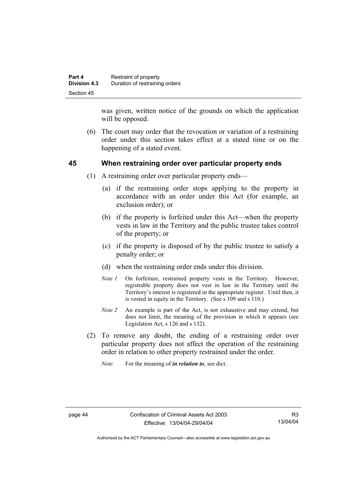| Part 4              | Restraint of property          |
|---------------------|--------------------------------|
| <b>Division 4.3</b> | Duration of restraining orders |
| Section 45          |                                |

was given, written notice of the grounds on which the application will be opposed.

 (6) The court may order that the revocation or variation of a restraining order under this section takes effect at a stated time or on the happening of a stated event.

#### **45 When restraining order over particular property ends**

- (1) A restraining order over particular property ends—
	- (a) if the restraining order stops applying to the property in accordance with an order under this Act (for example, an exclusion order); or
	- (b) if the property is forfeited under this Act—when the property vests in law in the Territory and the public trustee takes control of the property; or
	- (c) if the property is disposed of by the public trustee to satisfy a penalty order; or
	- (d) when the restraining order ends under this division.
	- *Note 1* On forfeiture, restrained property vests in the Territory. However, registrable property does not vest in law in the Territory until the Territory's interest is registered in the appropriate register. Until then, it is vested in equity in the Territory. (See s 109 and s 110.)
	- *Note 2* An example is part of the Act, is not exhaustive and may extend, but does not limit, the meaning of the provision in which it appears (see Legislation Act, s 126 and s 132).
- (2) To remove any doubt, the ending of a restraining order over particular property does not affect the operation of the restraining order in relation to other property restrained under the order.
	- *Note* For the meaning of *in relation to*, see dict.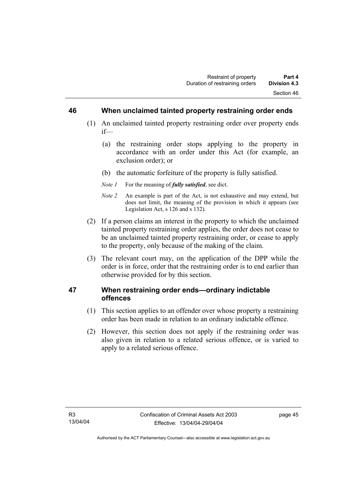#### **46 When unclaimed tainted property restraining order ends**

- (1) An unclaimed tainted property restraining order over property ends if—
	- (a) the restraining order stops applying to the property in accordance with an order under this Act (for example, an exclusion order); or
	- (b) the automatic forfeiture of the property is fully satisfied.
	- *Note 1* For the meaning of *fully satisfied*, see dict.
	- *Note 2* An example is part of the Act, is not exhaustive and may extend, but does not limit, the meaning of the provision in which it appears (see Legislation Act, s 126 and s 132).
- (2) If a person claims an interest in the property to which the unclaimed tainted property restraining order applies, the order does not cease to be an unclaimed tainted property restraining order, or cease to apply to the property, only because of the making of the claim.
- (3) The relevant court may, on the application of the DPP while the order is in force, order that the restraining order is to end earlier than otherwise provided for by this section.

# **47 When restraining order ends—ordinary indictable offences**

- (1) This section applies to an offender over whose property a restraining order has been made in relation to an ordinary indictable offence.
- (2) However, this section does not apply if the restraining order was also given in relation to a related serious offence, or is varied to apply to a related serious offence.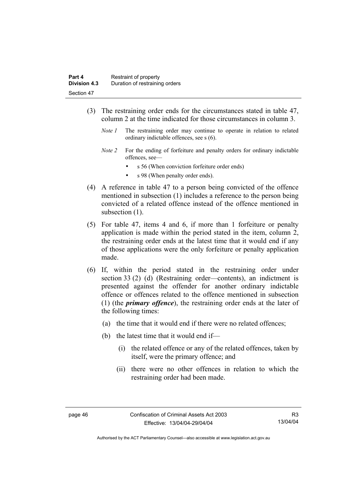- (3) The restraining order ends for the circumstances stated in table 47, column 2 at the time indicated for those circumstances in column 3.
	- *Note 1* The restraining order may continue to operate in relation to related ordinary indictable offences, see s (6).
	- *Note 2* For the ending of forfeiture and penalty orders for ordinary indictable offences, see
		- s 56 (When conviction forfeiture order ends)
		- s 98 (When penalty order ends).
- (4) A reference in table 47 to a person being convicted of the offence mentioned in subsection (1) includes a reference to the person being convicted of a related offence instead of the offence mentioned in subsection  $(1)$ .
- (5) For table 47, items 4 and 6, if more than 1 forfeiture or penalty application is made within the period stated in the item, column 2, the restraining order ends at the latest time that it would end if any of those applications were the only forfeiture or penalty application made.
- (6) If, within the period stated in the restraining order under section 33 (2) (d) (Restraining order—contents), an indictment is presented against the offender for another ordinary indictable offence or offences related to the offence mentioned in subsection (1) (the *primary offence*), the restraining order ends at the later of the following times:
	- (a) the time that it would end if there were no related offences;
	- (b) the latest time that it would end if—
		- (i) the related offence or any of the related offences, taken by itself, were the primary offence; and
		- (ii) there were no other offences in relation to which the restraining order had been made.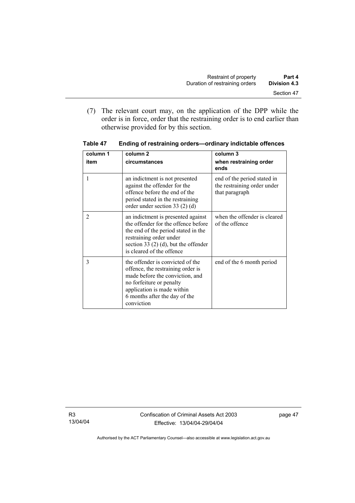(7) The relevant court may, on the application of the DPP while the order is in force, order that the restraining order is to end earlier than otherwise provided for by this section.

| column 1       | column <sub>2</sub>                                                                                                                                                                                                | column 3                                                                     |
|----------------|--------------------------------------------------------------------------------------------------------------------------------------------------------------------------------------------------------------------|------------------------------------------------------------------------------|
| item           | circumstances                                                                                                                                                                                                      | when restraining order<br>ends                                               |
|                | an indictment is not presented<br>against the offender for the<br>offence before the end of the<br>period stated in the restraining<br>order under section 33 $(2)$ $(d)$                                          | end of the period stated in<br>the restraining order under<br>that paragraph |
| $\overline{2}$ | an indictment is presented against<br>the offender for the offence before<br>the end of the period stated in the<br>restraining order under<br>section 33 $(2)$ (d), but the offender<br>is cleared of the offence | when the offender is cleared<br>of the offence                               |
| 3              | the offender is convicted of the<br>offence, the restraining order is<br>made before the conviction, and<br>no forfeiture or penalty<br>application is made within<br>6 months after the day of the<br>conviction  | end of the 6 month period                                                    |

**Table 47 Ending of restraining orders—ordinary indictable offences**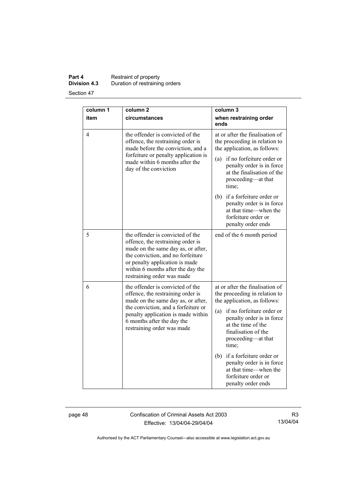## **Part 4 Restraint of property Division 4.3** Duration of restraining orders

Section 47

| column 1 | column <sub>2</sub>                                                                                                                                                                                                                                   | column 3                                                                                                                                                                                                                                                                                                                                                                            |
|----------|-------------------------------------------------------------------------------------------------------------------------------------------------------------------------------------------------------------------------------------------------------|-------------------------------------------------------------------------------------------------------------------------------------------------------------------------------------------------------------------------------------------------------------------------------------------------------------------------------------------------------------------------------------|
| item     | circumstances                                                                                                                                                                                                                                         | when restraining order<br>ends                                                                                                                                                                                                                                                                                                                                                      |
| 4        | the offender is convicted of the<br>offence, the restraining order is<br>made before the conviction, and a<br>forfeiture or penalty application is<br>made within 6 months after the<br>day of the conviction                                         | at or after the finalisation of<br>the proceeding in relation to<br>the application, as follows:<br>if no forfeiture order or<br>(a)<br>penalty order is in force<br>at the finalisation of the<br>proceeding-at that<br>time;<br>if a forfeiture order or<br>(b)<br>penalty order is in force<br>at that time—when the<br>forfeiture order or<br>penalty order ends                |
| 5        | the offender is convicted of the<br>offence, the restraining order is<br>made on the same day as, or after,<br>the conviction, and no forfeiture<br>or penalty application is made<br>within 6 months after the day the<br>restraining order was made | end of the 6 month period                                                                                                                                                                                                                                                                                                                                                           |
| 6        | the offender is convicted of the<br>offence, the restraining order is<br>made on the same day as, or after,<br>the conviction, and a forfeiture or<br>penalty application is made within<br>6 months after the day the<br>restraining order was made  | at or after the finalisation of<br>the proceeding in relation to<br>the application, as follows:<br>if no forfeiture order or<br>(a)<br>penalty order is in force<br>at the time of the<br>finalisation of the<br>proceeding—at that<br>time;<br>if a forfeiture order or<br>(b)<br>penalty order is in force<br>at that time—when the<br>forfeiture order or<br>penalty order ends |

page 48 Confiscation of Criminal Assets Act 2003 Effective: 13/04/04-29/04/04

R3 13/04/04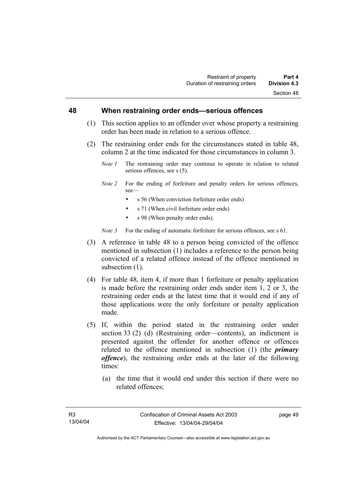#### **48 When restraining order ends—serious offences**

- (1) This section applies to an offender over whose property a restraining order has been made in relation to a serious offence.
- (2) The restraining order ends for the circumstances stated in table 48, column 2 at the time indicated for those circumstances in column 3.
	- *Note 1* The restraining order may continue to operate in relation to related serious offences, see s (5).
	- *Note 2* For the ending of forfeiture and penalty orders for serious offences, see—
		- s 56 (When conviction forfeiture order ends)
		- s 71 (When civil forfeiture order ends)
		- s 98 (When penalty order ends).

*Note 3* For the ending of automatic forfeiture for serious offences, see s 61.

- (3) A reference in table 48 to a person being convicted of the offence mentioned in subsection (1) includes a reference to the person being convicted of a related offence instead of the offence mentioned in subsection  $(1)$ .
- (4) For table 48, item 4, if more than 1 forfeiture or penalty application is made before the restraining order ends under item 1, 2 or 3, the restraining order ends at the latest time that it would end if any of those applications were the only forfeiture or penalty application made.
- (5) If, within the period stated in the restraining order under section 33 (2) (d) (Restraining order—contents), an indictment is presented against the offender for another offence or offences related to the offence mentioned in subsection (1) (the *primary offence*), the restraining order ends at the later of the following times:
	- (a) the time that it would end under this section if there were no related offences;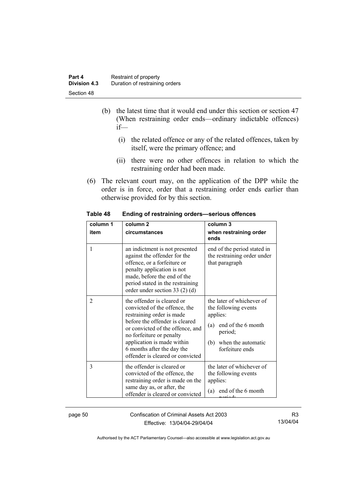| Part 4              | Restraint of property          |
|---------------------|--------------------------------|
| <b>Division 4.3</b> | Duration of restraining orders |
| Section 48          |                                |

- (b) the latest time that it would end under this section or section 47 (When restraining order ends—ordinary indictable offences) if—
	- (i) the related offence or any of the related offences, taken by itself, were the primary offence; and
	- (ii) there were no other offences in relation to which the restraining order had been made.
- (6) The relevant court may, on the application of the DPP while the order is in force, order that a restraining order ends earlier than otherwise provided for by this section.

| column 1<br>item | column <sub>2</sub><br>circumstances                                                                                                                                                                                                                                                       | column 3<br>when restraining order<br>ends                                                                                                         |
|------------------|--------------------------------------------------------------------------------------------------------------------------------------------------------------------------------------------------------------------------------------------------------------------------------------------|----------------------------------------------------------------------------------------------------------------------------------------------------|
| 1                | an indictment is not presented<br>against the offender for the<br>offence, or a forfeiture or<br>penalty application is not<br>made, before the end of the<br>period stated in the restraining<br>order under section 33 $(2)$ $(d)$                                                       | end of the period stated in<br>the restraining order under<br>that paragraph                                                                       |
| $\overline{c}$   | the offender is cleared or<br>convicted of the offence, the<br>restraining order is made<br>before the offender is cleared<br>or convicted of the offence, and<br>no forfeiture or penalty<br>application is made within<br>6 months after the day the<br>offender is cleared or convicted | the later of whichever of<br>the following events<br>applies:<br>(a) end of the 6 month<br>period;<br>when the automatic<br>(b)<br>forfeiture ends |
| 3                | the offender is cleared or<br>convicted of the offence, the<br>restraining order is made on the<br>same day as, or after, the<br>offender is cleared or convicted                                                                                                                          | the later of whichever of<br>the following events<br>applies:<br>end of the 6 month<br>(a)                                                         |

**Table 48 Ending of restraining orders—serious offences** 

page 50 Confiscation of Criminal Assets Act 2003 Effective: 13/04/04-29/04/04

R3 13/04/04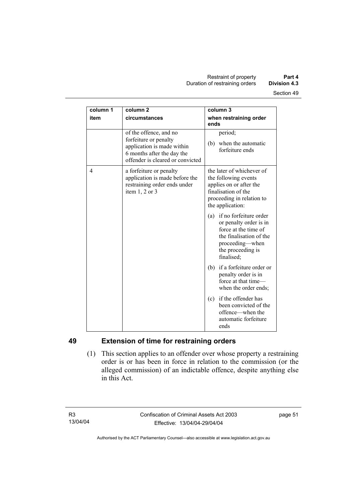| column 1 | column <sub>2</sub>                                                                                                                             | column 3                                                                                                                                                         |
|----------|-------------------------------------------------------------------------------------------------------------------------------------------------|------------------------------------------------------------------------------------------------------------------------------------------------------------------|
| item     | circumstances                                                                                                                                   | when restraining order<br>ends                                                                                                                                   |
|          | of the offence, and no<br>forfeiture or penalty<br>application is made within<br>6 months after the day the<br>offender is cleared or convicted | period;<br>when the automatic<br>(b)<br>forfeiture ends                                                                                                          |
| 4        | a forfeiture or penalty<br>application is made before the<br>restraining order ends under<br>item $1, 2$ or $3$                                 | the later of whichever of<br>the following events<br>applies on or after the<br>finalisation of the<br>proceeding in relation to<br>the application:             |
|          |                                                                                                                                                 | if no forfeiture order<br>(a)<br>or penalty order is in<br>force at the time of<br>the finalisation of the<br>proceeding-when<br>the proceeding is<br>finalised; |
|          |                                                                                                                                                 | (b) if a forfeiture order or<br>penalty order is in<br>force at that time-<br>when the order ends;                                                               |
|          |                                                                                                                                                 | if the offender has<br>(c)<br>been convicted of the<br>offence—when the<br>automatic forfeiture<br>ends                                                          |

# **49 Extension of time for restraining orders**

 (1) This section applies to an offender over whose property a restraining order is or has been in force in relation to the commission (or the alleged commission) of an indictable offence, despite anything else in this Act.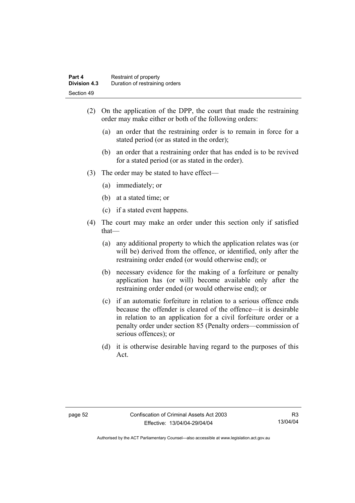- (2) On the application of the DPP, the court that made the restraining order may make either or both of the following orders:
	- (a) an order that the restraining order is to remain in force for a stated period (or as stated in the order);
	- (b) an order that a restraining order that has ended is to be revived for a stated period (or as stated in the order).
- (3) The order may be stated to have effect—
	- (a) immediately; or
	- (b) at a stated time; or
	- (c) if a stated event happens.
- (4) The court may make an order under this section only if satisfied that—
	- (a) any additional property to which the application relates was (or will be) derived from the offence, or identified, only after the restraining order ended (or would otherwise end); or
	- (b) necessary evidence for the making of a forfeiture or penalty application has (or will) become available only after the restraining order ended (or would otherwise end); or
	- (c) if an automatic forfeiture in relation to a serious offence ends because the offender is cleared of the offence—it is desirable in relation to an application for a civil forfeiture order or a penalty order under section 85 (Penalty orders—commission of serious offences); or
	- (d) it is otherwise desirable having regard to the purposes of this Act.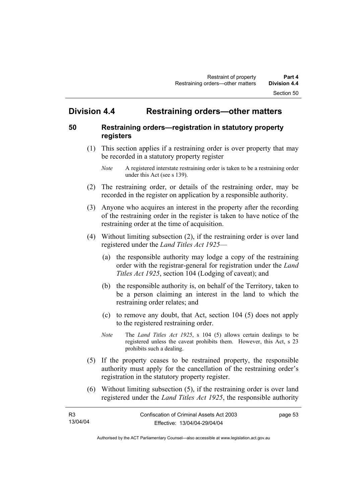# **Division 4.4 Restraining orders—other matters**

## **50 Restraining orders—registration in statutory property registers**

 (1) This section applies if a restraining order is over property that may be recorded in a statutory property register

- (2) The restraining order, or details of the restraining order, may be recorded in the register on application by a responsible authority.
- (3) Anyone who acquires an interest in the property after the recording of the restraining order in the register is taken to have notice of the restraining order at the time of acquisition.
- (4) Without limiting subsection (2), if the restraining order is over land registered under the *Land Titles Act 1925*—
	- (a) the responsible authority may lodge a copy of the restraining order with the registrar-general for registration under the *Land Titles Act 1925*, section 104 (Lodging of caveat); and
	- (b) the responsible authority is, on behalf of the Territory, taken to be a person claiming an interest in the land to which the restraining order relates; and
	- (c) to remove any doubt, that Act, section 104 (5) does not apply to the registered restraining order.
	- *Note* The *Land Titles Act 1925*, s 104 (5) allows certain dealings to be registered unless the caveat prohibits them. However, this Act, s 23 prohibits such a dealing.
- (5) If the property ceases to be restrained property, the responsible authority must apply for the cancellation of the restraining order's registration in the statutory property register.
- (6) Without limiting subsection (5), if the restraining order is over land registered under the *Land Titles Act 1925*, the responsible authority

| <b>R3</b> | Confiscation of Criminal Assets Act 2003 | page 53 |
|-----------|------------------------------------------|---------|
| 13/04/04  | Effective: 13/04/04-29/04/04             |         |

*Note* A registered interstate restraining order is taken to be a restraining order under this Act (see s 139).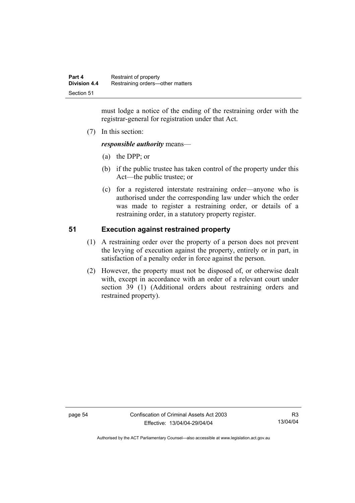must lodge a notice of the ending of the restraining order with the registrar-general for registration under that Act.

(7) In this section:

*responsible authority* means—

- (a) the DPP; or
- (b) if the public trustee has taken control of the property under this Act—the public trustee; or
- (c) for a registered interstate restraining order—anyone who is authorised under the corresponding law under which the order was made to register a restraining order, or details of a restraining order, in a statutory property register.

# **51 Execution against restrained property**

- (1) A restraining order over the property of a person does not prevent the levying of execution against the property, entirely or in part, in satisfaction of a penalty order in force against the person.
- (2) However, the property must not be disposed of, or otherwise dealt with, except in accordance with an order of a relevant court under section 39 (1) (Additional orders about restraining orders and restrained property).

page 54 Confiscation of Criminal Assets Act 2003 Effective: 13/04/04-29/04/04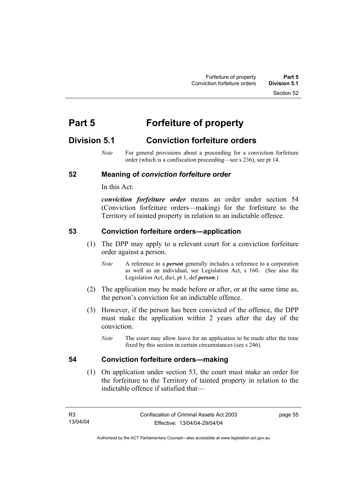Section 52

# **Part 5 Forfeiture of property**

# **Division 5.1 Conviction forfeiture orders**

*Note* For general provisions about a proceeding for a conviction forfeiture order (which is a confiscation proceeding—see s 236), see pt 14.

## **52 Meaning of** *conviction forfeiture order*

In this Act:

*conviction forfeiture order* means an order under section 54 (Conviction forfeiture orders—making) for the forfeiture to the Territory of tainted property in relation to an indictable offence.

#### **53 Conviction forfeiture orders—application**

- (1) The DPP may apply to a relevant court for a conviction forfeiture order against a person.
	- *Note* A reference to a *person* generally includes a reference to a corporation as well as an individual, see Legislation Act, s 160. (See also the Legislation Act, dict, pt 1, def *person*.)
- (2) The application may be made before or after, or at the same time as, the person's conviction for an indictable offence.
- (3) However, if the person has been convicted of the offence, the DPP must make the application within 2 years after the day of the conviction.
	- *Note* The court may allow leave for an application to be made after the time fixed by this section in certain circumstances (see s 246).

#### **54 Conviction forfeiture orders—making**

 (1) On application under section 53, the court must make an order for the forfeiture to the Territory of tainted property in relation to the indictable offence if satisfied that—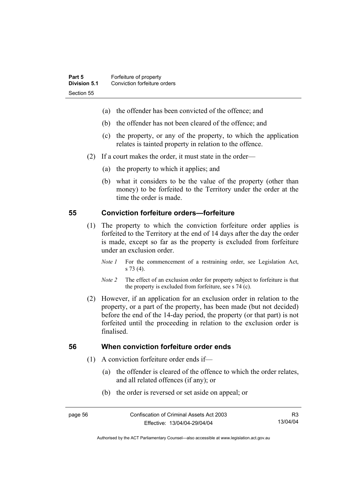- (a) the offender has been convicted of the offence; and
- (b) the offender has not been cleared of the offence; and
- (c) the property, or any of the property, to which the application relates is tainted property in relation to the offence.
- (2) If a court makes the order, it must state in the order—
	- (a) the property to which it applies; and
	- (b) what it considers to be the value of the property (other than money) to be forfeited to the Territory under the order at the time the order is made.

#### **55 Conviction forfeiture orders—forfeiture**

- (1) The property to which the conviction forfeiture order applies is forfeited to the Territory at the end of 14 days after the day the order is made, except so far as the property is excluded from forfeiture under an exclusion order.
	- *Note 1* For the commencement of a restraining order, see Legislation Act, s 73 (4).
	- *Note 2* The effect of an exclusion order for property subject to forfeiture is that the property is excluded from forfeiture, see s 74 (c).
- (2) However, if an application for an exclusion order in relation to the property, or a part of the property, has been made (but not decided) before the end of the 14-day period, the property (or that part) is not forfeited until the proceeding in relation to the exclusion order is finalised.

#### **56 When conviction forfeiture order ends**

- (1) A conviction forfeiture order ends if—
	- (a) the offender is cleared of the offence to which the order relates, and all related offences (if any); or
	- (b) the order is reversed or set aside on appeal; or

Authorised by the ACT Parliamentary Counsel—also accessible at www.legislation.act.gov.au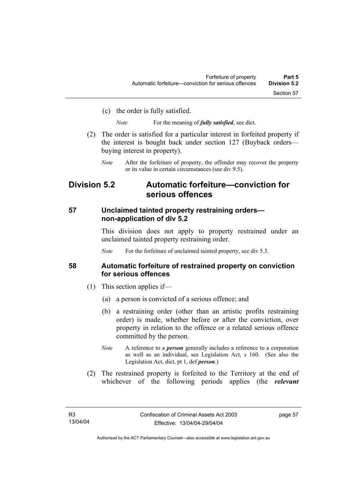(c) the order is fully satisfied.

*Note* For the meaning of *fully satisfied*, see dict.

- (2) The order is satisfied for a particular interest in forfeited property if the interest is bought back under section 127 (Buyback orders buying interest in property).
	- *Note* After the forfeiture of property, the offender may recover the property or its value in certain circumstances (see div 9.5).

# **Division 5.2 Automatic forfeiture—conviction for serious offences**

#### **57 Unclaimed tainted property restraining orders non-application of div 5.2**

This division does not apply to property restrained under an unclaimed tainted property restraining order.

*Note* For the forfeiture of unclaimed tainted property, see div 5.3.

#### **58 Automatic forfeiture of restrained property on conviction for serious offences**

- (1) This section applies if—
	- (a) a person is convicted of a serious offence; and
	- (b) a restraining order (other than an artistic profits restraining order) is made, whether before or after the conviction, over property in relation to the offence or a related serious offence committed by the person.
	- *Note* A reference to a *person* generally includes a reference to a corporation as well as an individual, see Legislation Act, s 160. (See also the Legislation Act, dict, pt 1, def *person*.)
- (2) The restrained property is forfeited to the Territory at the end of whichever of the following periods applies (the *relevant*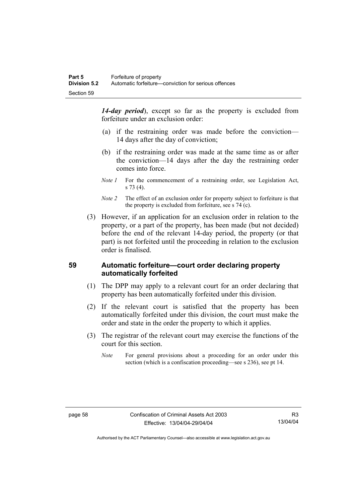*14-day period*), except so far as the property is excluded from forfeiture under an exclusion order:

- (a) if the restraining order was made before the conviction— 14 days after the day of conviction;
- (b) if the restraining order was made at the same time as or after the conviction—14 days after the day the restraining order comes into force.
- *Note 1* For the commencement of a restraining order, see Legislation Act, s 73 (4).
- *Note 2* The effect of an exclusion order for property subject to forfeiture is that the property is excluded from forfeiture, see s 74 (c).
- (3) However, if an application for an exclusion order in relation to the property, or a part of the property, has been made (but not decided) before the end of the relevant 14-day period, the property (or that part) is not forfeited until the proceeding in relation to the exclusion order is finalised.

## **59 Automatic forfeiture—court order declaring property automatically forfeited**

- (1) The DPP may apply to a relevant court for an order declaring that property has been automatically forfeited under this division.
- (2) If the relevant court is satisfied that the property has been automatically forfeited under this division, the court must make the order and state in the order the property to which it applies.
- (3) The registrar of the relevant court may exercise the functions of the court for this section.
	- *Note* For general provisions about a proceeding for an order under this section (which is a confiscation proceeding—see s 236), see pt 14.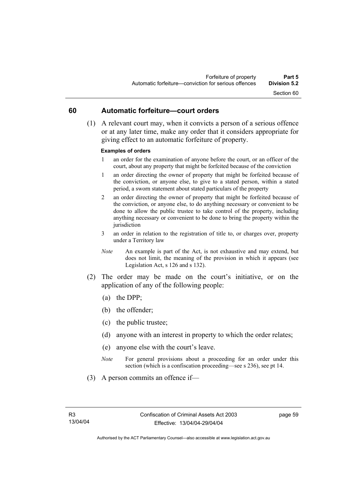#### **60 Automatic forfeiture—court orders**

 (1) A relevant court may, when it convicts a person of a serious offence or at any later time, make any order that it considers appropriate for giving effect to an automatic forfeiture of property.

#### **Examples of orders**

- 1 an order for the examination of anyone before the court, or an officer of the court, about any property that might be forfeited because of the conviction
- 1 an order directing the owner of property that might be forfeited because of the conviction, or anyone else, to give to a stated person, within a stated period, a sworn statement about stated particulars of the property
- 2 an order directing the owner of property that might be forfeited because of the conviction, or anyone else, to do anything necessary or convenient to be done to allow the public trustee to take control of the property, including anything necessary or convenient to be done to bring the property within the jurisdiction
- 3 an order in relation to the registration of title to, or charges over, property under a Territory law
- *Note* An example is part of the Act, is not exhaustive and may extend, but does not limit, the meaning of the provision in which it appears (see Legislation Act, s 126 and s 132).
- (2) The order may be made on the court's initiative, or on the application of any of the following people:
	- (a) the DPP;
	- (b) the offender;
	- (c) the public trustee;
	- (d) anyone with an interest in property to which the order relates;
	- (e) anyone else with the court's leave.
	- *Note* For general provisions about a proceeding for an order under this section (which is a confiscation proceeding—see s 236), see pt 14.
- (3) A person commits an offence if—

page 59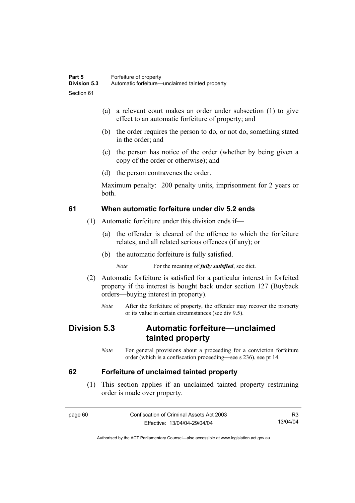- (a) a relevant court makes an order under subsection (1) to give effect to an automatic forfeiture of property; and
- (b) the order requires the person to do, or not do, something stated in the order; and
- (c) the person has notice of the order (whether by being given a copy of the order or otherwise); and
- (d) the person contravenes the order.

Maximum penalty: 200 penalty units, imprisonment for 2 years or both.

### **61 When automatic forfeiture under div 5.2 ends**

- (1) Automatic forfeiture under this division ends if—
	- (a) the offender is cleared of the offence to which the forfeiture relates, and all related serious offences (if any); or
	- (b) the automatic forfeiture is fully satisfied.

*Note* For the meaning of *fully satisfied*, see dict.

- (2) Automatic forfeiture is satisfied for a particular interest in forfeited property if the interest is bought back under section 127 (Buyback orders—buying interest in property).
	- *Note* After the forfeiture of property, the offender may recover the property or its value in certain circumstances (see div 9.5).

# **Division 5.3 Automatic forfeiture—unclaimed tainted property**

*Note* For general provisions about a proceeding for a conviction forfeiture order (which is a confiscation proceeding—see s 236), see pt 14.

#### **62 Forfeiture of unclaimed tainted property**

 (1) This section applies if an unclaimed tainted property restraining order is made over property.

page 60 Confiscation of Criminal Assets Act 2003 Effective: 13/04/04-29/04/04 R3 13/04/04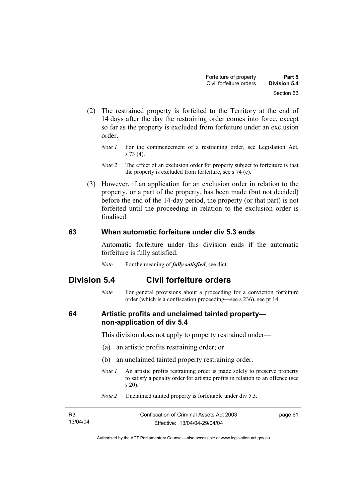- (2) The restrained property is forfeited to the Territory at the end of 14 days after the day the restraining order comes into force, except so far as the property is excluded from forfeiture under an exclusion order.
	- *Note 1* For the commencement of a restraining order, see Legislation Act, s 73 (4).
	- *Note 2* The effect of an exclusion order for property subject to forfeiture is that the property is excluded from forfeiture, see s 74 (c).
- (3) However, if an application for an exclusion order in relation to the property, or a part of the property, has been made (but not decided) before the end of the 14-day period, the property (or that part) is not forfeited until the proceeding in relation to the exclusion order is finalised.

#### **63 When automatic forfeiture under div 5.3 ends**

Automatic forfeiture under this division ends if the automatic forfeiture is fully satisfied.

*Note* For the meaning of *fully satisfied*, see dict.

# **Division 5.4 Civil forfeiture orders**

*Note* For general provisions about a proceeding for a conviction forfeiture order (which is a confiscation proceeding—see s 236), see pt 14.

### **64 Artistic profits and unclaimed tainted property non-application of div 5.4**

This division does not apply to property restrained under—

- (a) an artistic profits restraining order; or
- (b) an unclaimed tainted property restraining order.
- *Note 1* An artistic profits restraining order is made solely to preserve property to satisfy a penalty order for artistic profits in relation to an offence (see s 20).
- *Note 2* Unclaimed tainted property is forfeitable under div 5.3.

| R3       | Confiscation of Criminal Assets Act 2003 | page 61 |
|----------|------------------------------------------|---------|
| 13/04/04 | Effective: 13/04/04-29/04/04             |         |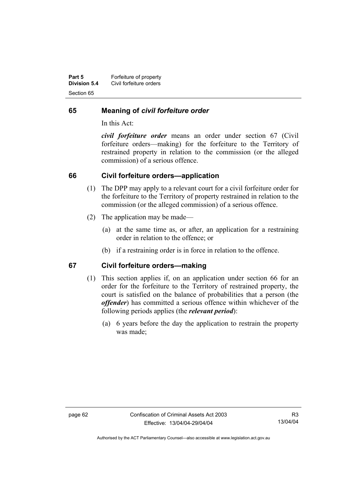| Part 5              | Forfeiture of property  |
|---------------------|-------------------------|
| <b>Division 5.4</b> | Civil forfeiture orders |
| Section 65          |                         |

#### **65 Meaning of** *civil forfeiture order*

In this Act:

*civil forfeiture order* means an order under section 67 (Civil forfeiture orders—making) for the forfeiture to the Territory of restrained property in relation to the commission (or the alleged commission) of a serious offence.

#### **66 Civil forfeiture orders—application**

- (1) The DPP may apply to a relevant court for a civil forfeiture order for the forfeiture to the Territory of property restrained in relation to the commission (or the alleged commission) of a serious offence.
- (2) The application may be made—
	- (a) at the same time as, or after, an application for a restraining order in relation to the offence; or
	- (b) if a restraining order is in force in relation to the offence.

#### **67 Civil forfeiture orders—making**

- (1) This section applies if, on an application under section 66 for an order for the forfeiture to the Territory of restrained property, the court is satisfied on the balance of probabilities that a person (the *offender*) has committed a serious offence within whichever of the following periods applies (the *relevant period*):
	- (a) 6 years before the day the application to restrain the property was made;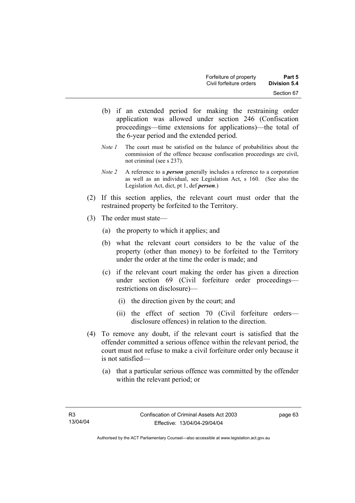- (b) if an extended period for making the restraining order application was allowed under section 246 (Confiscation proceedings—time extensions for applications)—the total of the 6-year period and the extended period.
- *Note 1* The court must be satisfied on the balance of probabilities about the commission of the offence because confiscation proceedings are civil, not criminal (see s 237).
- *Note 2* A reference to a *person* generally includes a reference to a corporation as well as an individual, see Legislation Act, s 160. (See also the Legislation Act, dict, pt 1, def *person*.)
- (2) If this section applies, the relevant court must order that the restrained property be forfeited to the Territory.
- (3) The order must state—
	- (a) the property to which it applies; and
	- (b) what the relevant court considers to be the value of the property (other than money) to be forfeited to the Territory under the order at the time the order is made; and
	- (c) if the relevant court making the order has given a direction under section 69 (Civil forfeiture order proceedings restrictions on disclosure)—
		- (i) the direction given by the court; and
		- (ii) the effect of section 70 (Civil forfeiture orders disclosure offences) in relation to the direction.
- (4) To remove any doubt, if the relevant court is satisfied that the offender committed a serious offence within the relevant period, the court must not refuse to make a civil forfeiture order only because it is not satisfied—
	- (a) that a particular serious offence was committed by the offender within the relevant period; or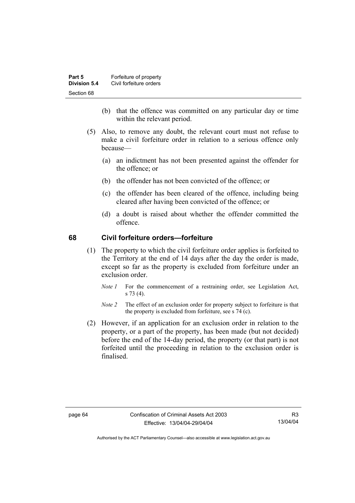| Part 5       | Forfeiture of property  |
|--------------|-------------------------|
| Division 5.4 | Civil forfeiture orders |
| Section 68   |                         |

- (b) that the offence was committed on any particular day or time within the relevant period.
- (5) Also, to remove any doubt, the relevant court must not refuse to make a civil forfeiture order in relation to a serious offence only because—
	- (a) an indictment has not been presented against the offender for the offence; or
	- (b) the offender has not been convicted of the offence; or
	- (c) the offender has been cleared of the offence, including being cleared after having been convicted of the offence; or
	- (d) a doubt is raised about whether the offender committed the offence.

#### **68 Civil forfeiture orders—forfeiture**

- (1) The property to which the civil forfeiture order applies is forfeited to the Territory at the end of 14 days after the day the order is made, except so far as the property is excluded from forfeiture under an exclusion order.
	- *Note 1* For the commencement of a restraining order, see Legislation Act, s 73 (4).
	- *Note 2* The effect of an exclusion order for property subject to forfeiture is that the property is excluded from forfeiture, see s 74 (c).
- (2) However, if an application for an exclusion order in relation to the property, or a part of the property, has been made (but not decided) before the end of the 14-day period, the property (or that part) is not forfeited until the proceeding in relation to the exclusion order is finalised.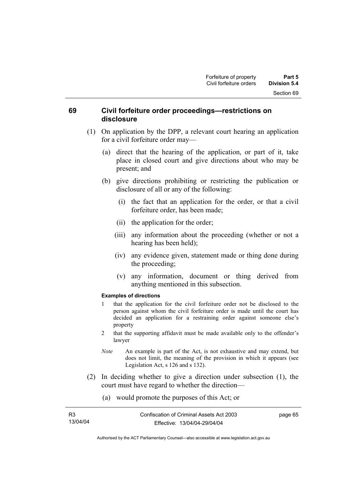#### **69 Civil forfeiture order proceedings—restrictions on disclosure**

- (1) On application by the DPP, a relevant court hearing an application for a civil forfeiture order may—
	- (a) direct that the hearing of the application, or part of it, take place in closed court and give directions about who may be present; and
	- (b) give directions prohibiting or restricting the publication or disclosure of all or any of the following:
		- (i) the fact that an application for the order, or that a civil forfeiture order, has been made;
		- (ii) the application for the order;
		- (iii) any information about the proceeding (whether or not a hearing has been held);
		- (iv) any evidence given, statement made or thing done during the proceeding;
		- (v) any information, document or thing derived from anything mentioned in this subsection.

#### **Examples of directions**

- 1 that the application for the civil forfeiture order not be disclosed to the person against whom the civil forfeiture order is made until the court has decided an application for a restraining order against someone else's property
- 2 that the supporting affidavit must be made available only to the offender's lawyer
- *Note* An example is part of the Act, is not exhaustive and may extend, but does not limit, the meaning of the provision in which it appears (see Legislation Act, s 126 and s 132).
- (2) In deciding whether to give a direction under subsection (1), the court must have regard to whether the direction—
	- (a) would promote the purposes of this Act; or

| R3       | Confiscation of Criminal Assets Act 2003 |
|----------|------------------------------------------|
| 13/04/04 | Effective: 13/04/04-29/04/04             |

page 65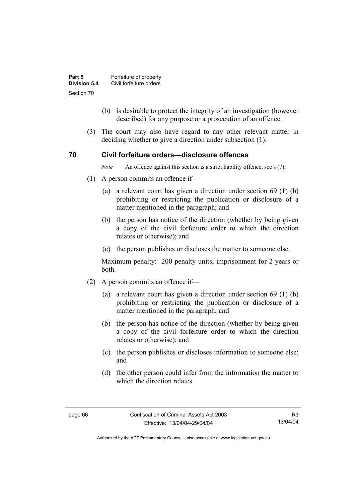| Part 5       | Forfeiture of property  |
|--------------|-------------------------|
| Division 5.4 | Civil forfeiture orders |
| Section 70   |                         |

- (b) is desirable to protect the integrity of an investigation (however described) for any purpose or a prosecution of an offence.
- (3) The court may also have regard to any other relevant matter in deciding whether to give a direction under subsection (1).

#### **70 Civil forfeiture orders—disclosure offences**

*Note* An offence against this section is a strict liability offence, see s (7).

- (1) A person commits an offence if—
	- (a) a relevant court has given a direction under section 69 (1) (b) prohibiting or restricting the publication or disclosure of a matter mentioned in the paragraph; and
	- (b) the person has notice of the direction (whether by being given a copy of the civil forfeiture order to which the direction relates or otherwise); and
	- (c) the person publishes or discloses the matter to someone else.

Maximum penalty: 200 penalty units, imprisonment for 2 years or both.

- (2) A person commits an offence if—
	- (a) a relevant court has given a direction under section 69 (1) (b) prohibiting or restricting the publication or disclosure of a matter mentioned in the paragraph; and
	- (b) the person has notice of the direction (whether by being given a copy of the civil forfeiture order to which the direction relates or otherwise); and
	- (c) the person publishes or discloses information to someone else; and
	- (d) the other person could infer from the information the matter to which the direction relates.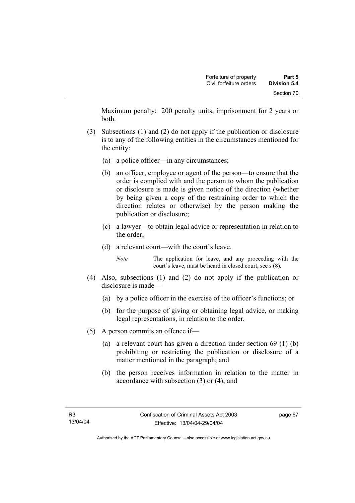Maximum penalty: 200 penalty units, imprisonment for 2 years or both.

- (3) Subsections (1) and (2) do not apply if the publication or disclosure is to any of the following entities in the circumstances mentioned for the entity:
	- (a) a police officer—in any circumstances;
	- (b) an officer, employee or agent of the person—to ensure that the order is complied with and the person to whom the publication or disclosure is made is given notice of the direction (whether by being given a copy of the restraining order to which the direction relates or otherwise) by the person making the publication or disclosure;
	- (c) a lawyer—to obtain legal advice or representation in relation to the order;
	- (d) a relevant court—with the court's leave.

*Note* The application for leave, and any proceeding with the court's leave, must be heard in closed court, see s (8).

- (4) Also, subsections (1) and (2) do not apply if the publication or disclosure is made—
	- (a) by a police officer in the exercise of the officer's functions; or
	- (b) for the purpose of giving or obtaining legal advice, or making legal representations, in relation to the order.
- (5) A person commits an offence if—
	- (a) a relevant court has given a direction under section 69 (1) (b) prohibiting or restricting the publication or disclosure of a matter mentioned in the paragraph; and
	- (b) the person receives information in relation to the matter in accordance with subsection (3) or (4); and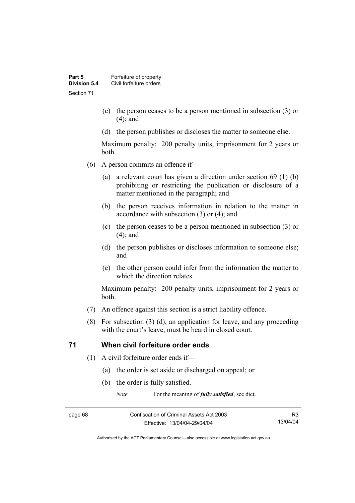- (c) the person ceases to be a person mentioned in subsection (3) or (4); and
- (d) the person publishes or discloses the matter to someone else.

Maximum penalty: 200 penalty units, imprisonment for 2 years or both.

- (6) A person commits an offence if—
	- (a) a relevant court has given a direction under section 69 (1) (b) prohibiting or restricting the publication or disclosure of a matter mentioned in the paragraph; and
	- (b) the person receives information in relation to the matter in accordance with subsection (3) or (4); and
	- (c) the person ceases to be a person mentioned in subsection (3) or (4); and
	- (d) the person publishes or discloses information to someone else; and
	- (e) the other person could infer from the information the matter to which the direction relates.

Maximum penalty: 200 penalty units, imprisonment for 2 years or both.

- (7) An offence against this section is a strict liability offence.
- (8) For subsection (3) (d), an application for leave, and any proceeding with the court's leave, must be heard in closed court.

#### **71 When civil forfeiture order ends**

- (1) A civil forfeiture order ends if—
	- (a) the order is set aside or discharged on appeal; or
	- (b) the order is fully satisfied.

*Note* For the meaning of *fully satisfied*, see dict.

page 68 Confiscation of Criminal Assets Act 2003 Effective: 13/04/04-29/04/04

R3 13/04/04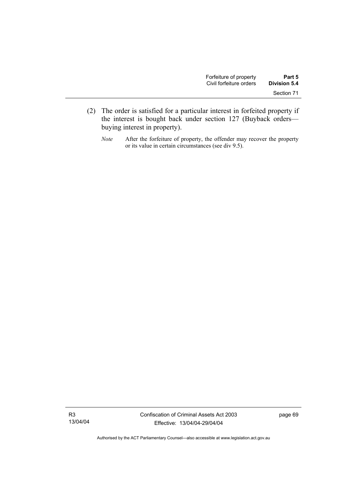- (2) The order is satisfied for a particular interest in forfeited property if the interest is bought back under section 127 (Buyback orders buying interest in property).
	- *Note* After the forfeiture of property, the offender may recover the property or its value in certain circumstances (see div 9.5).

R3 13/04/04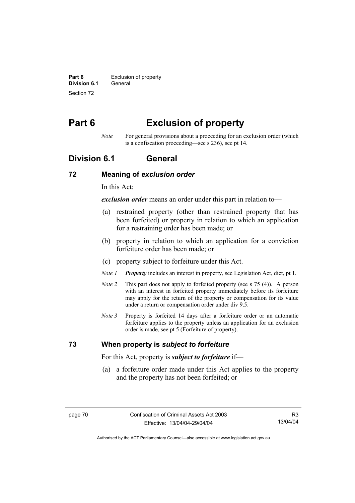**Part 6 Exclusion of property Division 6.1** General Section 72

# **Part 6 Exclusion of property**

*Note* For general provisions about a proceeding for an exclusion order (which is a confiscation proceeding—see s 236), see pt 14.

### **Division 6.1 General**

#### **72 Meaning of** *exclusion order*

In this Act:

*exclusion order* means an order under this part in relation to—

- (a) restrained property (other than restrained property that has been forfeited) or property in relation to which an application for a restraining order has been made; or
- (b) property in relation to which an application for a conviction forfeiture order has been made; or
- (c) property subject to forfeiture under this Act.
- *Note 1 Property* includes an interest in property, see Legislation Act, dict, pt 1.
- *Note 2* This part does not apply to forfeited property (see s 75 (4)). A person with an interest in forfeited property immediately before its forfeiture may apply for the return of the property or compensation for its value under a return or compensation order under div 9.5.
- *Note 3* Property is forfeited 14 days after a forfeiture order or an automatic forfeiture applies to the property unless an application for an exclusion order is made, see pt 5 (Forfeiture of property).

#### **73 When property is** *subject to forfeiture*

For this Act, property is *subject to forfeiture* if—

 (a) a forfeiture order made under this Act applies to the property and the property has not been forfeited; or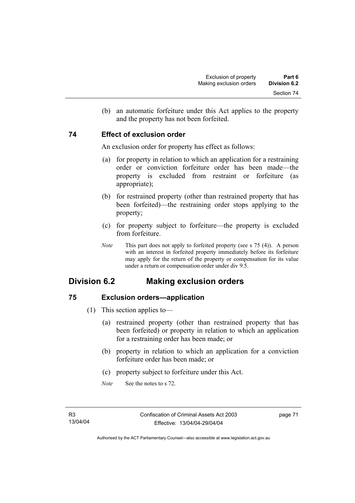(b) an automatic forfeiture under this Act applies to the property and the property has not been forfeited.

#### **74 Effect of exclusion order**

An exclusion order for property has effect as follows:

- (a) for property in relation to which an application for a restraining order or conviction forfeiture order has been made—the property is excluded from restraint or forfeiture (as appropriate);
- (b) for restrained property (other than restrained property that has been forfeited)—the restraining order stops applying to the property;
- (c) for property subject to forfeiture—the property is excluded from forfeiture.
- *Note* This part does not apply to forfeited property (see s 75 (4)). A person with an interest in forfeited property immediately before its forfeiture may apply for the return of the property or compensation for its value under a return or compensation order under div 9.5.

# **Division 6.2 Making exclusion orders**

### **75 Exclusion orders—application**

- (1) This section applies to—
	- (a) restrained property (other than restrained property that has been forfeited) or property in relation to which an application for a restraining order has been made; or
	- (b) property in relation to which an application for a conviction forfeiture order has been made; or
	- (c) property subject to forfeiture under this Act.
	- *Note* See the notes to s 72.

page 71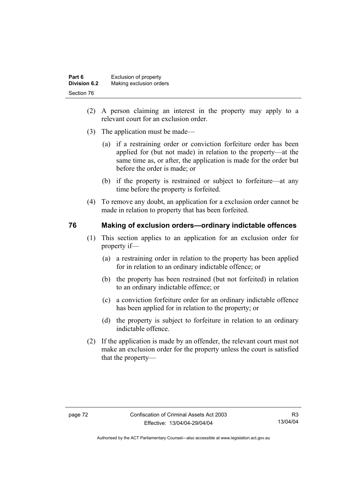| Part 6              | Exclusion of property   |
|---------------------|-------------------------|
| <b>Division 6.2</b> | Making exclusion orders |
| Section 76          |                         |

- (2) A person claiming an interest in the property may apply to a relevant court for an exclusion order.
- (3) The application must be made—
	- (a) if a restraining order or conviction forfeiture order has been applied for (but not made) in relation to the property—at the same time as, or after, the application is made for the order but before the order is made; or
	- (b) if the property is restrained or subject to forfeiture—at any time before the property is forfeited.
- (4) To remove any doubt, an application for a exclusion order cannot be made in relation to property that has been forfeited.

#### **76 Making of exclusion orders—ordinary indictable offences**

- (1) This section applies to an application for an exclusion order for property if—
	- (a) a restraining order in relation to the property has been applied for in relation to an ordinary indictable offence; or
	- (b) the property has been restrained (but not forfeited) in relation to an ordinary indictable offence; or
	- (c) a conviction forfeiture order for an ordinary indictable offence has been applied for in relation to the property; or
	- (d) the property is subject to forfeiture in relation to an ordinary indictable offence.
- (2) If the application is made by an offender, the relevant court must not make an exclusion order for the property unless the court is satisfied that the property—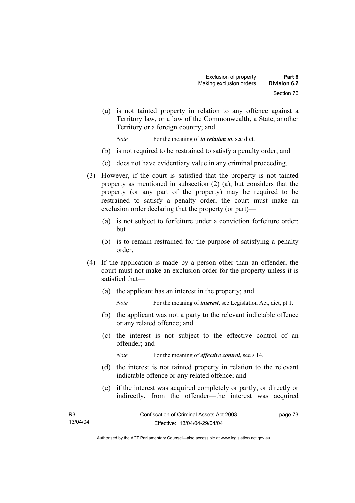(a) is not tainted property in relation to any offence against a Territory law, or a law of the Commonwealth, a State, another Territory or a foreign country; and

*Note* For the meaning of *in relation to*, see dict.

- (b) is not required to be restrained to satisfy a penalty order; and
- (c) does not have evidentiary value in any criminal proceeding.
- (3) However, if the court is satisfied that the property is not tainted property as mentioned in subsection (2) (a), but considers that the property (or any part of the property) may be required to be restrained to satisfy a penalty order, the court must make an exclusion order declaring that the property (or part)—
	- (a) is not subject to forfeiture under a conviction forfeiture order; but
	- (b) is to remain restrained for the purpose of satisfying a penalty order.
- (4) If the application is made by a person other than an offender, the court must not make an exclusion order for the property unless it is satisfied that—
	- (a) the applicant has an interest in the property; and
		- *Note* For the meaning of *interest*, see Legislation Act, dict, pt 1.
	- (b) the applicant was not a party to the relevant indictable offence or any related offence; and
	- (c) the interest is not subject to the effective control of an offender; and

*Note* For the meaning of *effective control*, see s 14.

- (d) the interest is not tainted property in relation to the relevant indictable offence or any related offence; and
- (e) if the interest was acquired completely or partly, or directly or indirectly, from the offender—the interest was acquired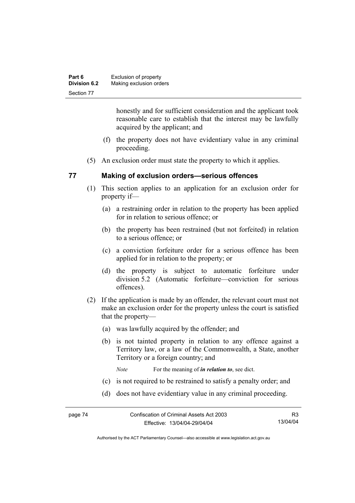| Part 6              | Exclusion of property   |
|---------------------|-------------------------|
| <b>Division 6.2</b> | Making exclusion orders |
| Section 77          |                         |

honestly and for sufficient consideration and the applicant took reasonable care to establish that the interest may be lawfully acquired by the applicant; and

- (f) the property does not have evidentiary value in any criminal proceeding.
- (5) An exclusion order must state the property to which it applies.

#### **77 Making of exclusion orders—serious offences**

- (1) This section applies to an application for an exclusion order for property if—
	- (a) a restraining order in relation to the property has been applied for in relation to serious offence; or
	- (b) the property has been restrained (but not forfeited) in relation to a serious offence; or
	- (c) a conviction forfeiture order for a serious offence has been applied for in relation to the property; or
	- (d) the property is subject to automatic forfeiture under division 5.2 (Automatic forfeiture—conviction for serious offences).
- (2) If the application is made by an offender, the relevant court must not make an exclusion order for the property unless the court is satisfied that the property—
	- (a) was lawfully acquired by the offender; and
	- (b) is not tainted property in relation to any offence against a Territory law, or a law of the Commonwealth, a State, another Territory or a foreign country; and
		- *Note* For the meaning of *in relation to*, see dict.
	- (c) is not required to be restrained to satisfy a penalty order; and
	- (d) does not have evidentiary value in any criminal proceeding.

R3 13/04/04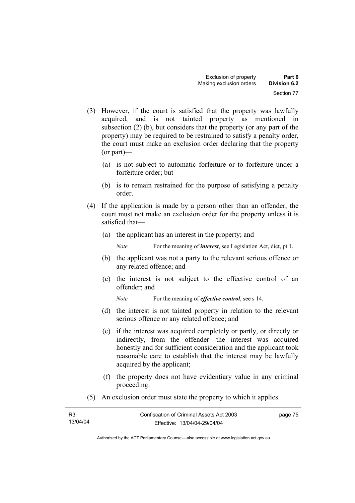- (3) However, if the court is satisfied that the property was lawfully acquired, and is not tainted property as mentioned in subsection (2) (b), but considers that the property (or any part of the property) may be required to be restrained to satisfy a penalty order, the court must make an exclusion order declaring that the property (or part)—
	- (a) is not subject to automatic forfeiture or to forfeiture under a forfeiture order; but
	- (b) is to remain restrained for the purpose of satisfying a penalty order.
- (4) If the application is made by a person other than an offender, the court must not make an exclusion order for the property unless it is satisfied that—
	- (a) the applicant has an interest in the property; and

*Note* For the meaning of *interest*, see Legislation Act, dict, pt 1.

- (b) the applicant was not a party to the relevant serious offence or any related offence; and
- (c) the interest is not subject to the effective control of an offender; and

*Note* For the meaning of *effective control*, see s 14.

- (d) the interest is not tainted property in relation to the relevant serious offence or any related offence; and
- (e) if the interest was acquired completely or partly, or directly or indirectly, from the offender—the interest was acquired honestly and for sufficient consideration and the applicant took reasonable care to establish that the interest may be lawfully acquired by the applicant;
- (f) the property does not have evidentiary value in any criminal proceeding.
- (5) An exclusion order must state the property to which it applies.

| R3       | Confiscation of Criminal Assets Act 2003 | page 75 |
|----------|------------------------------------------|---------|
| 13/04/04 | Effective: 13/04/04-29/04/04             |         |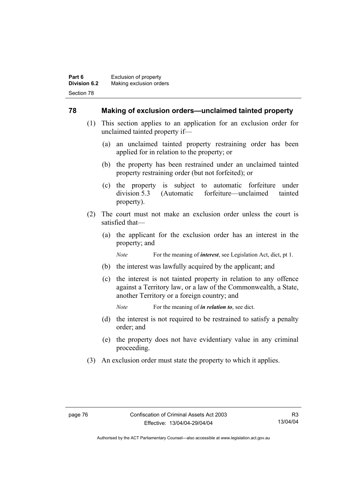#### **78 Making of exclusion orders—unclaimed tainted property**

- (1) This section applies to an application for an exclusion order for unclaimed tainted property if—
	- (a) an unclaimed tainted property restraining order has been applied for in relation to the property; or
	- (b) the property has been restrained under an unclaimed tainted property restraining order (but not forfeited); or
	- (c) the property is subject to automatic forfeiture under division 5.3 (Automatic forfeiture—unclaimed tainted property).
- (2) The court must not make an exclusion order unless the court is satisfied that—
	- (a) the applicant for the exclusion order has an interest in the property; and

*Note* For the meaning of *interest*, see Legislation Act, dict, pt 1.

- (b) the interest was lawfully acquired by the applicant; and
- (c) the interest is not tainted property in relation to any offence against a Territory law, or a law of the Commonwealth, a State, another Territory or a foreign country; and

*Note* For the meaning of *in relation to*, see dict.

- (d) the interest is not required to be restrained to satisfy a penalty order; and
- (e) the property does not have evidentiary value in any criminal proceeding.
- (3) An exclusion order must state the property to which it applies.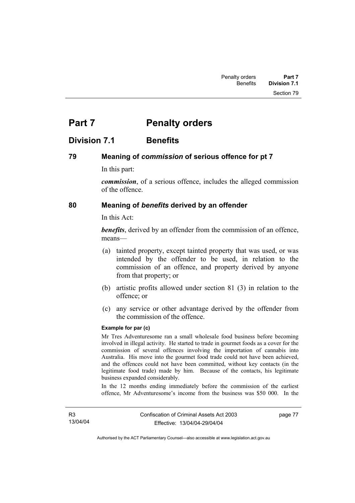# **Part 7** Penalty orders

### **Division 7.1 Benefits**

#### **79 Meaning of** *commission* **of serious offence for pt 7**

In this part:

*commission*, of a serious offence, includes the alleged commission of the offence.

#### **80 Meaning of** *benefits* **derived by an offender**

In this Act:

*benefits*, derived by an offender from the commission of an offence, means—

- (a) tainted property, except tainted property that was used, or was intended by the offender to be used, in relation to the commission of an offence, and property derived by anyone from that property; or
- (b) artistic profits allowed under section 81 (3) in relation to the offence; or
- (c) any service or other advantage derived by the offender from the commission of the offence.

#### **Example for par (c)**

Mr Tres Adventuresome ran a small wholesale food business before becoming involved in illegal activity. He started to trade in gourmet foods as a cover for the commission of several offences involving the importation of cannabis into Australia. His move into the gourmet food trade could not have been achieved, and the offences could not have been committed, without key contacts (in the legitimate food trade) made by him. Because of the contacts, his legitimate business expanded considerably.

In the 12 months ending immediately before the commission of the earliest offence, Mr Adventuresome's income from the business was \$50 000. In the

page 77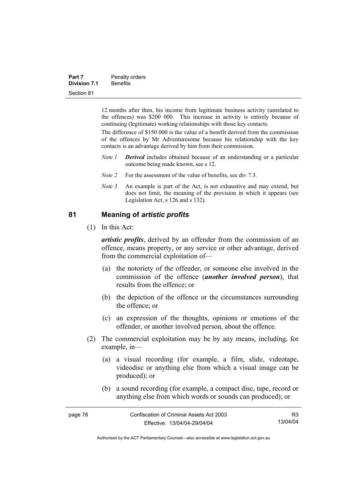| Part 7              | Penalty orders  |
|---------------------|-----------------|
| <b>Division 7.1</b> | <b>Benefits</b> |
| Section 81          |                 |

12 months after then, his income from legitimate business activity (unrelated to the offences) was \$200 000. This increase in activity is entirely because of continuing (legitimate) working relationships with those key contacts.

The difference of \$150 000 is the value of a benefit derived from the commission of the offences by Mr Adventuresome because his relationship with the key contacts is an advantage derived by him from their commission.

- *Note 1 Derived* includes obtained because of an understanding or a particular outcome being made known, see s 12.
- *Note 2* For the assessment of the value of benefits, see div 7.3.
- *Note 3* An example is part of the Act, is not exhaustive and may extend, but does not limit, the meaning of the provision in which it appears (see Legislation Act, s 126 and s 132).

#### **81 Meaning of** *artistic profits*

(1) In this Act:

*artistic profits*, derived by an offender from the commission of an offence, means property, or any service or other advantage, derived from the commercial exploitation of—

- (a) the notoriety of the offender, or someone else involved in the commission of the offence (*another involved person*), that results from the offence; or
- (b) the depiction of the offence or the circumstances surrounding the offence; or
- (c) an expression of the thoughts, opinions or emotions of the offender, or another involved person, about the offence.
- (2) The commercial exploitation may be by any means, including, for example, in—
	- (a) a visual recording (for example, a film, slide, videotape, videodisc or anything else from which a visual image can be produced); or
	- (b) a sound recording (for example, a compact disc, tape, record or anything else from which words or sounds can produced); or

| page 78 | Confiscation of Criminal Assets Act 2003 | R3       |
|---------|------------------------------------------|----------|
|         | Effective: 13/04/04-29/04/04             | 13/04/04 |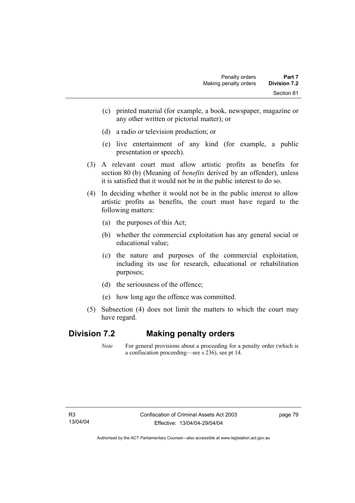- (c) printed material (for example, a book, newspaper, magazine or any other written or pictorial matter); or
- (d) a radio or television production; or
- (e) live entertainment of any kind (for example, a public presentation or speech).
- (3) A relevant court must allow artistic profits as benefits for section 80 (b) (Meaning of *benefits* derived by an offender), unless it is satisfied that it would not be in the public interest to do so.
- (4) In deciding whether it would not be in the public interest to allow artistic profits as benefits, the court must have regard to the following matters:
	- (a) the purposes of this Act;
	- (b) whether the commercial exploitation has any general social or educational value;
	- (c) the nature and purposes of the commercial exploitation, including its use for research, educational or rehabilitation purposes;
	- (d) the seriousness of the offence;
	- (e) how long ago the offence was committed.
- (5) Subsection (4) does not limit the matters to which the court may have regard.

## **Division 7.2 Making penalty orders**

*Note* For general provisions about a proceeding for a penalty order (which is a confiscation proceeding—see s 236), see pt 14.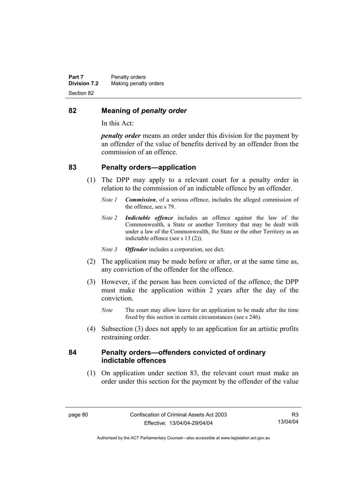#### **82 Meaning of** *penalty order*

In this Act:

*penalty order* means an order under this division for the payment by an offender of the value of benefits derived by an offender from the commission of an offence.

#### **83 Penalty orders—application**

- (1) The DPP may apply to a relevant court for a penalty order in relation to the commission of an indictable offence by an offender.
	- *Note 1 Commission*, of a serious offence, includes the alleged commission of the offence, see s 79.
	- *Note 2 Indictable offence* includes an offence against the law of the Commonwealth, a State or another Territory that may be dealt with under a law of the Commonwealth, the State or the other Territory as an indictable offence (see s 13 (2)).
	- *Note 3 Offender* includes a corporation, see dict.
- (2) The application may be made before or after, or at the same time as, any conviction of the offender for the offence.
- (3) However, if the person has been convicted of the offence, the DPP must make the application within 2 years after the day of the conviction.
	- *Note* The court may allow leave for an application to be made after the time fixed by this section in certain circumstances (see s 246).
- (4) Subsection (3) does not apply to an application for an artistic profits restraining order.

#### **84 Penalty orders—offenders convicted of ordinary indictable offences**

 (1) On application under section 83, the relevant court must make an order under this section for the payment by the offender of the value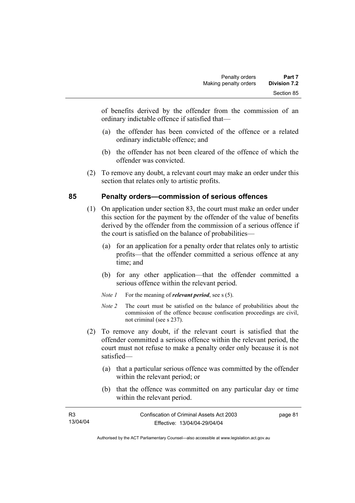of benefits derived by the offender from the commission of an ordinary indictable offence if satisfied that—

- (a) the offender has been convicted of the offence or a related ordinary indictable offence; and
- (b) the offender has not been cleared of the offence of which the offender was convicted.
- (2) To remove any doubt, a relevant court may make an order under this section that relates only to artistic profits.

### **85 Penalty orders—commission of serious offences**

- (1) On application under section 83, the court must make an order under this section for the payment by the offender of the value of benefits derived by the offender from the commission of a serious offence if the court is satisfied on the balance of probabilities—
	- (a) for an application for a penalty order that relates only to artistic profits—that the offender committed a serious offence at any time; and
	- (b) for any other application—that the offender committed a serious offence within the relevant period.
	- *Note 1* For the meaning of *relevant period*, see s (5).
	- *Note 2* The court must be satisfied on the balance of probabilities about the commission of the offence because confiscation proceedings are civil, not criminal (see s 237).
- (2) To remove any doubt, if the relevant court is satisfied that the offender committed a serious offence within the relevant period, the court must not refuse to make a penalty order only because it is not satisfied—
	- (a) that a particular serious offence was committed by the offender within the relevant period; or
	- (b) that the offence was committed on any particular day or time within the relevant period.

| R3       | Confiscation of Criminal Assets Act 2003 | page 81 |
|----------|------------------------------------------|---------|
| 13/04/04 | Effective: 13/04/04-29/04/04             |         |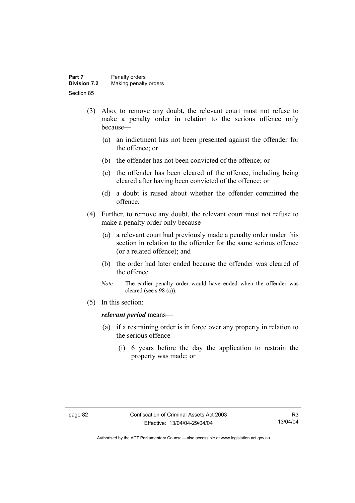| Part 7              | Penalty orders        |
|---------------------|-----------------------|
| <b>Division 7.2</b> | Making penalty orders |
| Section 85          |                       |

- (3) Also, to remove any doubt, the relevant court must not refuse to make a penalty order in relation to the serious offence only because—
	- (a) an indictment has not been presented against the offender for the offence; or
	- (b) the offender has not been convicted of the offence; or
	- (c) the offender has been cleared of the offence, including being cleared after having been convicted of the offence; or
	- (d) a doubt is raised about whether the offender committed the offence.
- (4) Further, to remove any doubt, the relevant court must not refuse to make a penalty order only because—
	- (a) a relevant court had previously made a penalty order under this section in relation to the offender for the same serious offence (or a related offence); and
	- (b) the order had later ended because the offender was cleared of the offence.
	- *Note* The earlier penalty order would have ended when the offender was cleared (see s 98 (a)).
- (5) In this section:

#### *relevant period* means—

- (a) if a restraining order is in force over any property in relation to the serious offence—
	- (i) 6 years before the day the application to restrain the property was made; or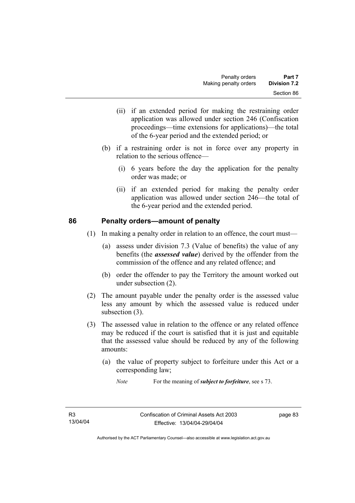- (ii) if an extended period for making the restraining order application was allowed under section 246 (Confiscation proceedings—time extensions for applications)—the total of the 6-year period and the extended period; or
- (b) if a restraining order is not in force over any property in relation to the serious offence—
	- (i) 6 years before the day the application for the penalty order was made; or
	- (ii) if an extended period for making the penalty order application was allowed under section 246—the total of the 6-year period and the extended period.

#### **86 Penalty orders—amount of penalty**

- (1) In making a penalty order in relation to an offence, the court must—
	- (a) assess under division 7.3 (Value of benefits) the value of any benefits (the *assessed value*) derived by the offender from the commission of the offence and any related offence; and
	- (b) order the offender to pay the Territory the amount worked out under subsection (2).
- (2) The amount payable under the penalty order is the assessed value less any amount by which the assessed value is reduced under subsection (3).
- (3) The assessed value in relation to the offence or any related offence may be reduced if the court is satisfied that it is just and equitable that the assessed value should be reduced by any of the following amounts:
	- (a) the value of property subject to forfeiture under this Act or a corresponding law;
		- *Note* For the meaning of *subject to forfeiture*, see s 73.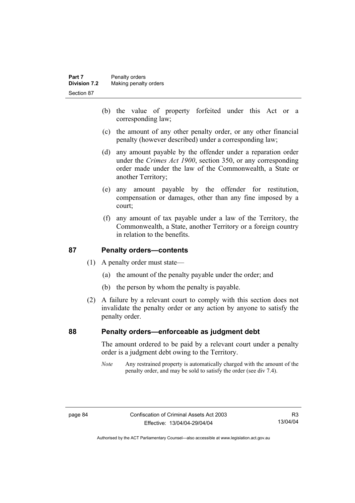- (b) the value of property forfeited under this Act or a corresponding law;
- (c) the amount of any other penalty order, or any other financial penalty (however described) under a corresponding law;
- (d) any amount payable by the offender under a reparation order under the *Crimes Act 1900*, section 350, or any corresponding order made under the law of the Commonwealth, a State or another Territory;
- (e) any amount payable by the offender for restitution, compensation or damages, other than any fine imposed by a court;
- (f) any amount of tax payable under a law of the Territory, the Commonwealth, a State, another Territory or a foreign country in relation to the benefits.

#### **87 Penalty orders—contents**

- (1) A penalty order must state—
	- (a) the amount of the penalty payable under the order; and
	- (b) the person by whom the penalty is payable.
- (2) A failure by a relevant court to comply with this section does not invalidate the penalty order or any action by anyone to satisfy the penalty order.

#### **88 Penalty orders—enforceable as judgment debt**

The amount ordered to be paid by a relevant court under a penalty order is a judgment debt owing to the Territory.

*Note* Any restrained property is automatically charged with the amount of the penalty order, and may be sold to satisfy the order (see div 7.4).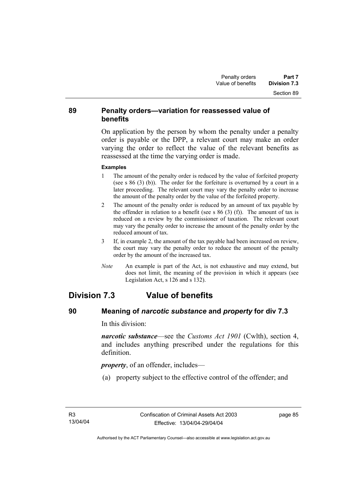#### **89 Penalty orders—variation for reassessed value of benefits**

On application by the person by whom the penalty under a penalty order is payable or the DPP, a relevant court may make an order varying the order to reflect the value of the relevant benefits as reassessed at the time the varying order is made.

#### **Examples**

- 1 The amount of the penalty order is reduced by the value of forfeited property (see s 86 (3) (b)). The order for the forfeiture is overturned by a court in a later proceeding. The relevant court may vary the penalty order to increase the amount of the penalty order by the value of the forfeited property.
- 2 The amount of the penalty order is reduced by an amount of tax payable by the offender in relation to a benefit (see s  $86$  (3) (f)). The amount of tax is reduced on a review by the commissioner of taxation. The relevant court may vary the penalty order to increase the amount of the penalty order by the reduced amount of tax.
- 3 If, in example 2, the amount of the tax payable had been increased on review, the court may vary the penalty order to reduce the amount of the penalty order by the amount of the increased tax.
- *Note* An example is part of the Act, is not exhaustive and may extend, but does not limit, the meaning of the provision in which it appears (see Legislation Act, s 126 and s 132).

# **Division 7.3 Value of benefits**

### **90 Meaning of** *narcotic substance* **and** *property* **for div 7.3**

In this division:

*narcotic substance*—see the *Customs Act 1901* (Cwlth), section 4, and includes anything prescribed under the regulations for this definition.

*property*, of an offender, includes—

(a) property subject to the effective control of the offender; and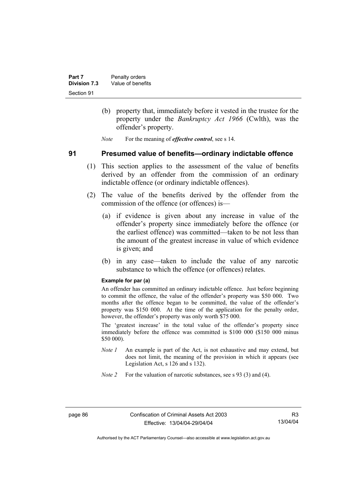- (b) property that, immediately before it vested in the trustee for the property under the *Bankruptcy Act 1966* (Cwlth), was the offender's property.
- *Note* For the meaning of *effective control*, see s 14.

#### **91 Presumed value of benefits—ordinary indictable offence**

- (1) This section applies to the assessment of the value of benefits derived by an offender from the commission of an ordinary indictable offence (or ordinary indictable offences).
- (2) The value of the benefits derived by the offender from the commission of the offence (or offences) is—
	- (a) if evidence is given about any increase in value of the offender's property since immediately before the offence (or the earliest offence) was committed—taken to be not less than the amount of the greatest increase in value of which evidence is given; and
	- (b) in any case—taken to include the value of any narcotic substance to which the offence (or offences) relates.

#### **Example for par (a)**

An offender has committed an ordinary indictable offence. Just before beginning to commit the offence, the value of the offender's property was \$50 000. Two months after the offence began to be committed, the value of the offender's property was \$150 000. At the time of the application for the penalty order, however, the offender's property was only worth \$75 000.

The 'greatest increase' in the total value of the offender's property since immediately before the offence was committed is \$100 000 (\$150 000 minus \$50 000).

- *Note 1* An example is part of the Act, is not exhaustive and may extend, but does not limit, the meaning of the provision in which it appears (see Legislation Act, s 126 and s 132).
- *Note 2* For the valuation of narcotic substances, see s 93 (3) and (4).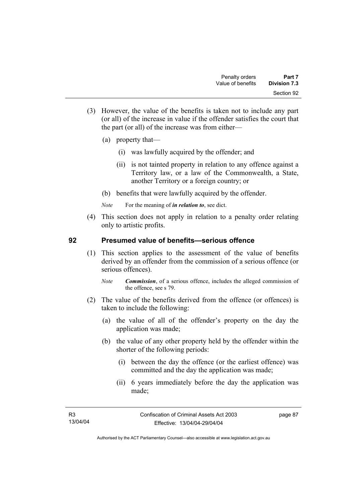- (3) However, the value of the benefits is taken not to include any part (or all) of the increase in value if the offender satisfies the court that the part (or all) of the increase was from either—
	- (a) property that—
		- (i) was lawfully acquired by the offender; and
		- (ii) is not tainted property in relation to any offence against a Territory law, or a law of the Commonwealth, a State, another Territory or a foreign country; or
	- (b) benefits that were lawfully acquired by the offender.
	- *Note* For the meaning of *in relation to*, see dict.
- (4) This section does not apply in relation to a penalty order relating only to artistic profits.

#### **92 Presumed value of benefits—serious offence**

- (1) This section applies to the assessment of the value of benefits derived by an offender from the commission of a serious offence (or serious offences).
	- *Note Commission*, of a serious offence, includes the alleged commission of the offence, see s 79.
- (2) The value of the benefits derived from the offence (or offences) is taken to include the following:
	- (a) the value of all of the offender's property on the day the application was made;
	- (b) the value of any other property held by the offender within the shorter of the following periods:
		- (i) between the day the offence (or the earliest offence) was committed and the day the application was made;
		- (ii) 6 years immediately before the day the application was made;

page 87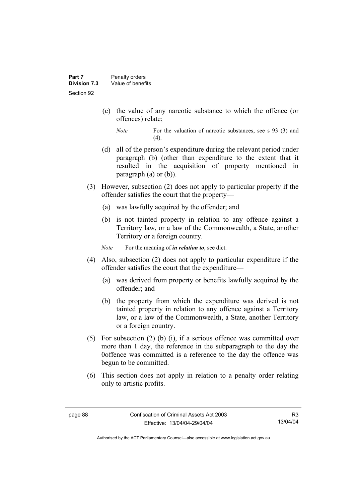- (c) the value of any narcotic substance to which the offence (or offences) relate;
	- *Note* For the valuation of narcotic substances, see s 93 (3) and  $(4)$ .
- (d) all of the person's expenditure during the relevant period under paragraph (b) (other than expenditure to the extent that it resulted in the acquisition of property mentioned in paragraph (a) or (b)).
- (3) However, subsection (2) does not apply to particular property if the offender satisfies the court that the property—
	- (a) was lawfully acquired by the offender; and
	- (b) is not tainted property in relation to any offence against a Territory law, or a law of the Commonwealth, a State, another Territory or a foreign country.

*Note* For the meaning of *in relation to*, see dict.

- (4) Also, subsection (2) does not apply to particular expenditure if the offender satisfies the court that the expenditure—
	- (a) was derived from property or benefits lawfully acquired by the offender; and
	- (b) the property from which the expenditure was derived is not tainted property in relation to any offence against a Territory law, or a law of the Commonwealth, a State, another Territory or a foreign country.
- (5) For subsection (2) (b) (i), if a serious offence was committed over more than 1 day, the reference in the subparagraph to the day the 0offence was committed is a reference to the day the offence was begun to be committed.
- (6) This section does not apply in relation to a penalty order relating only to artistic profits.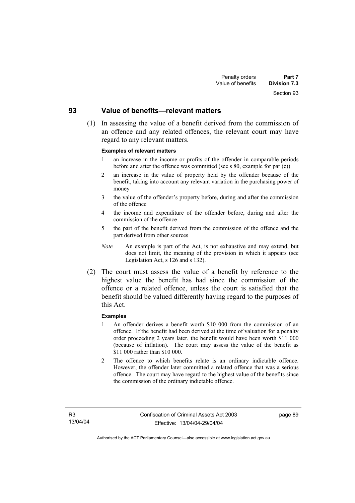# Section 93

#### **93 Value of benefits—relevant matters**

 (1) In assessing the value of a benefit derived from the commission of an offence and any related offences, the relevant court may have regard to any relevant matters.

#### **Examples of relevant matters**

- 1 an increase in the income or profits of the offender in comparable periods before and after the offence was committed (see s 80, example for par (c))
- 2 an increase in the value of property held by the offender because of the benefit, taking into account any relevant variation in the purchasing power of money
- 3 the value of the offender's property before, during and after the commission of the offence
- 4 the income and expenditure of the offender before, during and after the commission of the offence
- 5 the part of the benefit derived from the commission of the offence and the part derived from other sources
- *Note* An example is part of the Act, is not exhaustive and may extend, but does not limit, the meaning of the provision in which it appears (see Legislation Act, s 126 and s 132).
- (2) The court must assess the value of a benefit by reference to the highest value the benefit has had since the commission of the offence or a related offence, unless the court is satisfied that the benefit should be valued differently having regard to the purposes of this Act.

#### **Examples**

- 1 An offender derives a benefit worth \$10 000 from the commission of an offence. If the benefit had been derived at the time of valuation for a penalty order proceeding 2 years later, the benefit would have been worth \$11 000 (because of inflation). The court may assess the value of the benefit as \$11 000 rather than \$10 000.
- 2 The offence to which benefits relate is an ordinary indictable offence. However, the offender later committed a related offence that was a serious offence. The court may have regard to the highest value of the benefits since the commission of the ordinary indictable offence.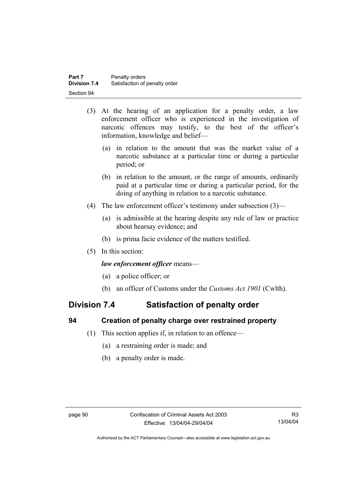- (3) At the hearing of an application for a penalty order, a law enforcement officer who is experienced in the investigation of narcotic offences may testify, to the best of the officer's information, knowledge and belief—
	- (a) in relation to the amount that was the market value of a narcotic substance at a particular time or during a particular period; or
	- (b) in relation to the amount, or the range of amounts, ordinarily paid at a particular time or during a particular period, for the doing of anything in relation to a narcotic substance.
- (4) The law enforcement officer's testimony under subsection (3)—
	- (a) is admissible at the hearing despite any rule of law or practice about hearsay evidence; and
	- (b) is prima facie evidence of the matters testified.
- (5) In this section:

#### *law enforcement officer* means—

- (a) a police officer; or
- (b) an officer of Customs under the *Customs Act 1901* (Cwlth).

# **Division 7.4 Satisfaction of penalty order**

#### **94 Creation of penalty charge over restrained property**

- (1) This section applies if, in relation to an offence—
	- (a) a restraining order is made; and
	- (b) a penalty order is made.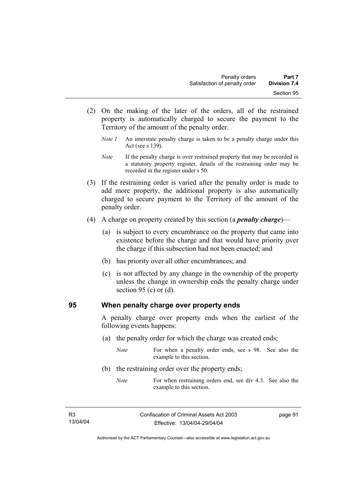- (2) On the making of the later of the orders, all of the restrained property is automatically charged to secure the payment to the Territory of the amount of the penalty order.
	- *Note 1* An interstate penalty charge is taken to be a penalty charge under this Act (see s 139).
	- *Note* If the penalty charge is over restrained property that may be recorded in a statutory property register, details of the restraining order may be recorded in the register under s 50.
- (3) If the restraining order is varied after the penalty order is made to add more property, the additional property is also automatically charged to secure payment to the Territory of the amount of the penalty order.
- (4) A charge on property created by this section (a *penalty charge*)—
	- (a) is subject to every encumbrance on the property that came into existence before the charge and that would have priority over the charge if this subsection had not been enacted; and
	- (b) has priority over all other encumbrances; and
	- (c) is not affected by any change in the ownership of the property unless the change in ownership ends the penalty charge under section 95 (c) or  $(d)$ .

#### **95 When penalty charge over property ends**

A penalty charge over property ends when the earliest of the following events happens:

(a) the penalty order for which the charge was created ends;

*Note* For when a penalty order ends, see s 98. See also the example to this section.

- (b) the restraining order over the property ends;
	- *Note* For when restraining orders end, see div 4.3. See also the example to this section.

page 91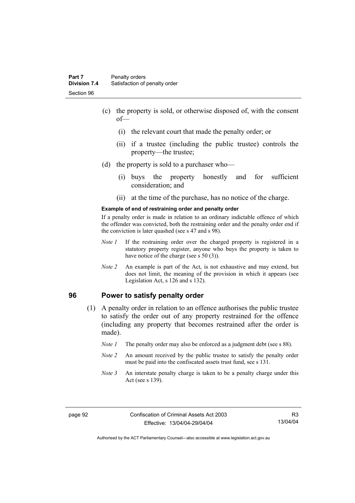- (c) the property is sold, or otherwise disposed of, with the consent of—
	- (i) the relevant court that made the penalty order; or
	- (ii) if a trustee (including the public trustee) controls the property—the trustee;
- (d) the property is sold to a purchaser who—
	- (i) buys the property honestly and for sufficient consideration; and
	- (ii) at the time of the purchase, has no notice of the charge.

#### **Example of end of restraining order and penalty order**

If a penalty order is made in relation to an ordinary indictable offence of which the offender was convicted, both the restraining order and the penalty order end if the conviction is later quashed (see s 47 and s 98).

- *Note 1* If the restraining order over the charged property is registered in a statutory property register, anyone who buys the property is taken to have notice of the charge (see s 50 (3)).
- *Note* 2 An example is part of the Act, is not exhaustive and may extend, but does not limit, the meaning of the provision in which it appears (see Legislation Act, s 126 and s 132).

#### **96 Power to satisfy penalty order**

- (1) A penalty order in relation to an offence authorises the public trustee to satisfy the order out of any property restrained for the offence (including any property that becomes restrained after the order is made).
	- *Note 1* The penalty order may also be enforced as a judgment debt (see s 88).
	- *Note 2* An amount received by the public trustee to satisfy the penalty order must be paid into the confiscated assets trust fund, see s 131.
	- *Note 3* An interstate penalty charge is taken to be a penalty charge under this Act (see s 139).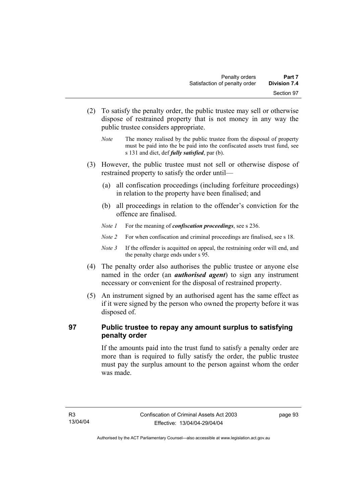- (2) To satisfy the penalty order, the public trustee may sell or otherwise dispose of restrained property that is not money in any way the public trustee considers appropriate.
	- *Note* The money realised by the public trustee from the disposal of property must be paid into the be paid into the confiscated assets trust fund, see s 131 and dict, def *fully satisfied*, par (b).
- (3) However, the public trustee must not sell or otherwise dispose of restrained property to satisfy the order until—
	- (a) all confiscation proceedings (including forfeiture proceedings) in relation to the property have been finalised; and
	- (b) all proceedings in relation to the offender's conviction for the offence are finalised.
	- *Note 1* For the meaning of *confiscation proceedings*, see s 236.
	- *Note 2* For when confiscation and criminal proceedings are finalised, see s 18.
	- *Note 3* If the offender is acquitted on appeal, the restraining order will end, and the penalty charge ends under s 95.
- (4) The penalty order also authorises the public trustee or anyone else named in the order (an *authorised agent*) to sign any instrument necessary or convenient for the disposal of restrained property.
- (5) An instrument signed by an authorised agent has the same effect as if it were signed by the person who owned the property before it was disposed of.

### **97 Public trustee to repay any amount surplus to satisfying penalty order**

If the amounts paid into the trust fund to satisfy a penalty order are more than is required to fully satisfy the order, the public trustee must pay the surplus amount to the person against whom the order was made.

page 93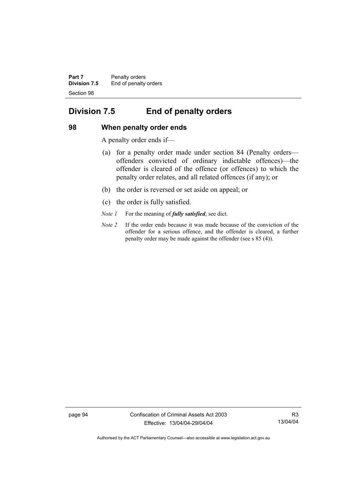**Part 7** Penalty orders **Division 7.5** End of penalty orders Section 98

# **Division 7.5 End of penalty orders**

### **98 When penalty order ends**

A penalty order ends if—

- (a) for a penalty order made under section 84 (Penalty orders offenders convicted of ordinary indictable offences)—the offender is cleared of the offence (or offences) to which the penalty order relates, and all related offences (if any); or
- (b) the order is reversed or set aside on appeal; or
- (c) the order is fully satisfied.
- *Note 1* For the meaning of *fully satisfied*, see dict.
- *Note 2* If the order ends because it was made because of the conviction of the offender for a serious offence, and the offender is cleared, a further penalty order may be made against the offender (see s 85 (4)).

page 94 Confiscation of Criminal Assets Act 2003 Effective: 13/04/04-29/04/04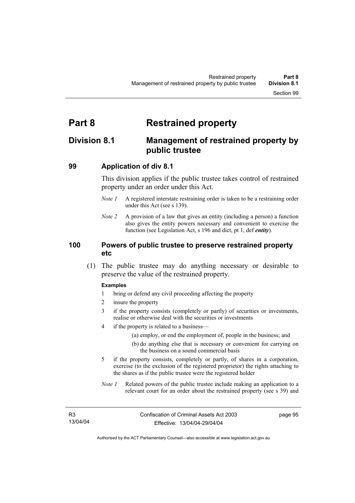# **Part 8 Restrained property**

# **Division 8.1 Management of restrained property by public trustee**

### **99 Application of div 8.1**

This division applies if the public trustee takes control of restrained property under an order under this Act.

- *Note 1* A registered interstate restraining order is taken to be a restraining order under this Act (see s 139).
- *Note 2* A provision of a law that gives an entity (including a person) a function also gives the entity powers necessary and convenient to exercise the function (see Legislation Act, s 196 and dict, pt 1, def *entity*).

### **100 Powers of public trustee to preserve restrained property etc**

 (1) The public trustee may do anything necessary or desirable to preserve the value of the restrained property.

### **Examples**

- 1 bring or defend any civil proceeding affecting the property
- 2 insure the property
- 3 if the property consists (completely or partly) of securities or investments, realise or otherwise deal with the securities or investments
- 4 if the property is related to a business—
	- (a) employ, or end the employment of, people in the business; and
	- (b) do anything else that is necessary or convenient for carrying on the business on a sound commercial basis
- 5 if the property consists, completely or partly, of shares in a corporation, exercise (to the exclusion of the registered proprietor) the rights attaching to the shares as if the public trustee were the registered holder
- *Note 1* Related powers of the public trustee include making an application to a relevant court for an order about the restrained property (see s 39) and

page 95

Authorised by the ACT Parliamentary Counsel—also accessible at www.legislation.act.gov.au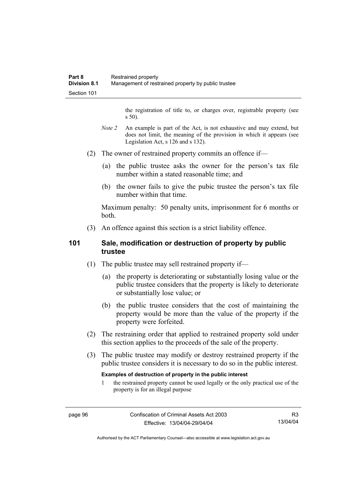the registration of title to, or charges over, registrable property (see s 50).

- *Note* 2 An example is part of the Act, is not exhaustive and may extend, but does not limit, the meaning of the provision in which it appears (see Legislation Act, s 126 and s 132).
- (2) The owner of restrained property commits an offence if—
	- (a) the public trustee asks the owner for the person's tax file number within a stated reasonable time; and
	- (b) the owner fails to give the pubic trustee the person's tax file number within that time.

Maximum penalty: 50 penalty units, imprisonment for 6 months or both.

(3) An offence against this section is a strict liability offence.

### **101 Sale, modification or destruction of property by public trustee**

- (1) The public trustee may sell restrained property if—
	- (a) the property is deteriorating or substantially losing value or the public trustee considers that the property is likely to deteriorate or substantially lose value; or
	- (b) the public trustee considers that the cost of maintaining the property would be more than the value of the property if the property were forfeited.
- (2) The restraining order that applied to restrained property sold under this section applies to the proceeds of the sale of the property.
- (3) The public trustee may modify or destroy restrained property if the public trustee considers it is necessary to do so in the public interest.

### **Examples of destruction of property in the public interest**

1 the restrained property cannot be used legally or the only practical use of the property is for an illegal purpose

Authorised by the ACT Parliamentary Counsel—also accessible at www.legislation.act.gov.au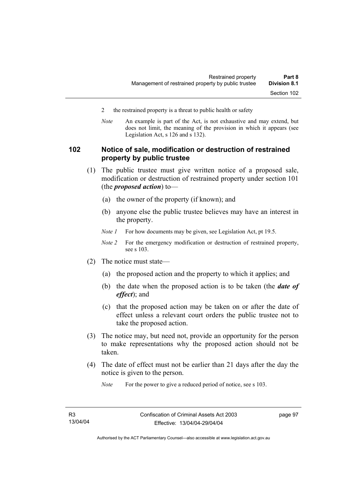- 2 the restrained property is a threat to public health or safety
- *Note* An example is part of the Act, is not exhaustive and may extend, but does not limit, the meaning of the provision in which it appears (see Legislation Act, s 126 and s 132).

### **102 Notice of sale, modification or destruction of restrained property by public trustee**

- (1) The public trustee must give written notice of a proposed sale, modification or destruction of restrained property under section 101 (the *proposed action*) to—
	- (a) the owner of the property (if known); and
	- (b) anyone else the public trustee believes may have an interest in the property.
	- *Note 1* For how documents may be given, see Legislation Act, pt 19.5.
	- *Note 2* For the emergency modification or destruction of restrained property, see s 103.
- (2) The notice must state—
	- (a) the proposed action and the property to which it applies; and
	- (b) the date when the proposed action is to be taken (the *date of effect*); and
	- (c) that the proposed action may be taken on or after the date of effect unless a relevant court orders the public trustee not to take the proposed action.
- (3) The notice may, but need not, provide an opportunity for the person to make representations why the proposed action should not be taken.
- (4) The date of effect must not be earlier than 21 days after the day the notice is given to the person.

*Note* For the power to give a reduced period of notice, see s 103.

Authorised by the ACT Parliamentary Counsel—also accessible at www.legislation.act.gov.au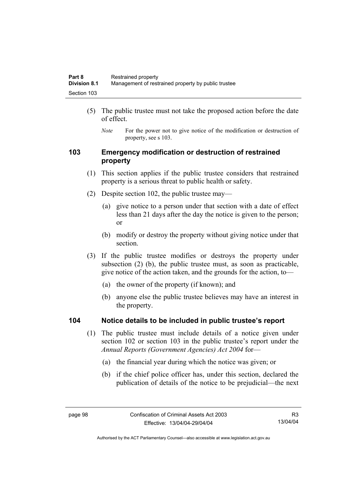- (5) The public trustee must not take the proposed action before the date of effect.
	- *Note* For the power not to give notice of the modification or destruction of property, see s 103.

### **103 Emergency modification or destruction of restrained property**

- (1) This section applies if the public trustee considers that restrained property is a serious threat to public health or safety.
- (2) Despite section 102, the public trustee may—
	- (a) give notice to a person under that section with a date of effect less than 21 days after the day the notice is given to the person; or
	- (b) modify or destroy the property without giving notice under that section.
- (3) If the public trustee modifies or destroys the property under subsection (2) (b), the public trustee must, as soon as practicable, give notice of the action taken, and the grounds for the action, to—
	- (a) the owner of the property (if known); and
	- (b) anyone else the public trustee believes may have an interest in the property.

### **104 Notice details to be included in public trustee's report**

- (1) The public trustee must include details of a notice given under section 102 or section 103 in the public trustee's report under the *Annual Reports (Government Agencies) Act 2004* for—
	- (a) the financial year during which the notice was given; or
	- (b) if the chief police officer has, under this section, declared the publication of details of the notice to be prejudicial—the next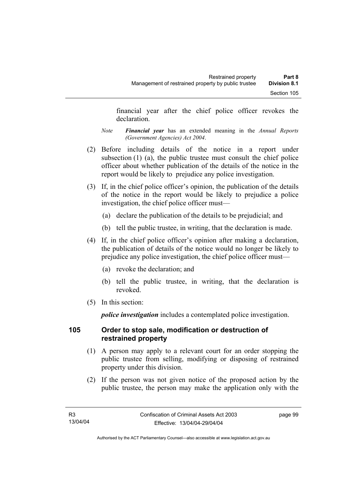financial year after the chief police officer revokes the declaration.

- *Note Financial year* has an extended meaning in the *Annual Reports (Government Agencies) Act 2004*.
- (2) Before including details of the notice in a report under subsection (1) (a), the public trustee must consult the chief police officer about whether publication of the details of the notice in the report would be likely to prejudice any police investigation.
- (3) If, in the chief police officer's opinion, the publication of the details of the notice in the report would be likely to prejudice a police investigation, the chief police officer must—
	- (a) declare the publication of the details to be prejudicial; and
	- (b) tell the public trustee, in writing, that the declaration is made.
- (4) If, in the chief police officer's opinion after making a declaration, the publication of details of the notice would no longer be likely to prejudice any police investigation, the chief police officer must—
	- (a) revoke the declaration; and
	- (b) tell the public trustee, in writing, that the declaration is revoked.
- (5) In this section:

*police investigation* includes a contemplated police investigation.

## **105 Order to stop sale, modification or destruction of restrained property**

- (1) A person may apply to a relevant court for an order stopping the public trustee from selling, modifying or disposing of restrained property under this division.
- (2) If the person was not given notice of the proposed action by the public trustee, the person may make the application only with the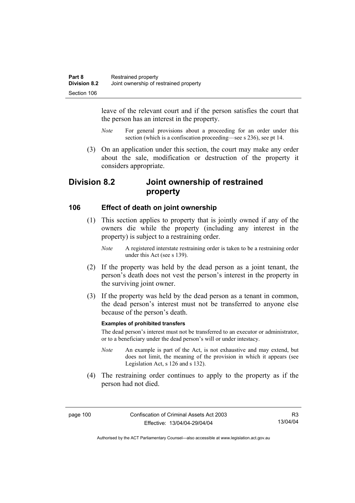leave of the relevant court and if the person satisfies the court that the person has an interest in the property.

- *Note* For general provisions about a proceeding for an order under this section (which is a confiscation proceeding—see s 236), see pt 14.
- (3) On an application under this section, the court may make any order about the sale, modification or destruction of the property it considers appropriate.

# **Division 8.2 Joint ownership of restrained property**

### **106 Effect of death on joint ownership**

- (1) This section applies to property that is jointly owned if any of the owners die while the property (including any interest in the property) is subject to a restraining order.
	- *Note* A registered interstate restraining order is taken to be a restraining order under this Act (see s 139).
- (2) If the property was held by the dead person as a joint tenant, the person's death does not vest the person's interest in the property in the surviving joint owner.
- (3) If the property was held by the dead person as a tenant in common, the dead person's interest must not be transferred to anyone else because of the person's death.

### **Examples of prohibited transfers**

The dead person's interest must not be transferred to an executor or administrator, or to a beneficiary under the dead person's will or under intestacy.

- *Note* An example is part of the Act, is not exhaustive and may extend, but does not limit, the meaning of the provision in which it appears (see Legislation Act, s 126 and s 132).
- (4) The restraining order continues to apply to the property as if the person had not died.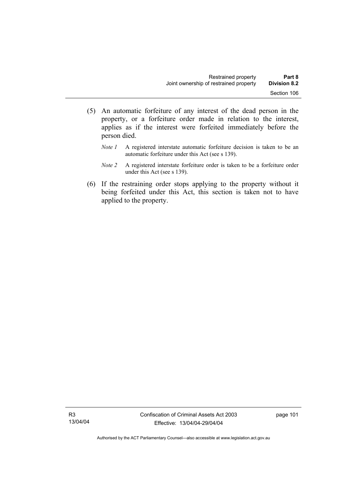- (5) An automatic forfeiture of any interest of the dead person in the property, or a forfeiture order made in relation to the interest, applies as if the interest were forfeited immediately before the person died.
	- *Note 1* A registered interstate automatic forfeiture decision is taken to be an automatic forfeiture under this Act (see s 139).
	- *Note 2* A registered interstate forfeiture order is taken to be a forfeiture order under this Act (see s 139).
- (6) If the restraining order stops applying to the property without it being forfeited under this Act, this section is taken not to have applied to the property.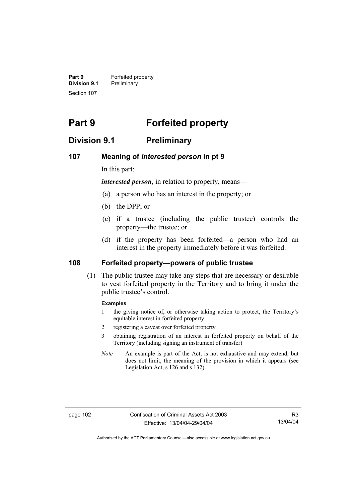**Part 9 Forfeited property Division 9.1** Preliminary Section 107

# **Part 9 Forfeited property**

## **Division 9.1 Preliminary**

### **107 Meaning of** *interested person* **in pt 9**

In this part:

*interested person*, in relation to property, means—

- (a) a person who has an interest in the property; or
- (b) the DPP; or
- (c) if a trustee (including the public trustee) controls the property—the trustee; or
- (d) if the property has been forfeited—a person who had an interest in the property immediately before it was forfeited.

### **108 Forfeited property—powers of public trustee**

 (1) The public trustee may take any steps that are necessary or desirable to vest forfeited property in the Territory and to bring it under the public trustee's control.

### **Examples**

- 1 the giving notice of, or otherwise taking action to protect, the Territory's equitable interest in forfeited property
- 2 registering a caveat over forfeited property
- 3 obtaining registration of an interest in forfeited property on behalf of the Territory (including signing an instrument of transfer)
- *Note* An example is part of the Act, is not exhaustive and may extend, but does not limit, the meaning of the provision in which it appears (see Legislation Act, s 126 and s 132).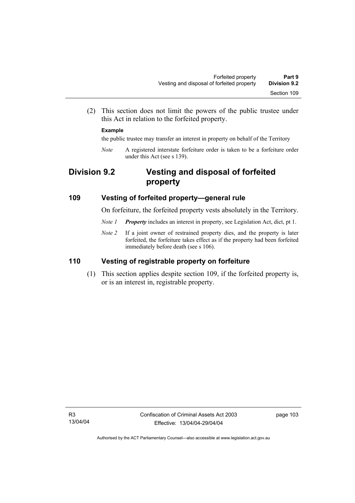(2) This section does not limit the powers of the public trustee under this Act in relation to the forfeited property.

### **Example**

the public trustee may transfer an interest in property on behalf of the Territory

*Note* A registered interstate forfeiture order is taken to be a forfeiture order under this Act (see s 139).

# **Division 9.2 Vesting and disposal of forfeited property**

### **109 Vesting of forfeited property—general rule**

On forfeiture, the forfeited property vests absolutely in the Territory.

- *Note 1 Property* includes an interest in property, see Legislation Act, dict, pt 1.
- *Note 2* If a joint owner of restrained property dies, and the property is later forfeited, the forfeiture takes effect as if the property had been forfeited immediately before death (see s 106).

## **110 Vesting of registrable property on forfeiture**

 (1) This section applies despite section 109, if the forfeited property is, or is an interest in, registrable property.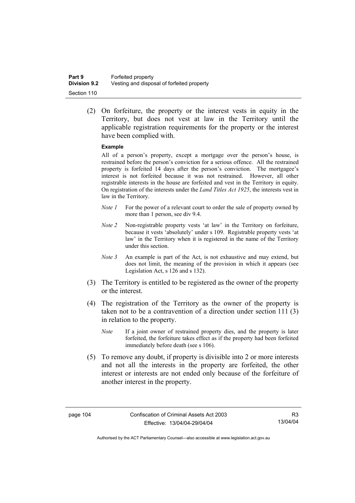(2) On forfeiture, the property or the interest vests in equity in the Territory, but does not vest at law in the Territory until the applicable registration requirements for the property or the interest have been complied with.

### **Example**

All of a person's property, except a mortgage over the person's house, is restrained before the person's conviction for a serious offence. All the restrained property is forfeited 14 days after the person's conviction. The mortgagee's interest is not forfeited because it was not restrained. However, all other registrable interests in the house are forfeited and vest in the Territory in equity. On registration of the interests under the *Land Titles Act 1925*, the interests vest in law in the Territory.

- *Note 1* For the power of a relevant court to order the sale of property owned by more than 1 person, see div 9.4.
- *Note 2* Non-registrable property vests 'at law' in the Territory on forfeiture, because it vests 'absolutely' under s 109. Registrable property vests 'at law' in the Territory when it is registered in the name of the Territory under this section.
- *Note 3* An example is part of the Act, is not exhaustive and may extend, but does not limit, the meaning of the provision in which it appears (see Legislation Act, s 126 and s 132).
- (3) The Territory is entitled to be registered as the owner of the property or the interest.
- (4) The registration of the Territory as the owner of the property is taken not to be a contravention of a direction under section 111 (3) in relation to the property.
	- *Note* If a joint owner of restrained property dies, and the property is later forfeited, the forfeiture takes effect as if the property had been forfeited immediately before death (see s 106).
- (5) To remove any doubt, if property is divisible into 2 or more interests and not all the interests in the property are forfeited, the other interest or interests are not ended only because of the forfeiture of another interest in the property.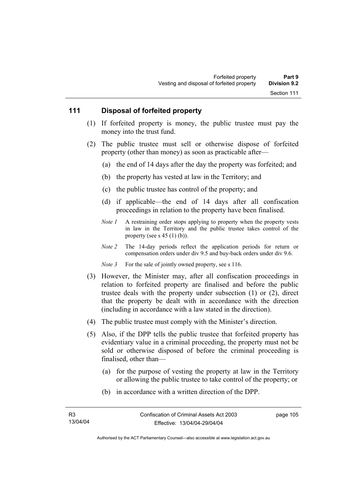### **111 Disposal of forfeited property**

- (1) If forfeited property is money, the public trustee must pay the money into the trust fund.
- (2) The public trustee must sell or otherwise dispose of forfeited property (other than money) as soon as practicable after—
	- (a) the end of 14 days after the day the property was forfeited; and
	- (b) the property has vested at law in the Territory; and
	- (c) the public trustee has control of the property; and
	- (d) if applicable—the end of 14 days after all confiscation proceedings in relation to the property have been finalised.
	- *Note 1* A restraining order stops applying to property when the property vests in law in the Territory and the public trustee takes control of the property (see s  $45$  (1) (b)).
	- *Note 2* The 14-day periods reflect the application periods for return or compensation orders under div 9.5 and buy-back orders under div 9.6.
	- *Note 3* For the sale of jointly owned property, see s 116.
- (3) However, the Minister may, after all confiscation proceedings in relation to forfeited property are finalised and before the public trustee deals with the property under subsection (1) or (2), direct that the property be dealt with in accordance with the direction (including in accordance with a law stated in the direction).
- (4) The public trustee must comply with the Minister's direction.
- (5) Also, if the DPP tells the public trustee that forfeited property has evidentiary value in a criminal proceeding, the property must not be sold or otherwise disposed of before the criminal proceeding is finalised, other than—
	- (a) for the purpose of vesting the property at law in the Territory or allowing the public trustee to take control of the property; or
	- (b) in accordance with a written direction of the DPP.

page 105

Authorised by the ACT Parliamentary Counsel—also accessible at www.legislation.act.gov.au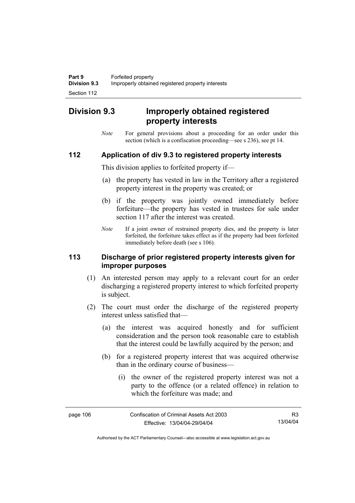# **Division 9.3 Improperly obtained registered property interests**

*Note* For general provisions about a proceeding for an order under this section (which is a confiscation proceeding—see s 236), see pt 14.

### **112 Application of div 9.3 to registered property interests**

This division applies to forfeited property if—

- (a) the property has vested in law in the Territory after a registered property interest in the property was created; or
- (b) if the property was jointly owned immediately before forfeiture—the property has vested in trustees for sale under section 117 after the interest was created.
- *Note* If a joint owner of restrained property dies, and the property is later forfeited, the forfeiture takes effect as if the property had been forfeited immediately before death (see s 106).

### **113 Discharge of prior registered property interests given for improper purposes**

- (1) An interested person may apply to a relevant court for an order discharging a registered property interest to which forfeited property is subject.
- (2) The court must order the discharge of the registered property interest unless satisfied that—
	- (a) the interest was acquired honestly and for sufficient consideration and the person took reasonable care to establish that the interest could be lawfully acquired by the person; and
	- (b) for a registered property interest that was acquired otherwise than in the ordinary course of business—
		- (i) the owner of the registered property interest was not a party to the offence (or a related offence) in relation to which the forfeiture was made; and

| page 106 | Confiscation of Criminal Assets Act 2003 | R3.      |
|----------|------------------------------------------|----------|
|          | Effective: 13/04/04-29/04/04             | 13/04/04 |

Authorised by the ACT Parliamentary Counsel—also accessible at www.legislation.act.gov.au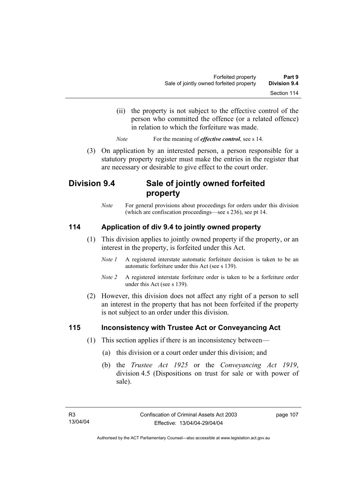- (ii) the property is not subject to the effective control of the person who committed the offence (or a related offence) in relation to which the forfeiture was made.
- *Note* For the meaning of *effective control*, see s 14.
- (3) On application by an interested person, a person responsible for a statutory property register must make the entries in the register that are necessary or desirable to give effect to the court order.

# **Division 9.4 Sale of jointly owned forfeited property**

*Note* For general provisions about proceedings for orders under this division (which are confiscation proceedings—see s 236), see pt 14.

## **114 Application of div 9.4 to jointly owned property**

- (1) This division applies to jointly owned property if the property, or an interest in the property, is forfeited under this Act.
	- *Note 1* A registered interstate automatic forfeiture decision is taken to be an automatic forfeiture under this Act (see s 139).
	- *Note 2* A registered interstate forfeiture order is taken to be a forfeiture order under this Act (see s 139).
- (2) However, this division does not affect any right of a person to sell an interest in the property that has not been forfeited if the property is not subject to an order under this division.

### **115 Inconsistency with Trustee Act or Conveyancing Act**

- (1) This section applies if there is an inconsistency between—
	- (a) this division or a court order under this division; and
	- (b) the *Trustee Act 1925* or the *Conveyancing Act 1919*, division 4.5 (Dispositions on trust for sale or with power of sale).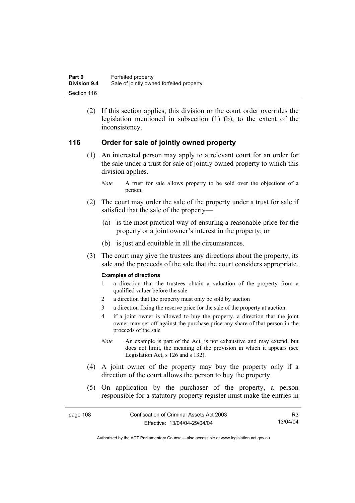(2) If this section applies, this division or the court order overrides the legislation mentioned in subsection (1) (b), to the extent of the inconsistency.

### **116 Order for sale of jointly owned property**

- (1) An interested person may apply to a relevant court for an order for the sale under a trust for sale of jointly owned property to which this division applies.
	- *Note* A trust for sale allows property to be sold over the objections of a person.
- (2) The court may order the sale of the property under a trust for sale if satisfied that the sale of the property—
	- (a) is the most practical way of ensuring a reasonable price for the property or a joint owner's interest in the property; or
	- (b) is just and equitable in all the circumstances.
- (3) The court may give the trustees any directions about the property, its sale and the proceeds of the sale that the court considers appropriate.

### **Examples of directions**

- 1 a direction that the trustees obtain a valuation of the property from a qualified valuer before the sale
- 2 a direction that the property must only be sold by auction
- 3 a direction fixing the reserve price for the sale of the property at auction
- 4 if a joint owner is allowed to buy the property, a direction that the joint owner may set off against the purchase price any share of that person in the proceeds of the sale
- *Note* An example is part of the Act, is not exhaustive and may extend, but does not limit, the meaning of the provision in which it appears (see Legislation Act, s 126 and s 132).
- (4) A joint owner of the property may buy the property only if a direction of the court allows the person to buy the property.
- (5) On application by the purchaser of the property, a person responsible for a statutory property register must make the entries in

| page 108 | Confiscation of Criminal Assets Act 2003 | R3       |
|----------|------------------------------------------|----------|
|          | Effective: 13/04/04-29/04/04             | 13/04/04 |

Authorised by the ACT Parliamentary Counsel—also accessible at www.legislation.act.gov.au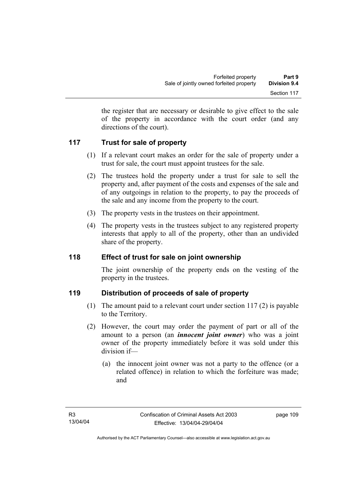the register that are necessary or desirable to give effect to the sale of the property in accordance with the court order (and any directions of the court).

## **117 Trust for sale of property**

- (1) If a relevant court makes an order for the sale of property under a trust for sale, the court must appoint trustees for the sale.
- (2) The trustees hold the property under a trust for sale to sell the property and, after payment of the costs and expenses of the sale and of any outgoings in relation to the property, to pay the proceeds of the sale and any income from the property to the court.
- (3) The property vests in the trustees on their appointment.
- (4) The property vests in the trustees subject to any registered property interests that apply to all of the property, other than an undivided share of the property.

## **118 Effect of trust for sale on joint ownership**

The joint ownership of the property ends on the vesting of the property in the trustees.

## **119 Distribution of proceeds of sale of property**

- (1) The amount paid to a relevant court under section 117 (2) is payable to the Territory.
- (2) However, the court may order the payment of part or all of the amount to a person (an *innocent joint owner*) who was a joint owner of the property immediately before it was sold under this division if—
	- (a) the innocent joint owner was not a party to the offence (or a related offence) in relation to which the forfeiture was made; and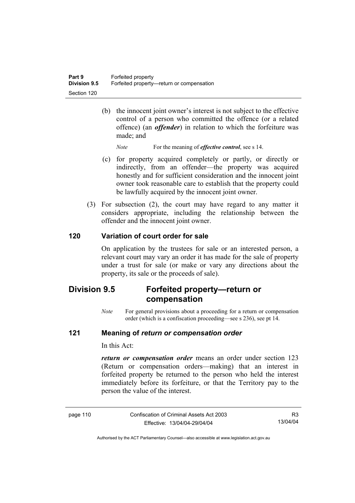(b) the innocent joint owner's interest is not subject to the effective control of a person who committed the offence (or a related offence) (an *offender*) in relation to which the forfeiture was made; and

*Note* For the meaning of *effective control*, see s 14.

- (c) for property acquired completely or partly, or directly or indirectly, from an offender—the property was acquired honestly and for sufficient consideration and the innocent joint owner took reasonable care to establish that the property could be lawfully acquired by the innocent joint owner.
- (3) For subsection (2), the court may have regard to any matter it considers appropriate, including the relationship between the offender and the innocent joint owner.

### **120 Variation of court order for sale**

On application by the trustees for sale or an interested person, a relevant court may vary an order it has made for the sale of property under a trust for sale (or make or vary any directions about the property, its sale or the proceeds of sale).

# **Division 9.5 Forfeited property—return or compensation**

*Note* For general provisions about a proceeding for a return or compensation order (which is a confiscation proceeding—see s 236), see pt 14.

### **121 Meaning of** *return or compensation order*

In this Act:

*return or compensation order* means an order under section 123 (Return or compensation orders—making) that an interest in forfeited property be returned to the person who held the interest immediately before its forfeiture, or that the Territory pay to the person the value of the interest.

| page 110 |  |
|----------|--|
|----------|--|

Confiscation of Criminal Assets Act 2003 Effective: 13/04/04-29/04/04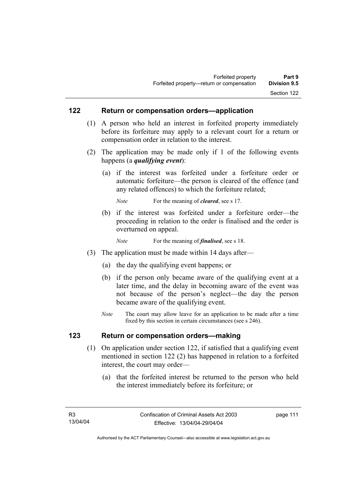### **122 Return or compensation orders—application**

- (1) A person who held an interest in forfeited property immediately before its forfeiture may apply to a relevant court for a return or compensation order in relation to the interest.
- (2) The application may be made only if 1 of the following events happens (a *qualifying event*):
	- (a) if the interest was forfeited under a forfeiture order or automatic forfeiture—the person is cleared of the offence (and any related offences) to which the forfeiture related;

*Note* For the meaning of *cleared*, see s 17.

- (b) if the interest was forfeited under a forfeiture order—the proceeding in relation to the order is finalised and the order is overturned on appeal.
	- *Note* For the meaning of *finalised*, see s 18.
- (3) The application must be made within 14 days after—
	- (a) the day the qualifying event happens; or
	- (b) if the person only became aware of the qualifying event at a later time, and the delay in becoming aware of the event was not because of the person's neglect—the day the person became aware of the qualifying event.
	- *Note* The court may allow leave for an application to be made after a time fixed by this section in certain circumstances (see s 246).

### **123 Return or compensation orders—making**

- (1) On application under section 122, if satisfied that a qualifying event mentioned in section 122 (2) has happened in relation to a forfeited interest, the court may order—
	- (a) that the forfeited interest be returned to the person who held the interest immediately before its forfeiture; or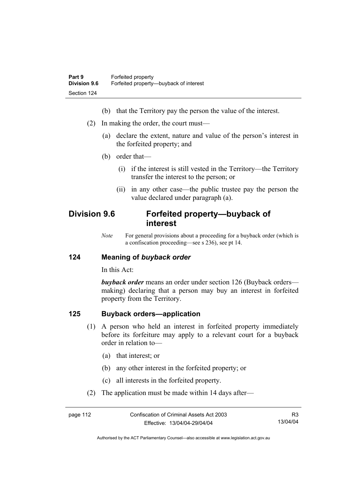- (b) that the Territory pay the person the value of the interest.
- (2) In making the order, the court must—
	- (a) declare the extent, nature and value of the person's interest in the forfeited property; and
	- (b) order that—
		- (i) if the interest is still vested in the Territory—the Territory transfer the interest to the person; or
		- (ii) in any other case—the public trustee pay the person the value declared under paragraph (a).

# **Division 9.6 Forfeited property—buyback of interest**

*Note* For general provisions about a proceeding for a buyback order (which is a confiscation proceeding—see s 236), see pt 14.

### **124 Meaning of** *buyback order*

In this Act:

*buyback order* means an order under section 126 (Buyback orders making) declaring that a person may buy an interest in forfeited property from the Territory.

### **125 Buyback orders—application**

- (1) A person who held an interest in forfeited property immediately before its forfeiture may apply to a relevant court for a buyback order in relation to—
	- (a) that interest; or
	- (b) any other interest in the forfeited property; or
	- (c) all interests in the forfeited property.
- (2) The application must be made within 14 days after—

| page 112 | Confiscation of Criminal Assets Act 2003 | R3       |
|----------|------------------------------------------|----------|
|          | Effective: 13/04/04-29/04/04             | 13/04/04 |

Authorised by the ACT Parliamentary Counsel—also accessible at www.legislation.act.gov.au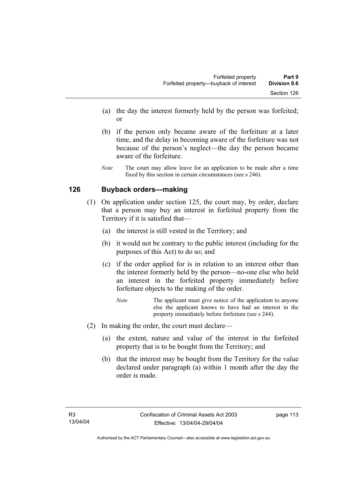- (a) the day the interest formerly held by the person was forfeited; or
- (b) if the person only became aware of the forfeiture at a later time, and the delay in becoming aware of the forfeiture was not because of the person's neglect—the day the person became aware of the forfeiture.
- *Note* The court may allow leave for an application to be made after a time fixed by this section in certain circumstances (see s 246).

## **126 Buyback orders—making**

- (1) On application under section 125, the court may, by order, declare that a person may buy an interest in forfeited property from the Territory if it is satisfied that—
	- (a) the interest is still vested in the Territory; and
	- (b) it would not be contrary to the public interest (including for the purposes of this Act) to do so; and
	- (c) if the order applied for is in relation to an interest other than the interest formerly held by the person—no-one else who held an interest in the forfeited property immediately before forfeiture objects to the making of the order.
		- *Note* The applicant must give notice of the application to anyone else the applicant knows to have had an interest in the property immediately before forfeiture (see s 244).
- (2) In making the order, the court must declare—
	- (a) the extent, nature and value of the interest in the forfeited property that is to be bought from the Territory; and
	- (b) that the interest may be bought from the Territory for the value declared under paragraph (a) within 1 month after the day the order is made.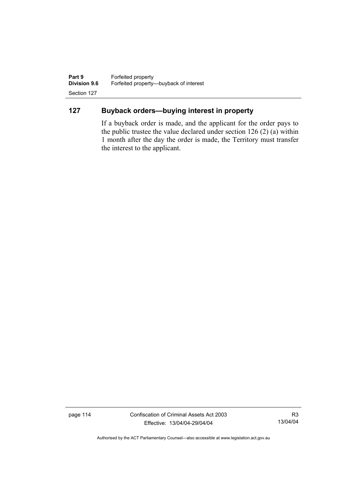**Part 9 Forfeited property**<br>**Division 9.6 Forfeited property-Division 9.6** Forfeited property—buyback of interest Section 127

## **127 Buyback orders—buying interest in property**

If a buyback order is made, and the applicant for the order pays to the public trustee the value declared under section 126 (2) (a) within 1 month after the day the order is made, the Territory must transfer the interest to the applicant.

page 114 Confiscation of Criminal Assets Act 2003 Effective: 13/04/04-29/04/04

R3 13/04/04

Authorised by the ACT Parliamentary Counsel—also accessible at www.legislation.act.gov.au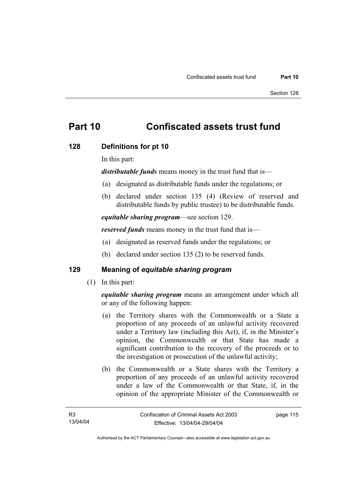# **Part 10 Confiscated assets trust fund**

### **128 Definitions for pt 10**

In this part:

*distributable funds* means money in the trust fund that is—

- (a) designated as distributable funds under the regulations; or
- (b) declared under section 135 (4) (Review of reserved and distributable funds by public trustee) to be distributable funds.

*equitable sharing program*—see section 129.

*reserved funds* means money in the trust fund that is—

- (a) designated as reserved funds under the regulations; or
- (b) declared under section 135 (2) to be reserved funds.

## **129 Meaning of** *equitable sharing program*

(1) In this part:

*equitable sharing program* means an arrangement under which all or any of the following happen:

- (a) the Territory shares with the Commonwealth or a State a proportion of any proceeds of an unlawful activity recovered under a Territory law (including this Act), if, in the Minister's opinion, the Commonwealth or that State has made a significant contribution to the recovery of the proceeds or to the investigation or prosecution of the unlawful activity;
- (b) the Commonwealth or a State shares with the Territory a proportion of any proceeds of an unlawful activity recovered under a law of the Commonwealth or that State, if, in the opinion of the appropriate Minister of the Commonwealth or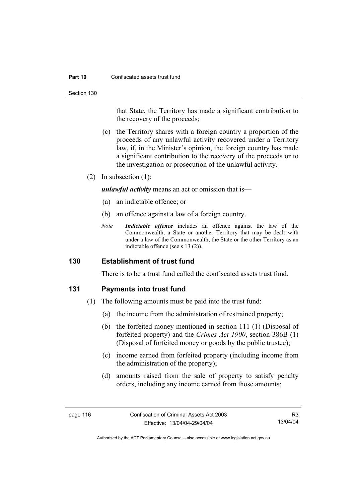#### **Part 10** Confiscated assets trust fund

Section 130

that State, the Territory has made a significant contribution to the recovery of the proceeds;

- (c) the Territory shares with a foreign country a proportion of the proceeds of any unlawful activity recovered under a Territory law, if, in the Minister's opinion, the foreign country has made a significant contribution to the recovery of the proceeds or to the investigation or prosecution of the unlawful activity.
- (2) In subsection (1):

*unlawful activity* means an act or omission that is—

- (a) an indictable offence; or
- (b) an offence against a law of a foreign country.
- *Note Indictable offence* includes an offence against the law of the Commonwealth, a State or another Territory that may be dealt with under a law of the Commonwealth, the State or the other Territory as an indictable offence (see s 13 (2)).

### **130 Establishment of trust fund**

There is to be a trust fund called the confiscated assets trust fund.

### **131 Payments into trust fund**

- (1) The following amounts must be paid into the trust fund:
	- (a) the income from the administration of restrained property;
	- (b) the forfeited money mentioned in section 111 (1) (Disposal of forfeited property) and the *Crimes Act 1900*, section 386B (1) (Disposal of forfeited money or goods by the public trustee);
	- (c) income earned from forfeited property (including income from the administration of the property);
	- (d) amounts raised from the sale of property to satisfy penalty orders, including any income earned from those amounts;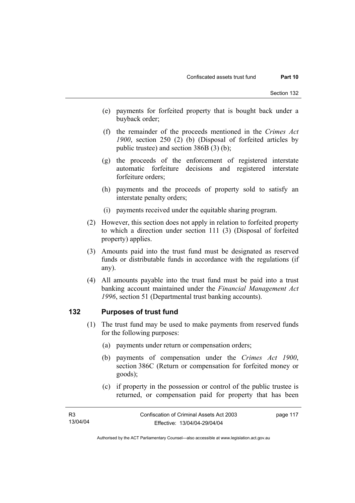- (e) payments for forfeited property that is bought back under a buyback order;
- (f) the remainder of the proceeds mentioned in the *Crimes Act 1900*, section 250 (2) (b) (Disposal of forfeited articles by public trustee) and section 386B (3) (b);
- (g) the proceeds of the enforcement of registered interstate automatic forfeiture decisions and registered interstate forfeiture orders;
- (h) payments and the proceeds of property sold to satisfy an interstate penalty orders;
- (i) payments received under the equitable sharing program.
- (2) However, this section does not apply in relation to forfeited property to which a direction under section 111 (3) (Disposal of forfeited property) applies.
- (3) Amounts paid into the trust fund must be designated as reserved funds or distributable funds in accordance with the regulations (if any).
- (4) All amounts payable into the trust fund must be paid into a trust banking account maintained under the *Financial Management Act 1996*, section 51 (Departmental trust banking accounts).

### **132 Purposes of trust fund**

- (1) The trust fund may be used to make payments from reserved funds for the following purposes:
	- (a) payments under return or compensation orders;
	- (b) payments of compensation under the *Crimes Act 1900*, section 386C (Return or compensation for forfeited money or goods);
	- (c) if property in the possession or control of the public trustee is returned, or compensation paid for property that has been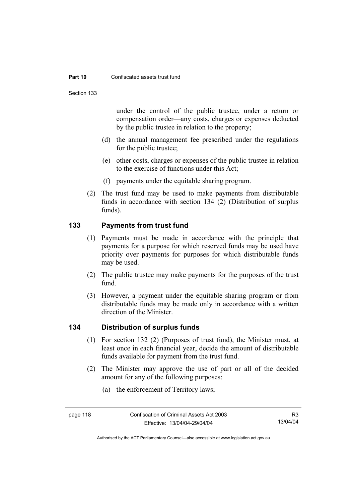#### **Part 10** Confiscated assets trust fund

Section 133

under the control of the public trustee, under a return or compensation order—any costs, charges or expenses deducted by the public trustee in relation to the property;

- (d) the annual management fee prescribed under the regulations for the public trustee;
- (e) other costs, charges or expenses of the public trustee in relation to the exercise of functions under this Act;
- (f) payments under the equitable sharing program.
- (2) The trust fund may be used to make payments from distributable funds in accordance with section 134 (2) (Distribution of surplus funds).

## **133 Payments from trust fund**

- (1) Payments must be made in accordance with the principle that payments for a purpose for which reserved funds may be used have priority over payments for purposes for which distributable funds may be used.
- (2) The public trustee may make payments for the purposes of the trust fund.
- (3) However, a payment under the equitable sharing program or from distributable funds may be made only in accordance with a written direction of the Minister.

### **134 Distribution of surplus funds**

- (1) For section 132 (2) (Purposes of trust fund), the Minister must, at least once in each financial year, decide the amount of distributable funds available for payment from the trust fund.
- (2) The Minister may approve the use of part or all of the decided amount for any of the following purposes:
	- (a) the enforcement of Territory laws;

Authorised by the ACT Parliamentary Counsel—also accessible at www.legislation.act.gov.au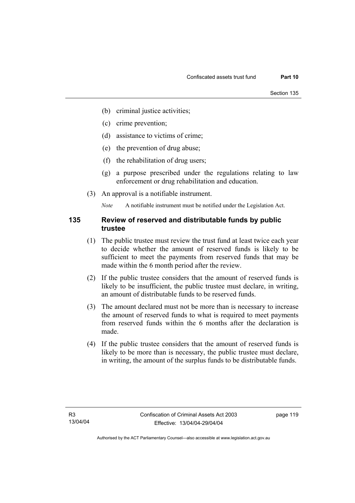- (b) criminal justice activities;
- (c) crime prevention;
- (d) assistance to victims of crime;
- (e) the prevention of drug abuse;
- (f) the rehabilitation of drug users;
- (g) a purpose prescribed under the regulations relating to law enforcement or drug rehabilitation and education.
- (3) An approval is a notifiable instrument.

*Note* A notifiable instrument must be notified under the Legislation Act.

### **135 Review of reserved and distributable funds by public trustee**

- (1) The public trustee must review the trust fund at least twice each year to decide whether the amount of reserved funds is likely to be sufficient to meet the payments from reserved funds that may be made within the 6 month period after the review.
- (2) If the public trustee considers that the amount of reserved funds is likely to be insufficient, the public trustee must declare, in writing, an amount of distributable funds to be reserved funds.
- (3) The amount declared must not be more than is necessary to increase the amount of reserved funds to what is required to meet payments from reserved funds within the 6 months after the declaration is made.
- (4) If the public trustee considers that the amount of reserved funds is likely to be more than is necessary, the public trustee must declare, in writing, the amount of the surplus funds to be distributable funds.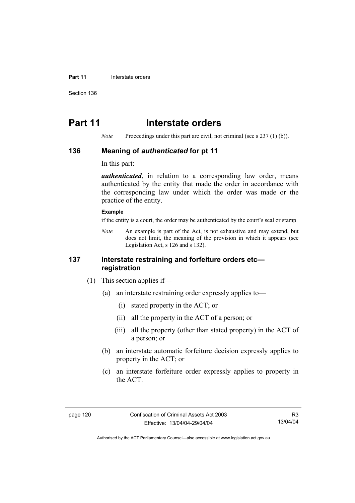#### **Part 11 Interstate orders**

Section 136

# **Part 11** Interstate orders

*Note* Proceedings under this part are civil, not criminal (see s 237 (1) (b)).

### **136 Meaning of** *authenticated* **for pt 11**

In this part:

*authenticated*, in relation to a corresponding law order, means authenticated by the entity that made the order in accordance with the corresponding law under which the order was made or the practice of the entity.

### **Example**

if the entity is a court, the order may be authenticated by the court's seal or stamp

*Note* An example is part of the Act, is not exhaustive and may extend, but does not limit, the meaning of the provision in which it appears (see Legislation Act, s 126 and s 132).

### **137 Interstate restraining and forfeiture orders etc registration**

- (1) This section applies if—
	- (a) an interstate restraining order expressly applies to—
		- (i) stated property in the ACT; or
		- (ii) all the property in the ACT of a person; or
		- (iii) all the property (other than stated property) in the ACT of a person; or
	- (b) an interstate automatic forfeiture decision expressly applies to property in the ACT; or
	- (c) an interstate forfeiture order expressly applies to property in the ACT.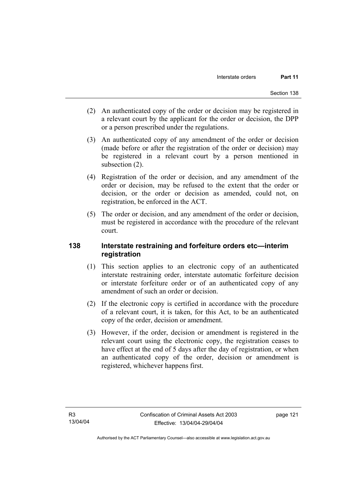- (2) An authenticated copy of the order or decision may be registered in a relevant court by the applicant for the order or decision, the DPP or a person prescribed under the regulations.
- (3) An authenticated copy of any amendment of the order or decision (made before or after the registration of the order or decision) may be registered in a relevant court by a person mentioned in subsection (2).
- (4) Registration of the order or decision, and any amendment of the order or decision, may be refused to the extent that the order or decision, or the order or decision as amended, could not, on registration, be enforced in the ACT.
- (5) The order or decision, and any amendment of the order or decision, must be registered in accordance with the procedure of the relevant court.

## **138 Interstate restraining and forfeiture orders etc—interim registration**

- (1) This section applies to an electronic copy of an authenticated interstate restraining order, interstate automatic forfeiture decision or interstate forfeiture order or of an authenticated copy of any amendment of such an order or decision.
- (2) If the electronic copy is certified in accordance with the procedure of a relevant court, it is taken, for this Act, to be an authenticated copy of the order, decision or amendment.
- (3) However, if the order, decision or amendment is registered in the relevant court using the electronic copy, the registration ceases to have effect at the end of 5 days after the day of registration, or when an authenticated copy of the order, decision or amendment is registered, whichever happens first.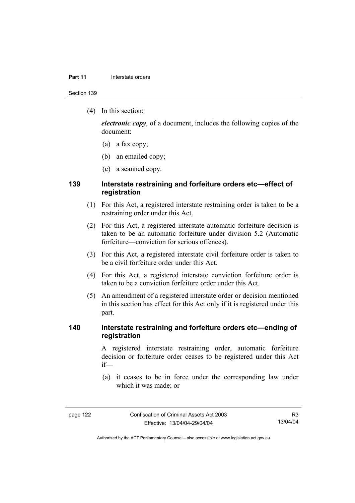#### **Part 11 Interstate orders**

Section 139

(4) In this section:

*electronic copy*, of a document, includes the following copies of the document:

- (a) a fax copy;
- (b) an emailed copy;
- (c) a scanned copy.

### **139 Interstate restraining and forfeiture orders etc—effect of registration**

- (1) For this Act, a registered interstate restraining order is taken to be a restraining order under this Act.
- (2) For this Act, a registered interstate automatic forfeiture decision is taken to be an automatic forfeiture under division 5.2 (Automatic forfeiture—conviction for serious offences).
- (3) For this Act, a registered interstate civil forfeiture order is taken to be a civil forfeiture order under this Act.
- (4) For this Act, a registered interstate conviction forfeiture order is taken to be a conviction forfeiture order under this Act.
- (5) An amendment of a registered interstate order or decision mentioned in this section has effect for this Act only if it is registered under this part.

### **140 Interstate restraining and forfeiture orders etc—ending of registration**

A registered interstate restraining order, automatic forfeiture decision or forfeiture order ceases to be registered under this Act if—

 (a) it ceases to be in force under the corresponding law under which it was made; or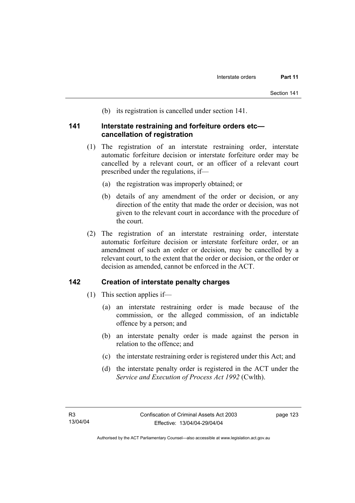(b) its registration is cancelled under section 141.

### **141 Interstate restraining and forfeiture orders etc cancellation of registration**

- (1) The registration of an interstate restraining order, interstate automatic forfeiture decision or interstate forfeiture order may be cancelled by a relevant court, or an officer of a relevant court prescribed under the regulations, if—
	- (a) the registration was improperly obtained; or
	- (b) details of any amendment of the order or decision, or any direction of the entity that made the order or decision, was not given to the relevant court in accordance with the procedure of the court.
- (2) The registration of an interstate restraining order, interstate automatic forfeiture decision or interstate forfeiture order, or an amendment of such an order or decision, may be cancelled by a relevant court, to the extent that the order or decision, or the order or decision as amended, cannot be enforced in the ACT.

### **142 Creation of interstate penalty charges**

- (1) This section applies if—
	- (a) an interstate restraining order is made because of the commission, or the alleged commission, of an indictable offence by a person; and
	- (b) an interstate penalty order is made against the person in relation to the offence; and
	- (c) the interstate restraining order is registered under this Act; and
	- (d) the interstate penalty order is registered in the ACT under the *Service and Execution of Process Act 1992* (Cwlth).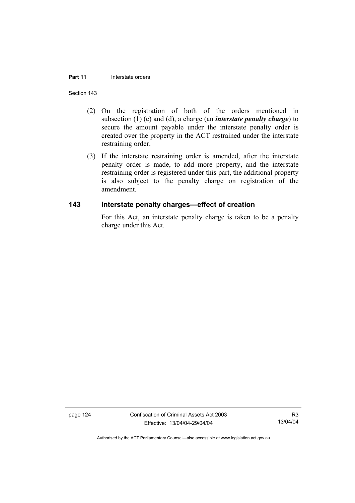### **Part 11 Interstate orders**

#### Section 143

- (2) On the registration of both of the orders mentioned in subsection (1) (c) and (d), a charge (an *interstate penalty charge*) to secure the amount payable under the interstate penalty order is created over the property in the ACT restrained under the interstate restraining order.
- (3) If the interstate restraining order is amended, after the interstate penalty order is made, to add more property, and the interstate restraining order is registered under this part, the additional property is also subject to the penalty charge on registration of the amendment.

### **143 Interstate penalty charges—effect of creation**

For this Act, an interstate penalty charge is taken to be a penalty charge under this Act.

page 124 Confiscation of Criminal Assets Act 2003 Effective: 13/04/04-29/04/04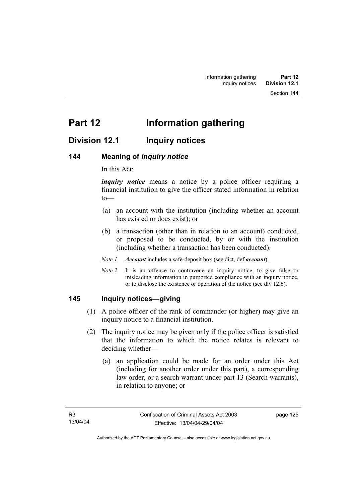# **Division 12.1 Inquiry notices**

### **144 Meaning of** *inquiry notice*

In this Act:

*inquiry notice* means a notice by a police officer requiring a financial institution to give the officer stated information in relation to—

- (a) an account with the institution (including whether an account has existed or does exist); or
- (b) a transaction (other than in relation to an account) conducted, or proposed to be conducted, by or with the institution (including whether a transaction has been conducted).

*Note 1 Account* includes a safe-deposit box (see dict, def *account*).

*Note 2* It is an offence to contravene an inquiry notice, to give false or misleading information in purported compliance with an inquiry notice, or to disclose the existence or operation of the notice (see div 12.6).

### **145 Inquiry notices—giving**

- (1) A police officer of the rank of commander (or higher) may give an inquiry notice to a financial institution.
- (2) The inquiry notice may be given only if the police officer is satisfied that the information to which the notice relates is relevant to deciding whether—
	- (a) an application could be made for an order under this Act (including for another order under this part), a corresponding law order, or a search warrant under part 13 (Search warrants), in relation to anyone; or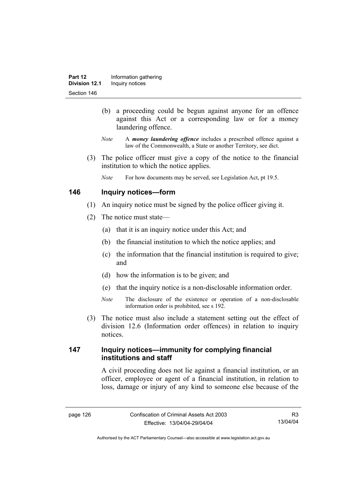- (b) a proceeding could be begun against anyone for an offence against this Act or a corresponding law or for a money laundering offence.
- *Note* A *money laundering offence* includes a prescribed offence against a law of the Commonwealth, a State or another Territory, see dict.
- (3) The police officer must give a copy of the notice to the financial institution to which the notice applies.
	- *Note* For how documents may be served, see Legislation Act, pt 19.5.

### **146 Inquiry notices—form**

- (1) An inquiry notice must be signed by the police officer giving it.
- (2) The notice must state—
	- (a) that it is an inquiry notice under this Act; and
	- (b) the financial institution to which the notice applies; and
	- (c) the information that the financial institution is required to give; and
	- (d) how the information is to be given; and
	- (e) that the inquiry notice is a non-disclosable information order.
	- *Note* The disclosure of the existence or operation of a non-disclosable information order is prohibited, see s 192.
- (3) The notice must also include a statement setting out the effect of division 12.6 (Information order offences) in relation to inquiry notices.

### **147 Inquiry notices—immunity for complying financial institutions and staff**

A civil proceeding does not lie against a financial institution, or an officer, employee or agent of a financial institution, in relation to loss, damage or injury of any kind to someone else because of the

Authorised by the ACT Parliamentary Counsel—also accessible at www.legislation.act.gov.au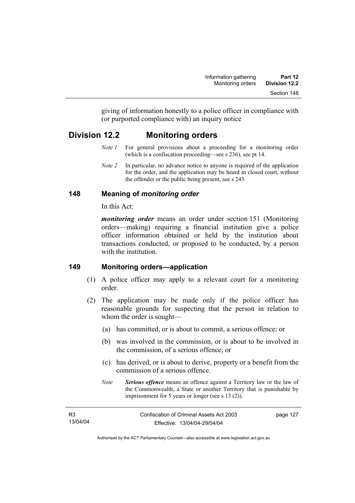giving of information honestly to a police officer in compliance with (or purported compliance with) an inquiry notice

# **Division 12.2 Monitoring orders**

- *Note 1* For general provisions about a proceeding for a monitoring order (which is a confiscation proceeding—see s 236), see pt 14.
- *Note 2* In particular, no advance notice to anyone is required of the application for the order, and the application may be heard in closed court, without the offender or the public being present, see s 243.

## **148 Meaning of** *monitoring order*

In this Act:

*monitoring order* means an order under section 151 (Monitoring orders—making) requiring a financial institution give a police officer information obtained or held by the institution about transactions conducted, or proposed to be conducted, by a person with the institution

## **149 Monitoring orders—application**

- (1) A police officer may apply to a relevant court for a monitoring order.
- (2) The application may be made only if the police officer has reasonable grounds for suspecting that the person in relation to whom the order is sought—
	- (a) has committed, or is about to commit, a serious offence; or
	- (b) was involved in the commission, or is about to be involved in the commission, of a serious offence; or
	- (c) has derived, or is about to derive, property or a benefit from the commission of a serious offence.
	- *Note Serious offence* means an offence against a Territory law or the law of the Commonwealth, a State or another Territory that is punishable by imprisonment for 5 years or longer (see s 13 (2)).

| R3       | Confiscation of Criminal Assets Act 2003 | page 127 |
|----------|------------------------------------------|----------|
| 13/04/04 | Effective: 13/04/04-29/04/04             |          |

Authorised by the ACT Parliamentary Counsel—also accessible at www.legislation.act.gov.au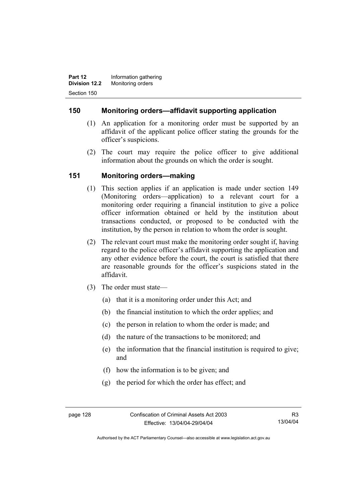**Part 12 Information gathering Division 12.2** Monitoring orders Section 150

### **150 Monitoring orders—affidavit supporting application**

- (1) An application for a monitoring order must be supported by an affidavit of the applicant police officer stating the grounds for the officer's suspicions.
- (2) The court may require the police officer to give additional information about the grounds on which the order is sought.

### **151 Monitoring orders—making**

- (1) This section applies if an application is made under section 149 (Monitoring orders—application) to a relevant court for a monitoring order requiring a financial institution to give a police officer information obtained or held by the institution about transactions conducted, or proposed to be conducted with the institution, by the person in relation to whom the order is sought.
- (2) The relevant court must make the monitoring order sought if, having regard to the police officer's affidavit supporting the application and any other evidence before the court, the court is satisfied that there are reasonable grounds for the officer's suspicions stated in the affidavit.
- (3) The order must state—
	- (a) that it is a monitoring order under this Act; and
	- (b) the financial institution to which the order applies; and
	- (c) the person in relation to whom the order is made; and
	- (d) the nature of the transactions to be monitored; and
	- (e) the information that the financial institution is required to give; and
	- (f) how the information is to be given; and
	- (g) the period for which the order has effect; and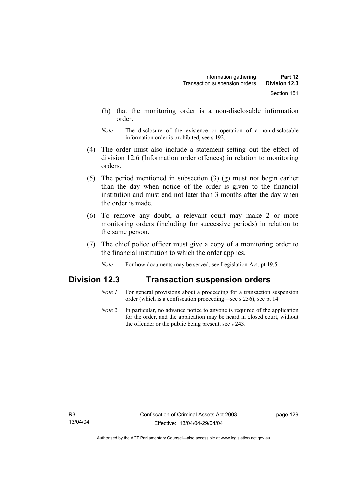- (h) that the monitoring order is a non-disclosable information order.
- *Note* The disclosure of the existence or operation of a non-disclosable information order is prohibited, see s 192.
- (4) The order must also include a statement setting out the effect of division 12.6 (Information order offences) in relation to monitoring orders.
- (5) The period mentioned in subsection (3) (g) must not begin earlier than the day when notice of the order is given to the financial institution and must end not later than 3 months after the day when the order is made.
- (6) To remove any doubt, a relevant court may make 2 or more monitoring orders (including for successive periods) in relation to the same person.
- (7) The chief police officer must give a copy of a monitoring order to the financial institution to which the order applies.
	- *Note* For how documents may be served, see Legislation Act, pt 19.5.

## **Division 12.3 Transaction suspension orders**

- *Note 1* For general provisions about a proceeding for a transaction suspension order (which is a confiscation proceeding—see s 236), see pt 14.
- *Note 2* In particular, no advance notice to anyone is required of the application for the order, and the application may be heard in closed court, without the offender or the public being present, see s 243.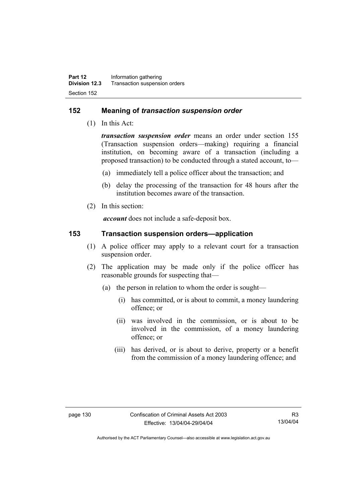### **152 Meaning of** *transaction suspension order*

(1) In this Act:

*transaction suspension order* means an order under section 155 (Transaction suspension orders—making) requiring a financial institution, on becoming aware of a transaction (including a proposed transaction) to be conducted through a stated account, to—

- (a) immediately tell a police officer about the transaction; and
- (b) delay the processing of the transaction for 48 hours after the institution becomes aware of the transaction.
- (2) In this section:

*account* does not include a safe-deposit box.

### **153 Transaction suspension orders—application**

- (1) A police officer may apply to a relevant court for a transaction suspension order.
- (2) The application may be made only if the police officer has reasonable grounds for suspecting that—
	- (a) the person in relation to whom the order is sought—
		- (i) has committed, or is about to commit, a money laundering offence; or
		- (ii) was involved in the commission, or is about to be involved in the commission, of a money laundering offence; or
		- (iii) has derived, or is about to derive, property or a benefit from the commission of a money laundering offence; and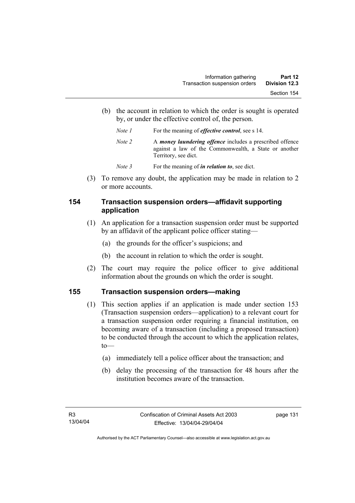(b) the account in relation to which the order is sought is operated by, or under the effective control of, the person.

| Note 1 | For the meaning of <i>effective control</i> , see s 14.                                                                                   |  |
|--------|-------------------------------------------------------------------------------------------------------------------------------------------|--|
| Note 2 | A money laundering offence includes a prescribed offence<br>against a law of the Commonwealth, a State or another<br>Territory, see dict. |  |

*Note* 3 For the meaning of *in relation to*, see dict.

 (3) To remove any doubt, the application may be made in relation to 2 or more accounts.

# **154 Transaction suspension orders—affidavit supporting application**

- (1) An application for a transaction suspension order must be supported by an affidavit of the applicant police officer stating—
	- (a) the grounds for the officer's suspicions; and
	- (b) the account in relation to which the order is sought.
- (2) The court may require the police officer to give additional information about the grounds on which the order is sought.

# **155 Transaction suspension orders—making**

- (1) This section applies if an application is made under section 153 (Transaction suspension orders—application) to a relevant court for a transaction suspension order requiring a financial institution, on becoming aware of a transaction (including a proposed transaction) to be conducted through the account to which the application relates, to—
	- (a) immediately tell a police officer about the transaction; and
	- (b) delay the processing of the transaction for 48 hours after the institution becomes aware of the transaction.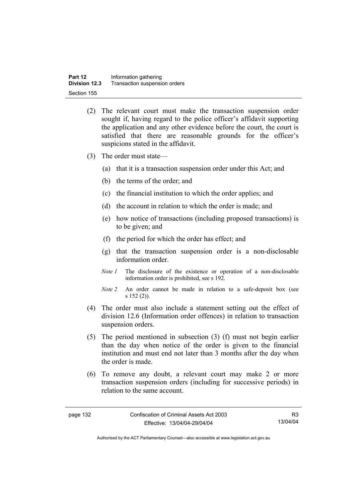- (2) The relevant court must make the transaction suspension order sought if, having regard to the police officer's affidavit supporting the application and any other evidence before the court, the court is satisfied that there are reasonable grounds for the officer's suspicions stated in the affidavit.
- (3) The order must state—
	- (a) that it is a transaction suspension order under this Act; and
	- (b) the terms of the order; and
	- (c) the financial institution to which the order applies; and
	- (d) the account in relation to which the order is made; and
	- (e) how notice of transactions (including proposed transactions) is to be given; and
	- (f) the period for which the order has effect; and
	- (g) that the transaction suspension order is a non-disclosable information order.
	- *Note 1* The disclosure of the existence or operation of a non-disclosable information order is prohibited, see s 192.
	- *Note 2* An order cannot be made in relation to a safe-deposit box (see s 152 (2)).
- (4) The order must also include a statement setting out the effect of division 12.6 (Information order offences) in relation to transaction suspension orders.
- (5) The period mentioned in subsection (3) (f) must not begin earlier than the day when notice of the order is given to the financial institution and must end not later than 3 months after the day when the order is made.
- (6) To remove any doubt, a relevant court may make 2 or more transaction suspension orders (including for successive periods) in relation to the same account.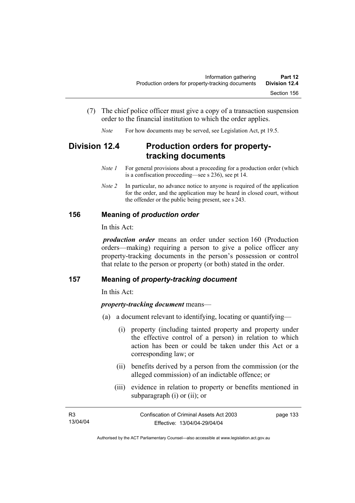- (7) The chief police officer must give a copy of a transaction suspension order to the financial institution to which the order applies.
	- *Note* For how documents may be served, see Legislation Act, pt 19.5.

# **Division 12.4 Production orders for propertytracking documents**

- *Note 1* For general provisions about a proceeding for a production order (which is a confiscation proceeding—see s 236), see pt 14.
- *Note 2* In particular, no advance notice to anyone is required of the application for the order, and the application may be heard in closed court, without the offender or the public being present, see s 243.

## **156 Meaning of** *production order*

In this Act:

*production order* means an order under section 160 (Production orders—making) requiring a person to give a police officer any property-tracking documents in the person's possession or control that relate to the person or property (or both) stated in the order.

#### **157 Meaning of** *property-tracking document*

In this Act:

#### *property-tracking document* means—

- (a) a document relevant to identifying, locating or quantifying—
	- (i) property (including tainted property and property under the effective control of a person) in relation to which action has been or could be taken under this Act or a corresponding law; or
	- (ii) benefits derived by a person from the commission (or the alleged commission) of an indictable offence; or
	- (iii) evidence in relation to property or benefits mentioned in subparagraph (i) or (ii); or

| - R3     | Confiscation of Criminal Assets Act 2003 | page 133 |
|----------|------------------------------------------|----------|
| 13/04/04 | Effective: 13/04/04-29/04/04             |          |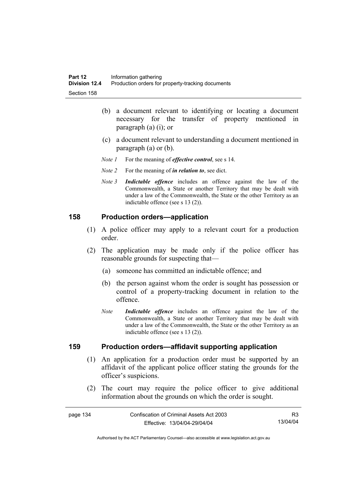- (b) a document relevant to identifying or locating a document necessary for the transfer of property mentioned in paragraph (a) (i); or
- (c) a document relevant to understanding a document mentioned in paragraph (a) or (b).
- *Note 1* For the meaning of *effective control*, see s 14.
- *Note 2* For the meaning of *in relation to*, see dict.
- *Note 3 Indictable offence* includes an offence against the law of the Commonwealth, a State or another Territory that may be dealt with under a law of the Commonwealth, the State or the other Territory as an indictable offence (see s 13 (2)).

#### **158 Production orders—application**

- (1) A police officer may apply to a relevant court for a production order.
- (2) The application may be made only if the police officer has reasonable grounds for suspecting that—
	- (a) someone has committed an indictable offence; and
	- (b) the person against whom the order is sought has possession or control of a property-tracking document in relation to the offence.
	- *Note Indictable offence* includes an offence against the law of the Commonwealth, a State or another Territory that may be dealt with under a law of the Commonwealth, the State or the other Territory as an indictable offence (see s 13 (2)).

#### **159 Production orders—affidavit supporting application**

- (1) An application for a production order must be supported by an affidavit of the applicant police officer stating the grounds for the officer's suspicions.
- (2) The court may require the police officer to give additional information about the grounds on which the order is sought.

| page 134 | Confiscation of Criminal Assets Act 2003 | R3       |
|----------|------------------------------------------|----------|
|          | Effective: 13/04/04-29/04/04             | 13/04/04 |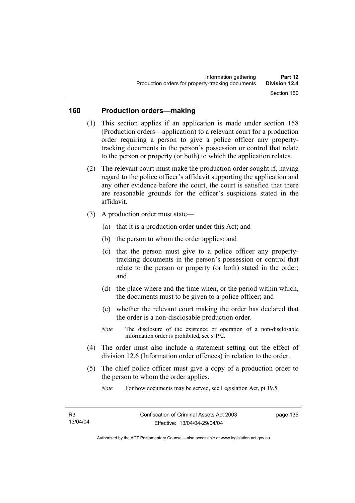#### **160 Production orders—making**

- (1) This section applies if an application is made under section 158 (Production orders—application) to a relevant court for a production order requiring a person to give a police officer any propertytracking documents in the person's possession or control that relate to the person or property (or both) to which the application relates.
- (2) The relevant court must make the production order sought if, having regard to the police officer's affidavit supporting the application and any other evidence before the court, the court is satisfied that there are reasonable grounds for the officer's suspicions stated in the affidavit.
- (3) A production order must state—
	- (a) that it is a production order under this Act; and
	- (b) the person to whom the order applies; and
	- (c) that the person must give to a police officer any propertytracking documents in the person's possession or control that relate to the person or property (or both) stated in the order; and
	- (d) the place where and the time when, or the period within which, the documents must to be given to a police officer; and
	- (e) whether the relevant court making the order has declared that the order is a non-disclosable production order.
	- *Note* The disclosure of the existence or operation of a non-disclosable information order is prohibited, see s 192.
- (4) The order must also include a statement setting out the effect of division 12.6 (Information order offences) in relation to the order.
- (5) The chief police officer must give a copy of a production order to the person to whom the order applies.

*Note* For how documents may be served, see Legislation Act, pt 19.5.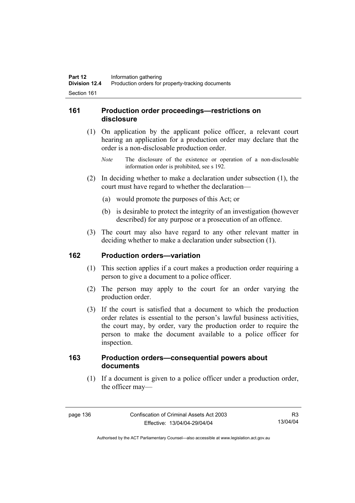## **161 Production order proceedings—restrictions on disclosure**

- (1) On application by the applicant police officer, a relevant court hearing an application for a production order may declare that the order is a non-disclosable production order.
	- *Note* The disclosure of the existence or operation of a non-disclosable information order is prohibited, see s 192.
- (2) In deciding whether to make a declaration under subsection (1), the court must have regard to whether the declaration—
	- (a) would promote the purposes of this Act; or
	- (b) is desirable to protect the integrity of an investigation (however described) for any purpose or a prosecution of an offence.
- (3) The court may also have regard to any other relevant matter in deciding whether to make a declaration under subsection (1).

#### **162 Production orders—variation**

- (1) This section applies if a court makes a production order requiring a person to give a document to a police officer.
- (2) The person may apply to the court for an order varying the production order.
- (3) If the court is satisfied that a document to which the production order relates is essential to the person's lawful business activities, the court may, by order, vary the production order to require the person to make the document available to a police officer for inspection.

## **163 Production orders—consequential powers about documents**

 (1) If a document is given to a police officer under a production order, the officer may—

Authorised by the ACT Parliamentary Counsel—also accessible at www.legislation.act.gov.au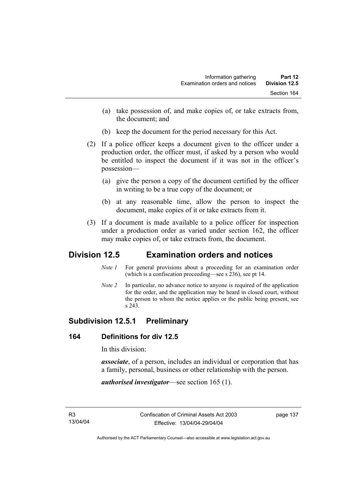- (a) take possession of, and make copies of, or take extracts from, the document; and
- (b) keep the document for the period necessary for this Act.
- (2) If a police officer keeps a document given to the officer under a production order, the officer must, if asked by a person who would be entitled to inspect the document if it was not in the officer's possession—
	- (a) give the person a copy of the document certified by the officer in writing to be a true copy of the document; or
	- (b) at any reasonable time, allow the person to inspect the document, make copies of it or take extracts from it.
- (3) If a document is made available to a police officer for inspection under a production order as varied under section 162, the officer may make copies of, or take extracts from, the document.

# **Division 12.5 Examination orders and notices**

- *Note 1* For general provisions about a proceeding for an examination order (which is a confiscation proceeding—see s 236), see pt 14.
- *Note 2* In particular, no advance notice to anyone is required of the application for the order, and the application may be heard in closed court, without the person to whom the notice applies or the public being present, see s 243.

# **Subdivision 12.5.1 Preliminary**

# **164 Definitions for div 12.5**

In this division:

*associate*, of a person, includes an individual or corporation that has a family, personal, business or other relationship with the person.

*authorised investigator*—see section 165 (1).

page 137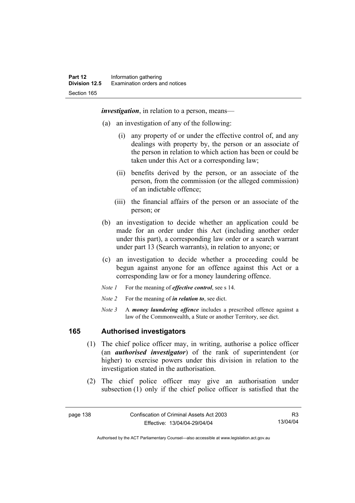*investigation*, in relation to a person, means—

- (a) an investigation of any of the following:
	- (i) any property of or under the effective control of, and any dealings with property by, the person or an associate of the person in relation to which action has been or could be taken under this Act or a corresponding law;
	- (ii) benefits derived by the person, or an associate of the person, from the commission (or the alleged commission) of an indictable offence;
	- (iii) the financial affairs of the person or an associate of the person; or
- (b) an investigation to decide whether an application could be made for an order under this Act (including another order under this part), a corresponding law order or a search warrant under part 13 (Search warrants), in relation to anyone; or
- (c) an investigation to decide whether a proceeding could be begun against anyone for an offence against this Act or a corresponding law or for a money laundering offence.
- *Note 1* For the meaning of *effective control*, see s 14.
- *Note 2* For the meaning of *in relation to*, see dict.
- *Note 3* A *money laundering offence* includes a prescribed offence against a law of the Commonwealth, a State or another Territory, see dict.

## **165 Authorised investigators**

- (1) The chief police officer may, in writing, authorise a police officer (an *authorised investigator*) of the rank of superintendent (or higher) to exercise powers under this division in relation to the investigation stated in the authorisation.
- (2) The chief police officer may give an authorisation under subsection (1) only if the chief police officer is satisfied that the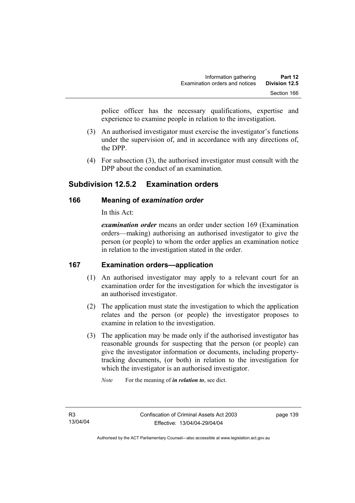police officer has the necessary qualifications, expertise and experience to examine people in relation to the investigation.

- (3) An authorised investigator must exercise the investigator's functions under the supervision of, and in accordance with any directions of, the DPP.
- (4) For subsection (3), the authorised investigator must consult with the DPP about the conduct of an examination.

# **Subdivision 12.5.2 Examination orders**

# **166 Meaning of** *examination order*

In this Act:

*examination order* means an order under section 169 (Examination orders—making) authorising an authorised investigator to give the person (or people) to whom the order applies an examination notice in relation to the investigation stated in the order.

# **167 Examination orders—application**

- (1) An authorised investigator may apply to a relevant court for an examination order for the investigation for which the investigator is an authorised investigator.
- (2) The application must state the investigation to which the application relates and the person (or people) the investigator proposes to examine in relation to the investigation.
- (3) The application may be made only if the authorised investigator has reasonable grounds for suspecting that the person (or people) can give the investigator information or documents, including propertytracking documents, (or both) in relation to the investigation for which the investigator is an authorised investigator.

*Note* For the meaning of *in relation to*, see dict.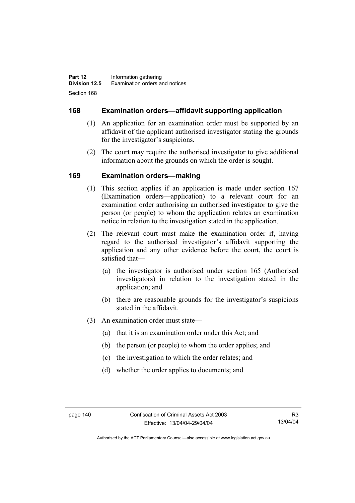## **168 Examination orders—affidavit supporting application**

- (1) An application for an examination order must be supported by an affidavit of the applicant authorised investigator stating the grounds for the investigator's suspicions.
- (2) The court may require the authorised investigator to give additional information about the grounds on which the order is sought.

## **169 Examination orders—making**

- (1) This section applies if an application is made under section 167 (Examination orders—application) to a relevant court for an examination order authorising an authorised investigator to give the person (or people) to whom the application relates an examination notice in relation to the investigation stated in the application.
- (2) The relevant court must make the examination order if, having regard to the authorised investigator's affidavit supporting the application and any other evidence before the court, the court is satisfied that—
	- (a) the investigator is authorised under section 165 (Authorised investigators) in relation to the investigation stated in the application; and
	- (b) there are reasonable grounds for the investigator's suspicions stated in the affidavit.
- (3) An examination order must state—
	- (a) that it is an examination order under this Act; and
	- (b) the person (or people) to whom the order applies; and
	- (c) the investigation to which the order relates; and
	- (d) whether the order applies to documents; and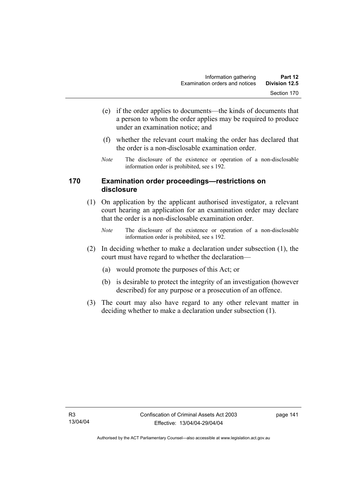- (e) if the order applies to documents—the kinds of documents that a person to whom the order applies may be required to produce under an examination notice; and
- (f) whether the relevant court making the order has declared that the order is a non-disclosable examination order.
- *Note* The disclosure of the existence or operation of a non-disclosable information order is prohibited, see s 192.

## **170 Examination order proceedings—restrictions on disclosure**

- (1) On application by the applicant authorised investigator, a relevant court hearing an application for an examination order may declare that the order is a non-disclosable examination order.
	- *Note* The disclosure of the existence or operation of a non-disclosable information order is prohibited, see s 192.
- (2) In deciding whether to make a declaration under subsection (1), the court must have regard to whether the declaration—
	- (a) would promote the purposes of this Act; or
	- (b) is desirable to protect the integrity of an investigation (however described) for any purpose or a prosecution of an offence.
- (3) The court may also have regard to any other relevant matter in deciding whether to make a declaration under subsection (1).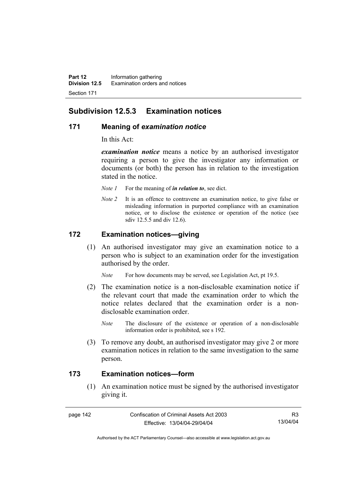# **Subdivision 12.5.3 Examination notices**

#### **171 Meaning of** *examination notice*

In this Act:

*examination notice* means a notice by an authorised investigator requiring a person to give the investigator any information or documents (or both) the person has in relation to the investigation stated in the notice.

- *Note 1* For the meaning of *in relation to*, see dict.
- *Note 2* It is an offence to contravene an examination notice, to give false or misleading information in purported compliance with an examination notice, or to disclose the existence or operation of the notice (see sdiv 12.5.5 and div 12.6).

## **172 Examination notices—giving**

 (1) An authorised investigator may give an examination notice to a person who is subject to an examination order for the investigation authorised by the order.

*Note* For how documents may be served, see Legislation Act, pt 19.5.

- (2) The examination notice is a non-disclosable examination notice if the relevant court that made the examination order to which the notice relates declared that the examination order is a nondisclosable examination order.
	- *Note* The disclosure of the existence or operation of a non-disclosable information order is prohibited, see s 192.
- (3) To remove any doubt, an authorised investigator may give 2 or more examination notices in relation to the same investigation to the same person.

### **173 Examination notices—form**

 (1) An examination notice must be signed by the authorised investigator giving it.

page 142 Confiscation of Criminal Assets Act 2003 Effective: 13/04/04-29/04/04

R3 13/04/04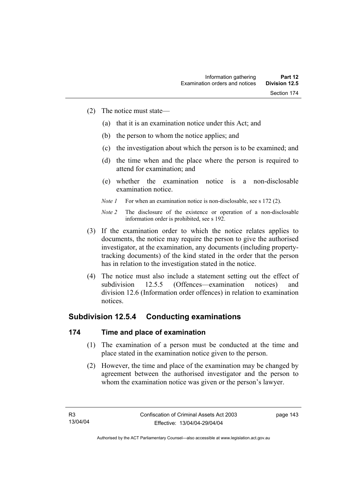- (2) The notice must state—
	- (a) that it is an examination notice under this Act; and
	- (b) the person to whom the notice applies; and
	- (c) the investigation about which the person is to be examined; and
	- (d) the time when and the place where the person is required to attend for examination; and
	- (e) whether the examination notice is a non-disclosable examination notice.
	- *Note 1* For when an examination notice is non-disclosable, see s 172 (2).

- (3) If the examination order to which the notice relates applies to documents, the notice may require the person to give the authorised investigator, at the examination, any documents (including propertytracking documents) of the kind stated in the order that the person has in relation to the investigation stated in the notice.
- (4) The notice must also include a statement setting out the effect of subdivision 12.5.5 (Offences—examination notices) and division 12.6 (Information order offences) in relation to examination notices.

# **Subdivision 12.5.4 Conducting examinations**

# **174 Time and place of examination**

- (1) The examination of a person must be conducted at the time and place stated in the examination notice given to the person.
- (2) However, the time and place of the examination may be changed by agreement between the authorised investigator and the person to whom the examination notice was given or the person's lawyer.

*Note 2* The disclosure of the existence or operation of a non-disclosable information order is prohibited, see s 192.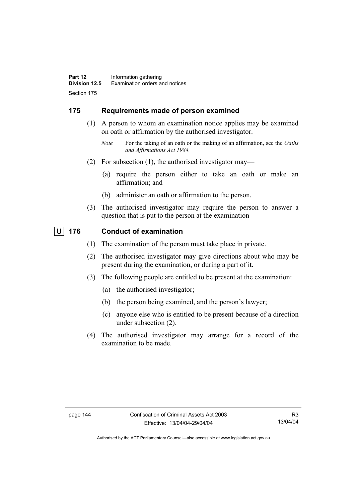# **175 Requirements made of person examined**

- (1) A person to whom an examination notice applies may be examined on oath or affirmation by the authorised investigator.
	- *Note* For the taking of an oath or the making of an affirmation, see the *Oaths and Affirmations Act 1984.*
- (2) For subsection (1), the authorised investigator may—
	- (a) require the person either to take an oath or make an affirmation; and
	- (b) administer an oath or affirmation to the person.
- (3) The authorised investigator may require the person to answer a question that is put to the person at the examination

# **U 176 Conduct of examination**

- (1) The examination of the person must take place in private.
- (2) The authorised investigator may give directions about who may be present during the examination, or during a part of it.
- (3) The following people are entitled to be present at the examination:
	- (a) the authorised investigator;
	- (b) the person being examined, and the person's lawyer;
	- (c) anyone else who is entitled to be present because of a direction under subsection (2).
- (4) The authorised investigator may arrange for a record of the examination to be made.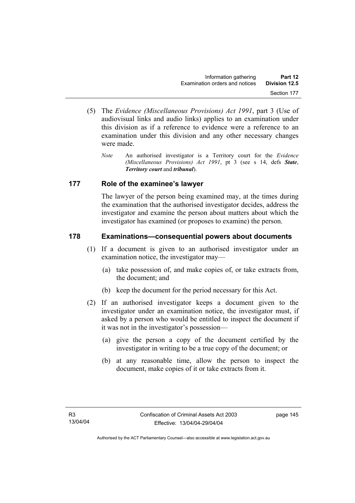- (5) The *Evidence (Miscellaneous Provisions) Act 1991*, part 3 (Use of audiovisual links and audio links) applies to an examination under this division as if a reference to evidence were a reference to an examination under this division and any other necessary changes were made.
	- *Note* An authorised investigator is a Territory court for the *Evidence (Miscellaneous Provisions) Act 1991*, pt 3 (see s 14, defs *State*, *Territory court* and *tribunal*).

# **177 Role of the examinee's lawyer**

The lawyer of the person being examined may, at the times during the examination that the authorised investigator decides, address the investigator and examine the person about matters about which the investigator has examined (or proposes to examine) the person.

# **178 Examinations—consequential powers about documents**

- (1) If a document is given to an authorised investigator under an examination notice, the investigator may—
	- (a) take possession of, and make copies of, or take extracts from, the document; and
	- (b) keep the document for the period necessary for this Act.
- (2) If an authorised investigator keeps a document given to the investigator under an examination notice, the investigator must, if asked by a person who would be entitled to inspect the document if it was not in the investigator's possession—
	- (a) give the person a copy of the document certified by the investigator in writing to be a true copy of the document; or
	- (b) at any reasonable time, allow the person to inspect the document, make copies of it or take extracts from it.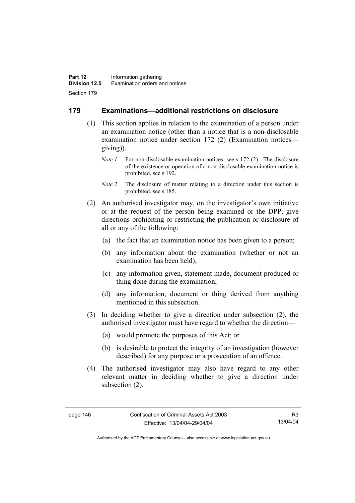#### **179 Examinations—additional restrictions on disclosure**

- (1) This section applies in relation to the examination of a person under an examination notice (other than a notice that is a non-disclosable examination notice under section 172 (2) (Examination notices giving)).
	- *Note 1* For non-disclosable examination notices, see s 172 (2). The disclosure of the existence or operation of a non-disclosable examination notice is prohibited, see s 192.
	- *Note 2* The disclosure of matter relating to a direction under this section is prohibited, see s 185.
- (2) An authorised investigator may, on the investigator's own initiative or at the request of the person being examined or the DPP, give directions prohibiting or restricting the publication or disclosure of all or any of the following:
	- (a) the fact that an examination notice has been given to a person;
	- (b) any information about the examination (whether or not an examination has been held);
	- (c) any information given, statement made, document produced or thing done during the examination;
	- (d) any information, document or thing derived from anything mentioned in this subsection.
- (3) In deciding whether to give a direction under subsection (2), the authorised investigator must have regard to whether the direction—
	- (a) would promote the purposes of this Act; or
	- (b) is desirable to protect the integrity of an investigation (however described) for any purpose or a prosecution of an offence.
- (4) The authorised investigator may also have regard to any other relevant matter in deciding whether to give a direction under subsection (2).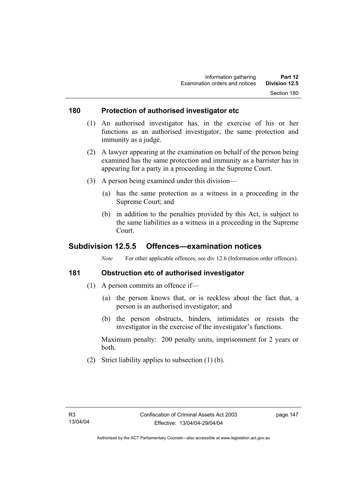#### **180 Protection of authorised investigator etc**

- (1) An authorised investigator has, in the exercise of his or her functions as an authorised investigator, the same protection and immunity as a judge.
- (2) A lawyer appearing at the examination on behalf of the person being examined has the same protection and immunity as a barrister has in appearing for a party in a proceeding in the Supreme Court.
- (3) A person being examined under this division—
	- (a) has the same protection as a witness in a proceeding in the Supreme Court; and
	- (b) in addition to the penalties provided by this Act, is subject to the same liabilities as a witness in a proceeding in the Supreme Court.

# **Subdivision 12.5.5 Offences—examination notices**

*Note* For other applicable offences, see div 12.6 (Information order offences).

## **181 Obstruction etc of authorised investigator**

- (1) A person commits an offence if—
	- (a) the person knows that, or is reckless about the fact that, a person is an authorised investigator; and
	- (b) the person obstructs, hinders, intimidates or resists the investigator in the exercise of the investigator's functions.

Maximum penalty: 200 penalty units, imprisonment for 2 years or both.

(2) Strict liability applies to subsection (1) (b).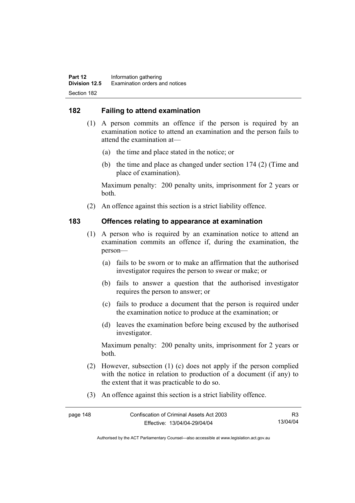# **182 Failing to attend examination**

- (1) A person commits an offence if the person is required by an examination notice to attend an examination and the person fails to attend the examination at—
	- (a) the time and place stated in the notice; or
	- (b) the time and place as changed under section 174 (2) (Time and place of examination).

Maximum penalty: 200 penalty units, imprisonment for 2 years or both.

(2) An offence against this section is a strict liability offence.

#### **183 Offences relating to appearance at examination**

- (1) A person who is required by an examination notice to attend an examination commits an offence if, during the examination, the person—
	- (a) fails to be sworn or to make an affirmation that the authorised investigator requires the person to swear or make; or
	- (b) fails to answer a question that the authorised investigator requires the person to answer; or
	- (c) fails to produce a document that the person is required under the examination notice to produce at the examination; or
	- (d) leaves the examination before being excused by the authorised investigator.

Maximum penalty: 200 penalty units, imprisonment for 2 years or both.

- (2) However, subsection (1) (c) does not apply if the person complied with the notice in relation to production of a document (if any) to the extent that it was practicable to do so.
- (3) An offence against this section is a strict liability offence.

| page 148 | Confiscation of Criminal Assets Act 2003 | R3       |
|----------|------------------------------------------|----------|
|          | Effective: 13/04/04-29/04/04             | 13/04/04 |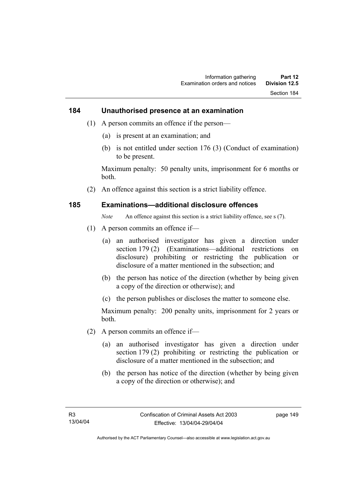#### **184 Unauthorised presence at an examination**

- (1) A person commits an offence if the person—
	- (a) is present at an examination; and
	- (b) is not entitled under section 176 (3) (Conduct of examination) to be present.

Maximum penalty: 50 penalty units, imprisonment for 6 months or both.

(2) An offence against this section is a strict liability offence.

#### **185 Examinations—additional disclosure offences**

*Note* An offence against this section is a strict liability offence, see s (7).

- (1) A person commits an offence if—
	- (a) an authorised investigator has given a direction under section 179 (2) (Examinations—additional restrictions on disclosure) prohibiting or restricting the publication or disclosure of a matter mentioned in the subsection; and
	- (b) the person has notice of the direction (whether by being given a copy of the direction or otherwise); and
	- (c) the person publishes or discloses the matter to someone else.

Maximum penalty: 200 penalty units, imprisonment for 2 years or both.

- (2) A person commits an offence if—
	- (a) an authorised investigator has given a direction under section 179 (2) prohibiting or restricting the publication or disclosure of a matter mentioned in the subsection; and
	- (b) the person has notice of the direction (whether by being given a copy of the direction or otherwise); and

page 149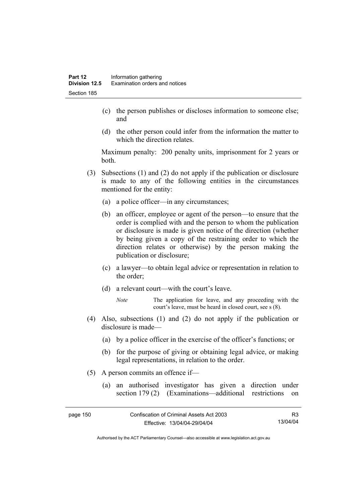- (c) the person publishes or discloses information to someone else; and
- (d) the other person could infer from the information the matter to which the direction relates.

Maximum penalty: 200 penalty units, imprisonment for 2 years or both.

- (3) Subsections (1) and (2) do not apply if the publication or disclosure is made to any of the following entities in the circumstances mentioned for the entity:
	- (a) a police officer—in any circumstances;
	- (b) an officer, employee or agent of the person—to ensure that the order is complied with and the person to whom the publication or disclosure is made is given notice of the direction (whether by being given a copy of the restraining order to which the direction relates or otherwise) by the person making the publication or disclosure;
	- (c) a lawyer—to obtain legal advice or representation in relation to the order;
	- (d) a relevant court—with the court's leave.
		- *Note* The application for leave, and any proceeding with the court's leave, must be heard in closed court, see s (8).
- (4) Also, subsections (1) and (2) do not apply if the publication or disclosure is made—
	- (a) by a police officer in the exercise of the officer's functions; or
	- (b) for the purpose of giving or obtaining legal advice, or making legal representations, in relation to the order.
- (5) A person commits an offence if—
	- (a) an authorised investigator has given a direction under section 179 (2) (Examinations—additional restrictions on

| page 150 | Confiscation of Criminal Assets Act 2003 | R3       |
|----------|------------------------------------------|----------|
|          | Effective: 13/04/04-29/04/04             | 13/04/04 |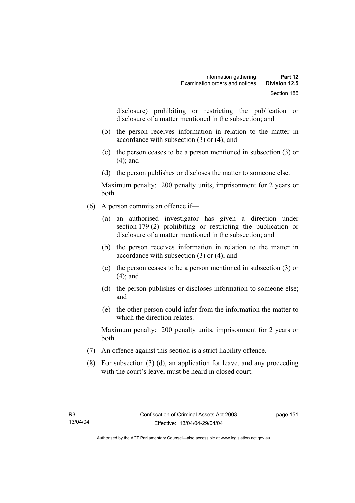disclosure) prohibiting or restricting the publication or disclosure of a matter mentioned in the subsection; and

- (b) the person receives information in relation to the matter in accordance with subsection (3) or (4); and
- (c) the person ceases to be a person mentioned in subsection (3) or (4); and
- (d) the person publishes or discloses the matter to someone else.

Maximum penalty: 200 penalty units, imprisonment for 2 years or both.

- (6) A person commits an offence if—
	- (a) an authorised investigator has given a direction under section 179 (2) prohibiting or restricting the publication or disclosure of a matter mentioned in the subsection; and
	- (b) the person receives information in relation to the matter in accordance with subsection (3) or (4); and
	- (c) the person ceases to be a person mentioned in subsection (3) or (4); and
	- (d) the person publishes or discloses information to someone else; and
	- (e) the other person could infer from the information the matter to which the direction relates.

Maximum penalty: 200 penalty units, imprisonment for 2 years or both.

- (7) An offence against this section is a strict liability offence.
- (8) For subsection (3) (d), an application for leave, and any proceeding with the court's leave, must be heard in closed court.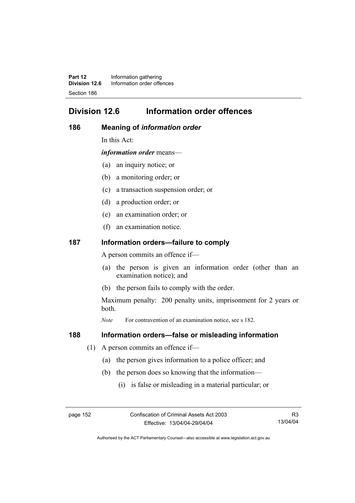**Part 12** Information gathering<br>**Division 12.6** Information order offer **Division 12.6** Information order offences Section 186

# **Division 12.6 Information order offences**

#### **186 Meaning of** *information order*

In this Act:

*information order* means—

- (a) an inquiry notice; or
- (b) a monitoring order; or
- (c) a transaction suspension order; or
- (d) a production order; or
- (e) an examination order; or
- (f) an examination notice.

#### **187 Information orders—failure to comply**

A person commits an offence if—

- (a) the person is given an information order (other than an examination notice); and
- (b) the person fails to comply with the order.

Maximum penalty: 200 penalty units, imprisonment for 2 years or both.

*Note* For contravention of an examination notice, see s 182.

#### **188 Information orders—false or misleading information**

- (1) A person commits an offence if—
	- (a) the person gives information to a police officer; and
	- (b) the person does so knowing that the information—
		- (i) is false or misleading in a material particular; or

R3 13/04/04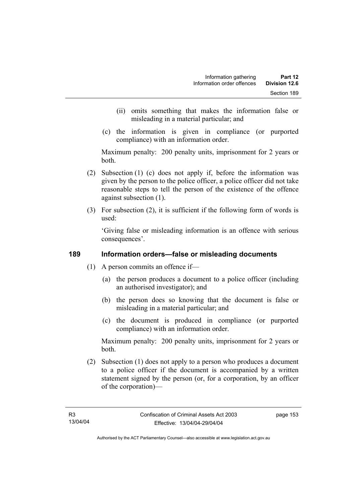- (ii) omits something that makes the information false or misleading in a material particular; and
- (c) the information is given in compliance (or purported compliance) with an information order.

Maximum penalty: 200 penalty units, imprisonment for 2 years or both.

- (2) Subsection (1) (c) does not apply if, before the information was given by the person to the police officer, a police officer did not take reasonable steps to tell the person of the existence of the offence against subsection (1).
- (3) For subsection (2), it is sufficient if the following form of words is used:

'Giving false or misleading information is an offence with serious consequences'.

# **189 Information orders—false or misleading documents**

- (1) A person commits an offence if—
	- (a) the person produces a document to a police officer (including an authorised investigator); and
	- (b) the person does so knowing that the document is false or misleading in a material particular; and
	- (c) the document is produced in compliance (or purported compliance) with an information order.

Maximum penalty: 200 penalty units, imprisonment for 2 years or both.

 (2) Subsection (1) does not apply to a person who produces a document to a police officer if the document is accompanied by a written statement signed by the person (or, for a corporation, by an officer of the corporation)—

page 153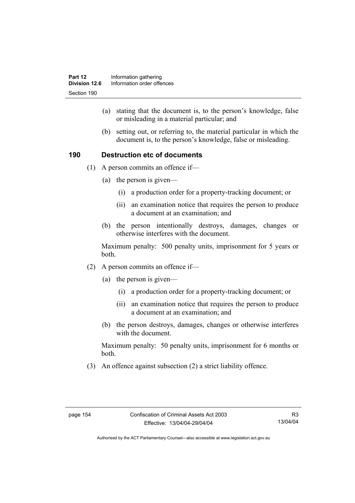- (a) stating that the document is, to the person's knowledge, false or misleading in a material particular; and
- (b) setting out, or referring to, the material particular in which the document is, to the person's knowledge, false or misleading.

# **190 Destruction etc of documents**

- (1) A person commits an offence if—
	- (a) the person is given—
		- (i) a production order for a property-tracking document; or
		- (ii) an examination notice that requires the person to produce a document at an examination; and
	- (b) the person intentionally destroys, damages, changes or otherwise interferes with the document.

Maximum penalty: 500 penalty units, imprisonment for 5 years or both.

- (2) A person commits an offence if—
	- (a) the person is given—
		- (i) a production order for a property-tracking document; or
		- (ii) an examination notice that requires the person to produce a document at an examination; and
	- (b) the person destroys, damages, changes or otherwise interferes with the document.

Maximum penalty: 50 penalty units, imprisonment for 6 months or both.

(3) An offence against subsection (2) a strict liability offence.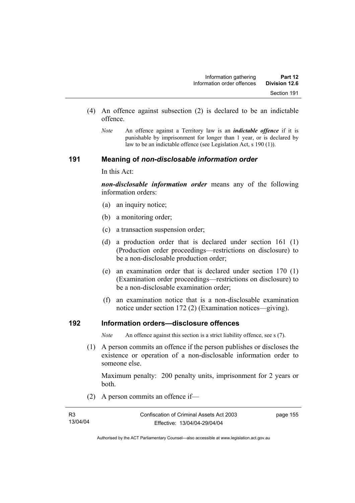- (4) An offence against subsection (2) is declared to be an indictable offence.
	- *Note* An offence against a Territory law is an *indictable offence* if it is punishable by imprisonment for longer than 1 year, or is declared by law to be an indictable offence (see Legislation Act, s 190 (1)).

#### **191 Meaning of** *non-disclosable information order*

In this Act:

*non-disclosable information order* means any of the following information orders:

- (a) an inquiry notice;
- (b) a monitoring order;
- (c) a transaction suspension order;
- (d) a production order that is declared under section 161 (1) (Production order proceedings—restrictions on disclosure) to be a non-disclosable production order;
- (e) an examination order that is declared under section 170 (1) (Examination order proceedings—restrictions on disclosure) to be a non-disclosable examination order;
- (f) an examination notice that is a non-disclosable examination notice under section 172 (2) (Examination notices—giving).

## **192 Information orders—disclosure offences**

*Note* An offence against this section is a strict liability offence, see s (7).

 (1) A person commits an offence if the person publishes or discloses the existence or operation of a non-disclosable information order to someone else.

Maximum penalty: 200 penalty units, imprisonment for 2 years or both.

(2) A person commits an offence if—

| R <sub>3</sub> | Confiscation of Criminal Assets Act 2003 | page 155 |
|----------------|------------------------------------------|----------|
| 13/04/04       | Effective: 13/04/04-29/04/04             |          |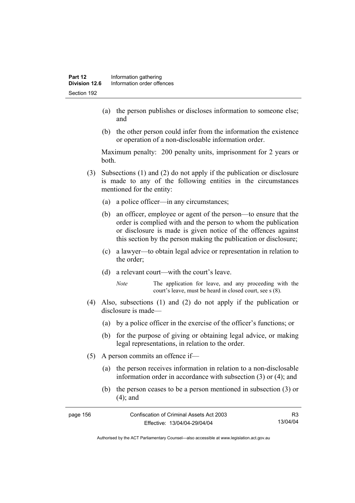- (a) the person publishes or discloses information to someone else; and
- (b) the other person could infer from the information the existence or operation of a non-disclosable information order.

Maximum penalty: 200 penalty units, imprisonment for 2 years or both.

- (3) Subsections (1) and (2) do not apply if the publication or disclosure is made to any of the following entities in the circumstances mentioned for the entity:
	- (a) a police officer—in any circumstances;
	- (b) an officer, employee or agent of the person—to ensure that the order is complied with and the person to whom the publication or disclosure is made is given notice of the offences against this section by the person making the publication or disclosure;
	- (c) a lawyer—to obtain legal advice or representation in relation to the order;
	- (d) a relevant court—with the court's leave.
		- *Note* The application for leave, and any proceeding with the court's leave, must be heard in closed court, see s (8).
- (4) Also, subsections (1) and (2) do not apply if the publication or disclosure is made—
	- (a) by a police officer in the exercise of the officer's functions; or
	- (b) for the purpose of giving or obtaining legal advice, or making legal representations, in relation to the order.
- (5) A person commits an offence if—
	- (a) the person receives information in relation to a non-disclosable information order in accordance with subsection (3) or (4); and
	- (b) the person ceases to be a person mentioned in subsection (3) or (4); and

| page 156 | Confiscation of Criminal Assets Act 2003 |          |
|----------|------------------------------------------|----------|
|          | Effective: 13/04/04-29/04/04             | 13/04/04 |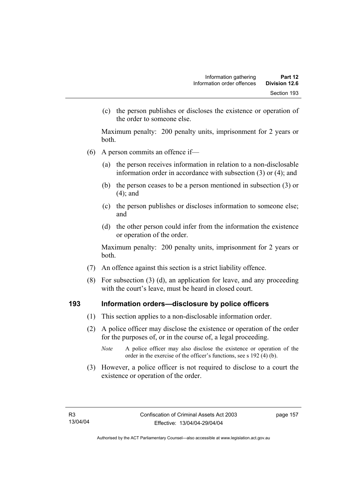(c) the person publishes or discloses the existence or operation of the order to someone else.

Maximum penalty: 200 penalty units, imprisonment for 2 years or both.

- (6) A person commits an offence if—
	- (a) the person receives information in relation to a non-disclosable information order in accordance with subsection (3) or (4); and
	- (b) the person ceases to be a person mentioned in subsection (3) or (4); and
	- (c) the person publishes or discloses information to someone else; and
	- (d) the other person could infer from the information the existence or operation of the order.

Maximum penalty: 200 penalty units, imprisonment for 2 years or both.

- (7) An offence against this section is a strict liability offence.
- (8) For subsection (3) (d), an application for leave, and any proceeding with the court's leave, must be heard in closed court.

#### **193 Information orders—disclosure by police officers**

- (1) This section applies to a non-disclosable information order.
- (2) A police officer may disclose the existence or operation of the order for the purposes of, or in the course of, a legal proceeding.
	- *Note* A police officer may also disclose the existence or operation of the order in the exercise of the officer's functions, see s 192 (4) (b).
- (3) However, a police officer is not required to disclose to a court the existence or operation of the order.

page 157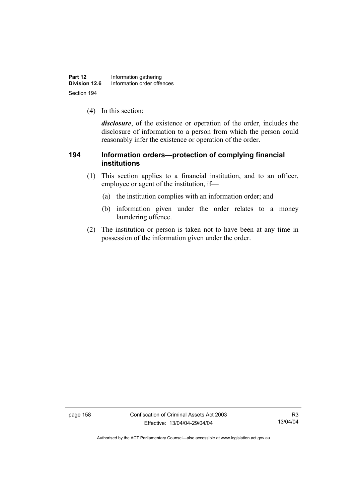| Part 12       | Information gathering      |  |
|---------------|----------------------------|--|
| Division 12.6 | Information order offences |  |
| Section 194   |                            |  |

(4) In this section:

*disclosure*, of the existence or operation of the order, includes the disclosure of information to a person from which the person could reasonably infer the existence or operation of the order.

# **194 Information orders—protection of complying financial institutions**

- (1) This section applies to a financial institution, and to an officer, employee or agent of the institution, if—
	- (a) the institution complies with an information order; and
	- (b) information given under the order relates to a money laundering offence.
- (2) The institution or person is taken not to have been at any time in possession of the information given under the order.

page 158 Confiscation of Criminal Assets Act 2003 Effective: 13/04/04-29/04/04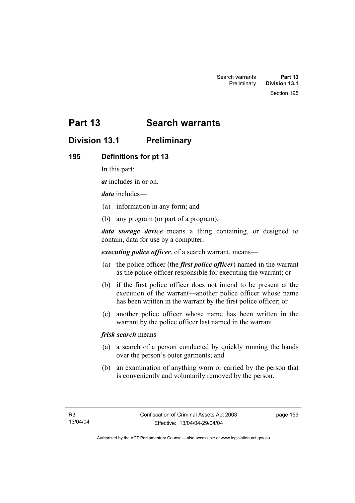Section 195

# **Part 13 Search warrants**

# **Division 13.1 Preliminary**

# **195 Definitions for pt 13**

In this part:

*at* includes in or on.

*data* includes—

- (a) information in any form; and
- (b) any program (or part of a program).

*data storage device* means a thing containing, or designed to contain, data for use by a computer.

*executing police officer*, of a search warrant, means—

- (a) the police officer (the *first police officer*) named in the warrant as the police officer responsible for executing the warrant; or
- (b) if the first police officer does not intend to be present at the execution of the warrant—another police officer whose name has been written in the warrant by the first police officer; or
- (c) another police officer whose name has been written in the warrant by the police officer last named in the warrant.

*frisk search* means—

- (a) a search of a person conducted by quickly running the hands over the person's outer garments; and
- (b) an examination of anything worn or carried by the person that is conveniently and voluntarily removed by the person.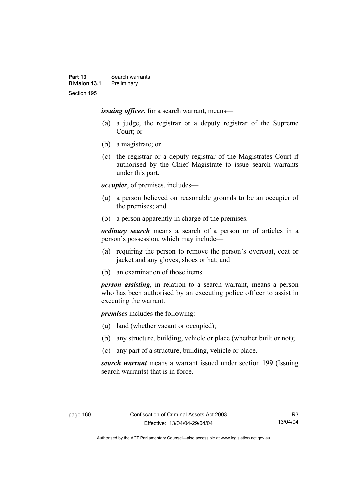*issuing officer*, for a search warrant, means—

- (a) a judge, the registrar or a deputy registrar of the Supreme Court; or
- (b) a magistrate; or
- (c) the registrar or a deputy registrar of the Magistrates Court if authorised by the Chief Magistrate to issue search warrants under this part.

*occupier*, of premises, includes—

- (a) a person believed on reasonable grounds to be an occupier of the premises; and
- (b) a person apparently in charge of the premises.

*ordinary search* means a search of a person or of articles in a person's possession, which may include—

- (a) requiring the person to remove the person's overcoat, coat or jacket and any gloves, shoes or hat; and
- (b) an examination of those items.

*person assisting*, in relation to a search warrant, means a person who has been authorised by an executing police officer to assist in executing the warrant.

*premises* includes the following:

- (a) land (whether vacant or occupied);
- (b) any structure, building, vehicle or place (whether built or not);
- (c) any part of a structure, building, vehicle or place.

*search warrant* means a warrant issued under section 199 (Issuing search warrants) that is in force.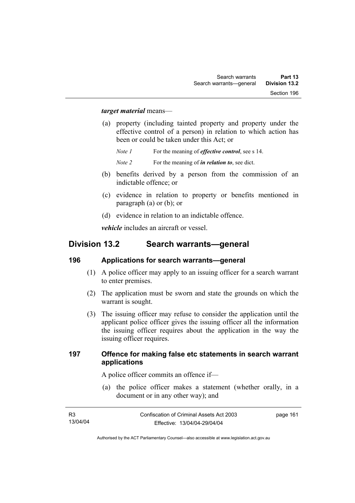#### *target material* means—

 (a) property (including tainted property and property under the effective control of a person) in relation to which action has been or could be taken under this Act; or

*Note 1* For the meaning of *effective control*, see s 14.

- *Note 2* For the meaning of *in relation to*, see dict.
- (b) benefits derived by a person from the commission of an indictable offence; or
- (c) evidence in relation to property or benefits mentioned in paragraph (a) or (b); or
- (d) evidence in relation to an indictable offence.

*vehicle* includes an aircraft or vessel.

# **Division 13.2 Search warrants—general**

#### **196 Applications for search warrants—general**

- (1) A police officer may apply to an issuing officer for a search warrant to enter premises.
- (2) The application must be sworn and state the grounds on which the warrant is sought.
- (3) The issuing officer may refuse to consider the application until the applicant police officer gives the issuing officer all the information the issuing officer requires about the application in the way the issuing officer requires.

#### **197 Offence for making false etc statements in search warrant applications**

A police officer commits an offence if—

 (a) the police officer makes a statement (whether orally, in a document or in any other way); and

| <b>R3</b> | Confiscation of Criminal Assets Act 2003 | page 161 |
|-----------|------------------------------------------|----------|
| 13/04/04  | Effective: 13/04/04-29/04/04             |          |
|           |                                          |          |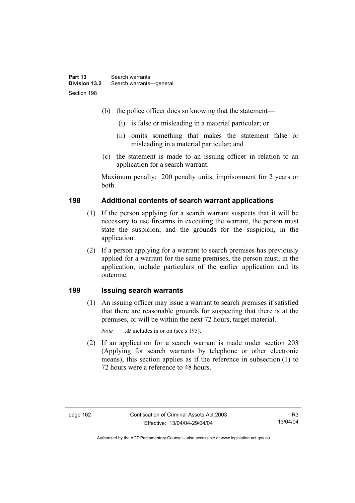- (b) the police officer does so knowing that the statement—
	- (i) is false or misleading in a material particular; or
	- (ii) omits something that makes the statement false or misleading in a material particular; and
- (c) the statement is made to an issuing officer in relation to an application for a search warrant.

Maximum penalty: 200 penalty units, imprisonment for 2 years or both.

# **198 Additional contents of search warrant applications**

- (1) If the person applying for a search warrant suspects that it will be necessary to use firearms in executing the warrant, the person must state the suspicion, and the grounds for the suspicion, in the application.
- (2) If a person applying for a warrant to search premises has previously applied for a warrant for the same premises, the person must, in the application, include particulars of the earlier application and its outcome.

#### **199 Issuing search warrants**

 (1) An issuing officer may issue a warrant to search premises if satisfied that there are reasonable grounds for suspecting that there is at the premises, or will be within the next 72 hours, target material.

*Note At* includes in or on (see s 195).

 (2) If an application for a search warrant is made under section 203 (Applying for search warrants by telephone or other electronic means), this section applies as if the reference in subsection (1) to 72 hours were a reference to 48 hours.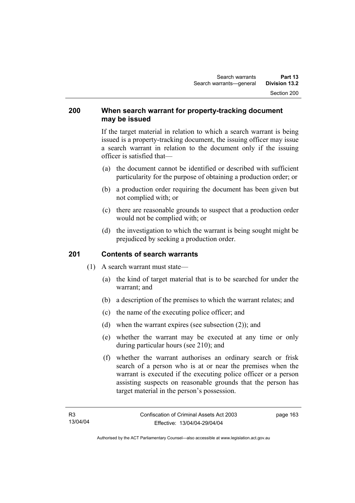#### **200 When search warrant for property-tracking document may be issued**

If the target material in relation to which a search warrant is being issued is a property-tracking document, the issuing officer may issue a search warrant in relation to the document only if the issuing officer is satisfied that—

- (a) the document cannot be identified or described with sufficient particularity for the purpose of obtaining a production order; or
- (b) a production order requiring the document has been given but not complied with; or
- (c) there are reasonable grounds to suspect that a production order would not be complied with; or
- (d) the investigation to which the warrant is being sought might be prejudiced by seeking a production order.

# **201 Contents of search warrants**

- (1) A search warrant must state—
	- (a) the kind of target material that is to be searched for under the warrant; and
	- (b) a description of the premises to which the warrant relates; and
	- (c) the name of the executing police officer; and
	- (d) when the warrant expires (see subsection (2)); and
	- (e) whether the warrant may be executed at any time or only during particular hours (see 210); and
	- (f) whether the warrant authorises an ordinary search or frisk search of a person who is at or near the premises when the warrant is executed if the executing police officer or a person assisting suspects on reasonable grounds that the person has target material in the person's possession.

page 163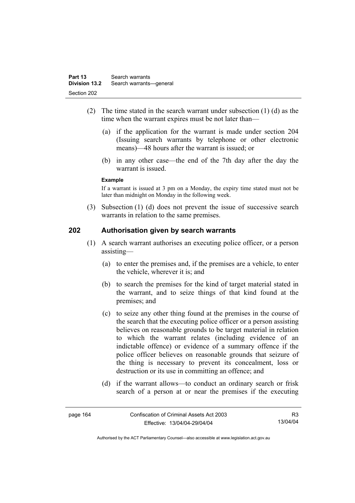- (2) The time stated in the search warrant under subsection (1) (d) as the time when the warrant expires must be not later than—
	- (a) if the application for the warrant is made under section 204 (Issuing search warrants by telephone or other electronic means)—48 hours after the warrant is issued; or
	- (b) in any other case—the end of the 7th day after the day the warrant is issued.

#### **Example**

If a warrant is issued at 3 pm on a Monday, the expiry time stated must not be later than midnight on Monday in the following week.

 (3) Subsection (1) (d) does not prevent the issue of successive search warrants in relation to the same premises.

#### **202 Authorisation given by search warrants**

- (1) A search warrant authorises an executing police officer, or a person assisting—
	- (a) to enter the premises and, if the premises are a vehicle, to enter the vehicle, wherever it is: and
	- (b) to search the premises for the kind of target material stated in the warrant, and to seize things of that kind found at the premises; and
	- (c) to seize any other thing found at the premises in the course of the search that the executing police officer or a person assisting believes on reasonable grounds to be target material in relation to which the warrant relates (including evidence of an indictable offence) or evidence of a summary offence if the police officer believes on reasonable grounds that seizure of the thing is necessary to prevent its concealment, loss or destruction or its use in committing an offence; and
	- (d) if the warrant allows—to conduct an ordinary search or frisk search of a person at or near the premises if the executing

| page 164 | Confiscation of Criminal Assets Act 2003 | R3       |
|----------|------------------------------------------|----------|
|          | Effective: 13/04/04-29/04/04             | 13/04/04 |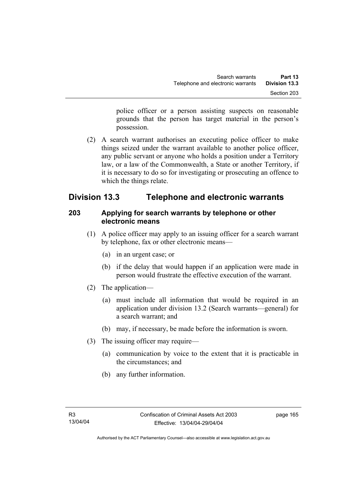police officer or a person assisting suspects on reasonable grounds that the person has target material in the person's possession.

 (2) A search warrant authorises an executing police officer to make things seized under the warrant available to another police officer, any public servant or anyone who holds a position under a Territory law, or a law of the Commonwealth, a State or another Territory, if it is necessary to do so for investigating or prosecuting an offence to which the things relate.

# **Division 13.3 Telephone and electronic warrants**

# **203 Applying for search warrants by telephone or other electronic means**

- (1) A police officer may apply to an issuing officer for a search warrant by telephone, fax or other electronic means—
	- (a) in an urgent case; or
	- (b) if the delay that would happen if an application were made in person would frustrate the effective execution of the warrant.
- (2) The application—
	- (a) must include all information that would be required in an application under division 13.2 (Search warrants—general) for a search warrant; and
	- (b) may, if necessary, be made before the information is sworn.
- (3) The issuing officer may require—
	- (a) communication by voice to the extent that it is practicable in the circumstances; and
	- (b) any further information.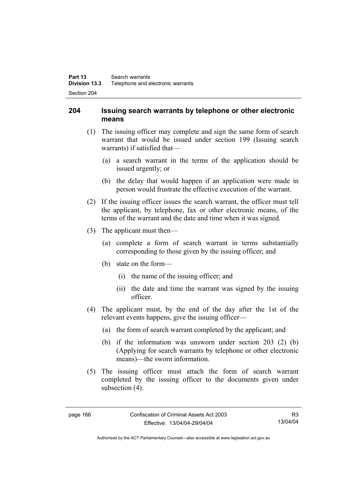## **204 Issuing search warrants by telephone or other electronic means**

- (1) The issuing officer may complete and sign the same form of search warrant that would be issued under section 199 (Issuing search warrants) if satisfied that—
	- (a) a search warrant in the terms of the application should be issued urgently; or
	- (b) the delay that would happen if an application were made in person would frustrate the effective execution of the warrant.
- (2) If the issuing officer issues the search warrant, the officer must tell the applicant, by telephone, fax or other electronic means, of the terms of the warrant and the date and time when it was signed.
- (3) The applicant must then—
	- (a) complete a form of search warrant in terms substantially corresponding to those given by the issuing officer; and
	- (b) state on the form—
		- (i) the name of the issuing officer; and
		- (ii) the date and time the warrant was signed by the issuing officer.
- (4) The applicant must, by the end of the day after the 1st of the relevant events happens, give the issuing officer—
	- (a) the form of search warrant completed by the applicant; and
	- (b) if the information was unsworn under section 203 (2) (b) (Applying for search warrants by telephone or other electronic means)—the sworn information.
- (5) The issuing officer must attach the form of search warrant completed by the issuing officer to the documents given under subsection  $(4)$ .

Authorised by the ACT Parliamentary Counsel—also accessible at www.legislation.act.gov.au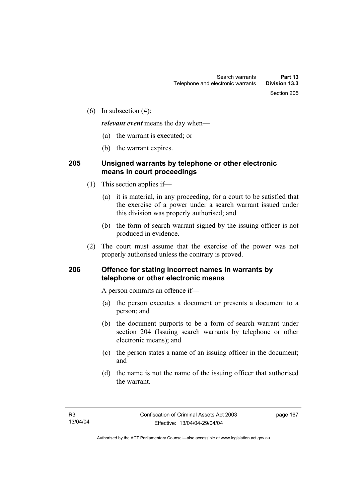(6) In subsection (4):

*relevant event* means the day when—

- (a) the warrant is executed; or
- (b) the warrant expires.

### **205 Unsigned warrants by telephone or other electronic means in court proceedings**

- (1) This section applies if—
	- (a) it is material, in any proceeding, for a court to be satisfied that the exercise of a power under a search warrant issued under this division was properly authorised; and
	- (b) the form of search warrant signed by the issuing officer is not produced in evidence.
- (2) The court must assume that the exercise of the power was not properly authorised unless the contrary is proved.

### **206 Offence for stating incorrect names in warrants by telephone or other electronic means**

A person commits an offence if—

- (a) the person executes a document or presents a document to a person; and
- (b) the document purports to be a form of search warrant under section 204 (Issuing search warrants by telephone or other electronic means); and
- (c) the person states a name of an issuing officer in the document; and
- (d) the name is not the name of the issuing officer that authorised the warrant.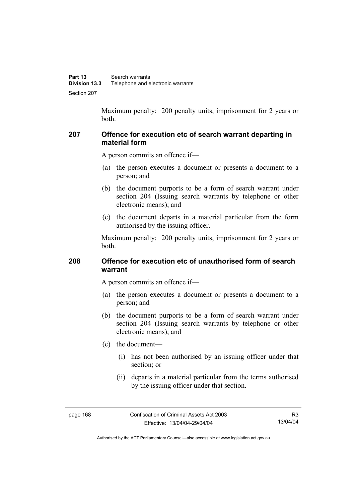Maximum penalty: 200 penalty units, imprisonment for 2 years or both.

### **207 Offence for execution etc of search warrant departing in material form**

A person commits an offence if—

- (a) the person executes a document or presents a document to a person; and
- (b) the document purports to be a form of search warrant under section 204 (Issuing search warrants by telephone or other electronic means); and
- (c) the document departs in a material particular from the form authorised by the issuing officer.

Maximum penalty: 200 penalty units, imprisonment for 2 years or both.

## **208 Offence for execution etc of unauthorised form of search warrant**

A person commits an offence if—

- (a) the person executes a document or presents a document to a person; and
- (b) the document purports to be a form of search warrant under section 204 (Issuing search warrants by telephone or other electronic means); and
- (c) the document—
	- (i) has not been authorised by an issuing officer under that section; or
	- (ii) departs in a material particular from the terms authorised by the issuing officer under that section.

page 168 Confiscation of Criminal Assets Act 2003 Effective: 13/04/04-29/04/04

Authorised by the ACT Parliamentary Counsel—also accessible at www.legislation.act.gov.au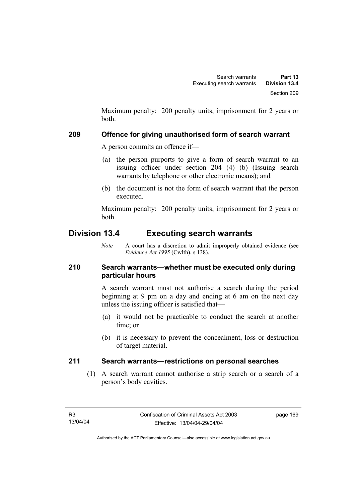Maximum penalty: 200 penalty units, imprisonment for 2 years or both.

# **209 Offence for giving unauthorised form of search warrant**

A person commits an offence if—

- (a) the person purports to give a form of search warrant to an issuing officer under section 204 (4) (b) (Issuing search warrants by telephone or other electronic means); and
- (b) the document is not the form of search warrant that the person executed.

Maximum penalty: 200 penalty units, imprisonment for 2 years or both.

# **Division 13.4 Executing search warrants**

*Note* A court has a discretion to admit improperly obtained evidence (see *Evidence Act 1995* (Cwlth), s 138).

# **210 Search warrants—whether must be executed only during particular hours**

A search warrant must not authorise a search during the period beginning at 9 pm on a day and ending at 6 am on the next day unless the issuing officer is satisfied that—

- (a) it would not be practicable to conduct the search at another time; or
- (b) it is necessary to prevent the concealment, loss or destruction of target material.

# **211 Search warrants—restrictions on personal searches**

 (1) A search warrant cannot authorise a strip search or a search of a person's body cavities.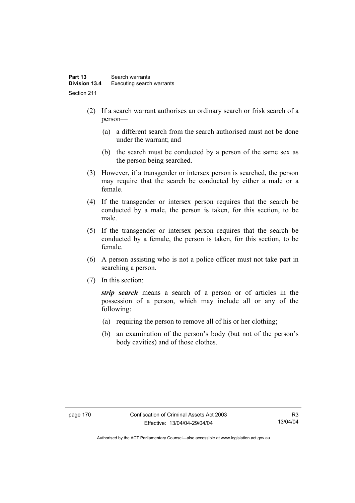- (2) If a search warrant authorises an ordinary search or frisk search of a person—
	- (a) a different search from the search authorised must not be done under the warrant; and
	- (b) the search must be conducted by a person of the same sex as the person being searched.
- (3) However, if a transgender or intersex person is searched, the person may require that the search be conducted by either a male or a female.
- (4) If the transgender or intersex person requires that the search be conducted by a male, the person is taken, for this section, to be male.
- (5) If the transgender or intersex person requires that the search be conducted by a female, the person is taken, for this section, to be female.
- (6) A person assisting who is not a police officer must not take part in searching a person.
- (7) In this section:

*strip search* means a search of a person or of articles in the possession of a person, which may include all or any of the following:

- (a) requiring the person to remove all of his or her clothing;
- (b) an examination of the person's body (but not of the person's body cavities) and of those clothes.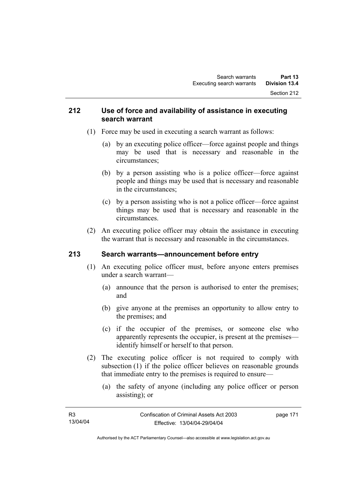### **212 Use of force and availability of assistance in executing search warrant**

- (1) Force may be used in executing a search warrant as follows:
	- (a) by an executing police officer—force against people and things may be used that is necessary and reasonable in the circumstances;
	- (b) by a person assisting who is a police officer—force against people and things may be used that is necessary and reasonable in the circumstances;
	- (c) by a person assisting who is not a police officer—force against things may be used that is necessary and reasonable in the circumstances.
- (2) An executing police officer may obtain the assistance in executing the warrant that is necessary and reasonable in the circumstances.

# **213 Search warrants—announcement before entry**

- (1) An executing police officer must, before anyone enters premises under a search warrant—
	- (a) announce that the person is authorised to enter the premises; and
	- (b) give anyone at the premises an opportunity to allow entry to the premises; and
	- (c) if the occupier of the premises, or someone else who apparently represents the occupier, is present at the premises identify himself or herself to that person.
- (2) The executing police officer is not required to comply with subsection (1) if the police officer believes on reasonable grounds that immediate entry to the premises is required to ensure—
	- (a) the safety of anyone (including any police officer or person assisting); or

| R3       | Confiscation of Criminal Assets Act 2003 | page 171 |
|----------|------------------------------------------|----------|
| 13/04/04 | Effective: 13/04/04-29/04/04             |          |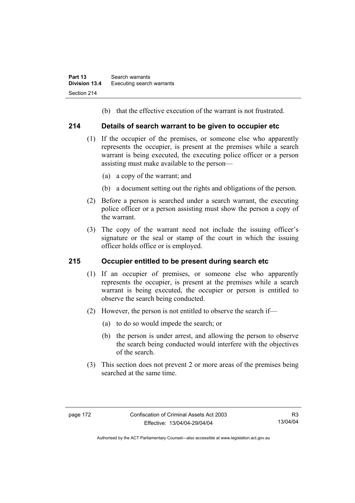(b) that the effective execution of the warrant is not frustrated.

### **214 Details of search warrant to be given to occupier etc**

- (1) If the occupier of the premises, or someone else who apparently represents the occupier, is present at the premises while a search warrant is being executed, the executing police officer or a person assisting must make available to the person—
	- (a) a copy of the warrant; and
	- (b) a document setting out the rights and obligations of the person.
- (2) Before a person is searched under a search warrant, the executing police officer or a person assisting must show the person a copy of the warrant.
- (3) The copy of the warrant need not include the issuing officer's signature or the seal or stamp of the court in which the issuing officer holds office or is employed.

# **215 Occupier entitled to be present during search etc**

- (1) If an occupier of premises, or someone else who apparently represents the occupier, is present at the premises while a search warrant is being executed, the occupier or person is entitled to observe the search being conducted.
- (2) However, the person is not entitled to observe the search if—
	- (a) to do so would impede the search; or
	- (b) the person is under arrest, and allowing the person to observe the search being conducted would interfere with the objectives of the search.
- (3) This section does not prevent 2 or more areas of the premises being searched at the same time.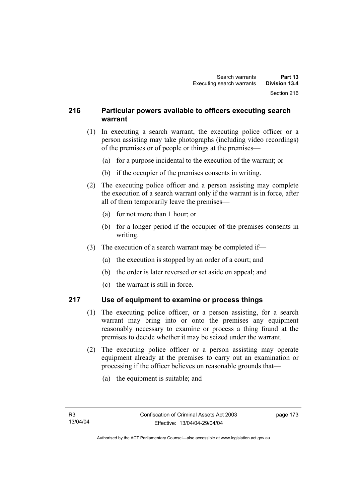### **216 Particular powers available to officers executing search warrant**

- (1) In executing a search warrant, the executing police officer or a person assisting may take photographs (including video recordings) of the premises or of people or things at the premises—
	- (a) for a purpose incidental to the execution of the warrant; or
	- (b) if the occupier of the premises consents in writing.
- (2) The executing police officer and a person assisting may complete the execution of a search warrant only if the warrant is in force, after all of them temporarily leave the premises—
	- (a) for not more than 1 hour; or
	- (b) for a longer period if the occupier of the premises consents in writing.
- (3) The execution of a search warrant may be completed if—
	- (a) the execution is stopped by an order of a court; and
	- (b) the order is later reversed or set aside on appeal; and
	- (c) the warrant is still in force.

# **217 Use of equipment to examine or process things**

- (1) The executing police officer, or a person assisting, for a search warrant may bring into or onto the premises any equipment reasonably necessary to examine or process a thing found at the premises to decide whether it may be seized under the warrant.
- (2) The executing police officer or a person assisting may operate equipment already at the premises to carry out an examination or processing if the officer believes on reasonable grounds that—
	- (a) the equipment is suitable; and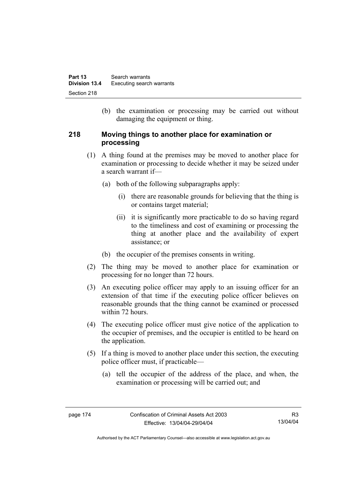(b) the examination or processing may be carried out without damaging the equipment or thing.

### **218 Moving things to another place for examination or processing**

- (1) A thing found at the premises may be moved to another place for examination or processing to decide whether it may be seized under a search warrant if—
	- (a) both of the following subparagraphs apply:
		- (i) there are reasonable grounds for believing that the thing is or contains target material;
		- (ii) it is significantly more practicable to do so having regard to the timeliness and cost of examining or processing the thing at another place and the availability of expert assistance; or
	- (b) the occupier of the premises consents in writing.
- (2) The thing may be moved to another place for examination or processing for no longer than 72 hours.
- (3) An executing police officer may apply to an issuing officer for an extension of that time if the executing police officer believes on reasonable grounds that the thing cannot be examined or processed within 72 hours.
- (4) The executing police officer must give notice of the application to the occupier of premises, and the occupier is entitled to be heard on the application.
- (5) If a thing is moved to another place under this section, the executing police officer must, if practicable—
	- (a) tell the occupier of the address of the place, and when, the examination or processing will be carried out; and

Authorised by the ACT Parliamentary Counsel—also accessible at www.legislation.act.gov.au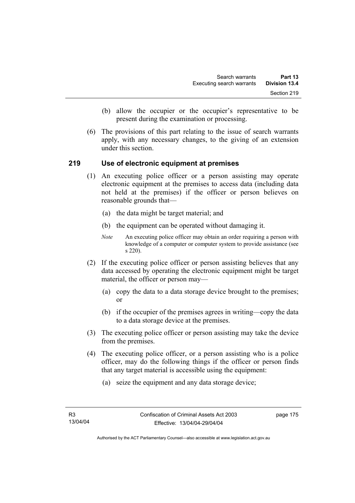- (b) allow the occupier or the occupier's representative to be present during the examination or processing.
- (6) The provisions of this part relating to the issue of search warrants apply, with any necessary changes, to the giving of an extension under this section.

### **219 Use of electronic equipment at premises**

- (1) An executing police officer or a person assisting may operate electronic equipment at the premises to access data (including data not held at the premises) if the officer or person believes on reasonable grounds that—
	- (a) the data might be target material; and
	- (b) the equipment can be operated without damaging it.
	- *Note* An executing police officer may obtain an order requiring a person with knowledge of a computer or computer system to provide assistance (see s 220).
- (2) If the executing police officer or person assisting believes that any data accessed by operating the electronic equipment might be target material, the officer or person may—
	- (a) copy the data to a data storage device brought to the premises; or
	- (b) if the occupier of the premises agrees in writing—copy the data to a data storage device at the premises.
- (3) The executing police officer or person assisting may take the device from the premises.
- (4) The executing police officer, or a person assisting who is a police officer, may do the following things if the officer or person finds that any target material is accessible using the equipment:
	- (a) seize the equipment and any data storage device;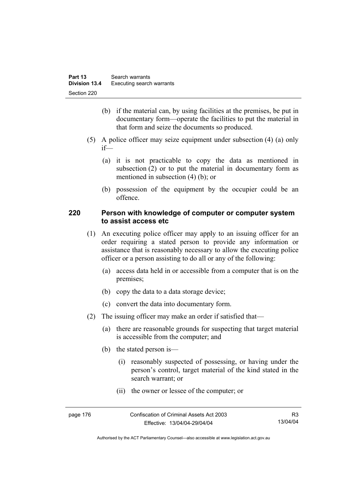- (b) if the material can, by using facilities at the premises, be put in documentary form—operate the facilities to put the material in that form and seize the documents so produced.
- (5) A police officer may seize equipment under subsection (4) (a) only if—
	- (a) it is not practicable to copy the data as mentioned in subsection (2) or to put the material in documentary form as mentioned in subsection (4) (b); or
	- (b) possession of the equipment by the occupier could be an offence.

### **220 Person with knowledge of computer or computer system to assist access etc**

- (1) An executing police officer may apply to an issuing officer for an order requiring a stated person to provide any information or assistance that is reasonably necessary to allow the executing police officer or a person assisting to do all or any of the following:
	- (a) access data held in or accessible from a computer that is on the premises;
	- (b) copy the data to a data storage device;
	- (c) convert the data into documentary form.
- (2) The issuing officer may make an order if satisfied that—
	- (a) there are reasonable grounds for suspecting that target material is accessible from the computer; and
	- (b) the stated person is—
		- (i) reasonably suspected of possessing, or having under the person's control, target material of the kind stated in the search warrant; or
		- (ii) the owner or lessee of the computer; or

| page 176 | Confiscation of Criminal Assets Act 2003 | R3       |
|----------|------------------------------------------|----------|
|          | Effective: 13/04/04-29/04/04             | 13/04/04 |

Authorised by the ACT Parliamentary Counsel—also accessible at www.legislation.act.gov.au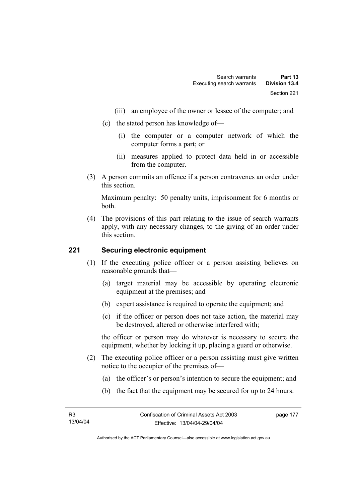- (iii) an employee of the owner or lessee of the computer; and
- (c) the stated person has knowledge of—
	- (i) the computer or a computer network of which the computer forms a part; or
	- (ii) measures applied to protect data held in or accessible from the computer.
- (3) A person commits an offence if a person contravenes an order under this section.

Maximum penalty: 50 penalty units, imprisonment for 6 months or both.

 (4) The provisions of this part relating to the issue of search warrants apply, with any necessary changes, to the giving of an order under this section.

### **221 Securing electronic equipment**

- (1) If the executing police officer or a person assisting believes on reasonable grounds that—
	- (a) target material may be accessible by operating electronic equipment at the premises; and
	- (b) expert assistance is required to operate the equipment; and
	- (c) if the officer or person does not take action, the material may be destroyed, altered or otherwise interfered with;

the officer or person may do whatever is necessary to secure the equipment, whether by locking it up, placing a guard or otherwise.

- (2) The executing police officer or a person assisting must give written notice to the occupier of the premises of—
	- (a) the officer's or person's intention to secure the equipment; and
	- (b) the fact that the equipment may be secured for up to 24 hours.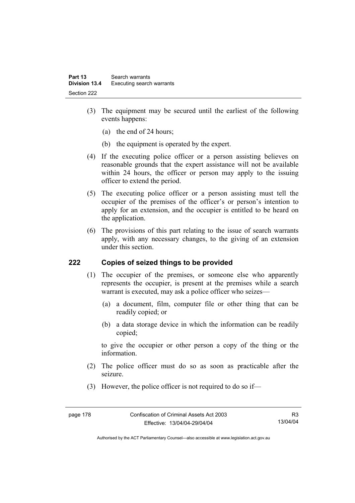- (3) The equipment may be secured until the earliest of the following events happens:
	- (a) the end of 24 hours;
	- (b) the equipment is operated by the expert.
- (4) If the executing police officer or a person assisting believes on reasonable grounds that the expert assistance will not be available within 24 hours, the officer or person may apply to the issuing officer to extend the period.
- (5) The executing police officer or a person assisting must tell the occupier of the premises of the officer's or person's intention to apply for an extension, and the occupier is entitled to be heard on the application.
- (6) The provisions of this part relating to the issue of search warrants apply, with any necessary changes, to the giving of an extension under this section.

### **222 Copies of seized things to be provided**

- (1) The occupier of the premises, or someone else who apparently represents the occupier, is present at the premises while a search warrant is executed, may ask a police officer who seizes—
	- (a) a document, film, computer file or other thing that can be readily copied; or
	- (b) a data storage device in which the information can be readily copied;

to give the occupier or other person a copy of the thing or the information.

- (2) The police officer must do so as soon as practicable after the seizure.
- (3) However, the police officer is not required to do so if—

R3 13/04/04

Authorised by the ACT Parliamentary Counsel—also accessible at www.legislation.act.gov.au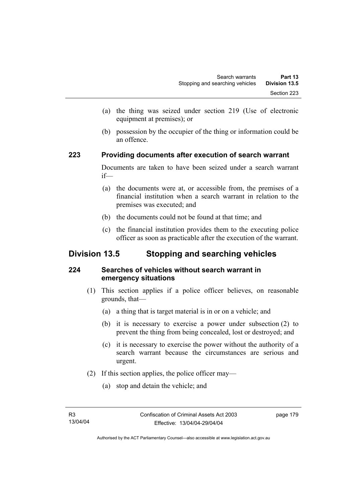- (a) the thing was seized under section 219 (Use of electronic equipment at premises); or
- (b) possession by the occupier of the thing or information could be an offence.

### **223 Providing documents after execution of search warrant**

Documents are taken to have been seized under a search warrant if—

- (a) the documents were at, or accessible from, the premises of a financial institution when a search warrant in relation to the premises was executed; and
- (b) the documents could not be found at that time; and
- (c) the financial institution provides them to the executing police officer as soon as practicable after the execution of the warrant.

# **Division 13.5 Stopping and searching vehicles**

# **224 Searches of vehicles without search warrant in emergency situations**

- (1) This section applies if a police officer believes, on reasonable grounds, that—
	- (a) a thing that is target material is in or on a vehicle; and
	- (b) it is necessary to exercise a power under subsection (2) to prevent the thing from being concealed, lost or destroyed; and
	- (c) it is necessary to exercise the power without the authority of a search warrant because the circumstances are serious and urgent.
- (2) If this section applies, the police officer may—
	- (a) stop and detain the vehicle; and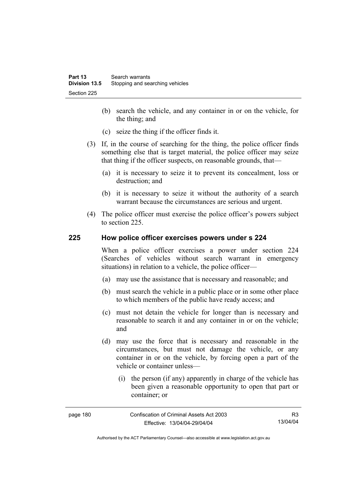- (b) search the vehicle, and any container in or on the vehicle, for the thing; and
- (c) seize the thing if the officer finds it.
- (3) If, in the course of searching for the thing, the police officer finds something else that is target material, the police officer may seize that thing if the officer suspects, on reasonable grounds, that—
	- (a) it is necessary to seize it to prevent its concealment, loss or destruction; and
	- (b) it is necessary to seize it without the authority of a search warrant because the circumstances are serious and urgent.
- (4) The police officer must exercise the police officer's powers subject to section 225.

### **225 How police officer exercises powers under s 224**

When a police officer exercises a power under section 224 (Searches of vehicles without search warrant in emergency situations) in relation to a vehicle, the police officer—

- (a) may use the assistance that is necessary and reasonable; and
- (b) must search the vehicle in a public place or in some other place to which members of the public have ready access; and
- (c) must not detain the vehicle for longer than is necessary and reasonable to search it and any container in or on the vehicle; and
- (d) may use the force that is necessary and reasonable in the circumstances, but must not damage the vehicle, or any container in or on the vehicle, by forcing open a part of the vehicle or container unless—
	- (i) the person (if any) apparently in charge of the vehicle has been given a reasonable opportunity to open that part or container; or

| page 180 | Confiscation of Criminal Assets Act 2003 | R3       |
|----------|------------------------------------------|----------|
|          | Effective: 13/04/04-29/04/04             | 13/04/04 |

Authorised by the ACT Parliamentary Counsel—also accessible at www.legislation.act.gov.au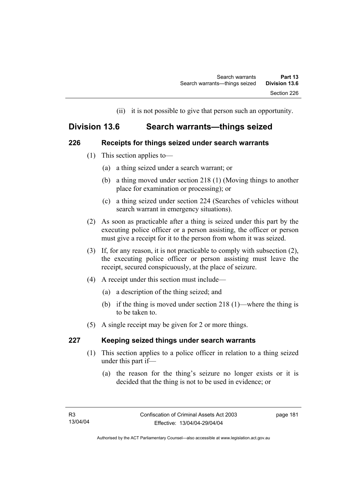(ii) it is not possible to give that person such an opportunity.

# **Division 13.6 Search warrants—things seized**

### **226 Receipts for things seized under search warrants**

- (1) This section applies to—
	- (a) a thing seized under a search warrant; or
	- (b) a thing moved under section 218 (1) (Moving things to another place for examination or processing); or
	- (c) a thing seized under section 224 (Searches of vehicles without search warrant in emergency situations).
- (2) As soon as practicable after a thing is seized under this part by the executing police officer or a person assisting, the officer or person must give a receipt for it to the person from whom it was seized.
- (3) If, for any reason, it is not practicable to comply with subsection (2), the executing police officer or person assisting must leave the receipt, secured conspicuously, at the place of seizure.
- (4) A receipt under this section must include—
	- (a) a description of the thing seized; and
	- (b) if the thing is moved under section 218 (1)—where the thing is to be taken to.
- (5) A single receipt may be given for 2 or more things.

# **227 Keeping seized things under search warrants**

- (1) This section applies to a police officer in relation to a thing seized under this part if—
	- (a) the reason for the thing's seizure no longer exists or it is decided that the thing is not to be used in evidence; or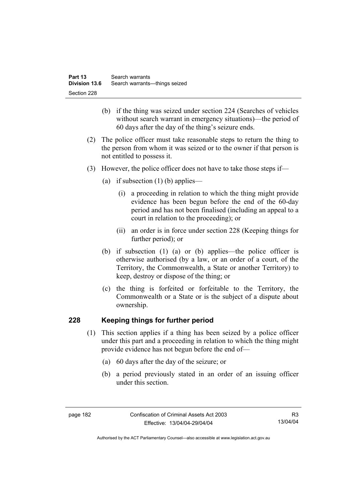- (b) if the thing was seized under section 224 (Searches of vehicles without search warrant in emergency situations)—the period of 60 days after the day of the thing's seizure ends.
- (2) The police officer must take reasonable steps to return the thing to the person from whom it was seized or to the owner if that person is not entitled to possess it.
- (3) However, the police officer does not have to take those steps if—
	- (a) if subsection  $(1)$  (b) applies—
		- (i) a proceeding in relation to which the thing might provide evidence has been begun before the end of the 60-day period and has not been finalised (including an appeal to a court in relation to the proceeding); or
		- (ii) an order is in force under section 228 (Keeping things for further period); or
	- (b) if subsection (1) (a) or (b) applies—the police officer is otherwise authorised (by a law, or an order of a court, of the Territory, the Commonwealth, a State or another Territory) to keep, destroy or dispose of the thing; or
	- (c) the thing is forfeited or forfeitable to the Territory, the Commonwealth or a State or is the subject of a dispute about ownership.

# **228 Keeping things for further period**

- (1) This section applies if a thing has been seized by a police officer under this part and a proceeding in relation to which the thing might provide evidence has not begun before the end of—
	- (a) 60 days after the day of the seizure; or
	- (b) a period previously stated in an order of an issuing officer under this section.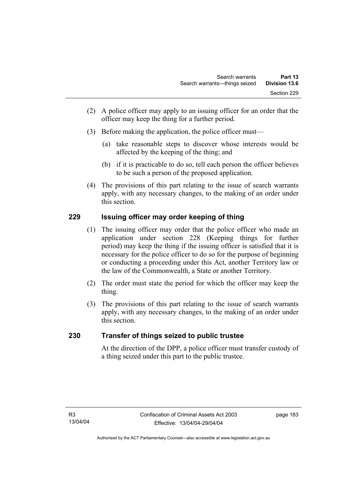- (2) A police officer may apply to an issuing officer for an order that the officer may keep the thing for a further period.
- (3) Before making the application, the police officer must—
	- (a) take reasonable steps to discover whose interests would be affected by the keeping of the thing; and
	- (b) if it is practicable to do so, tell each person the officer believes to be such a person of the proposed application.
- (4) The provisions of this part relating to the issue of search warrants apply, with any necessary changes, to the making of an order under this section.

# **229 Issuing officer may order keeping of thing**

- (1) The issuing officer may order that the police officer who made an application under section 228 (Keeping things for further period) may keep the thing if the issuing officer is satisfied that it is necessary for the police officer to do so for the purpose of beginning or conducting a proceeding under this Act, another Territory law or the law of the Commonwealth, a State or another Territory.
- (2) The order must state the period for which the officer may keep the thing.
- (3) The provisions of this part relating to the issue of search warrants apply, with any necessary changes, to the making of an order under this section.

# **230 Transfer of things seized to public trustee**

At the direction of the DPP, a police officer must transfer custody of a thing seized under this part to the public trustee.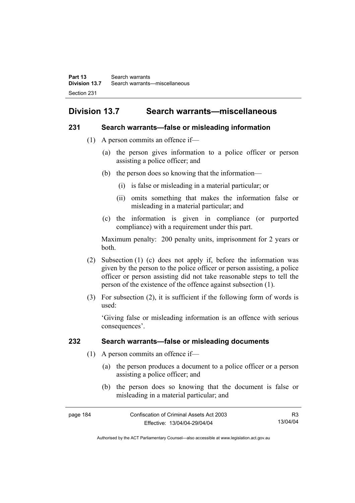# **Division 13.7 Search warrants—miscellaneous**

### **231 Search warrants—false or misleading information**

- (1) A person commits an offence if—
	- (a) the person gives information to a police officer or person assisting a police officer; and
	- (b) the person does so knowing that the information—
		- (i) is false or misleading in a material particular; or
		- (ii) omits something that makes the information false or misleading in a material particular; and
	- (c) the information is given in compliance (or purported compliance) with a requirement under this part.

Maximum penalty: 200 penalty units, imprisonment for 2 years or both.

- (2) Subsection (1) (c) does not apply if, before the information was given by the person to the police officer or person assisting, a police officer or person assisting did not take reasonable steps to tell the person of the existence of the offence against subsection (1).
- (3) For subsection (2), it is sufficient if the following form of words is used:

'Giving false or misleading information is an offence with serious consequences'.

# **232 Search warrants—false or misleading documents**

- (1) A person commits an offence if—
	- (a) the person produces a document to a police officer or a person assisting a police officer; and
	- (b) the person does so knowing that the document is false or misleading in a material particular; and

| page 184 | Confiscation of Criminal Assets Act 2003 | R3       |
|----------|------------------------------------------|----------|
|          | Effective: 13/04/04-29/04/04             | 13/04/04 |

Authorised by the ACT Parliamentary Counsel—also accessible at www.legislation.act.gov.au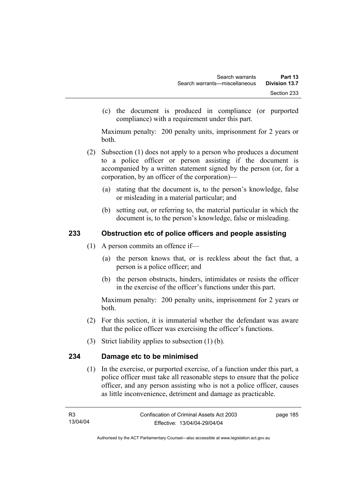(c) the document is produced in compliance (or purported compliance) with a requirement under this part.

Maximum penalty: 200 penalty units, imprisonment for 2 years or both.

- (2) Subsection (1) does not apply to a person who produces a document to a police officer or person assisting if the document is accompanied by a written statement signed by the person (or, for a corporation, by an officer of the corporation)—
	- (a) stating that the document is, to the person's knowledge, false or misleading in a material particular; and
	- (b) setting out, or referring to, the material particular in which the document is, to the person's knowledge, false or misleading.

# **233 Obstruction etc of police officers and people assisting**

- (1) A person commits an offence if—
	- (a) the person knows that, or is reckless about the fact that, a person is a police officer; and
	- (b) the person obstructs, hinders, intimidates or resists the officer in the exercise of the officer's functions under this part.

Maximum penalty: 200 penalty units, imprisonment for 2 years or both.

- (2) For this section, it is immaterial whether the defendant was aware that the police officer was exercising the officer's functions.
- (3) Strict liability applies to subsection (1) (b).

# **234 Damage etc to be minimised**

 (1) In the exercise, or purported exercise, of a function under this part, a police officer must take all reasonable steps to ensure that the police officer, and any person assisting who is not a police officer, causes as little inconvenience, detriment and damage as practicable.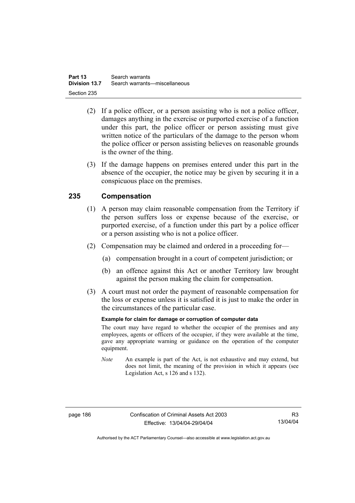- (2) If a police officer, or a person assisting who is not a police officer, damages anything in the exercise or purported exercise of a function under this part, the police officer or person assisting must give written notice of the particulars of the damage to the person whom the police officer or person assisting believes on reasonable grounds is the owner of the thing.
- (3) If the damage happens on premises entered under this part in the absence of the occupier, the notice may be given by securing it in a conspicuous place on the premises.

# **235 Compensation**

- (1) A person may claim reasonable compensation from the Territory if the person suffers loss or expense because of the exercise, or purported exercise, of a function under this part by a police officer or a person assisting who is not a police officer.
- (2) Compensation may be claimed and ordered in a proceeding for—
	- (a) compensation brought in a court of competent jurisdiction; or
	- (b) an offence against this Act or another Territory law brought against the person making the claim for compensation.
- (3) A court must not order the payment of reasonable compensation for the loss or expense unless it is satisfied it is just to make the order in the circumstances of the particular case.

### **Example for claim for damage or corruption of computer data**

The court may have regard to whether the occupier of the premises and any employees, agents or officers of the occupier, if they were available at the time, gave any appropriate warning or guidance on the operation of the computer equipment.

*Note* An example is part of the Act, is not exhaustive and may extend, but does not limit, the meaning of the provision in which it appears (see Legislation Act, s 126 and s 132).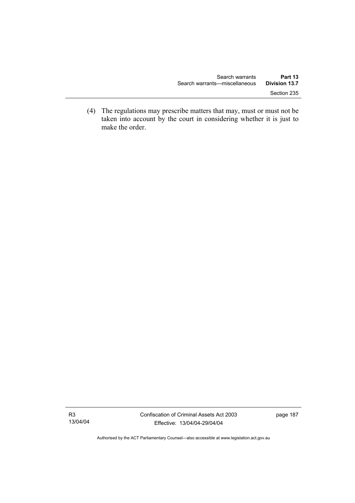(4) The regulations may prescribe matters that may, must or must not be taken into account by the court in considering whether it is just to make the order.

Authorised by the ACT Parliamentary Counsel—also accessible at www.legislation.act.gov.au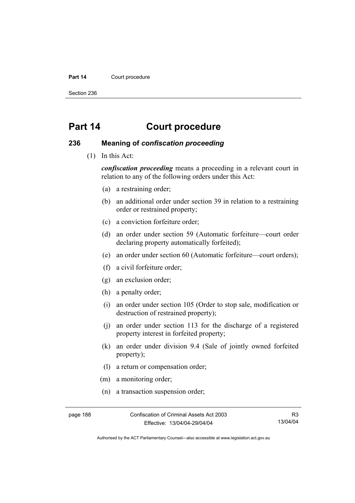#### Part 14 **Court procedure**

Section 236

# **Part 14 Court procedure**

### **236 Meaning of** *confiscation proceeding*

(1) In this Act:

*confiscation proceeding* means a proceeding in a relevant court in relation to any of the following orders under this Act:

- (a) a restraining order;
- (b) an additional order under section 39 in relation to a restraining order or restrained property;
- (c) a conviction forfeiture order;
- (d) an order under section 59 (Automatic forfeiture—court order declaring property automatically forfeited);
- (e) an order under section 60 (Automatic forfeiture—court orders);
- (f) a civil forfeiture order;
- (g) an exclusion order;
- (h) a penalty order;
- (i) an order under section 105 (Order to stop sale, modification or destruction of restrained property);
- (j) an order under section 113 for the discharge of a registered property interest in forfeited property;
- (k) an order under division 9.4 (Sale of jointly owned forfeited property);
- (l) a return or compensation order;
- (m) a monitoring order;
- (n) a transaction suspension order;

page 188 Confiscation of Criminal Assets Act 2003 Effective: 13/04/04-29/04/04

R3 13/04/04

Authorised by the ACT Parliamentary Counsel—also accessible at www.legislation.act.gov.au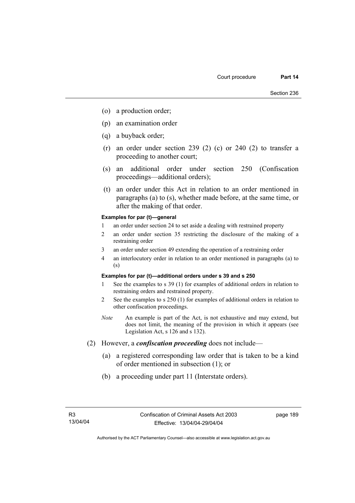- (o) a production order;
- (p) an examination order
- (q) a buyback order;
- (r) an order under section 239 (2) (c) or 240 (2) to transfer a proceeding to another court;
- (s) an additional order under section 250 (Confiscation proceedings—additional orders);
- (t) an order under this Act in relation to an order mentioned in paragraphs (a) to (s), whether made before, at the same time, or after the making of that order.

#### **Examples for par (t)—general**

- 1 an order under section 24 to set aside a dealing with restrained property
- 2 an order under section 35 restricting the disclosure of the making of a restraining order
- 3 an order under section 49 extending the operation of a restraining order
- 4 an interlocutory order in relation to an order mentioned in paragraphs (a) to (s)

#### **Examples for par (t)—additional orders under s 39 and s 250**

- 1 See the examples to s 39 (1) for examples of additional orders in relation to restraining orders and restrained property.
- 2 See the examples to s 250 (1) for examples of additional orders in relation to other confiscation proceedings.
- *Note* An example is part of the Act, is not exhaustive and may extend, but does not limit, the meaning of the provision in which it appears (see Legislation Act, s 126 and s 132).
- (2) However, a *confiscation proceeding* does not include—
	- (a) a registered corresponding law order that is taken to be a kind of order mentioned in subsection (1); or
	- (b) a proceeding under part 11 (Interstate orders).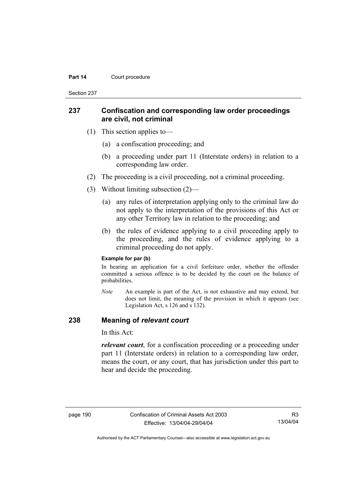#### **Part 14 Court procedure**

Section 237

### **237 Confiscation and corresponding law order proceedings are civil, not criminal**

- (1) This section applies to—
	- (a) a confiscation proceeding; and
	- (b) a proceeding under part 11 (Interstate orders) in relation to a corresponding law order.
- (2) The proceeding is a civil proceeding, not a criminal proceeding.
- (3) Without limiting subsection (2)—
	- (a) any rules of interpretation applying only to the criminal law do not apply to the interpretation of the provisions of this Act or any other Territory law in relation to the proceeding; and
	- (b) the rules of evidence applying to a civil proceeding apply to the proceeding, and the rules of evidence applying to a criminal proceeding do not apply.

#### **Example for par (b)**

In hearing an application for a civil forfeiture order, whether the offender committed a serious offence is to be decided by the court on the balance of probabilities.

*Note* An example is part of the Act, is not exhaustive and may extend, but does not limit, the meaning of the provision in which it appears (see Legislation Act, s 126 and s 132).

### **238 Meaning of** *relevant court*

In this Act:

*relevant court*, for a confiscation proceeding or a proceeding under part 11 (Interstate orders) in relation to a corresponding law order, means the court, or any court, that has jurisdiction under this part to hear and decide the proceeding.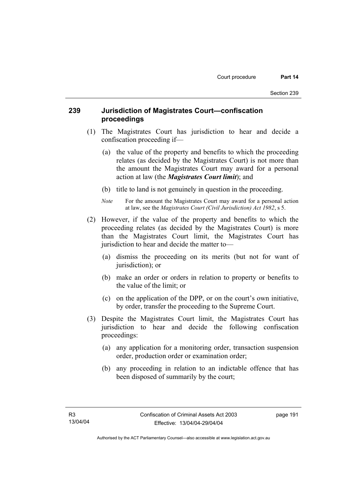## **239 Jurisdiction of Magistrates Court—confiscation proceedings**

- (1) The Magistrates Court has jurisdiction to hear and decide a confiscation proceeding if—
	- (a) the value of the property and benefits to which the proceeding relates (as decided by the Magistrates Court) is not more than the amount the Magistrates Court may award for a personal action at law (the *Magistrates Court limit*); and
	- (b) title to land is not genuinely in question in the proceeding.
	- *Note* For the amount the Magistrates Court may award for a personal action at law, see the *Magistrates Court (Civil Jurisdiction) Act 1982*, s 5.
- (2) However, if the value of the property and benefits to which the proceeding relates (as decided by the Magistrates Court) is more than the Magistrates Court limit, the Magistrates Court has jurisdiction to hear and decide the matter to—
	- (a) dismiss the proceeding on its merits (but not for want of jurisdiction); or
	- (b) make an order or orders in relation to property or benefits to the value of the limit; or
	- (c) on the application of the DPP, or on the court's own initiative, by order, transfer the proceeding to the Supreme Court.
- (3) Despite the Magistrates Court limit, the Magistrates Court has jurisdiction to hear and decide the following confiscation proceedings:
	- (a) any application for a monitoring order, transaction suspension order, production order or examination order;
	- (b) any proceeding in relation to an indictable offence that has been disposed of summarily by the court;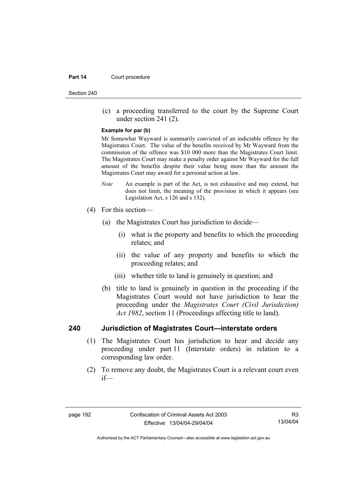#### **Part 14 Court procedure**

Section 240

 (c) a proceeding transferred to the court by the Supreme Court under section 241 (2).

#### **Example for par (b)**

Mr Somewhat Wayward is summarily convicted of an indictable offence by the Magistrates Court. The value of the benefits received by Mr Wayward from the commission of the offence was \$10 000 more than the Magistrates Court limit. The Magistrates Court may make a penalty order against Mr Wayward for the full amount of the benefits despite their value being more than the amount the Magistrates Court may award for a personal action at law.

- *Note* An example is part of the Act, is not exhaustive and may extend, but does not limit, the meaning of the provision in which it appears (see Legislation Act, s 126 and s 132).
- (4) For this section—
	- (a) the Magistrates Court has jurisdiction to decide—
		- (i) what is the property and benefits to which the proceeding relates; and
		- (ii) the value of any property and benefits to which the proceeding relates; and
		- (iii) whether title to land is genuinely in question; and
	- (b) title to land is genuinely in question in the proceeding if the Magistrates Court would not have jurisdiction to hear the proceeding under the *Magistrates Court (Civil Jurisdiction) Act 1982*, section 11 (Proceedings affecting title to land).

### **240 Jurisdiction of Magistrates Court—interstate orders**

- (1) The Magistrates Court has jurisdiction to hear and decide any proceeding under part 11 (Interstate orders) in relation to a corresponding law order.
- (2) To remove any doubt, the Magistrates Court is a relevant court even if—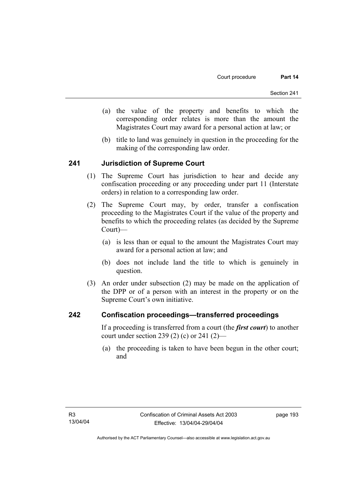- (a) the value of the property and benefits to which the corresponding order relates is more than the amount the Magistrates Court may award for a personal action at law; or
- (b) title to land was genuinely in question in the proceeding for the making of the corresponding law order.

### **241 Jurisdiction of Supreme Court**

- (1) The Supreme Court has jurisdiction to hear and decide any confiscation proceeding or any proceeding under part 11 (Interstate orders) in relation to a corresponding law order.
- (2) The Supreme Court may, by order, transfer a confiscation proceeding to the Magistrates Court if the value of the property and benefits to which the proceeding relates (as decided by the Supreme Court)—
	- (a) is less than or equal to the amount the Magistrates Court may award for a personal action at law; and
	- (b) does not include land the title to which is genuinely in question.
- (3) An order under subsection (2) may be made on the application of the DPP or of a person with an interest in the property or on the Supreme Court's own initiative.

### **242 Confiscation proceedings—transferred proceedings**

If a proceeding is transferred from a court (the *first court*) to another court under section 239 (2) (c) or 241 (2)—

 (a) the proceeding is taken to have been begun in the other court; and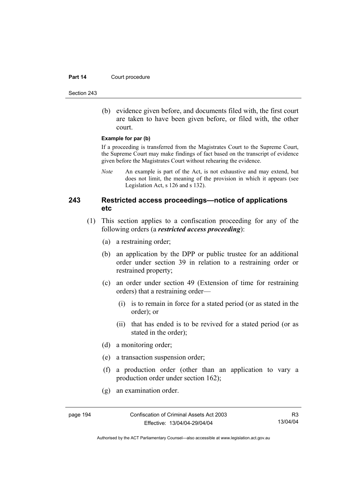#### **Part 14 Court procedure**

Section 243

 (b) evidence given before, and documents filed with, the first court are taken to have been given before, or filed with, the other court.

#### **Example for par (b)**

If a proceeding is transferred from the Magistrates Court to the Supreme Court, the Supreme Court may make findings of fact based on the transcript of evidence given before the Magistrates Court without rehearing the evidence.

*Note* An example is part of the Act, is not exhaustive and may extend, but does not limit, the meaning of the provision in which it appears (see Legislation Act, s 126 and s 132).

## **243 Restricted access proceedings—notice of applications etc**

- (1) This section applies to a confiscation proceeding for any of the following orders (a *restricted access proceeding*):
	- (a) a restraining order;
	- (b) an application by the DPP or public trustee for an additional order under section 39 in relation to a restraining order or restrained property;
	- (c) an order under section 49 (Extension of time for restraining orders) that a restraining order—
		- (i) is to remain in force for a stated period (or as stated in the order); or
		- (ii) that has ended is to be revived for a stated period (or as stated in the order);
	- (d) a monitoring order;
	- (e) a transaction suspension order;
	- (f) a production order (other than an application to vary a production order under section 162);
	- (g) an examination order.

page 194 Confiscation of Criminal Assets Act 2003 Effective: 13/04/04-29/04/04

R3 13/04/04

Authorised by the ACT Parliamentary Counsel—also accessible at www.legislation.act.gov.au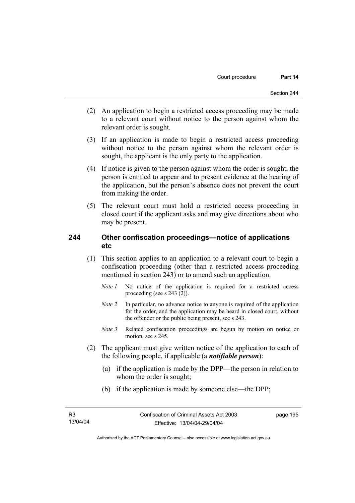- (2) An application to begin a restricted access proceeding may be made to a relevant court without notice to the person against whom the relevant order is sought.
- (3) If an application is made to begin a restricted access proceeding without notice to the person against whom the relevant order is sought, the applicant is the only party to the application.
- (4) If notice is given to the person against whom the order is sought, the person is entitled to appear and to present evidence at the hearing of the application, but the person's absence does not prevent the court from making the order.
- (5) The relevant court must hold a restricted access proceeding in closed court if the applicant asks and may give directions about who may be present.

### **244 Other confiscation proceedings—notice of applications etc**

- (1) This section applies to an application to a relevant court to begin a confiscation proceeding (other than a restricted access proceeding mentioned in section 243) or to amend such an application.
	- *Note 1* No notice of the application is required for a restricted access proceeding (see s 243 (2)).
	- *Note 2* In particular, no advance notice to anyone is required of the application for the order, and the application may be heard in closed court, without the offender or the public being present, see s 243.
	- *Note 3* Related confiscation proceedings are begun by motion on notice or motion, see s 245.
- (2) The applicant must give written notice of the application to each of the following people, if applicable (a *notifiable person*):
	- (a) if the application is made by the DPP—the person in relation to whom the order is sought;
	- (b) if the application is made by someone else—the DPP;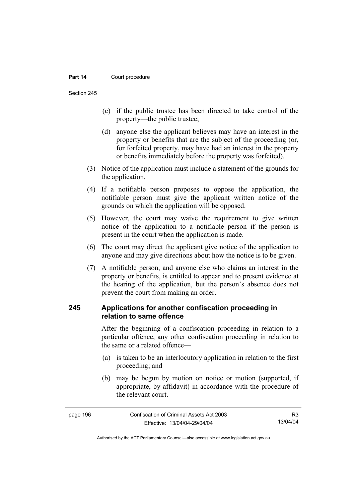#### **Part 14 Court procedure**

Section 245

- (c) if the public trustee has been directed to take control of the property—the public trustee;
- (d) anyone else the applicant believes may have an interest in the property or benefits that are the subject of the proceeding (or, for forfeited property, may have had an interest in the property or benefits immediately before the property was forfeited).
- (3) Notice of the application must include a statement of the grounds for the application.
- (4) If a notifiable person proposes to oppose the application, the notifiable person must give the applicant written notice of the grounds on which the application will be opposed.
- (5) However, the court may waive the requirement to give written notice of the application to a notifiable person if the person is present in the court when the application is made.
- (6) The court may direct the applicant give notice of the application to anyone and may give directions about how the notice is to be given.
- (7) A notifiable person, and anyone else who claims an interest in the property or benefits, is entitled to appear and to present evidence at the hearing of the application, but the person's absence does not prevent the court from making an order.

## **245 Applications for another confiscation proceeding in relation to same offence**

After the beginning of a confiscation proceeding in relation to a particular offence, any other confiscation proceeding in relation to the same or a related offence—

- (a) is taken to be an interlocutory application in relation to the first proceeding; and
- (b) may be begun by motion on notice or motion (supported, if appropriate, by affidavit) in accordance with the procedure of the relevant court.

| page 196 | Confiscation of Criminal Assets Act 2003 | R <sub>3</sub> |
|----------|------------------------------------------|----------------|
|          | Effective: 13/04/04-29/04/04             | 13/04/04       |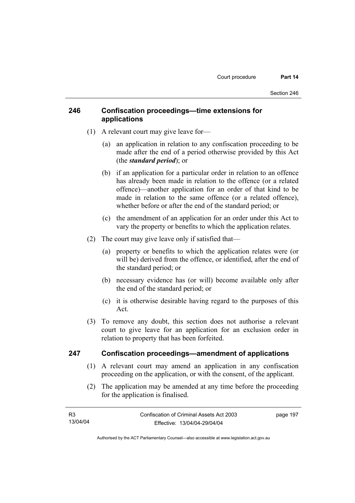## **246 Confiscation proceedings—time extensions for applications**

- (1) A relevant court may give leave for—
	- (a) an application in relation to any confiscation proceeding to be made after the end of a period otherwise provided by this Act (the *standard period*); or
	- (b) if an application for a particular order in relation to an offence has already been made in relation to the offence (or a related offence)—another application for an order of that kind to be made in relation to the same offence (or a related offence), whether before or after the end of the standard period; or
	- (c) the amendment of an application for an order under this Act to vary the property or benefits to which the application relates.
- (2) The court may give leave only if satisfied that—
	- (a) property or benefits to which the application relates were (or will be) derived from the offence, or identified, after the end of the standard period; or
	- (b) necessary evidence has (or will) become available only after the end of the standard period; or
	- (c) it is otherwise desirable having regard to the purposes of this Act.
- (3) To remove any doubt, this section does not authorise a relevant court to give leave for an application for an exclusion order in relation to property that has been forfeited.

### **247 Confiscation proceedings—amendment of applications**

- (1) A relevant court may amend an application in any confiscation proceeding on the application, or with the consent, of the applicant.
- (2) The application may be amended at any time before the proceeding for the application is finalised.

| R3       | Confiscation of Criminal Assets Act 2003 | page 197 |
|----------|------------------------------------------|----------|
| 13/04/04 | Effective: 13/04/04-29/04/04             |          |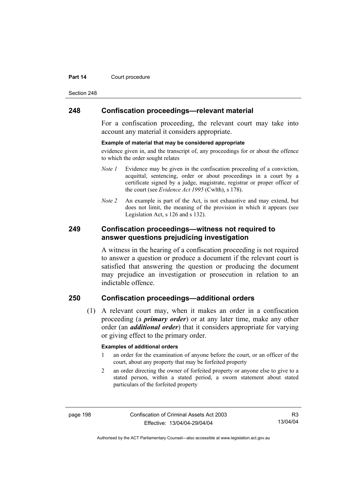#### **Part 14 Court procedure**

Section 248

### **248 Confiscation proceedings—relevant material**

For a confiscation proceeding, the relevant court may take into account any material it considers appropriate.

#### **Example of material that may be considered appropriate**

evidence given in, and the transcript of, any proceedings for or about the offence to which the order sought relates

- *Note 1* Evidence may be given in the confiscation proceeding of a conviction, acquittal, sentencing, order or about proceedings in a court by a certificate signed by a judge, magistrate, registrar or proper officer of the court (see *Evidence Act 1995* (Cwlth), s 178).
- *Note* 2 An example is part of the Act, is not exhaustive and may extend, but does not limit, the meaning of the provision in which it appears (see Legislation Act, s 126 and s 132).

### **249 Confiscation proceedings—witness not required to answer questions prejudicing investigation**

A witness in the hearing of a confiscation proceeding is not required to answer a question or produce a document if the relevant court is satisfied that answering the question or producing the document may prejudice an investigation or prosecution in relation to an indictable offence.

# **250 Confiscation proceedings—additional orders**

 (1) A relevant court may, when it makes an order in a confiscation proceeding (a *primary order*) or at any later time, make any other order (an *additional order*) that it considers appropriate for varying or giving effect to the primary order.

#### **Examples of additional orders**

- 1 an order for the examination of anyone before the court, or an officer of the court, about any property that may be forfeited property
- 2 an order directing the owner of forfeited property or anyone else to give to a stated person, within a stated period, a sworn statement about stated particulars of the forfeited property

page 198 Confiscation of Criminal Assets Act 2003 Effective: 13/04/04-29/04/04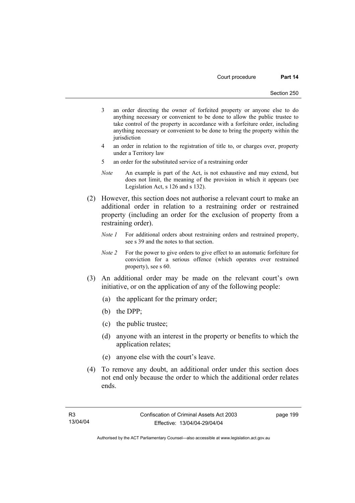- 3 an order directing the owner of forfeited property or anyone else to do anything necessary or convenient to be done to allow the public trustee to take control of the property in accordance with a forfeiture order, including anything necessary or convenient to be done to bring the property within the iurisdiction
- 4 an order in relation to the registration of title to, or charges over, property under a Territory law
- 5 an order for the substituted service of a restraining order
- *Note* An example is part of the Act, is not exhaustive and may extend, but does not limit, the meaning of the provision in which it appears (see Legislation Act, s 126 and s 132).
- (2) However, this section does not authorise a relevant court to make an additional order in relation to a restraining order or restrained property (including an order for the exclusion of property from a restraining order).
	- *Note 1* For additional orders about restraining orders and restrained property, see s 39 and the notes to that section.
	- *Note 2* For the power to give orders to give effect to an automatic forfeiture for conviction for a serious offence (which operates over restrained property), see s 60.
- (3) An additional order may be made on the relevant court's own initiative, or on the application of any of the following people:
	- (a) the applicant for the primary order;
	- (b) the DPP;
	- (c) the public trustee;
	- (d) anyone with an interest in the property or benefits to which the application relates;
	- (e) anyone else with the court's leave.
- (4) To remove any doubt, an additional order under this section does not end only because the order to which the additional order relates ends.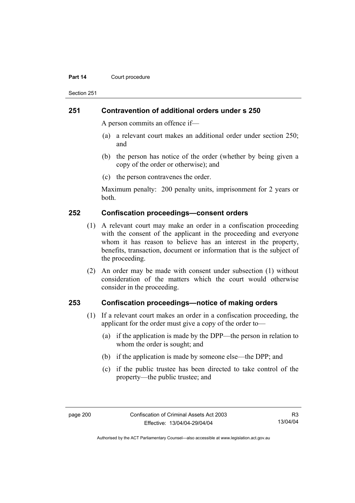#### **Part 14 Court procedure**

Section 251

### **251 Contravention of additional orders under s 250**

A person commits an offence if—

- (a) a relevant court makes an additional order under section 250; and
- (b) the person has notice of the order (whether by being given a copy of the order or otherwise); and
- (c) the person contravenes the order.

Maximum penalty: 200 penalty units, imprisonment for 2 years or both.

### **252 Confiscation proceedings—consent orders**

- (1) A relevant court may make an order in a confiscation proceeding with the consent of the applicant in the proceeding and everyone whom it has reason to believe has an interest in the property, benefits, transaction, document or information that is the subject of the proceeding.
- (2) An order may be made with consent under subsection (1) without consideration of the matters which the court would otherwise consider in the proceeding.

### **253 Confiscation proceedings—notice of making orders**

- (1) If a relevant court makes an order in a confiscation proceeding, the applicant for the order must give a copy of the order to—
	- (a) if the application is made by the DPP—the person in relation to whom the order is sought; and
	- (b) if the application is made by someone else—the DPP; and
	- (c) if the public trustee has been directed to take control of the property—the public trustee; and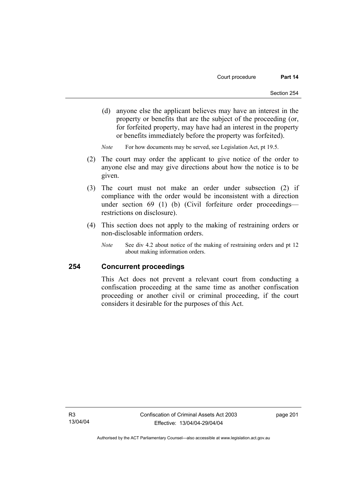(d) anyone else the applicant believes may have an interest in the property or benefits that are the subject of the proceeding (or, for forfeited property, may have had an interest in the property or benefits immediately before the property was forfeited).

*Note* For how documents may be served, see Legislation Act, pt 19.5.

- (2) The court may order the applicant to give notice of the order to anyone else and may give directions about how the notice is to be given.
- (3) The court must not make an order under subsection (2) if compliance with the order would be inconsistent with a direction under section 69 (1) (b) (Civil forfeiture order proceedings restrictions on disclosure).
- (4) This section does not apply to the making of restraining orders or non-disclosable information orders.
	- *Note* See div 4.2 about notice of the making of restraining orders and pt 12 about making information orders.

### **254 Concurrent proceedings**

This Act does not prevent a relevant court from conducting a confiscation proceeding at the same time as another confiscation proceeding or another civil or criminal proceeding, if the court considers it desirable for the purposes of this Act.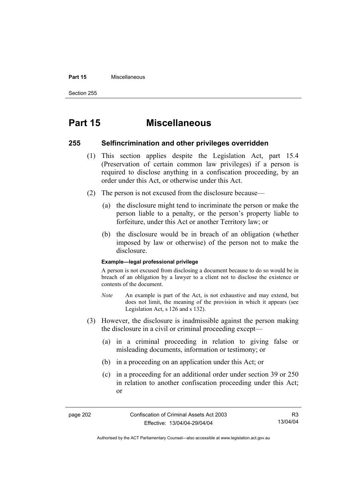#### **Part 15** Miscellaneous

Section 255

# **Part 15 Miscellaneous**

### **255 Selfincrimination and other privileges overridden**

- (1) This section applies despite the Legislation Act, part 15.4 (Preservation of certain common law privileges) if a person is required to disclose anything in a confiscation proceeding, by an order under this Act, or otherwise under this Act.
- (2) The person is not excused from the disclosure because—
	- (a) the disclosure might tend to incriminate the person or make the person liable to a penalty, or the person's property liable to forfeiture, under this Act or another Territory law; or
	- (b) the disclosure would be in breach of an obligation (whether imposed by law or otherwise) of the person not to make the disclosure.

#### **Example—legal professional privilege**

A person is not excused from disclosing a document because to do so would be in breach of an obligation by a lawyer to a client not to disclose the existence or contents of the document.

- *Note* An example is part of the Act, is not exhaustive and may extend, but does not limit, the meaning of the provision in which it appears (see Legislation Act, s 126 and s 132).
- (3) However, the disclosure is inadmissible against the person making the disclosure in a civil or criminal proceeding except—
	- (a) in a criminal proceeding in relation to giving false or misleading documents, information or testimony; or
	- (b) in a proceeding on an application under this Act; or
	- (c) in a proceeding for an additional order under section 39 or 250 in relation to another confiscation proceeding under this Act; or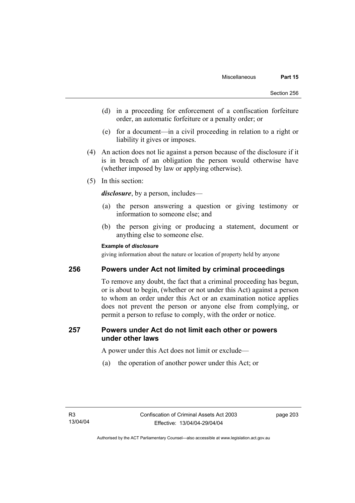- (d) in a proceeding for enforcement of a confiscation forfeiture order, an automatic forfeiture or a penalty order; or
- (e) for a document—in a civil proceeding in relation to a right or liability it gives or imposes.
- (4) An action does not lie against a person because of the disclosure if it is in breach of an obligation the person would otherwise have (whether imposed by law or applying otherwise).
- (5) In this section:

*disclosure*, by a person, includes—

- (a) the person answering a question or giving testimony or information to someone else; and
- (b) the person giving or producing a statement, document or anything else to someone else.

## **Example of** *disclosure*

giving information about the nature or location of property held by anyone

## **256 Powers under Act not limited by criminal proceedings**

To remove any doubt, the fact that a criminal proceeding has begun, or is about to begin, (whether or not under this Act) against a person to whom an order under this Act or an examination notice applies does not prevent the person or anyone else from complying, or permit a person to refuse to comply, with the order or notice.

## **257 Powers under Act do not limit each other or powers under other laws**

A power under this Act does not limit or exclude—

(a) the operation of another power under this Act; or

page 203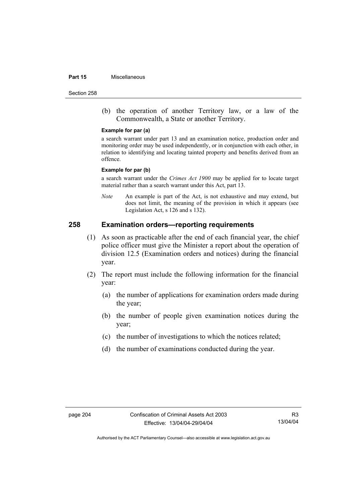#### **Part 15** Miscellaneous

Section 258

 (b) the operation of another Territory law, or a law of the Commonwealth, a State or another Territory.

#### **Example for par (a)**

a search warrant under part 13 and an examination notice, production order and monitoring order may be used independently, or in conjunction with each other, in relation to identifying and locating tainted property and benefits derived from an offence.

#### **Example for par (b)**

a search warrant under the *Crimes Act 1900* may be applied for to locate target material rather than a search warrant under this Act, part 13.

*Note* An example is part of the Act, is not exhaustive and may extend, but does not limit, the meaning of the provision in which it appears (see Legislation Act, s 126 and s 132).

## **258 Examination orders—reporting requirements**

- (1) As soon as practicable after the end of each financial year, the chief police officer must give the Minister a report about the operation of division 12.5 (Examination orders and notices) during the financial year.
- (2) The report must include the following information for the financial year:
	- (a) the number of applications for examination orders made during the year;
	- (b) the number of people given examination notices during the year;
	- (c) the number of investigations to which the notices related;
	- (d) the number of examinations conducted during the year.

R3 13/04/04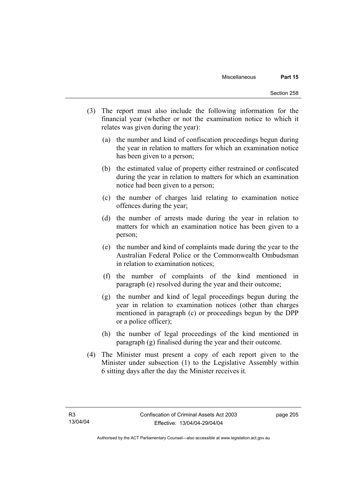- (3) The report must also include the following information for the financial year (whether or not the examination notice to which it relates was given during the year):
	- (a) the number and kind of confiscation proceedings begun during the year in relation to matters for which an examination notice has been given to a person;
	- (b) the estimated value of property either restrained or confiscated during the year in relation to matters for which an examination notice had been given to a person;
	- (c) the number of charges laid relating to examination notice offences during the year;
	- (d) the number of arrests made during the year in relation to matters for which an examination notice has been given to a person;
	- (e) the number and kind of complaints made during the year to the Australian Federal Police or the Commonwealth Ombudsman in relation to examination notices;
	- (f) the number of complaints of the kind mentioned in paragraph (e) resolved during the year and their outcome;
	- (g) the number and kind of legal proceedings begun during the year in relation to examination notices (other than charges mentioned in paragraph (c) or proceedings begun by the DPP or a police officer);
	- (h) the number of legal proceedings of the kind mentioned in paragraph (g) finalised during the year and their outcome.
- (4) The Minister must present a copy of each report given to the Minister under subsection (1) to the Legislative Assembly within 6 sitting days after the day the Minister receives it.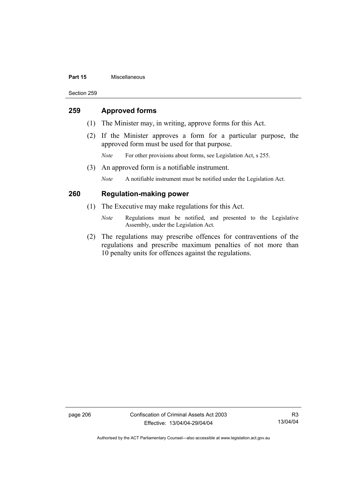#### **Part 15** Miscellaneous

Section 259

## **259 Approved forms**

- (1) The Minister may, in writing, approve forms for this Act.
- (2) If the Minister approves a form for a particular purpose, the approved form must be used for that purpose.
	- *Note* For other provisions about forms, see Legislation Act, s 255.
- (3) An approved form is a notifiable instrument.

*Note* A notifiable instrument must be notified under the Legislation Act.

## **260 Regulation-making power**

- (1) The Executive may make regulations for this Act.
	- *Note* Regulations must be notified, and presented to the Legislative Assembly, under the Legislation Act.
- (2) The regulations may prescribe offences for contraventions of the regulations and prescribe maximum penalties of not more than 10 penalty units for offences against the regulations.

page 206 Confiscation of Criminal Assets Act 2003 Effective: 13/04/04-29/04/04

R3 13/04/04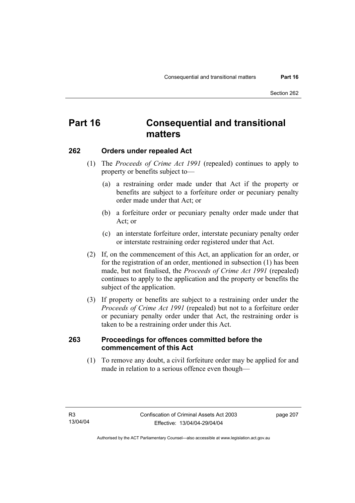# **Part 16 Consequential and transitional matters**

## **262 Orders under repealed Act**

- (1) The *Proceeds of Crime Act 1991* (repealed) continues to apply to property or benefits subject to—
	- (a) a restraining order made under that Act if the property or benefits are subject to a forfeiture order or pecuniary penalty order made under that Act; or
	- (b) a forfeiture order or pecuniary penalty order made under that Act; or
	- (c) an interstate forfeiture order, interstate pecuniary penalty order or interstate restraining order registered under that Act.
- (2) If, on the commencement of this Act, an application for an order, or for the registration of an order, mentioned in subsection (1) has been made, but not finalised, the *Proceeds of Crime Act 1991* (repealed) continues to apply to the application and the property or benefits the subject of the application.
- (3) If property or benefits are subject to a restraining order under the *Proceeds of Crime Act 1991* (repealed) but not to a forfeiture order or pecuniary penalty order under that Act, the restraining order is taken to be a restraining order under this Act.

## **263 Proceedings for offences committed before the commencement of this Act**

 (1) To remove any doubt, a civil forfeiture order may be applied for and made in relation to a serious offence even though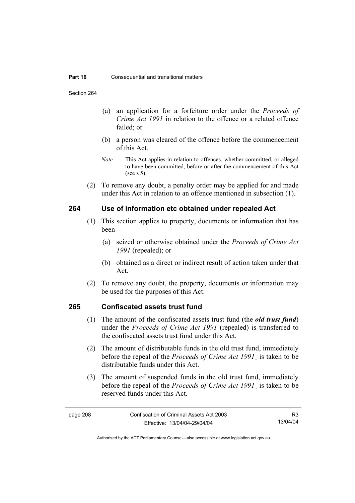Section 264

- (a) an application for a forfeiture order under the *Proceeds of Crime Act 1991* in relation to the offence or a related offence failed; or
- (b) a person was cleared of the offence before the commencement of this Act.
- *Note* This Act applies in relation to offences, whether committed, or alleged to have been committed, before or after the commencement of this Act (see s 5).
- (2) To remove any doubt, a penalty order may be applied for and made under this Act in relation to an offence mentioned in subsection (1).

## **264 Use of information etc obtained under repealed Act**

- (1) This section applies to property, documents or information that has been—
	- (a) seized or otherwise obtained under the *Proceeds of Crime Act 1991* (repealed); or
	- (b) obtained as a direct or indirect result of action taken under that Act.
- (2) To remove any doubt, the property, documents or information may be used for the purposes of this Act.

## **265 Confiscated assets trust fund**

- (1) The amount of the confiscated assets trust fund (the *old trust fund*) under the *Proceeds of Crime Act 1991* (repealed) is transferred to the confiscated assets trust fund under this Act.
- (2) The amount of distributable funds in the old trust fund, immediately before the repeal of the *Proceeds of Crime Act 1991*¸ is taken to be distributable funds under this Act.
- (3) The amount of suspended funds in the old trust fund, immediately before the repeal of the *Proceeds of Crime Act 1991*¸ is taken to be reserved funds under this Act.

R3 13/04/04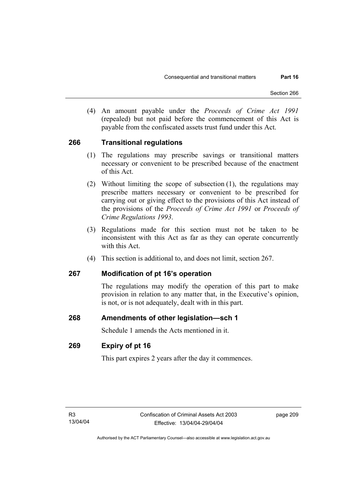(4) An amount payable under the *Proceeds of Crime Act 1991* (repealed) but not paid before the commencement of this Act is payable from the confiscated assets trust fund under this Act.

## **266 Transitional regulations**

- (1) The regulations may prescribe savings or transitional matters necessary or convenient to be prescribed because of the enactment of this Act.
- (2) Without limiting the scope of subsection (1), the regulations may prescribe matters necessary or convenient to be prescribed for carrying out or giving effect to the provisions of this Act instead of the provisions of the *Proceeds of Crime Act 1991* or *Proceeds of Crime Regulations 1993*.
- (3) Regulations made for this section must not be taken to be inconsistent with this Act as far as they can operate concurrently with this Act.
- (4) This section is additional to, and does not limit, section 267.

## **267 Modification of pt 16's operation**

The regulations may modify the operation of this part to make provision in relation to any matter that, in the Executive's opinion, is not, or is not adequately, dealt with in this part.

## **268 Amendments of other legislation—sch 1**

Schedule 1 amends the Acts mentioned in it.

## **269 Expiry of pt 16**

This part expires 2 years after the day it commences.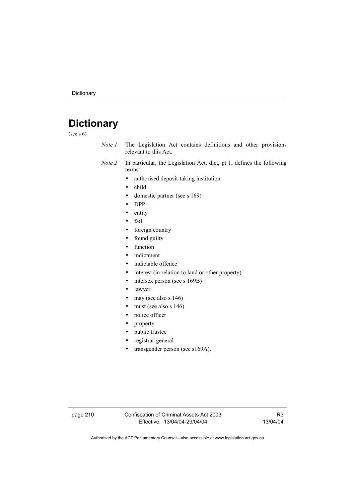# **Dictionary**

(see s 6)

- *Note 1* The Legislation Act contains definitions and other provisions relevant to this Act.
- *Note 2* In particular, the Legislation Act, dict, pt 1, defines the following terms:
	- authorised deposit-taking institution
	- child
	- domestic partner (see s 169)
	- DPP
	- entity
	- fail
	- foreign country
	- found guilty
	- function
	- indictment
	- indictable offence
	- interest (in relation to land or other property)
	- intersex person (see s 169B)
	- lawyer
	- may (see also s 146)
	- must (see also s 146)
	- police officer
	- property
	- public trustee
	- registrar-general
	- transgender person (see s169A).

page 210 Confiscation of Criminal Assets Act 2003 Effective: 13/04/04-29/04/04

R3 13/04/04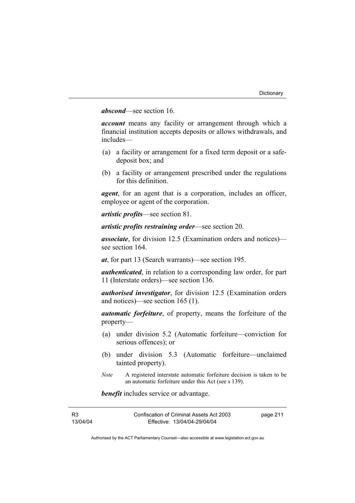## *abscond*—see section 16.

*account* means any facility or arrangement through which a financial institution accepts deposits or allows withdrawals, and includes—

- (a) a facility or arrangement for a fixed term deposit or a safedeposit box; and
- (b) a facility or arrangement prescribed under the regulations for this definition.

*agent*, for an agent that is a corporation, includes an officer, employee or agent of the corporation.

*artistic profits*—see section 81.

*artistic profits restraining order*—see section 20.

*associate*, for division 12.5 (Examination orders and notices) see section 164.

*at*, for part 13 (Search warrants)—see section 195.

*authenticated*, in relation to a corresponding law order, for part 11 (Interstate orders)—see section 136.

*authorised investigator*, for division 12.5 (Examination orders and notices)—see section 165 (1).

*automatic forfeiture*, of property, means the forfeiture of the property—

- (a) under division 5.2 (Automatic forfeiture—conviction for serious offences); or
- (b) under division 5.3 (Automatic forfeiture—unclaimed tainted property).
- *Note* A registered interstate automatic forfeiture decision is taken to be an automatic forfeiture under this Act (see s 139).

*benefit* includes service or advantage.

| R3       | Confiscation of Criminal Assets Act 2003 | page 211 |
|----------|------------------------------------------|----------|
| 13/04/04 | Effective: 13/04/04-29/04/04             |          |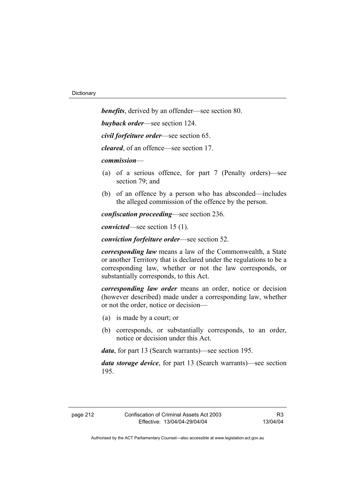*benefits*, derived by an offender—see section 80. *buyback order*—see section 124. *civil forfeiture order*—see section 65.

*cleared*, of an offence—see section 17.

*commission*—

- (a) of a serious offence, for part 7 (Penalty orders)—see section 79; and
- (b) of an offence by a person who has absconded—includes the alleged commission of the offence by the person.

*confiscation proceeding*—see section 236.

*convicted*—see section 15 (1).

*conviction forfeiture order*—see section 52.

*corresponding law* means a law of the Commonwealth, a State or another Territory that is declared under the regulations to be a corresponding law, whether or not the law corresponds, or substantially corresponds, to this Act.

*corresponding law order* means an order, notice or decision (however described) made under a corresponding law, whether or not the order, notice or decision—

- (a) is made by a court; or
- (b) corresponds, or substantially corresponds, to an order, notice or decision under this Act.

*data*, for part 13 (Search warrants)—see section 195.

*data storage device*, for part 13 (Search warrants)—see section 195.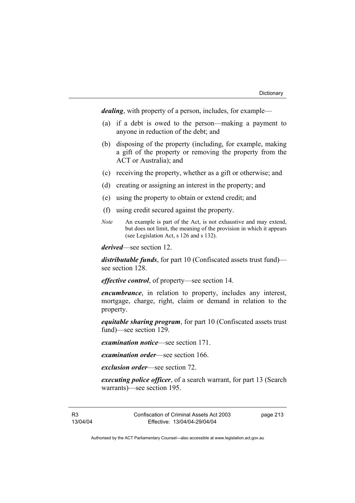*dealing*, with property of a person, includes, for example—

- (a) if a debt is owed to the person—making a payment to anyone in reduction of the debt; and
- (b) disposing of the property (including, for example, making a gift of the property or removing the property from the ACT or Australia); and
- (c) receiving the property, whether as a gift or otherwise; and
- (d) creating or assigning an interest in the property; and
- (e) using the property to obtain or extend credit; and
- (f) using credit secured against the property.
- *Note* An example is part of the Act, is not exhaustive and may extend, but does not limit, the meaning of the provision in which it appears (see Legislation Act, s 126 and s 132).

*derived*—see section 12.

*distributable funds*, for part 10 (Confiscated assets trust fund) see section 128.

*effective control*, of property—see section 14.

*encumbrance*, in relation to property, includes any interest, mortgage, charge, right, claim or demand in relation to the property.

*equitable sharing program*, for part 10 (Confiscated assets trust fund)—see section 129.

*examination notice*—see section 171.

*examination order*—see section 166.

*exclusion order*—see section 72.

*executing police officer*, of a search warrant, for part 13 (Search warrants)—see section 195.

R3 13/04/04 Confiscation of Criminal Assets Act 2003 Effective: 13/04/04-29/04/04

page 213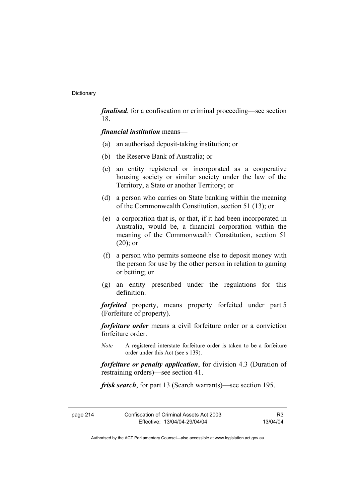*finalised*, for a confiscation or criminal proceeding—see section 18.

#### *financial institution* means—

- (a) an authorised deposit-taking institution; or
- (b) the Reserve Bank of Australia; or
- (c) an entity registered or incorporated as a cooperative housing society or similar society under the law of the Territory, a State or another Territory; or
- (d) a person who carries on State banking within the meaning of the Commonwealth Constitution, section 51 (13); or
- (e) a corporation that is, or that, if it had been incorporated in Australia, would be, a financial corporation within the meaning of the Commonwealth Constitution, section 51  $(20)$ ; or
- (f) a person who permits someone else to deposit money with the person for use by the other person in relation to gaming or betting; or
- (g) an entity prescribed under the regulations for this definition.

*forfeited* property, means property forfeited under part 5 (Forfeiture of property).

*forfeiture order* means a civil forfeiture order or a conviction forfeiture order.

*Note* A registered interstate forfeiture order is taken to be a forfeiture order under this Act (see s 139).

*forfeiture or penalty application*, for division 4.3 (Duration of restraining orders)—see section 41.

*frisk search*, for part 13 (Search warrants)—see section 195.

| page 214 | Confiscation of Criminal Assets Act 2003 | R <sub>3</sub> |
|----------|------------------------------------------|----------------|
|          | Effective: 13/04/04-29/04/04             | 13/04/04       |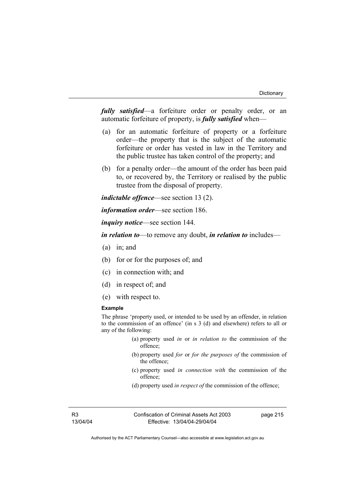*fully satisfied*—a forfeiture order or penalty order, or an automatic forfeiture of property, is *fully satisfied* when—

- (a) for an automatic forfeiture of property or a forfeiture order—the property that is the subject of the automatic forfeiture or order has vested in law in the Territory and the public trustee has taken control of the property; and
- (b) for a penalty order—the amount of the order has been paid to, or recovered by, the Territory or realised by the public trustee from the disposal of property.

*indictable offence*—see section 13 (2).

*information order*—see section 186.

*inquiry notice*—see section 144.

*in relation to*—to remove any doubt, *in relation to* includes—

- (a) in; and
- (b) for or for the purposes of; and
- (c) in connection with; and
- (d) in respect of; and
- (e) with respect to.

#### **Example**

The phrase 'property used, or intended to be used by an offender, in relation to the commission of an offence' (in s 3 (d) and elsewhere) refers to all or any of the following:

- (a) property used *in* or *in relation to* the commission of the offence;
- (b) property used *for* or *for the purposes of* the commission of the offence;
- (c) property used *in connection with* the commission of the offence;
- (d) property used *in respect of* the commission of the offence;

R3 13/04/04 Confiscation of Criminal Assets Act 2003 Effective: 13/04/04-29/04/04

page 215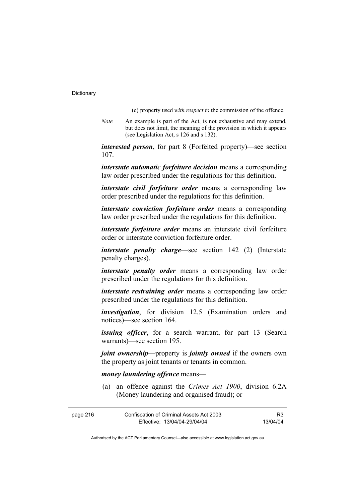(e) property used *with respect to* the commission of the offence.

*Note* An example is part of the Act, is not exhaustive and may extend, but does not limit, the meaning of the provision in which it appears (see Legislation Act, s 126 and s 132).

*interested person*, for part 8 (Forfeited property)—see section 107.

*interstate automatic forfeiture decision* means a corresponding law order prescribed under the regulations for this definition.

*interstate civil forfeiture order* means a corresponding law order prescribed under the regulations for this definition.

*interstate conviction forfeiture order* means a corresponding law order prescribed under the regulations for this definition.

*interstate forfeiture order* means an interstate civil forfeiture order or interstate conviction forfeiture order.

*interstate penalty charge*—see section 142 (2) (Interstate penalty charges).

*interstate penalty order* means a corresponding law order prescribed under the regulations for this definition.

*interstate restraining order* means a corresponding law order prescribed under the regulations for this definition.

*investigation*, for division 12.5 (Examination orders and notices)—see section 164.

*issuing officer*, for a search warrant, for part 13 (Search warrants)—see section 195.

*joint ownership*—property is *jointly owned* if the owners own the property as joint tenants or tenants in common.

*money laundering offence* means—

 (a) an offence against the *Crimes Act 1900*, division 6.2A (Money laundering and organised fraud); or

| page 216 | Confiscation of Criminal Assets Act 2003 | R3       |
|----------|------------------------------------------|----------|
|          | Effective: 13/04/04-29/04/04             | 13/04/04 |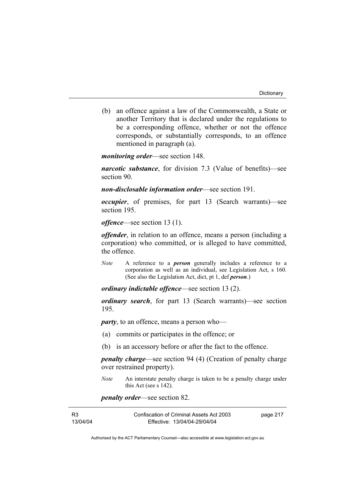(b) an offence against a law of the Commonwealth, a State or another Territory that is declared under the regulations to be a corresponding offence, whether or not the offence corresponds, or substantially corresponds, to an offence mentioned in paragraph (a).

*monitoring order*—see section 148.

*narcotic substance*, for division 7.3 (Value of benefits)—see section 90.

*non-disclosable information order*—see section 191.

*occupier*, of premises, for part 13 (Search warrants)—see section 195.

*offence*—see section 13 (1).

*offender*, in relation to an offence, means a person (including a corporation) who committed, or is alleged to have committed, the offence.

*Note* A reference to a *person* generally includes a reference to a corporation as well as an individual, see Legislation Act, s 160. (See also the Legislation Act, dict, pt 1, def *person*.)

*ordinary indictable offence*—see section 13 (2).

*ordinary search*, for part 13 (Search warrants)—see section 195.

*party*, to an offence, means a person who—

- (a) commits or participates in the offence; or
- (b) is an accessory before or after the fact to the offence.

*penalty charge*—see section 94 (4) (Creation of penalty charge over restrained property).

*Note* An interstate penalty charge is taken to be a penalty charge under this Act (see s 142).

*penalty order*—see section 82.

| R3       | Confiscation of Criminal Assets Act 2003 | page 217 |
|----------|------------------------------------------|----------|
| 13/04/04 | Effective: 13/04/04-29/04/04             |          |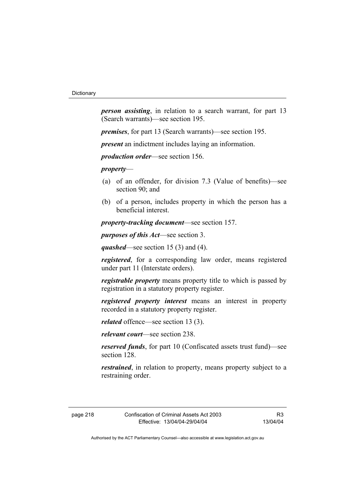*person assisting*, in relation to a search warrant, for part 13 (Search warrants)—see section 195.

*premises*, for part 13 (Search warrants)—see section 195.

*present* an indictment includes laying an information.

*production order*—see section 156.

*property*—

- (a) of an offender, for division 7.3 (Value of benefits)—see section 90; and
- (b) of a person, includes property in which the person has a beneficial interest.

*property-tracking document*—see section 157.

*purposes of this Act*—see section 3.

*quashed*—see section 15 (3) and (4).

*registered*, for a corresponding law order, means registered under part 11 (Interstate orders).

*registrable property* means property title to which is passed by registration in a statutory property register.

*registered property interest* means an interest in property recorded in a statutory property register.

*related* offence—see section 13 (3).

*relevant court*—see section 238.

*reserved funds*, for part 10 (Confiscated assets trust fund)—see section 128.

*restrained*, in relation to property, means property subject to a restraining order.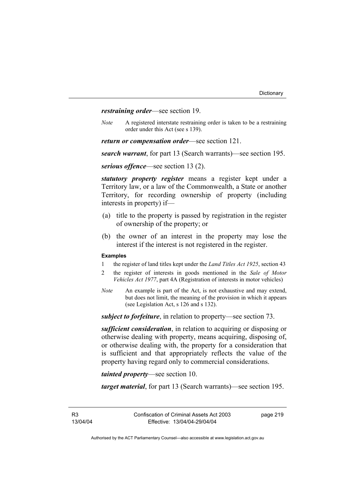*restraining order*—see section 19.

*Note* A registered interstate restraining order is taken to be a restraining order under this Act (see s 139).

*return or compensation order*—see section 121.

*search warrant*, for part 13 (Search warrants)—see section 195.

*serious offence*—see section 13 (2).

*statutory property register* means a register kept under a Territory law, or a law of the Commonwealth, a State or another Territory, for recording ownership of property (including interests in property) if—

- (a) title to the property is passed by registration in the register of ownership of the property; or
- (b) the owner of an interest in the property may lose the interest if the interest is not registered in the register.

#### **Examples**

- 1 the register of land titles kept under the *Land Titles Act 1925*, section 43
- 2 the register of interests in goods mentioned in the *Sale of Motor Vehicles Act 1977*, part 4A (Registration of interests in motor vehicles)
- *Note* An example is part of the Act, is not exhaustive and may extend, but does not limit, the meaning of the provision in which it appears (see Legislation Act, s 126 and s 132).

*subject to forfeiture*, in relation to property—see section 73.

*sufficient consideration*, in relation to acquiring or disposing or otherwise dealing with property, means acquiring, disposing of, or otherwise dealing with, the property for a consideration that is sufficient and that appropriately reflects the value of the property having regard only to commercial considerations.

*tainted property*—see section 10.

*target material*, for part 13 (Search warrants)—see section 195.

R3 13/04/04 page 219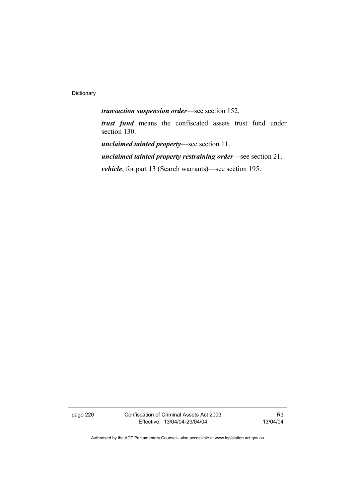Dictionary

*transaction suspension order*—see section 152.

*trust fund* means the confiscated assets trust fund under section 130.

*unclaimed tainted property*—see section 11.

*unclaimed tainted property restraining order*—see section 21.

*vehicle*, for part 13 (Search warrants)—see section 195.

page 220 Confiscation of Criminal Assets Act 2003 Effective: 13/04/04-29/04/04

R3 13/04/04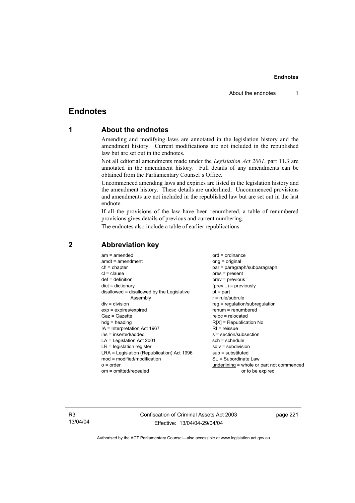## **Endnotes**

## **1 About the endnotes**

Amending and modifying laws are annotated in the legislation history and the amendment history. Current modifications are not included in the republished law but are set out in the endnotes.

Not all editorial amendments made under the *Legislation Act 2001*, part 11.3 are annotated in the amendment history. Full details of any amendments can be obtained from the Parliamentary Counsel's Office.

Uncommenced amending laws and expiries are listed in the legislation history and the amendment history. These details are underlined. Uncommenced provisions and amendments are not included in the republished law but are set out in the last endnote.

If all the provisions of the law have been renumbered, a table of renumbered provisions gives details of previous and current numbering.

The endnotes also include a table of earlier republications.

| $am = amended$                             | $ord = ordinance$                         |
|--------------------------------------------|-------------------------------------------|
| $amdt = amendment$                         | $orig = original$                         |
| $ch = chapter$                             | par = paragraph/subparagraph              |
| $cl = clause$                              | $pres = present$                          |
| $def = definition$                         | $prev = previous$                         |
| $dict = dictionary$                        | $(\text{prev})$ = previously              |
| disallowed = disallowed by the Legislative | $pt = part$                               |
| Assembly                                   | $r = rule/subrule$                        |
| $div = division$                           | reg = regulation/subregulation            |
| $exp = expires/expired$                    | $renum = renumbered$                      |
| $Gaz = Gazette$                            | $reloc = relocated$                       |
| $h dq =$ heading                           | $R[X]$ = Republication No                 |
| $IA = Interpretation Act 1967$             | $RI =$ reissue                            |
| $ins = inserted/added$                     | $s = section/subsection$                  |
| $LA =$ Legislation Act 2001                | $sch = schedule$                          |
| $LR =$ legislation register                | sdiv = subdivision                        |
| LRA = Legislation (Republication) Act 1996 | $sub =$ substituted                       |
| $mod = modified/modification$              | SL = Subordinate Law                      |
|                                            |                                           |
| $o = order$                                | underlining = whole or part not commenced |
| om = omitted/repealed                      | or to be expired                          |
|                                            |                                           |

## **2 Abbreviation key**

R3 13/04/04 Confiscation of Criminal Assets Act 2003 Effective: 13/04/04-29/04/04

page 221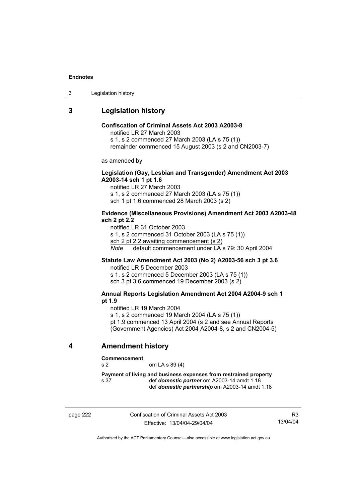3 Legislation history

## **3 Legislation history**

## **Confiscation of Criminal Assets Act 2003 A2003-8**

notified LR 27 March 2003

s 1, s 2 commenced 27 March 2003 (LA s 75 (1))

remainder commenced 15 August 2003 (s 2 and CN2003-7)

as amended by

### **Legislation (Gay, Lesbian and Transgender) Amendment Act 2003 A2003-14 sch 1 pt 1.6**

notified LR 27 March 2003 s 1, s 2 commenced 27 March 2003 (LA s 75 (1)) sch 1 pt 1.6 commenced 28 March 2003 (s 2)

#### **Evidence (Miscellaneous Provisions) Amendment Act 2003 A2003-48 sch 2 pt 2.2**

notified LR 31 October 2003 s 1, s 2 commenced 31 October 2003 (LA s 75 (1)) sch 2 pt 2.2 awaiting commencement (s 2) *Note* default commencement under LA s 79: 30 April 2004

## **Statute Law Amendment Act 2003 (No 2) A2003-56 sch 3 pt 3.6**

notified LR 5 December 2003 s 1, s 2 commenced 5 December 2003 (LA s 75 (1)) sch 3 pt 3.6 commenced 19 December 2003 (s 2)

#### **Annual Reports Legislation Amendment Act 2004 A2004-9 sch 1 pt 1.9**

notified LR 19 March 2004

s 1, s 2 commenced 19 March 2004 (LA s 75 (1)) pt 1.9 commenced 13 April 2004 (s 2 and see Annual Reports (Government Agencies) Act 2004 A2004-8, s 2 and CN2004-5)

## **4 Amendment history**

#### **Commencement**

s 2 om LA s 89 (4)

**Payment of living and business expenses from restrained property**  s 37 def *domestic partner* om A2003-14 amdt 1.18 def *domestic partnership* om A2003-14 amdt 1.18

page 222 Confiscation of Criminal Assets Act 2003 Effective: 13/04/04-29/04/04

R3 13/04/04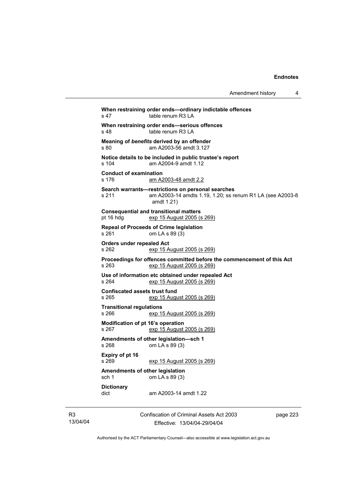| Amendment history |  |
|-------------------|--|
|-------------------|--|

**When restraining order ends—ordinary indictable offences**  s 47 table renum R3 LA **When restraining order ends—serious offences**  s 48 table renum R3 LA **Meaning of** *benefits* **derived by an offender**  s 80 am A2003-56 amdt 3.127 **Notice details to be included in public trustee's report**  s 104 am A2004-9 amdt 1.12 **Conduct of examination**  s 176 am A2003-48 amdt 2.2 **Search warrants—restrictions on personal searches**  s 211 am A2003-14 amdts 1.19, 1.20; ss renum R1 LA (see A2003-8 amdt 1.21) **Consequential and transitional matters**  pt 16 hdg exp 15 August 2005 (s 269) **Repeal of Proceeds of Crime legislation**  s 261 om LA s 89 (3) **Orders under repealed Act**  s 262 exp 15 August 2005 (s 269) **Proceedings for offences committed before the commencement of this Act <br>s 263 exp 15 August 2005 (s 269)** exp 15 August 2005 (s 269) **Use of information etc obtained under repealed Act**  s 264 exp 15 August 2005 (s 269) **Confiscated assets trust fund**  exp 15 August 2005 (s 269) **Transitional regulations**  s 266 exp 15 August 2005 (s 269) **Modification of pt 16's operation**  s 267 exp 15 August 2005 (s 269) **Amendments of other legislation—sch 1**  s 268 om LA s 89 (3) **Expiry of pt 16**  exp 15 August 2005 (s 269) **Amendments of other legislation**  sch 1 om LA s 89 (3) **Dictionary**  dict am A2003-14 amdt 1.22

Confiscation of Criminal Assets Act 2003 Effective: 13/04/04-29/04/04

page 223